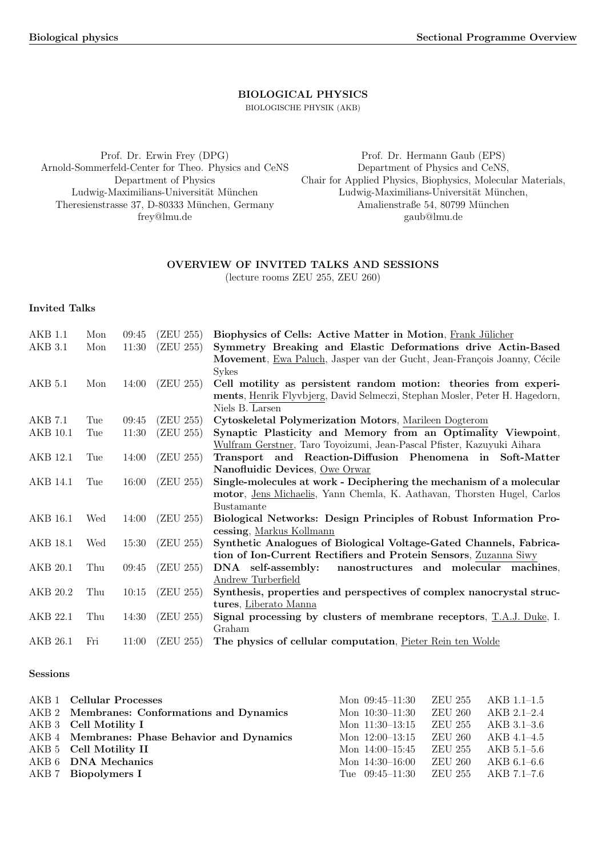### BIOLOGICAL PHYSICS

BIOLOGISCHE PHYSIK (AKB)

Prof. Dr. Erwin Frey (DPG) Arnold-Sommerfeld-Center for Theo. Physics and CeNS Department of Physics Ludwig-Maximilians-Universität München Theresienstrasse 37, D-80333 München, Germany frey@lmu.de

Prof. Dr. Hermann Gaub (EPS) Department of Physics and CeNS, Chair for Applied Physics, Biophysics, Molecular Materials, Ludwig-Maximilians-Universität München, Amalienstraße 54, 80799 München gaub@lmu.de

### OVERVIEW OF INVITED TALKS AND SESSIONS (lecture rooms ZEU 255, ZEU 260)

## Invited Talks

| <b>AKB 1.1</b><br>AKB 3.1 | Mon<br>Mon | 09:45<br>11:30 | (ZEU 255)<br>(ZEU 255) | Biophysics of Cells: Active Matter in Motion, Frank Jülicher<br>Symmetry Breaking and Elastic Deformations drive Actin-Based |
|---------------------------|------------|----------------|------------------------|------------------------------------------------------------------------------------------------------------------------------|
|                           |            |                |                        | Movement, Ewa Paluch, Jasper van der Gucht, Jean-François Joanny, Cécile                                                     |
| AKB 5.1                   | Mon        | 14:00          | (ZEU 255)              | <b>Sykes</b><br>Cell motility as persistent random motion: theories from experi-                                             |
|                           |            |                |                        | ments, Henrik Flyvbjerg, David Selmeczi, Stephan Mosler, Peter H. Hagedorn,                                                  |
|                           |            |                |                        | Niels B. Larsen                                                                                                              |
| AKB 7.1                   | Tue        | 09:45          | (ZEU 255)              | Cytoskeletal Polymerization Motors, Marileen Dogterom                                                                        |
| AKB 10.1                  | Tue        | 11:30          | (ZEU 255)              | Synaptic Plasticity and Memory from an Optimality Viewpoint,                                                                 |
|                           |            |                |                        | Wulfram Gerstner, Taro Toyoizumi, Jean-Pascal Pfister, Kazuyuki Aihara                                                       |
| AKB 12.1                  | Tue        | 14:00          | (ZEU 255)              | Transport and Reaction-Diffusion Phenomena in Soft-Matter                                                                    |
|                           |            |                |                        | Nanofluidic Devices, Owe Orwar                                                                                               |
| AKB 14.1                  | Tue        | 16:00          | (ZEU 255)              | Single-molecules at work - Deciphering the mechanism of a molecular                                                          |
|                           |            |                |                        | motor, Jens Michaelis, Yann Chemla, K. Aathavan, Thorsten Hugel, Carlos                                                      |
|                           |            |                |                        | <b>Bustamante</b>                                                                                                            |
| AKB 16.1                  | Wed        | 14:00          | (ZEU 255)              | Biological Networks: Design Principles of Robust Information Pro-                                                            |
|                           |            |                |                        | cessing, Markus Kollmann                                                                                                     |
| AKB 18.1                  | Wed        | 15:30          | (ZEU 255)              | Synthetic Analogues of Biological Voltage-Gated Channels, Fabrica-                                                           |
|                           |            |                |                        | tion of Ion-Current Rectifiers and Protein Sensors, Zuzanna Siwy                                                             |
| AKB 20.1                  | Thu        | 09:45          | (ZEU 255)              | DNA self-assembly:<br>nanostructures and molecular machines,                                                                 |
|                           |            |                |                        | Andrew Turberfield                                                                                                           |
| AKB 20.2                  | Thu        | 10:15          | (ZEU 255)              | Synthesis, properties and perspectives of complex nanocrystal struc-                                                         |
|                           |            |                |                        | tures, Liberato Manna                                                                                                        |
| AKB 22.1                  | Thu        | 14:30          | (ZEU 255)              | Signal processing by clusters of membrane receptors, $T.A.J. Duke, I.$<br>Graham                                             |
| AKB 26.1                  | Fri        | 11:00          | (ZEU 255)              | The physics of cellular computation, Pieter Rein ten Wolde                                                                   |
|                           |            |                |                        |                                                                                                                              |

### Sessions

| <b>AKB 1</b> Cellular Processes              | Mon 09:45-11:30 ZEU 255 AKB 1.1-1.5     |         |             |
|----------------------------------------------|-----------------------------------------|---------|-------------|
| AKB 2 Membranes: Conformations and Dynamics  | Mon 10:30–11:30                         | ZEU 260 | AKB 2.1-2.4 |
| AKB 3 Cell Motility I                        | Mon 11:30-13:15 ZEU 255 AKB 3.1-3.6     |         |             |
| AKB 4 Membranes: Phase Behavior and Dynamics | Mon $12:00-13:15$ ZEU 260               |         | AKB 4.1-4.5 |
| AKB 5 Cell Motility II                       | Mon 14:00-15:45 ZEU 255                 |         | AKB 5.1–5.6 |
| AKB 6 DNA Mechanics                          | Mon 14:30–16:00                         | ZEU 260 | AKB 6.1–6.6 |
| AKB 7 Biopolymers I                          | Tue $09:45-11:30$ ZEU $255$ AKB 7.1-7.6 |         |             |
|                                              |                                         |         |             |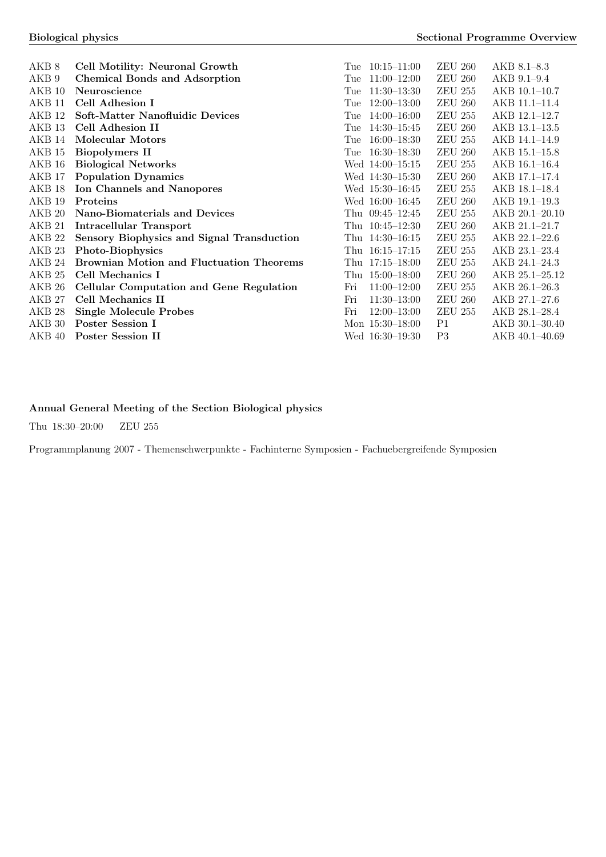| AKB 8             | Cell Motility: Neuronal Growth                    | Tue | $10:15 - 11:00$   | <b>ZEU 260</b> | $AKB 8.1 - 8.3$ |
|-------------------|---------------------------------------------------|-----|-------------------|----------------|-----------------|
| AKB <sub>9</sub>  | <b>Chemical Bonds and Adsorption</b>              | Tue | $11:00-12:00$     | <b>ZEU 260</b> | AKB 9.1-9.4     |
| AKB 10            | Neuroscience                                      | Tue | $11:30-13:30$     | <b>ZEU 255</b> | AKB 10.1-10.7   |
| AKB 11            | Cell Adhesion I                                   | Tue | $12:00 - 13:00$   | <b>ZEU 260</b> | AKB 11.1-11.4   |
| AKB 12            | Soft-Matter Nanofluidic Devices                   | Tue | $14:00 - 16:00$   | <b>ZEU 255</b> | AKB 12.1-12.7   |
| AKB <sub>13</sub> | Cell Adhesion II                                  | Tue | $14:30 - 15:45$   | <b>ZEU 260</b> | AKB 13.1-13.5   |
| AKB 14            | Molecular Motors                                  | Tue | $16:00 - 18:30$   | <b>ZEU 255</b> | AKB 14.1-14.9   |
| AKB 15            | <b>Biopolymers II</b>                             | Tue | $16:30-18:30$     | <b>ZEU 260</b> | AKB 15.1-15.8   |
| AKB 16            | <b>Biological Networks</b>                        |     | Wed 14:00-15:15   | <b>ZEU 255</b> | $AKB$ 16.1–16.4 |
| AKB <sub>17</sub> | <b>Population Dynamics</b>                        |     | Wed 14:30-15:30   | <b>ZEU 260</b> | AKB 17.1-17.4   |
| AKB 18            | <b>Ion Channels and Nanopores</b>                 |     | Wed 15:30-16:45   | <b>ZEU 255</b> | AKB 18.1-18.4   |
| AKB 19            | Proteins                                          |     | Wed 16:00-16:45   | <b>ZEU 260</b> | AKB 19.1-19.3   |
| AKB 20            | Nano-Biomaterials and Devices                     | Thu | $09:45 - 12:45$   | <b>ZEU 255</b> | AKB 20.1-20.10  |
| AKB <sub>21</sub> | Intracellular Transport                           | Thu | $10:45 - 12:30$   | <b>ZEU 260</b> | AKB 21.1-21.7   |
| AKB <sub>22</sub> | <b>Sensory Biophysics and Signal Transduction</b> | Thu | $14:30 - 16:15$   | <b>ZEU 255</b> | AKB 22.1-22.6   |
| AKB 23            | Photo-Biophysics                                  | Thu | $16:15 - 17:15$   | <b>ZEU 255</b> | AKB 23.1-23.4   |
| AKB 24            | <b>Brownian Motion and Fluctuation Theorems</b>   | Thu | $17:15 - 18:00$   | <b>ZEU 255</b> | AKB 24.1-24.3   |
| AKB <sub>25</sub> | Cell Mechanics I                                  | Thu | $15:00 - 18:00$   | <b>ZEU 260</b> | AKB 25.1-25.12  |
| AKB 26            | Cellular Computation and Gene Regulation          | Fri | $11:00-12:00$     | <b>ZEU 255</b> | AKB 26.1-26.3   |
| AKB 27            | Cell Mechanics II                                 | Fri | $11:30-13:00$     | <b>ZEU 260</b> | AKB 27.1-27.6   |
| AKB 28            | <b>Single Molecule Probes</b>                     | Fri | $12:00-13:00$     | <b>ZEU 255</b> | AKB 28.1-28.4   |
| AKB 30            | Poster Session I                                  |     | Mon $15:30-18:00$ | P <sub>1</sub> | AKB 30.1-30.40  |
| AKB 40            | Poster Session II                                 |     | Wed 16:30-19:30   | P <sub>3</sub> | AKB 40.1-40.69  |
|                   |                                                   |     |                   |                |                 |

## Annual General Meeting of the Section Biological physics

Thu 18:30–20:00 ZEU 255

Programmplanung 2007 - Themenschwerpunkte - Fachinterne Symposien - Fachuebergreifende Symposien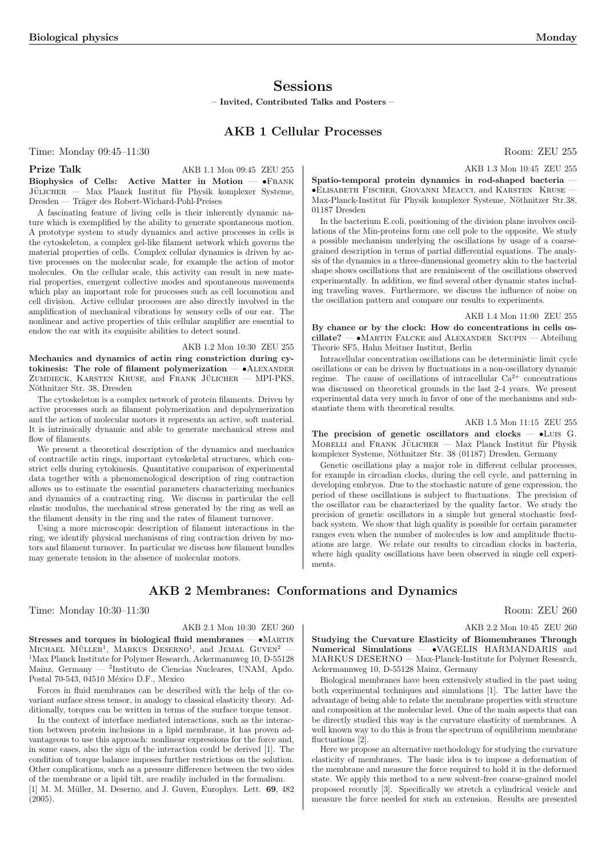## **Sessions**

– Invited, Contributed Talks and Posters –

## AKB 1 Cellular Processes

Time: Monday 09:45–11:30 Room: ZEU 255

**Prize Talk** AKB 1.1 Mon 09:45 ZEU 255

Biophysics of Cells: Active Matter in Motion — •Frank JÜLICHER — Max Planck Institut für Physik komplexer Systeme, Dresden — Träger des Robert-Wichard-Pohl-Preises

A fascinating feature of living cells is their inherently dynamic nature which is exemplified by the ability to generate spontaneous motion. A prototype system to study dynamics and active processes in cells is the cytoskeleton, a complex gel-like filament network which governs the material properties of cells. Complex cellular dynamics is driven by active processes on the molecular scale, for example the action of motor molecules. On the cellular scale, this activity can result in new material properties, emergent collective modes and spontaneous movements which play an important role for processes such as cell locomotion and cell division. Active cellular processes are also directly involved in the amplification of mechanical vibrations by sensory cells of our ear. The nonlinear and active properties of this cellular amplifier are essential to endow the ear with its exquisite abilities to detect sound.

### AKB 1.2 Mon 10:30 ZEU 255

Mechanics and dynamics of actin ring constriction during cytokinesis: The role of filament polymerization  $- \cdot$  ALEXANDER ZUMDIECK, KARSTEN KRUSE, and FRANK JÜLICHER - MPI-PKS, Nöthnitzer Str. 38, Dresden

The cytoskeleton is a complex network of protein filaments. Driven by active processes such as filament polymerization and depolymerization and the action of molecular motors it represents an active, soft material. It is intrinsically dynamic and able to generate mechanical stress and flow of filaments.

We present a theoretical description of the dynamics and mechanics of contractile actin rings, important cytoskeletal structures, which constrict cells during cytokinesis. Quantitative comparison of experimental data together with a phenomenological description of ring contraction allows us to estimate the essential parameters characterizing mechanics and dynamics of a contracting ring. We discuss in particular the cell elastic modulus, the mechanical stress generated by the ring as well as the filament density in the ring and the rates of filament turnover.

Using a more microscopic description of filament interactions in the ring, we identify physical mechanisms of ring contraction driven by motors and filament turnover. In particular we discuss how filament bundles may generate tension in the absence of molecular motors.

AKB 2 Membranes: Conformations and Dynamics

Time: Monday 10:30–11:30 Room: ZEU 260

### AKB 2.1 Mon 10:30 ZEU 260

Stresses and torques in biological fluid membranes -  $\bullet$ MARTIN  $M$ ICHAEL MÜLLER<sup>1</sup>, MARKUS DESERNO<sup>1</sup>, and JEMAL GUVEN<sup>2</sup> — <sup>1</sup>Max Planck Institute for Polymer Research, Ackermannweg 10, D-55128 Mainz, Germany — <sup>2</sup> Instituto de Ciencias Nucleares, UNAM, Apdo. Postal 70-543, 04510 México D.F., Mexico

Forces in fluid membranes can be described with the help of the covariant surface stress tensor, in analogy to classical elasticity theory. Additionally, torques can be written in terms of the surface torque tensor.

In the context of interface mediated interactions, such as the interaction between protein inclusions in a lipid membrane, it has proven advantageous to use this approach: nonlinear expressions for the force and, in some cases, also the sign of the interaction could be derived [1]. The condition of torque balance imposes further restrictions on the solution. Other complications, such as a pressure difference between the two sides of the membrane or a lipid tilt, are readily included in the formalism. [1] M. M. Müller, M. Deserno, and J. Guven, Europhys. Lett. 69, 482 (2005).

AKB 1.3 Mon 10:45 ZEU 255

Spatio-temporal protein dynamics in rod-shaped bacteria — •Elisabeth Fischer, Giovanni Meacci, and Karsten Kruse — Max-Planck-Institut für Physik komplexer Systeme, Nöthnitzer Str.38, 01187 Dresden

In the bacterium E.coli, positioning of the division plane involves oscillations of the Min-proteins form one cell pole to the opposite. We study a possible mechanism underlying the oscillations by usage of a coarsegrained description in terms of partial differential equations. The analysis of the dynamics in a three-dimensional geometry akin to the bacterial shape shows oscillations that are reminiscent of the oscillations observed experimentally. In addition, we find several other dynamic states including traveling waves. Furthermore, we discuss the influence of noise on the oscillation pattern and compare our results to experiments.

AKB 1.4 Mon 11:00 ZEU 255

By chance or by the clock: How do concentrations in cells oscillate? — •Martin Falcke and Alexander Skupin — Abteilung Theorie SF5, Hahn Meitner Institut, Berlin

Intracellular concentration oscillations can be deterministic limit cycle oscillations or can be driven by fluctuations in a non-oscillatory dynamic regime. The cause of oscillations of intracellular  $Ca^{2+}$  concentrations was discussed on theoretical grounds in the last 2-4 years. We present experimental data very much in favor of one of the mechanisms and substantiate them with theoretical results.

### AKB 1.5 Mon 11:15 ZEU 255

The precision of genetic oscillators and clocks  $-$  •Luis G. MORELLI and FRANK JÜLICHER — Max Planck Institut für Physik komplexer Systeme, Nöthnitzer Str. 38 (01187) Dresden, Germany

Genetic oscillations play a major role in different cellular processes, for example in circadian clocks, during the cell cycle, and patterning in developing embryos. Due to the stochastic nature of gene expression, the period of these oscillations is subject to fluctuations. The precision of the oscillator can be characterized by the quality factor. We study the precision of genetic oscillators in a simple but general stochastic feedback system. We show that high quality is possible for certain parameter ranges even when the number of molecules is low and amplitude fluctuations are large. We relate our results to circadian clocks in bacteria, where high quality oscillations have been observed in single cell experiments.

AKB 2.2 Mon 10:45 ZEU 260

Studying the Curvature Elasticity of Biomembranes Through Numerical Simulations — •VAGELIS HARMANDARIS and MARKUS DESERNO — Max-Planck-Institute for Polymer Research, Ackermannweg 10, D-55128 Mainz, Germany

Biological membranes have been extensively studied in the past using both experimental techniques and simulations [1]. The latter have the advantage of being able to relate the membrane properties with structure and composition at the molecular level. One of the main aspects that can be directly studied this way is the curvature elasticity of membranes. A well known way to do this is from the spectrum of equilibrium membrane fluctuations [2].

Here we propose an alternative methodology for studying the curvature elasticity of membranes. The basic idea is to impose a deformation of the membrane and measure the force required to hold it in the deformed state. We apply this method to a new solvent-free coarse-grained model proposed recently [3]. Specifically we stretch a cylindrical vesicle and measure the force needed for such an extension. Results are presented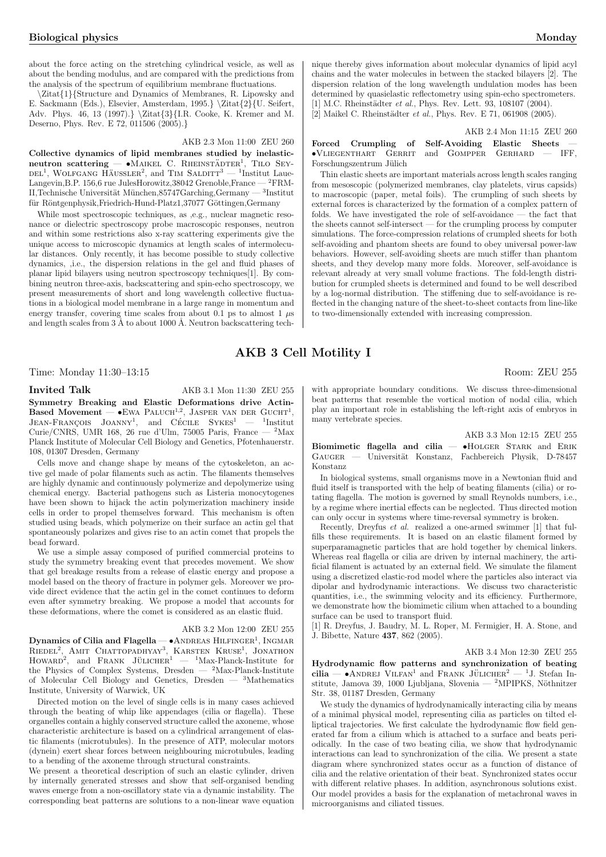about the force acting on the stretching cylindrical vesicle, as well as about the bending modulus, and are compared with the predictions from the analysis of the spectrum of equilibrium membrane fluctuations.

\Zitat{1}{Structure and Dynamics of Membranes, R. Lipowsky and E. Sackmann (Eds.), Elsevier, Amsterdam, 1995.} $\Zitat{2}{U. Seifert,}$ Adv. Phys. 46, 13 (1997).} \Zitat{3}{I.R. Cooke, K. Kremer and M. Deserno, Phys. Rev. E 72, 011506 (2005).}

### AKB 2.3 Mon 11:00 ZEU 260

Collective dynamics of lipid membranes studied by inelasticneutron scattering — •MAIKEL C. RHEINSTÄDTER<sup>1</sup>, TILO SEY- $\text{Delta}$ , Wolfgang Häussler<sup>2</sup>, and Tim Salditt<sup>3</sup> — <sup>1</sup>Institut Laue-Langevin,B.P. 156,6 rue JulesHorowitz,38042 Grenoble,France — <sup>2</sup>FRM- $\,$ II,Technische Universität München,85747<br>Garching,Germany —  $^3$  Institut für Röntgenphysik,Friedrich-Hund-Platz1,37077 Göttingen,Germany

While most spectroscopic techniques, as ,e.g., nuclear magnetic resonance or dielectric spectroscopy probe macroscopic responses, neutron and within some restrictions also x-ray scattering experiments give the unique access to microscopic dynamics at length scales of intermolecular distances. Only recently, it has become possible to study collective dynamics, ,i.e., the dispersion relations in the gel and fluid phases of planar lipid bilayers using neutron spectroscopy techniques[1]. By combining neutron three-axis, backscattering and spin-echo spectroscopy, we present measurements of short and long wavelength collective fluctuations in a biological model membrane in a large range in momentum and energy transfer, covering time scales from about 0.1 ps to almost 1  $\mu$ s and length scales from  $3 \text{ Å}$  to about 1000 Å. Neutron backscattering technique thereby gives information about molecular dynamics of lipid acyl chains and the water molecules in between the stacked bilayers [2]. The dispersion relation of the long wavelength undulation modes has been determined by quasielastic reflectometry using spin-echo spectrometers. [1] M.C. Rheinstädter et al., Phys. Rev. Lett. 93, 108107 (2004).

[2] Maikel C. Rheinstädter et al., Phys. Rev. E 71, 061908 (2005).

### AKB 2.4 Mon 11:15 ZEU 260

### Forced Crumpling of Self-Avoiding Elastic Sheets •Vliegenthart Gerrit and Gompper Gerhard — IFF, Forschungszentrum Jülich

Thin elastic sheets are important materials across length scales ranging from mesoscopic (polymerized membranes, clay platelets, virus capsids) to macroscopic (paper, metal foils). The crumpling of such sheets by external forces is characterized by the formation of a complex pattern of folds. We have investigated the role of self-avoidance — the fact that the sheets cannot self-intersect — for the crumpling process by computer simulations. The force-compression relations of crumpled sheets for both self-avoiding and phantom sheets are found to obey universal power-law behaviors. However, self-avoiding sheets are much stiffer than phantom sheets, and they develop many more folds. Moreover, self-avoidance is relevant already at very small volume fractions. The fold-length distribution for crumpled sheets is determined and found to be well described by a log-normal distribution. The stiffening due to self-avoidance is reflected in the changing nature of the sheet-to-sheet contacts from line-like to two-dimensionally extended with increasing compression.

## AKB 3 Cell Motility I

Time: Monday 11:30–13:15 Room: ZEU 255

Invited Talk AKB 3.1 Mon 11:30 ZEU 255 Symmetry Breaking and Elastic Deformations drive Actin-Based Movement — •Ewa PALUCH<sup>1,2</sup>, JASPER VAN DER GUCHT<sup>1</sup>, Dased Movement  $-$  C<sub>DWA</sub> TALOCH<sup>T</sup>, JASEER VAN DER G  $1$ Institut Curie/CNRS, UMR 168, 26 rue d'Ulm, 75005 Paris, France — <sup>2</sup>Max Planck Institute of Molecular Cell Biology and Genetics, Pfotenhauerstr. 108, 01307 Dresden, Germany

Cells move and change shape by means of the cytoskeleton, an active gel made of polar filaments such as actin. The filaments themselves are highly dynamic and continuously polymerize and depolymerize using chemical energy. Bacterial pathogens such as Listeria monocytogenes have been shown to hijack the actin polymerization machinery inside cells in order to propel themselves forward. This mechanism is often studied using beads, which polymerize on their surface an actin gel that spontaneously polarizes and gives rise to an actin comet that propels the bead forward.

We use a simple assay composed of purified commercial proteins to study the symmetry breaking event that precedes movement. We show that gel breakage results from a release of elastic energy and propose a model based on the theory of fracture in polymer gels. Moreover we provide direct evidence that the actin gel in the comet continues to deform even after symmetry breaking. We propose a model that accounts for these deformations, where the comet is considered as an elastic fluid.

### AKB 3.2 Mon 12:00 ZEU 255

Dynamics of Cilia and Flagella — •ANDREAS HILFINGER<sup>1</sup>, INGMAR<br>RIEDEL<sup>2</sup>, AMIT CHATTOPADHYAY<sup>3</sup>, KARSTEN KRUSE<sup>1</sup>, JONATHON<br>HOWARD<sup>2</sup>, and FRANK JÜLICHER<sup>1</sup> — <sup>1</sup>Max-Planck-Institute for the Physics of Complex Systems, Dresden —  $2$ Max-Planck-Institute of Molecular Cell Biology and Genetics, Dresden  $-$  <sup>3</sup>Mathematics Institute, University of Warwick, UK

Directed motion on the level of single cells is in many cases achieved through the beating of whip like appendages (cilia or flagella). These organelles contain a highly conserved structure called the axoneme, whose characteristic architecture is based on a cylindrical arrangement of elastic filaments (microtubules). In the presence of ATP, molecular motors (dynein) exert shear forces between neighbouring microtubules, leading to a bending of the axoneme through structural constraints.

We present a theoretical description of such an elastic cylinder, driven by internally generated stresses and show that self-organised bending waves emerge from a non-oscillatory state via a dynamic instability. The corresponding beat patterns are solutions to a non-linear wave equation

with appropriate boundary conditions. We discuss three-dimensional beat patterns that resemble the vortical motion of nodal cilia, which play an important role in establishing the left-right axis of embryos in many vertebrate species.

AKB 3.3 Mon 12:15 ZEU 255 **Biomimetic flagella and cilia — •HOLGER STARK and ERIK GAUGER — Universität Konstanz, Fachbereich Physik, D-78457** Universität Konstanz, Fachbereich Physik, D-78457 Konstanz

In biological systems, small organisms move in a Newtonian fluid and fluid itself is transported with the help of beating filaments (cilia) or rotating flagella. The motion is governed by small Reynolds numbers, i.e., by a regime where inertial effects can be neglected. Thus directed motion can only occur in systems where time-reversal symmetry is broken.

Recently, Dreyfus et al. realized a one-armed swimmer [1] that fulfills these requirements. It is based on an elastic filament formed by superparamagnetic particles that are hold together by chemical linkers. Whereas real flagella or cilia are driven by internal machinery, the artificial filament is actuated by an external field. We simulate the filament using a discretized elastic-rod model where the particles also interact via dipolar and hydrodynamic interactions. We discuss two characteristic quantities, i.e., the swimming velocity and its efficiency. Furthermore, we demonstrate how the biomimetic cilium when attached to a bounding surface can be used to transport fluid.

[1] R. Dreyfus, J. Baudry, M. L. Roper, M. Fermigier, H. A. Stone, and J. Bibette, Nature 437, 862 (2005).

### AKB 3.4 Mon 12:30 ZEU 255

Hydrodynamic flow patterns and synchronization of beating  $\frac{1}{10}$  Cilia — •ANDREJ VILFAN<sup>1</sup> and FRANK JÜLICHER<sup>2</sup> — <sup>1</sup>J. Stefan Institute, Jamova 39, 1000 Ljubljana, Slovenia — <sup>2</sup>MPIPKS, Nöthnitzer Str. 38, 01187 Dresden, Germany

We study the dynamics of hydrodynamically interacting cilia by means of a minimal physical model, representing cilia as particles on tilted elliptical trajectories. We first calculate the hydrodynamic flow field generated far from a cilium which is attached to a surface and beats periodically. In the case of two beating cilia, we show that hydrodynamic interactions can lead to synchronization of the cilia. We present a state diagram where synchronized states occur as a function of distance of cilia and the relative orientation of their beat. Synchronized states occur with different relative phases. In addition, asynchronous solutions exist. Our model provides a basis for the explanation of metachronal waves in microorganisms and ciliated tissues.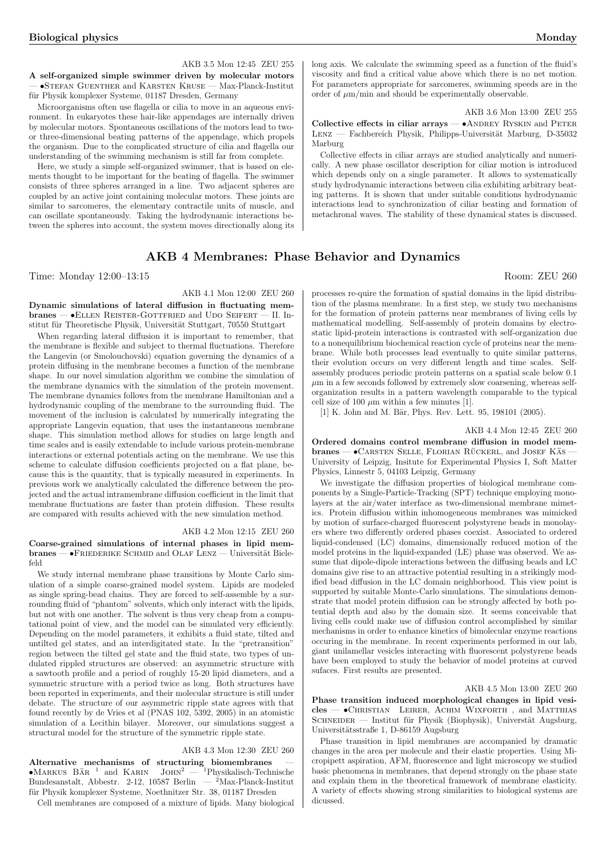AKB 3.5 Mon 12:45 ZEU 255

A self-organized simple swimmer driven by molecular motors — •Stefan Guenther and Karsten Kruse — Max-Planck-Institut für Physik komplexer Systeme, 01187 Dresden, Germany

Microorganisms often use flagella or cilia to move in an aqueous environment. In eukaryotes these hair-like appendages are internally driven by molecular motors. Spontaneous oscillations of the motors lead to twoor three-dimensional beating patterns of the appendage, which propels the organism. Due to the complicated structure of cilia and flagella our understanding of the swimming mechanism is still far from complete.

Here, we study a simple self-organized swimmer, that is based on elements thought to be important for the beating of flagella. The swimmer consists of three spheres arranged in a line. Two adjacent spheres are coupled by an active joint containing molecular motors. These joints are similar to sarcomeres, the elementary contractile units of muscle, and can oscillate spontaneously. Taking the hydrodynamic interactions between the spheres into account, the system moves directionally along its

### AKB 4 Membranes: Phase Behavior and Dynamics

Time: Monday 12:00–13:15 Room: ZEU 260

### AKB 4.1 Mon 12:00 ZEU 260

Dynamic simulations of lateral diffusion in fluctuating membranes — •ELLEN REISTER-GOTTFRIED and UDO SEIFERT — II. Institut für Theoretische Physik, Universität Stuttgart, 70550 Stuttgart

When regarding lateral diffusion it is important to remember, that the membrane is flexible and subject to thermal fluctuations. Therefore the Langevin (or Smolouchovski) equation governing the dynamics of a protein diffusing in the membrane becomes a function of the membrane shape. In our novel simulation algorithm we combine the simulation of the membrane dynamics with the simulation of the protein movement. The membrane dynamics follows from the membrane Hamiltonian and a hydrodynamic coupling of the membrane to the surrounding fluid. The movement of the inclusion is calculated by numerically integrating the appropriate Langevin equation, that uses the instantaneous membrane shape. This simulation method allows for studies on large length and time scales and is easily extendable to include various protein-membrane interactions or external potentials acting on the membrane. We use this scheme to calculate diffusion coefficients projected on a flat plane, because this is the quantity, that is typically measured in experiments. In previous work we analytically calculated the difference between the projected and the actual intramembrane diffusion coefficient in the limit that membrane fluctuations are faster than protein diffusion. These results are compared with results achieved with the new simulation method.

#### AKB 4.2 Mon 12:15 ZEU 260

Coarse-grained simulations of internal phases in lipid mem $branes - \bullet$ FRIEDERIKE SCHMID and OLAF LENZ  $-$  Universität Bielefeld

We study internal membrane phase transitions by Monte Carlo simulation of a simple coarse-grained model system. Lipids are modeled as single spring-bead chains. They are forced to self-assemble by a surrounding fluid of "phantom" solvents, which only interact with the lipids, but not with one another. The solvent is thus very cheap from a computational point of view, and the model can be simulated very efficiently. Depending on the model parameters, it exhibits a fluid state, tilted and untilted gel states, and an interdigitated state. In the "pretransition" region between the tilted gel state and the fluid state, two types of undulated rippled structures are observed: an asymmetric structure with a sawtooth profile and a period of roughly 15-20 lipid diameters, and a symmetric structure with a period twice as long. Both structures have been reported in experiments, and their molecular structure is still under debate. The structure of our asymmetric ripple state agrees with that found recently by de Vries et al (PNAS 102, 5392, 2005) in an atomistic simulation of a Lecithin bilayer. Moreover, our simulations suggest a structural model for the structure of the symmetric ripple state.

### AKB 4.3 Mon 12:30 ZEU 260

Alternative mechanisms of structuring biomembranes —<br>•Markus Bär<sup>1</sup> and Karin JOHN<sup>2</sup> — <sup>1</sup>Physikalisch-Technische  $\bullet$ Markus Bär $^1$ and Karlın John $^2$  —  $^1$ Physikalisch-Technische Bundesanstalt, Abbestr. 2-12, 10587 Berlin —  $^2$ Max-Planck-Institut für Physik komplexer Systeme, Noethnitzer Str. 38, 01187 Dresden

Cell membranes are composed of a mixture of lipids. Many biological

long axis. We calculate the swimming speed as a function of the fluid's viscosity and find a critical value above which there is no net motion. For parameters appropriate for sarcomeres, swimming speeds are in the order of  $\mu$ m/min and should be experimentally observable.

AKB 3.6 Mon 13:00 ZEU 255

Collective effects in ciliar arrays —  $\bullet$ ANDREY RYSKIN and PETER LENZ — Fachbereich Physik, Philipps-Universität Marburg, D-35032 Marburg

Collective effects in ciliar arrays are studied analytically and numerically. A new phase oscillator description for ciliar motion is introduced which depends only on a single parameter. It allows to systematically study hydrodynamic interactions between cilia exhibiting arbitrary beating patterns. It is shown that under suitable conditions hydrodynamic interactions lead to synchronization of ciliar beating and formation of metachronal waves. The stability of these dynamical states is discussed.

processes re-quire the formation of spatial domains in the lipid distribution of the plasma membrane. In a first step, we study two mechanisms for the formation of protein patterns near membranes of living cells by mathematical modelling. Self-assembly of protein domains by electrostatic lipid-protein interactions is contrasted with self-organization due to a nonequilibrium biochemical reaction cycle of proteins near the membrane. While both processes lead eventually to quite similar patterns, their evolution occurs on very different length and time scales. Selfassembly produces periodic protein patterns on a spatial scale below 0.1  $\mu$ m in a few seconds followed by extremely slow coarsening, whereas selforganization results in a pattern wavelength comparable to the typical cell size of 100  $\mu$ m within a few minutes [1].

[1] K. John and M. Bär, Phys. Rev. Lett. 95, 198101 (2005).

### AKB 4.4 Mon 12:45 ZEU 260

Ordered domains control membrane diffusion in model mem $branes - \bullet$ Carsten Selle, Florian Rückerl, and Josef Käs University of Leipzig, Insitute for Experimental Physics I, Soft Matter Physics, Linnestr 5, 04103 Leipzig, Germany

We investigate the diffusion properties of biological membrane components by a Single-Particle-Tracking (SPT) technique employing monolayers at the air/water interface as two-dimensional membrane mimetics. Protein diffusion within inhomogeneous membranes was mimicked by motion of surface-charged fluorescent polystyrene beads in monolayers where two differently ordered phases coexist. Associated to ordered liquid-condensed (LC) domains, dimensionally reduced motion of the model proteins in the liquid-expanded (LE) phase was observed. We assume that dipole-dipole interactions between the diffusing beads and LC domains give rise to an attractive potential resulting in a strikingly modified bead diffusion in the LC domain neighborhood. This view point is supported by suitable Monte-Carlo simulations. The simulations demonstrate that model protein diffusion can be strongly affected by both potential depth and also by the domain size. It seems conceivable that living cells could make use of diffusion control accomplished by similar mechanisms in order to enhance kinetics of bimolecular enzyme reactions occuring in the membrane. In recent experiments performed in our lab, giant unilamellar vesicles interacting with fluorescent polystyrene beads have been employed to study the behavior of model proteins at curved sufaces. First results are presented.

#### AKB 4.5 Mon 13:00 ZEU 260

Phase transition induced morphological changes in lipid vesicles — •Christian Leirer, Achim Wixforth , and Matthias  $S$ CHNEIDER — Institut für Physik (Biophysik), Universtät Augsburg, Universitätsstraße 1, D-86159 Augsburg

Phase transition in lipid membranes are accompanied by dramatic changes in the area per molecule and their elastic properties. Using Micropipett aspiration, AFM, fluorescence and light microscopy we studied basic phenomena in membranes, that depend strongly on the phase state and explain them in the theoretical framework of membrane elasticity. A variety of effects showing strong similarities to biological systems are dicussed.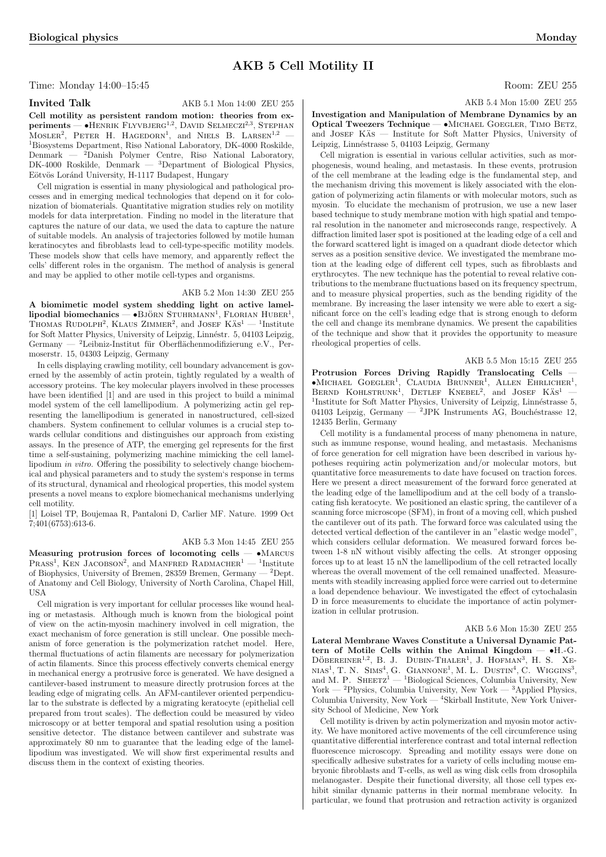## AKB 5 Cell Motility II

Time: Monday 14:00–15:45 Room: ZEU 255

## Invited Talk AKB 5.1 Mon 14:00 ZEU 255

Cell motility as persistent random motion: theories from exven mothty as persistent random motion. theories nome ex-<br>periments — •HENRIK FLYVBJERG<sup>1,2</sup>, DAVID SELMECZI<sup>2,3</sup>, STEPHAN<br>MOSLER<sup>2</sup>, PETER H. HAGEDORN<sup>1</sup>, and NIELS B. LARSEN<sup>1,2</sup> <sup>1</sup>Biosystems Department, Risø National Laboratory, DK-4000 Roskilde, Denmark — <sup>2</sup>Danish, Polymer, Centre, Risø, National, Laboratory  $2$ Danish Polymer Centre, Risø National Laboratory, DK-4000 Roskilde, Denmark —  ${}^{3}$ Department of Biological Physics, Eötvös Loránd University, H-1117 Budapest, Hungary

Cell migration is essential in many physiological and pathological processes and in emerging medical technologies that depend on it for colonization of biomaterials. Quantitative migration studies rely on motility models for data interpretation. Finding no model in the literature that captures the nature of our data, we used the data to capture the nature of suitable models. An analysis of trajectories followed by motile human keratinocytes and fibroblasts lead to cell-type-specific motility models. These models show that cells have memory, and apparently reflect the cells' different roles in the organism. The method of analysis is general and may be applied to other motile cell-types and organisms.

### AKB 5.2 Mon 14:30 ZEU 255

A biomimetic model system shedding light on active lamel- $\text{A}$  biominieric moder system sheading right on active fame-<br>lipodial biomechanics — •BJÖRN STUHRMANN<sup>1</sup>, FLORIAN HUBER<sup>1</sup>,  $T$ HOMAS RUDOLPH<sup>2</sup>, KLAUS ZIMMER<sup>2</sup>, and JOSEF  $K\ddot{s}^{-1}$ <sup>1</sup> Institute for Soft Matter Physics, University of Leipzig, Linnéstr. 5, 04103 Leipzig, Germany — <sup>2</sup>Leibniz-Institut für Oberflächenmodifizierung e.V., Permoserstr. 15, 04303 Leipzig, Germany

In cells displaying crawling motility, cell boundary advancement is governed by the assembly of actin protein, tightly regulated by a wealth of accessory proteins. The key molecular players involved in these processes have been identified [1] and are used in this project to build a minimal model system of the cell lamellipodium. A polymerizing actin gel representing the lamellipodium is generated in nanostructured, cell-sized chambers. System confinement to cellular volumes is a crucial step towards cellular conditions and distinguishes our approach from existing assays. In the presence of ATP, the emerging gel represents for the first time a self-sustaining, polymerizing machine mimicking the cell lamellipodium in vitro. Offering the possibility to selectively change biochemical and physical parameters and to study the system's response in terms of its structural, dynamical and rheological properties, this model system presents a novel means to explore biomechanical mechanisms underlying cell motility.

[1] Loisel TP, Boujemaa R, Pantaloni D, Carlier MF. Nature. 1999 Oct 7;401(6753):613-6.

### AKB 5.3 Mon 14:45 ZEU 255

Measuring protrusion forces of locomoting cells  $- \cdot$ MARCUS PRASS<sup>1</sup>, KEN JACOBSON<sup>2</sup>, and MANFRED RADMACHER<sup>1</sup> — <sup>1</sup>Institute of Biophysics, University of Bremen, 28359 Bremen, Germany — <sup>2</sup>Dept. of Anatomy and Cell Biology, University of North Carolina, Chapel Hill, USA

Cell migration is very important for cellular processes like wound healing or metastasis. Although much is known from the biological point of view on the actin-myosin machinery involved in cell migration, the exact mechanism of force generation is still unclear. One possible mechanism of force generation is the polymerization ratchet model. Here, thermal fluctuations of actin filaments are necessary for polymerization of actin filaments. Since this process effectively converts chemical energy in mechanical energy a protrusive force is generated. We have designed a cantilever-based instrument to measure directly protrusion forces at the leading edge of migrating cells. An AFM-cantilever oriented perpendicular to the substrate is deflected by a migrating keratocyte (epithelial cell prepared from trout scales). The deflection could be measured by video microscopy or at better temporal and spatial resolution using a position sensitive detector. The distance between cantilever and substrate was approximately 80 nm to guarantee that the leading edge of the lamellipodium was investigated. We will show first experimental results and discuss them in the context of existing theories.

AKB 5.4 Mon 15:00 ZEU 255

Investigation and Manipulation of Membrane Dynamics by an Optical Tweezers Technique — •Michael Goegler, Timo Betz, and JOSEF KAS — Institute for Soft Matter Physics, University of Leipzig, Linnéstrasse 5, 04103 Leipzig, Germany

Cell migration is essential in various cellular activities, such as morphogenesis, wound healing, and metastasis. In these events, protrusion of the cell membrane at the leading edge is the fundamental step, and the mechanism driving this movement is likely associated with the elongation of polymerizing actin filaments or with molecular motors, such as myosin. To elucidate the mechanism of protrusion, we use a new laser based technique to study membrane motion with high spatial and temporal resolution in the nanometer and microseconds range, respectively. A diffraction limited laser spot is positioned at the leading edge of a cell and the forward scattered light is imaged on a quadrant diode detector which serves as a position sensitive device. We investigated the membrane motion at the leading edge of different cell types, such as fibroblasts and erythrocytes. The new technique has the potential to reveal relative contributions to the membrane fluctuations based on its frequency spectrum, and to measure physical properties, such as the bending rigidity of the membrane. By increasing the laser intensity we were able to exert a significant force on the cell's leading edge that is strong enough to deform the cell and change its membrane dynamics. We present the capabilities of the technique and show that it provides the opportunity to measure rheological properties of cells.

### AKB 5.5 Mon 15:15 ZEU 255

Protrusion Forces Driving Rapidly Translocating Cells —  $\bullet$ Michael Goegler<sup>1</sup>, Claudia Brunner<sup>1</sup>, Allen Ehrlicher<sup>1</sup>, Bernd Kohlstrunk<sup>1</sup>, Detlef Knebel<sup>2</sup>, and Josef Käs<sup>1</sup> — <sup>1</sup>Institute for Soft Matter Physics, University of Leipzig, Linnéstrasse 5, 04103 Leipzig, Germany — <sup>2</sup>JPK Instruments AG, Bouchéstrasse 12, 12435 Berlin, Germany

Cell motility is a fundamental process of many phenomena in nature, such as immune response, wound healing, and metastasis. Mechanisms of force generation for cell migration have been described in various hypotheses requiring actin polymerization and/or molecular motors, but quantitative force measurements to date have focused on traction forces. Here we present a direct measurement of the forward force generated at the leading edge of the lamellipodium and at the cell body of a translocating fish keratocyte. We positioned an elastic spring, the cantilever of a scanning force microscope (SFM), in front of a moving cell, which pushed the cantilever out of its path. The forward force was calculated using the detected vertical deflection of the cantilever in an "elastic wedge model", which considers cellular deformation. We measured forward forces between 1-8 nN without visibly affecting the cells. At stronger opposing forces up to at least 15 nN the lamellipodium of the cell retracted locally whereas the overall movement of the cell remained unaffected. Measurements with steadily increasing applied force were carried out to determine a load dependence behaviour. We investigated the effect of cytochalasin D in force measurements to elucidate the importance of actin polymerization in cellular protrusion.

### AKB 5.6 Mon 15:30 ZEU 255

Lateral Membrane Waves Constitute a Universal Dynamic Pattern of Motile Cells within the Animal Kingdom  $- \bullet$ H.-G.  $\rm{D}$   $\rm{O}$   $\rm{D}$   $\rm{D}$   $\rm{D}$   $\rm{D}$   $\rm{D}$   $\rm{D}$   $\rm{D}$   $\rm{D}$   $\rm{D}$   $\rm{F}$   $\rm{H}$   $\rm{A}$   $\rm{L}$   $\rm{F}$   $\rm{D}$   $\rm{D}$   $\rm{D}$   $\rm{F}$   $\rm{H}$   $\rm{A}$   $\rm{D}$   $\rm{F}$   $\rm{M}$   $\rm{F}$   $\rm{F}$   $\rm{F$ DOBEREINER  $^{\circ}$ , D. J. DOBIN-THALER, J. HOFMAN, H. D. AE-NIAS<sup>1</sup>, T. N. SIMS<sup>4</sup>, G. GIANNONE<sup>1</sup>, M. L. DUSTIN<sup>4</sup>, C. WIGGINS<sup>3</sup>, and M. P. SHEETZ<sup>1</sup> — <sup>1</sup>Biological Sciences, Columbia University, New York — <sup>2</sup>Physics, Columbia University, New York — <sup>3</sup>Applied Physics, Columbia University, New York — <sup>4</sup>Skirball Institute, New York University School of Medicine, New York

Cell motility is driven by actin polymerization and myosin motor activity. We have monitored active movements of the cell circumference using quantitative differential interference contrast and total internal reflection fluorescence microscopy. Spreading and motility essays were done on specifically adhesive substrates for a variety of cells including mouse embryonic fibroblasts and T-cells, as well as wing disk cells from drosophila melanogaster. Despite their functional diversity, all those cell types exhibit similar dynamic patterns in their normal membrane velocity. In particular, we found that protrusion and retraction activity is organized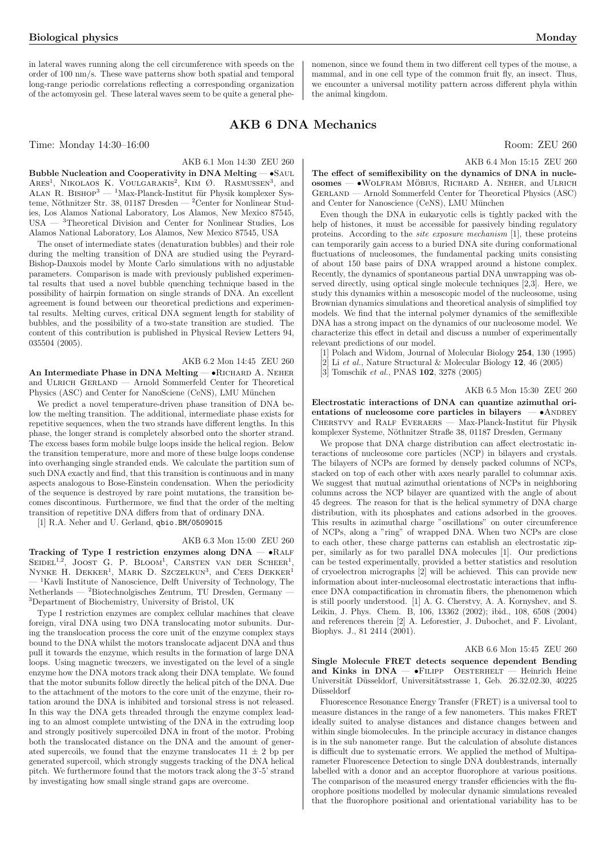in lateral waves running along the cell circumference with speeds on the order of 100 nm/s. These wave patterns show both spatial and temporal long-range periodic correlations reflecting a corresponding organization of the actomyosin gel. These lateral waves seem to be quite a general phe-

Time: Monday 14:30–16:00 Room: ZEU 260

### AKB 6.1 Mon 14:30 ZEU 260

Bubble Nucleation and Cooperativity in DNA Melting — • SAUL Bubble Nucleation and Cooperativity in DNA Merring  $-$  SAOL<br>ARES<sup>1</sup>, NIKOLAOS K. VOULGARAKIS<sup>2</sup>, KIM Ø. RASMUSSEN<sup>3</sup>, and ALAN R. BISHOP<sup>3</sup> — <sup>1</sup>Max-Planck-Institut für Physik komplexer Systeme, Nöthnitzer Str. 38, 01187 Dresden — <sup>2</sup>Center for Nonlinear Studies, Los Alamos National Laboratory, Los Alamos, New Mexico 87545, USA — <sup>3</sup>Theoretical Division and Center for Nonlinear Studies, Los Alamos National Laboratory, Los Alamos, New Mexico 87545, USA

The onset of intermediate states (denaturation bubbles) and their role during the melting transition of DNA are studied using the Peyrard-Bishop-Dauxois model by Monte Carlo simulations with no adjustable parameters. Comparison is made with previously published experimental results that used a novel bubble quenching technique based in the possibility of hairpin formation on single strands of DNA. An excellent agreement is found between our theoretical predictions and experimental results. Melting curves, critical DNA segment length for stability of bubbles, and the possibility of a two-state transition are studied. The content of this contribution is published in Physical Review Letters 94, 035504 (2005).

### AKB 6.2 Mon 14:45 ZEU 260

An Intermediate Phase in DNA Melting — • RICHARD A. NEHER and ULRICH GERLAND — Arnold Sommerfeld Center for Theoretical Physics (ASC) and Center for NanoSciene (CeNS), LMU München

We predict a novel temperature-driven phase transition of DNA below the melting transition. The additional, intermediate phase exists for repetitive sequences, when the two strands have different lengths. In this phase, the longer strand is completely absorbed onto the shorter strand. The excess bases form mobile bulge loops inside the helical region. Below the transition temperature, more and more of these bulge loops condense into overhanging single stranded ends. We calculate the partition sum of such DNA exactly and find, that this transition is continuous and in many aspects analogous to Bose-Einstein condensation. When the periodicity of the sequence is destroyed by rare point mutations, the transition becomes discontinous. Furthermore, we find that the order of the melting transition of repetitive DNA differs from that of ordinary DNA.

[1] R.A. Neher and U. Gerland, qbio.BM/0509015

### AKB 6.3 Mon 15:00 ZEU 260

Tracking of Type I restriction enzymes along DNA — •Ralf **Tracking of Type Trestriction enzymes along DIVA – VIALF**<br>SEIDEL<sup>1,2</sup>, JOOST G. P. BLOOM<sup>1</sup>, CARSTEN VAN DER SCHEER<sup>1</sup>, SEIDEL<sup>T</sup>, JOOST G. T. BLOOM, CARSTEN VAN DER SCHEER,<br>NYNKE H. DEKKER<sup>1</sup>, MARK D. SZCZELKUN<sup>3</sup>, and CEES DEKKER<sup>1</sup> <sup>1</sup>Kavli Institute of Nanoscience, Delft University of Technology, The  $N$ etherlands — <sup>2</sup>Biotechnolgisches Zentrum, TU Dresden, Germany <sup>3</sup>Department of Biochemistry, University of Bristol, UK

Type I restriction enzymes are complex cellular machines that cleave foreign, viral DNA using two DNA translocating motor subunits. During the translocation process the core unit of the enzyme complex stays bound to the DNA whilst the motors translocate adjacent DNA and thus pull it towards the enzyme, which results in the formation of large DNA loops. Using magnetic tweezers, we investigated on the level of a single enzyme how the DNA motors track along their DNA template. We found that the motor subunits follow directly the helical pitch of the DNA. Due to the attachment of the motors to the core unit of the enzyme, their rotation around the DNA is inhibited and torsional stress is not released. In this way the DNA gets threaded through the enzyme complex leading to an almost complete untwisting of the DNA in the extruding loop and strongly positively supercoiled DNA in front of the motor. Probing both the translocated distance on the DNA and the amount of generated supercoils, we found that the enzyme translocates  $11 \pm 2$  bp per generated supercoil, which strongly suggests tracking of the DNA helical pitch. We furthermore found that the motors track along the 3'-5' strand by investigating how small single strand gaps are overcome.

nomenon, since we found them in two different cell types of the mouse, a mammal, and in one cell type of the common fruit fly, an insect. Thus, we encounter a universal motility pattern across different phyla within the animal kingdom.

## AKB 6 DNA Mechanics

AKB 6.4 Mon 15:15 ZEU 260

The effect of semiflexibility on the dynamics of DNA in nucle $osomes$   $\rightarrow$  WOLFRAM MÖBIUS, RICHARD A. NEHER, and ULRICH GERLAND — Arnold Sommerfeld Center for Theoretical Physics (ASC) and Center for Nanoscience (CeNS), LMU München

Even though the DNA in eukaryotic cells is tightly packed with the help of histones, it must be accessible for passively binding regulatory proteins. According to the site exposure mechanism [1], these proteins can temporarily gain access to a buried DNA site during conformational fluctuations of nucleosomes, the fundamental packing units consisting of about 150 base pairs of DNA wrapped around a histone complex. Recently, the dynamics of spontaneous partial DNA unwrapping was observed directly, using optical single molecule techniques [2,3]. Here, we study this dynamics within a mesoscopic model of the nucleosome, using Brownian dynamics simulations and theoretical analysis of simplified toy models. We find that the internal polymer dynamics of the semiflexible DNA has a strong impact on the dynamics of our nucleosome model. We characterize this effect in detail and discuss a number of experimentally relevant predictions of our model.

- [1] Polach and Widom, Journal of Molecular Biology 254, 130 (1995)
- $[2]$  Li et al., Nature Structural & Molecular Biology 12, 46 (2005)
- [3] Tomschik et al., PNAS 102, 3278 (2005)

### AKB 6.5 Mon 15:30 ZEU 260

Electrostatic interactions of DNA can quantize azimuthal orientations of nucleosome core particles in bilayers  $-$  •ANDREY CHERSTVY and RALF EVERAERS — Max-Planck-Institut für Physik komplexer Systeme, Nöthnitzer Straße 38, 01187 Dresden, Germany

We propose that DNA charge distribution can affect electrostatic interactions of nucleosome core particles (NCP) in bilayers and crystals. The bilayers of NCPs are formed by densely packed columns of NCPs, stacked on top of each other with axes nearly parallel to columnar axis. We suggest that mutual azimuthal orientations of NCPs in neighboring columns across the NCP bilayer are quantized with the angle of about 45 degrees. The reason for that is the helical symmetry of DNA charge distribution, with its phosphates and cations adsorbed in the grooves. This results in azimuthal charge "oscillations" on outer circumference of NCPs, along a "ring" of wrapped DNA. When two NCPs are close to each other, these charge patterns can establish an electrostatic zipper, similarly as for two parallel DNA molecules [1]. Our predictions can be tested experimentally, provided a better statistics and resolution of cryoelectron micrographs [2] will be achieved. This can provide new information about inter-nucleosomal electrostatic interactions that influence DNA compactification in chromatin fibers, the phenomenon which is still poorly understood. [1] A. G. Cherstvy, A. A. Kornyshev, and S. Leikin, J. Phys. Chem. B, 106, 13362 (2002); ibid., 108, 6508 (2004) and references therein [2] A. Leforestier, J. Dubochet, and F. Livolant, Biophys. J., 81 2414 (2001).

### AKB 6.6 Mon 15:45 ZEU 260

Single Molecule FRET detects sequence dependent Bending and Kinks in  $DNA - \bullet$ FILIPP OESTERHELT - Heinrich Heine Universität Düsseldorf, Universitätsstrasse 1, Geb. 26.32.02.30, 40225 Düsseldorf

Fluorescence Resonance Energy Transfer (FRET) is a universal tool to measure distances in the range of a few nanometers. This makes FRET ideally suited to analyse distances and distance changes between and within single biomolecules. In the principle accuracy in distance changes is in the sub nanometer range. But the calculation of absolute distances is difficult due to systematic errors. We applied the method of Multiparameter Fluorescence Detection to single DNA doublestrands, internally labelled with a donor and an acceptor fluorophore at various positions. The comparison of the measured energy transfer efficiencies with the fluorophore positions modelled by molecular dynamic simulations revealed that the fluorophore positional and orientational variability has to be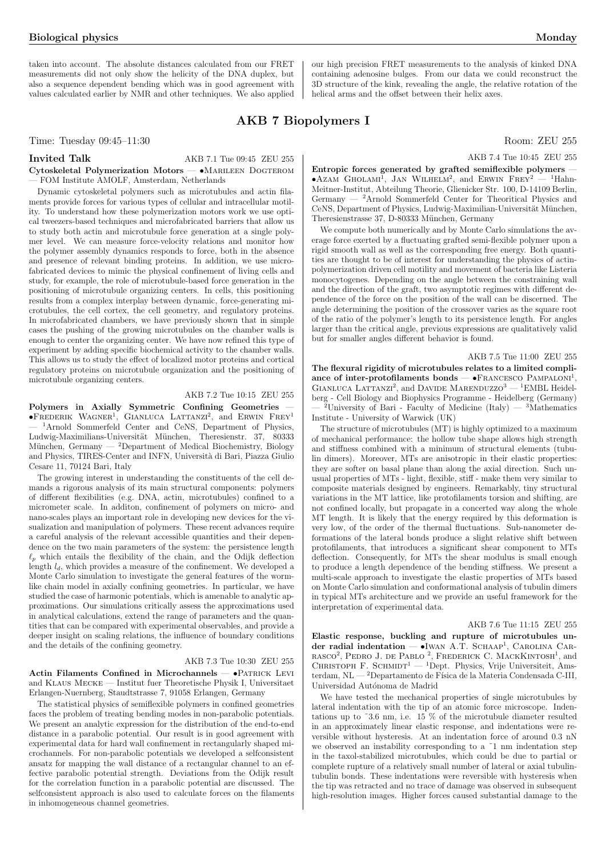taken into account. The absolute distances calculated from our FRET measurements did not only show the helicity of the DNA duplex, but also a sequence dependent bending which was in good agreement with values calculated earlier by NMR and other techniques. We also applied our high precision FRET measurements to the analysis of kinked DNA containing adenosine bulges. From our data we could reconstruct the 3D structure of the kink, revealing the angle, the relative rotation of the helical arms and the offset between their helix axes.

## AKB 7 Biopolymers I

Time: Tuesday 09:45–11:30 Room: ZEU 255

Invited Talk AKB 7.1 Tue 09:45 ZEU 255 Cytoskeletal Polymerization Motors - •MARILEEN DOGTEROM — FOM Institute AMOLF, Amsterdam, Netherlands

Dynamic cytoskeletal polymers such as microtubules and actin filaments provide forces for various types of cellular and intracellular motility. To understand how these polymerization motors work we use optical tweezers-based techniques and microfabricated barriers that allow us to study both actin and microtubule force generation at a single polymer level. We can measure force-velocity relations and monitor how the polymer assembly dynamics responds to force, both in the absence and presence of relevant binding proteins. In addition, we use microfabricated devices to mimic the physical confinement of living cells and study, for example, the role of microtubule-based force generation in the positioning of microtubule organizing centers. In cells, this positioning results from a complex interplay between dynamic, force-generating microtubules, the cell cortex, the cell geometry, and regulatory proteins. In microfabricated chambers, we have previously shown that in simple cases the pushing of the growing microtubules on the chamber walls is enough to center the organizing center. We have now refined this type of experiment by adding specific biochemical activity to the chamber walls. This allows us to study the effect of localized motor proteins and cortical regulatory proteins on microtubule organization and the positioning of microtubule organizing centers.

### AKB 7.2 Tue 10:15 ZEU 255

Polymers in Axially Symmetric Confining Geometries —  $\bullet$ FREDERIK WAGNER<sup>1</sup>, GIANLUCA LATTANZI<sup>2</sup>, and ERWIN FREY<sup>1</sup> <sup>1</sup>Arnold Sommerfeld Center and CeNS, Department of Physics, Ludwig-Maximilians-Universität München, Theresienstr. 37, 80333 München, Germany — <sup>2</sup>Department of Medical Biochemistry, Biology and Physics, TIRES-Center and INFN, Università di Bari, Piazza Giulio Cesare 11, 70124 Bari, Italy

The growing interest in understanding the constituents of the cell demands a rigorous analysis of its main structural components: polymers of different flexibilities (e.g. DNA, actin, microtubules) confined to a micrometer scale. In additon, confinement of polymers on micro- and nano-scales plays an important role in developing new devices for the visualization and manipulation of polymers. These recent advances require a careful analysis of the relevant accessible quantities and their dependence on the two main parameters of the system: the persistence length  $\ell_p$  which entails the flexibility of the chain, and the Odijk deflection length  $l_d$ , which provides a measure of the confinement. We developed a Monte Carlo simulation to investigate the general features of the wormlike chain model in axially confining geometries. In particular, we have studied the case of harmonic potentials, which is amenable to analytic approximations. Our simulations critically assess the approximations used in analytical calculations, extend the range of parameters and the quantities that can be compared with experimental observables, and provide a deeper insight on scaling relations, the influence of boundary conditions and the details of the confining geometry.

### AKB 7.3 Tue 10:30 ZEU 255

Actin Filaments Confined in Microchannels — •PATRICK LEVI and Klaus Mecke — Institut fuer Theoretische Physik I, Universitaet Erlangen-Nuernberg, Staudtstrasse 7, 91058 Erlangen, Germany

The statistical physics of semiflexible polymers in confined geometries faces the problem of treating bending modes in non-parabolic potentials. We present an analytic expression for the distribution of the end-to-end distance in a parabolic potential. Our result is in good agreement with experimental data for hard wall confinement in rectangularly shaped microchannels. For non-parabolic potentials we developed a selfconsistent ansatz for mapping the wall distance of a rectangular channel to an effective parabolic potential strength. Deviations from the Odijk result for the correlation function in a parabolic potential are discussed. The selfconsistent approach is also used to calculate forces on the filaments in inhomogeneous channel geometries.

Entropic forces generated by grafted semiflexible polymers -**EIRTOPIC FOTCES generated by grafted seminexible polymers**  $\bullet$  AZAM GHOLAM<sup>1</sup>, JAN WILHELM<sup>2</sup>, and ERWIN FREY<sup>2</sup> — <sup>1</sup>Hahn-Meitner-Institut, Abteilung Theorie, Glienicker Str. 100, D-14109 Berlin, Germany — <sup>2</sup>Arnold Sommerfeld Center for Theoritical Physics and CeNS, Department of Physics, Ludwig-Maximilian-Universität München, Theresienstrasse 37, D-80333 München, Germany

We compute both numerically and by Monte Carlo simulations the average force exerted by a fluctuating grafted semi-flexible polymer upon a rigid smooth wall as well as the corresponding free energy. Both quantities are thought to be of interest for understanding the physics of actinpolymerization driven cell motility and movement of bacteria like Listeria monocytogenes. Depending on the angle between the constraining wall and the direction of the graft, two asymptotic regimes with different dependence of the force on the position of the wall can be discerned. The angle determining the position of the crossover varies as the square root of the ratio of the polymer's length to its persistence length. For angles larger than the critical angle, previous expressions are qualitatively valid but for smaller angles different behavior is found.

### AKB 7.5 Tue 11:00 ZEU 255

AKB 7.4 Tue 10:45 ZEU 255

The flexural rigidity of microtubules relates to a limited compli-The next and rightly of interotubules relates to a minied compli-<br>ance of inter-protofilaments bonds  $- \bullet$  FRANCESCO PAMPALONI<sup>1</sup>,  $G$ IANCESCO 1 AMPALONI,<br>GIANLUCA LATTANZI<sup>2</sup>, and DAVIDE MARENDUZZO<sup>3</sup> — <sup>1</sup>EMBL Heidelberg - Cell Biology and Biophysics Programme - Heidelberg (Germany) <sup>2</sup>University of Bari - Faculty of Medicine (Italy) — <sup>3</sup>Mathematics Institute - University of Warwick (UK)

The structure of microtubules (MT) is highly optimized to a maximum of mechanical performance: the hollow tube shape allows high strength and stiffness combined with a minimum of structural elements (tubulin dimers). Moreover, MTs are anisotropic in their elastic properties: they are softer on basal plane than along the axial direction. Such unusual properties of MTs - light, flexible, stiff - make them very similar to composite materials designed by engineers. Remarkably, tiny structural variations in the MT lattice, like protofilaments torsion and shifting, are not confined locally, but propagate in a concerted way along the whole MT length. It is likely that the energy required by this deformation is very low, of the order of the thermal fluctuations. Sub-nanometer deformations of the lateral bonds produce a slight relative shift between protofilaments, that introduces a significant shear component to MTs deflection. Consequently, for MTs the shear modulus is small enough to produce a length dependence of the bending stiffness. We present a multi-scale approach to investigate the elastic properties of MTs based on Monte Carlo simulation and conformational analysis of tubulin dimers in typical MTs architecture and we provide an useful framework for the interpretation of experimental data.

#### AKB 7.6 Tue 11:15 ZEU 255

Elastic response, buckling and rupture of microtubules under radial indentation — •Iwan A.T. Schaap<sup>1</sup> , Carolina Carnasco<sup>2</sup>, Pedro J. de Pablo <sup>2</sup>, Frederick C. MackKintosh<sup>1</sup>, and<br>Christoph F. Schmidt<sup>1</sup> — <sup>1</sup>Dept. Physics, Vrije Universiteit, Amsterdam, NL — <sup>2</sup>Departamento de Física de la Materia Condensada C-III, Universidad Autónoma de Madrid

We have tested the mechanical properties of single microtubules by lateral indentation with the tip of an atomic force microscope. Indentations up to  $\degree 3.6$  nm, i.e. 15 % of the microtubule diameter resulted in an approximately linear elastic response, and indentations were reversible without hysteresis. At an indentation force of around 0.3 nN we observed an instability corresponding to a ˜1 nm indentation step in the taxol-stabilized microtubules, which could be due to partial or complete rupture of a relatively small number of lateral or axial tubulintubulin bonds. These indentations were reversible with hysteresis when the tip was retracted and no trace of damage was observed in subsequent high-resolution images. Higher forces caused substantial damage to the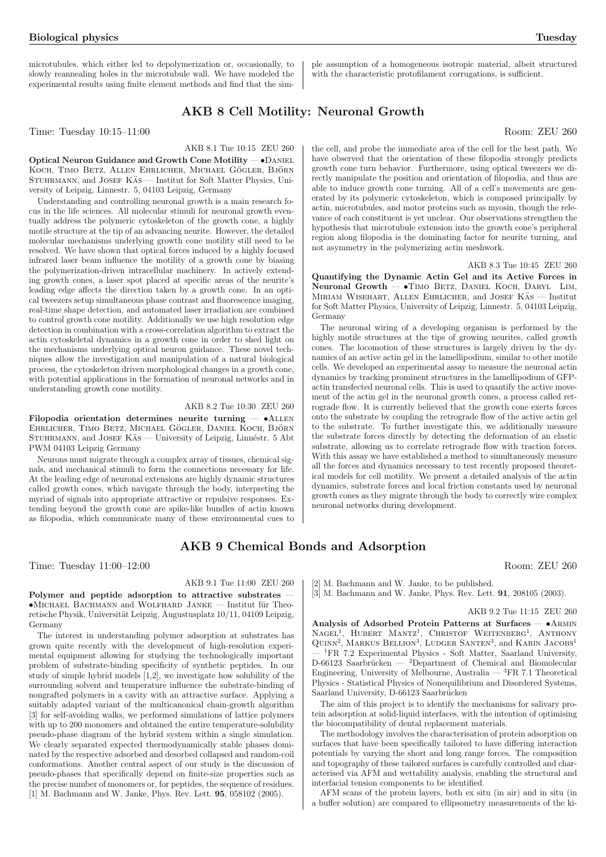microtubules, which either led to depolymerization or, occasionally, to slowly reannealing holes in the microtubule wall. We have modeled the experimental results using finite element methods and find that the sim-

## AKB 8 Cell Motility: Neuronal Growth

Time: Tuesday 10:15–11:00 Room: ZEU 260

### AKB 8.1 Tue 10:15 ZEU 260

Optical Neuron Guidance and Growth Cone Motility — •Daniel KOCH, TIMO BETZ, ALLEN EHRLICHER, MICHAEL GÖGLER, BJÖRN STUHRMANN, and JOSEF KÄS — Institut for Soft Matter Physics, University of Leipzig, Linnestr. 5, 04103 Leipzig, Germany

Understanding and controlling neuronal growth is a main research focus in the life sciences. All molecular stimuli for neuronal growth eventually address the polymeric cytoskeleton of the growth cone, a highly motile structure at the tip of an advancing neurite. However, the detailed molecular mechanisms underlying growth cone motility still need to be resolved. We have shown that optical forces induced by a highly focused infrared laser beam influence the motility of a growth cone by biasing the polymerization-driven intracellular machinery. In actively extending growth cones, a laser spot placed at specific areas of the neurite's leading edge affects the direction taken by a growth cone. In an optical tweezers setup simultaneous phase contrast and fluorescence imaging, real-time shape detection, and automated laser irradiation are combined to control growth cone motility. Additionally we use high resolution edge detection in combination with a cross-correlation algorithm to extract the actin cytoskeletal dynamics in a growth cone in order to shed light on the mechanisms underlying optical neuron guidance. These novel techniques allow the investigation and manipulation of a natural biological process, the cytoskeleton driven morphological changes in a growth cone, with potential applications in the formation of neuronal networks and in understanding growth cone motility.

### AKB 8.2 Tue 10:30 ZEU 260

Filopodia orientation determines neurite turning — •Allen EHRLICHER, TIMO BETZ, MICHAEL GÖGLER, DANIEL KOCH, BJÖRN  $\mbox{{\sc STUHRMANN}},$  and  $\mbox{{\sc Josef}}$  Käs — University of Leipzig, Linnéstr. 5 Abt PWM 04103 Leipzig Germany

Neurons must migrate through a complex array of tissues, chemical signals, and mechanical stimuli to form the connections necessary for life. At the leading edge of neuronal extensions are highly dynamic structures called growth cones, which navigate through the body, interpreting the myriad of signals into appropriate attractive or repulsive responses. Extending beyond the growth cone are spike-like bundles of actin known as filopodia, which communicate many of these environmental cues to

the cell, and probe the immediate area of the cell for the best path. We have observed that the orientation of these filopodia strongly predicts growth cone turn behavior. Furthermore, using optical tweezers we directly manipulate the position and orientation of filopodia, and thus are able to induce growth cone turning. All of a cell's movements are generated by its polymeric cytoskeleton, which is composed principally by actin, microtubules, and motor proteins such as myosin, though the relevance of each constituent is yet unclear. Our observations strengthen the hypothesis that microtubule extension into the growth cone's peripheral region along filopodia is the dominating factor for neurite turning, and not asymmetry in the polymerizing actin meshwork.

ple assumption of a homogeneous isotropic material, albeit structured with the characteristic protofilament corrugations, is sufficient.

### AKB 8.3 Tue 10:45 ZEU 260

Quantifying the Dynamic Actin Gel and its Active Forces in Neuronal Growth - • TIMO BETZ, DANIEL KOCH, DARYL LIM, MIRIAM WISEHART, ALLEN EHRLICHER, and JOSEF KAS — Institut for Soft Matter Physics, University of Leipzig, Linnestr. 5, 04103 Leipzig, Germany

The neuronal wiring of a developing organism is performed by the highly motile structures at the tips of growing neurites, called growth cones. The locomotion of these structures is largely driven by the dynamics of an active actin gel in the lamellipodium, similar to other motile cells. We developed an experimental assay to measure the neuronal actin dynamics by tracking prominent structures in the lamellipodium of GFPactin transfected neuronal cells. This is used to quantify the active movement of the actin gel in the neuronal growth cones, a process called retrograde flow. It is currently believed that the growth cone exerts forces onto the substrate by coupling the retrograde flow of the active actin gel to the substrate. To further investigate this, we additionally measure the substrate forces directly by detecting the deformation of an elastic substrate, allowing us to correlate retrograde flow with traction forces. With this assay we have established a method to simultaneously measure all the forces and dynamics necessary to test recently proposed theoretical models for cell motility. We present a detailed analysis of the actin dynamics, substrate forces and local friction constants used by neuronal growth cones as they migrate through the body to correctly wire complex neuronal networks during development.

### AKB 9 Chemical Bonds and Adsorption

Time: Tuesday 11:00–12:00 Room: ZEU 260

### AKB 9.1 Tue 11:00 ZEU 260

Polymer and peptide adsorption to attractive substrates  $\bullet$ MICHAEL BACHMANN and WOLFHARD JANKE — Institut für Theoretische Physik, Universität Leipzig, Augustusplatz 10/11, 04109 Leipzig, Germany

The interest in understanding polymer adsorption at substrates has grown quite recently with the development of high-resolution experimental equipment allowing for studying the technologically important problem of substrate-binding specificity of synthetic peptides. In our study of simple hybrid models [1,2], we investigate how solubility of the surrounding solvent and temperature influence the substrate-binding of nongrafted polymers in a cavity with an attractive surface. Applying a suitably adapted variant of the multicanonical chain-growth algorithm [3] for self-avoiding walks, we performed simulations of lattice polymers with up to 200 monomers and obtained the entire temperature-solubility pseudo-phase diagram of the hybrid system within a single simulation. We clearly separated expected thermodynamically stable phases dominated by the respective adsorbed and desorbed collapsed and random-coil conformations. Another central aspect of our study is the discussion of pseudo-phases that specifically depend on finite-size properties such as the precise number of monomers or, for peptides, the sequence of residues. [1] M. Bachmann and W. Janke, Phys. Rev. Lett. 95, 058102 (2005).

[2] M. Bachmann and W. Janke, to be published. [3] M. Bachmann and W. Janke, Phys. Rev. Lett. 91, 208105 (2003).

### AKB 9.2 Tue 11:15 ZEU 260

Analysis of Adsorbed Protein Patterns at Surfaces -  $\bullet$ ARMIN MAGEL<sup>1</sup>, HUBERT MANTZ<sup>1</sup>, CHRISTOF WEITENBERG<sup>1</sup>, ANTHONY QUINN<sup>2</sup>, MARKUS BELLION<sup>3</sup>, LUDGER SANTEN<sup>3</sup>, and KARIN JACOBS<sup>1</sup> <sup>1</sup>FR 7.2 Experimental Physics - Soft Matter, Saarland University, D-66123 Saarbrücken — <sup>2</sup>Department of Chemical and Biomolecular Engineering, University of Melbourne, Australia —  $^3{\rm FR}$  7.1 Theoretical Physics - Statistical Physics of Nonequilibrium and Disordered Systems, Saarland University, D-66123 Saarbrücken

The aim of this project is to identify the mechanisms for salivary protein adsorption at solid-liquid interfaces, with the intention of optimising the biocompatibility of dental replacement materials.

The methodology involves the characterisation of protein adsorption on surfaces that have been specifically tailored to have differing interaction potentials by varying the short and long range forces. The composition and topography of these tailored surfaces is carefully controlled and characterised via AFM and wettability analysis, enabling the structural and interfacial tension components to be identified.

AFM scans of the protein layers, both ex situ (in air) and in situ (in a buffer solution) are compared to ellipsometry measurements of the ki-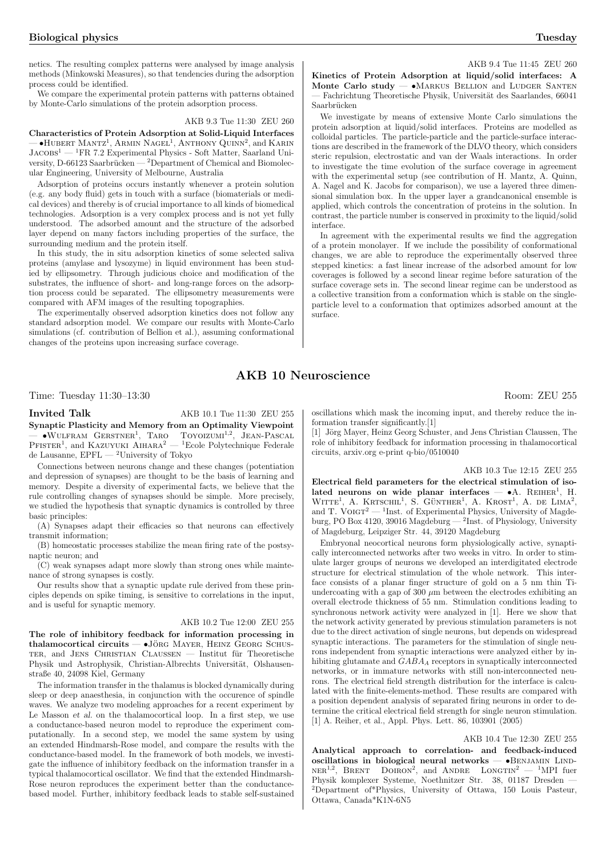AKB 9.4 Tue 11:45 ZEU 260

netics. The resulting complex patterns were analysed by image analysis methods (Minkowski Measures), so that tendencies during the adsorption process could be identified.

We compare the experimental protein patterns with patterns obtained by Monte-Carlo simulations of the protein adsorption process.

### AKB 9.3 Tue 11:30 ZEU 260

Characteristics of Protein Adsorption at Solid-Liquid Interfaces  $\sim$  •HUBERT MANTZ<sup>1</sup>, ARMIN NAGEL<sup>1</sup>, ANTHONY QUINN<sup>2</sup>, and KARIN  $\rm JACobs^1$  —  $\rm ^1FR$  7.2 Experimental Physics - Soft Matter, Saarland University, D-66123 Saarbrücken — <sup>2</sup>Department of Chemical and Biomolecular Engineering, University of Melbourne, Australia

Adsorption of proteins occurs instantly whenever a protein solution (e.g. any body fluid) gets in touch with a surface (biomaterials or medical devices) and thereby is of crucial importance to all kinds of biomedical technologies. Adsorption is a very complex process and is not yet fully understood. The adsorbed amount and the structure of the adsorbed layer depend on many factors including properties of the surface, the surrounding medium and the protein itself.

In this study, the in situ adsorption kinetics of some selected saliva proteins (amylase and lysozyme) in liquid environment has been studied by ellipsometry. Through judicious choice and modification of the substrates, the influence of short- and long-range forces on the adsorption process could be separated. The ellipsometry measurements were compared with AFM images of the resulting topographies.

The experimentally observed adsorption kinetics does not follow any standard adsorption model. We compare our results with Monte-Carlo simulations (cf. contribution of Bellion et al.), assuming conformational changes of the proteins upon increasing surface coverage.

### Kinetics of Protein Adsorption at liquid/solid interfaces: A Monte Carlo study  $\sim$  MARKUS BELLION and LUDGER SANTEN Fachrichtung Theoretische Physik, Universität des Saarlandes, 66041 Saarbrücken

We investigate by means of extensive Monte Carlo simulations the protein adsorption at liquid/solid interfaces. Proteins are modelled as colloidal particles. The particle-particle and the particle-surface interactions are described in the framework of the DLVO theory, which considers steric repulsion, electrostatic and van der Waals interactions. In order to investigate the time evolution of the surface coverage in agreement with the experimental setup (see contribution of H. Mantz, A. Quinn, A. Nagel and K. Jacobs for comparison), we use a layered three dimensional simulation box. In the upper layer a grandcanonical ensemble is applied, which controls the concentration of proteins in the solution. In contrast, the particle number is conserved in proximity to the liquid/solid interface.

In agreement with the experimental results we find the aggregation of a protein monolayer. If we include the possibility of conformational changes, we are able to reproduce the experimentally observed three stepped kinetics: a fast linear increase of the adsorbed amount for low coverages is followed by a second linear regime before saturation of the surface coverage sets in. The second linear regime can be understood as a collective transition from a conformation which is stable on the singleparticle level to a conformation that optimizes adsorbed amount at the surface.

### AKB 10 Neuroscience

Time: Tuesday 11:30–13:30 Room: ZEU 255

Invited Talk AKB 10.1 Tue 11:30 ZEU 255 Synaptic Plasticity and Memory from an Optimality Viewpoint  $\rightarrow$  WULFRAM GERSTNER<sup>1</sup>, TARO TOYOIZUMI<sup>1,2</sup>, JEAN-PASCAL<br>PFISTER<sup>1</sup>, and KAZUYUKI AIHARA<sup>2</sup> — <sup>1</sup>Ecole Polytechnique Federale de Lausanne,  $EPEL - {}^{2}$ University of Tokyo

Connections between neurons change and these changes (potentiation and depression of synapses) are thought to be the basis of learning and memory. Despite a diversity of experimental facts, we believe that the rule controlling changes of synapses should be simple. More precisely, we studied the hypothesis that synaptic dynamics is controlled by three basic principles:

(A) Synapses adapt their efficacies so that neurons can effectively transmit information;

(B) homeostatic processes stabilize the mean firing rate of the postsynaptic neuron; and

(C) weak synapses adapt more slowly than strong ones while maintenance of strong synapses is costly.

Our results show that a synaptic update rule derived from these principles depends on spike timing, is sensitive to correlations in the input, and is useful for synaptic memory.

### AKB 10.2 Tue 12:00 ZEU 255

The role of inhibitory feedback for information processing in thalamocortical circuits  $\bullet$  Jörg Mayer, Heinz Georg Schus-TER, and JENS CHRISTIAN CLAUSSEN  $-$  Institut für Theoretische Physik und Astrophysik, Christian-Albrechts Universität, Olshausenstraße 40, 24098 Kiel, Germany

The information transfer in the thalamus is blocked dynamically during sleep or deep anaesthesia, in conjunction with the occurence of spindle waves. We analyze two modeling approaches for a recent experiment by Le Masson et al. on the thalamocortical loop. In a first step, we use a conductance-based neuron model to reproduce the experiment computationally. In a second step, we model the same system by using an extended Hindmarsh-Rose model, and compare the results with the conductance-based model. In the framework of both models, we investigate the influence of inhibitory feedback on the information transfer in a typical thalamocortical oscillator. We find that the extended Hindmarsh-Rose neuron reproduces the experiment better than the conductancebased model. Further, inhibitory feedback leads to stable self-sustained

oscillations which mask the incoming input, and thereby reduce the information transfer significantly.[1]

[1] Jörg Mayer, Heinz Georg Schuster, and Jens Christian Claussen, The role of inhibitory feedback for information processing in thalamocortical circuits, arxiv.org e-print q-bio/0510040

#### AKB 10.3 Tue 12:15 ZEU 255

Electrical field parameters for the electrical stimulation of iso-Letter hear hear parameters for the electrical stimulation of iso-<br>lated neurons on wide planar interfaces —  $\bullet$ A. REIHER<sup>1</sup>, H.  $W$ ITTE<sup>1</sup>, A. KRTSCHIL<sup>1</sup>, S. GÜNTHER<sup>1</sup>, A. KROST<sup>1</sup>, A. DE LIMA<sup>2</sup>, with  $A$ . KRISCHE, S. GONTHER, A. KROST, A. DE LIMA, and T. VOIGT<sup>2</sup> — <sup>1</sup>Inst. of Experimental Physics, University of Magdeburg, PO Box 4120, 39016 Magdeburg — <sup>2</sup> Inst. of Physiology, University of Magdeburg, Leipziger Str. 44, 39120 Magdeburg

Embryonal neocortical neurons form physiologically active, synaptically interconnected networks after two weeks in vitro. In order to stimulate larger groups of neurons we developed an interdigitated electrode structure for electrical stimulation of the whole network. This interface consists of a planar finger structure of gold on a 5 nm thin Tiundercoating with a gap of  $300 \ \mu m$  between the electrodes exhibiting an overall electrode thickness of 55 nm. Stimulation conditions leading to synchronous network activity were analyzed in [1]. Here we show that the network activity generated by previous stimulation parameters is not due to the direct activation of single neurons, but depends on widespread synaptic interactions. The parameters for the stimulation of single neurons independent from synaptic interactions were analyzed either by inhibiting glutamate and GABA<sup>A</sup> receptors in synaptically interconnected networks, or in immature networks with still non-interconnected neurons. The electrical field strength distribution for the interface is calculated with the finite-elements-method. These results are compared with a position dependent analysis of separated firing neurons in order to determine the critical electrical field strength for single neuron stimulation. [1] A. Reiher, et al., Appl. Phys. Lett. 86, 103901 (2005)

### AKB 10.4 Tue 12:30 ZEU 255

Analytical approach to correlation- and feedback-induced oscillations in biological neural networks — •Benjamin Lind- $NER^{1,2}$ , BRENT DOIRON<sup>2</sup>, and ANDRE LONGTIN<sup>2</sup> — <sup>1</sup>MPI fuer Physik komplexer Systeme, Noethnitzer Str. 38, 01187 Dresden — <sup>2</sup>Department of\*Physics, University of Ottawa, 150 Louis Pasteur, Ottawa, Canada\*K1N-6N5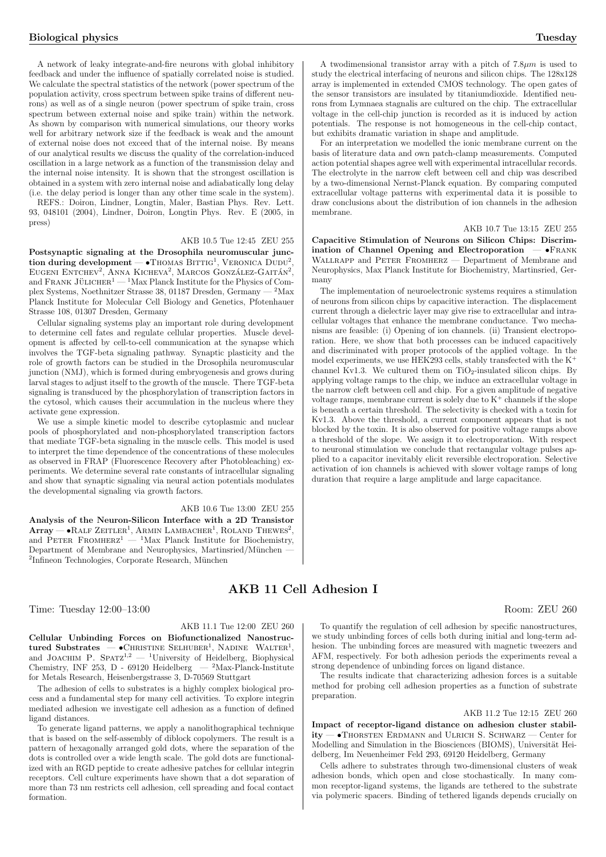A network of leaky integrate-and-fire neurons with global inhibitory feedback and under the influence of spatially correlated noise is studied. We calculate the spectral statistics of the network (power spectrum of the population activity, cross spectrum between spike trains of different neurons) as well as of a single neuron (power spectrum of spike train, cross spectrum between external noise and spike train) within the network. As shown by comparison with numerical simulations, our theory works well for arbitrary network size if the feedback is weak and the amount of external noise does not exceed that of the internal noise. By means of our analytical results we discuss the quality of the correlation-induced oscillation in a large network as a function of the transmission delay and the internal noise intensity. It is shown that the strongest oscillation is obtained in a system with zero internal noise and adiabatically long delay (i.e. the delay period is longer than any other time scale in the system).

REFS.: Doiron, Lindner, Longtin, Maler, Bastian Phys. Rev. Lett. 93, 048101 (2004), Lindner, Doiron, Longtin Phys. Rev. E (2005, in press)

### AKB 10.5 Tue 12:45 ZEU 255

Postsynaptic signaling at the Drosophila neuromuscular junc- $\frac{1}{100}$  to subset the  $\frac{1}{100}$  at the Drosophila heuromascular Junction during development  $\frac{1}{100}$  Thomas BITTIG<sup>1</sup>, VERONICA DUDU<sup>2</sup>, EUGENI ENTCHEV<sup>2</sup>, ANNA KICHEVA<sup>2</sup>, MARCOS GONZÁLEZ-GAITÁN<sup>2</sup>,  $200E$  ENTERT, ANNA KICHEVA, MARCOS GONZALEZ-GATIAN, and FRANK JÜLICHER<sup>1</sup> — <sup>1</sup>Max Planck Institute for the Physics of Complex Systems, Noethnitzer Strasse 38, 01187 Dresden, Germany — <sup>2</sup>Max Planck Institute for Molecular Cell Biology and Genetics, Pfotenhauer Strasse 108, 01307 Dresden, Germany

Cellular signaling systems play an important role during development to determine cell fates and regulate cellular properties. Muscle development is affected by cell-to-cell communication at the synapse which involves the TGF-beta signaling pathway. Synaptic plasticity and the role of growth factors can be studied in the Drosophila neuromuscular junction (NMJ), which is formed during embryogenesis and grows during larval stages to adjust itself to the growth of the muscle. There TGF-beta signaling is transduced by the phosphorylation of transcription factors in the cytosol, which causes their accumulation in the nucleus where they activate gene expression.

We use a simple kinetic model to describe cytoplasmic and nuclear pools of phosphorylated and non-phosphorylated transcription factors that mediate TGF-beta signaling in the muscle cells. This model is used to interpret the time dependence of the concentrations of these molecules as observed in FRAP (Fluorescence Recovery after Photobleaching) experiments. We determine several rate constants of intracellular signaling and show that synaptic signaling via neural action potentials modulates the developmental signaling via growth factors.

#### AKB 10.6 Tue 13:00 ZEU 255

Analysis of the Neuron-Silicon Interface with a 2D Transistor Analysis of the Neuron-Sincon Interface with a 2D Transistor<br>Array — • RALF ZEITLER<sup>1</sup>, ARMIN LAMBACHER<sup>1</sup>, ROLAND THEWES<sup>2</sup>, and PETER FROMHERZ<sup>1</sup> — <sup>1</sup>Max Planck Institute for Biochemistry, Department of Membrane and Neurophysics, Martinsried/München -<sup>2</sup>Infineon Technologies, Corporate Research, München

Time: Tuesday 12:00–13:00 Room: ZEU 260

### AKB 11.1 Tue 12:00 ZEU 260

Cellular Unbinding Forces on Biofunctionalized Nanostruc $t$ ured Substrates — •CHRISTINE SELHUBER<sup>1</sup>, NADINE WALTER<sup>1</sup>, and JOACHIM P. SPATZ<sup>1,2</sup> — <sup>1</sup>University of Heidelberg, Biophysical Chemistry, INF 253, D - 69120 Heidelberg — <sup>2</sup>Max-Planck-Institute for Metals Research, Heisenbergstrasse 3, D-70569 Stuttgart

The adhesion of cells to substrates is a highly complex biological process and a fundamental step for many cell activities. To explore integrin mediated adhesion we investigate cell adhesion as a function of defined ligand distances.

To generate ligand patterns, we apply a nanolithographical technique that is based on the self-assembly of diblock copolymers. The result is a pattern of hexagonally arranged gold dots, where the separation of the dots is controlled over a wide length scale. The gold dots are functionalized with an RGD peptide to create adhesive patches for cellular integrin receptors. Cell culture experiments have shown that a dot separation of more than 73 nm restricts cell adhesion, cell spreading and focal contact formation.

A two dimensional transistor array with a pitch of  $7.8\mu m$  is used to study the electrical interfacing of neurons and silicon chips. The 128x128 array is implemented in extended CMOS technology. The open gates of the sensor transistors are insulated by titaniumdioxide. Identified neurons from Lymnaea stagnalis are cultured on the chip. The extracellular voltage in the cell-chip junction is recorded as it is induced by action potentials. The response is not homogeneous in the cell-chip contact, but exhibits dramatic variation in shape and amplitude.

For an interpretation we modelled the ionic membrane current on the basis of literature data and own patch-clamp measurements. Computed action potential shapes agree well with experimental intracellular records. The electrolyte in the narrow cleft between cell and chip was described by a two-dimensional Nernst-Planck equation. By comparing computed extracellular voltage patterns with experimental data it is possible to draw conclusions about the distribution of ion channels in the adhesion membrane.

### AKB 10.7 Tue 13:15 ZEU 255

Capacitive Stimulation of Neurons on Silicon Chips: Discrimination of Channel Opening and Electroporation - •FRANK WALLRAPP and PETER FROMHERZ — Department of Membrane and Neurophysics, Max Planck Institute for Biochemistry, Martinsried, Germany

The implementation of neuroelectronic systems requires a stimulation of neurons from silicon chips by capacitive interaction. The displacement current through a dielectric layer may give rise to extracellular and intracellular voltages that enhance the membrane conductance. Two mechanisms are feasible: (i) Opening of ion channels. (ii) Transient electroporation. Here, we show that both processes can be induced capacitively and discriminated with proper protocols of the applied voltage. In the model experiments, we use  $\widehat{\text{HEK293}}$  cells, stably transfected with the K<sup>+</sup> channel Kv1.3. We cultured them on  $TiO<sub>2</sub>$ -insulated silicon chips. By applying voltage ramps to the chip, we induce an extracellular voltage in the narrow cleft between cell and chip. For a given amplitude of negative voltage ramps, membrane current is solely due to  $K^+$  channels if the slope is beneath a certain threshold. The selectivity is checked with a toxin for Kv1.3. Above the threshold, a current component appears that is not blocked by the toxin. It is also observed for positive voltage ramps above a threshold of the slope. We assign it to electroporation. With respect to neuronal stimulation we conclude that rectangular voltage pulses applied to a capacitor inevitably elicit reversible electroporation. Selective activation of ion channels is achieved with slower voltage ramps of long duration that require a large amplitude and large capacitance.

## AKB 11 Cell Adhesion I

To quantify the regulation of cell adhesion by specific nanostructures, we study unbinding forces of cells both during initial and long-term adhesion. The unbinding forces are measured with magnetic tweezers and AFM, respectively. For both adhesion periods the experiments reveal a strong dependence of unbinding forces on ligand distance.

The results indicate that characterizing adhesion forces is a suitable method for probing cell adhesion properties as a function of substrate preparation.

#### AKB 11.2 Tue 12:15 ZEU 260

Impact of receptor-ligand distance on adhesion cluster stabil $itv \rightarrow$ Thorsten Erdmann and Ulrich S. Schwarz — Center for Modelling and Simulation in the Biosciences (BIOMS), Universität Heidelberg, Im Neuenheimer Feld 293, 69120 Heidelberg, Germany

Cells adhere to substrates through two-dimensional clusters of weak adhesion bonds, which open and close stochastically. In many common receptor-ligand systems, the ligands are tethered to the substrate via polymeric spacers. Binding of tethered ligands depends crucially on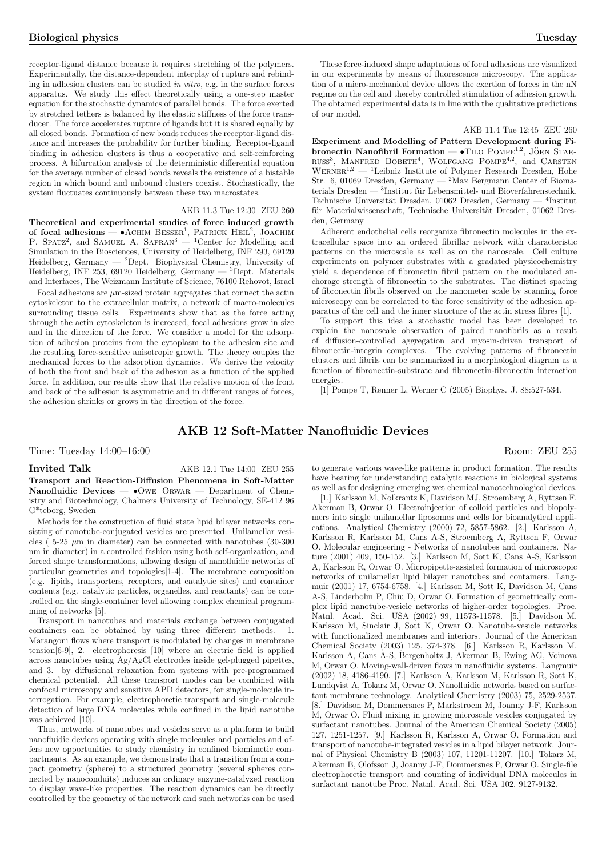receptor-ligand distance because it requires stretching of the polymers. Experimentally, the distance-dependent interplay of rupture and rebinding in adhesion clusters can be studied in vitro, e.g. in the surface forces apparatus. We study this effect theoretically using a one-step master equation for the stochastic dynamics of parallel bonds. The force exerted by stretched tethers is balanced by the elastic stiffness of the force transducer. The force accelerates rupture of ligands but it is shared equally by all closed bonds. Formation of new bonds reduces the receptor-ligand distance and increases the probability for further binding. Receptor-ligand binding in adhesion clusters is thus a cooperative and self-reinforcing process. A bifurcation analysis of the deterministic differential equation for the average number of closed bonds reveals the existence of a bistable region in which bound and unbound clusters coexist. Stochastically, the system fluctuates continuously between these two macrostates.

### AKB 11.3 Tue 12:30 ZEU 260

Theoretical and experimental studies of force induced growth of focal adhesions — •ACHIM BESSER<sup>1</sup>, PATRICK HEIL<sup>2</sup>, JOACHIM  $P.$  Spatz<sup>2</sup>, and SAMUEL A. SAFRAN<sup>3</sup> — <sup>1</sup>Center for Modelling and Simulation in the Biosciences, University of Heidelberg, INF 293, 69120 Heidelberg, Germany —  $^{2}$ Dept. Biophysical Chemistry, University of Heidelberg, INF 253, 69120 Heidelberg, Germany — <sup>3</sup>Dept. Materials and Interfaces, The Weizmann Institute of Science, 76100 Rehovot, Israel

Focal adhesions are  $\mu{\rm m}\mbox{-} {\rm sized}$  protein aggregates that connect the actin cytoskeleton to the extracellular matrix, a network of macro-molecules surrounding tissue cells. Experiments show that as the force acting through the actin cytoskeleton is increased, focal adhesions grow in size and in the direction of the force. We consider a model for the adsorption of adhesion proteins from the cytoplasm to the adhesion site and the resulting force-sensitive anisotropic growth. The theory couples the mechanical forces to the adsorption dynamics. We derive the velocity of both the front and back of the adhesion as a function of the applied force. In addition, our results show that the relative motion of the front and back of the adhesion is asymmetric and in different ranges of forces, the adhesion shrinks or grows in the direction of the force.

These force-induced shape adaptations of focal adhesions are visualized in our experiments by means of fluorescence microscopy. The application of a micro-mechanical device allows the exertion of forces in the nN regime on the cell and thereby controlled stimulation of adhesion growth. The obtained experimental data is in line with the qualitative predictions of our model.

### AKB 11.4 Tue 12:45 ZEU 260

Experiment and Modelling of Pattern Development during Fi- $\mu$  bronectin Nanofibril Formation —  $\bullet$ Tilo POMPE<sup>1,2</sup>, JÖRN STAR-**EXECUTE:** NAHOHDLI FOLD AND  $\bullet$  THE TOMPE<sup>4,2</sup>, 30NN STAK-RUSS<sup>3</sup>, MANFRED BOBETH<sup>4</sup>, WOLFGANG POMPE<sup>4,2</sup>, and CARSTEN  $WERNER<sup>1,2</sup>$  — <sup>1</sup>Leibniz Institute of Polymer Research Dresden, Hohe Str. 6, 01069 Dresden, Germany — <sup>2</sup>Max Bergmann Center of Biomaterials Dresden — 3<br>Institut für Lebensmittel- und Bioverfahrenstechnik, Technische Universität Dresden, 01062 Dresden, Germany — <sup>4</sup>Institut für Materialwissenschaft, Technische Universität Dresden, 01062 Dresden, Germany

Adherent endothelial cells reorganize fibronectin molecules in the extracellular space into an ordered fibrillar network with characteristic patterns on the microscale as well as on the nanoscale. Cell culture experiments on polymer substrates with a gradated physicochemistry yield a dependence of fibronectin fibril pattern on the modulated anchorage strength of fibronectin to the substrates. The distinct spacing of fibronectin fibrils observed on the nanometer scale by scanning force microscopy can be correlated to the force sensitivity of the adhesion apparatus of the cell and the inner structure of the actin stress fibres [1].

To support this idea a stochastic model has been developed to explain the nanoscale observation of paired nanofibrils as a result of diffusion-controlled aggregation and myosin-driven transport of fibronectin-integrin complexes. The evolving patterns of fibronectin clusters and fibrils can be summarized in a morphological diagram as a function of fibronectin-substrate and fibronectin-fibronectin interaction energies.

[1] Pompe T, Renner L, Werner C (2005) Biophys. J. 88:527-534.

### AKB 12 Soft-Matter Nanofluidic Devices

Time: Tuesday  $14:00-16:00$  Room: ZEU 255

### Invited Talk AKB 12.1 Tue 14:00 ZEU 255

Transport and Reaction-Diffusion Phenomena in Soft-Matter Nanofluidic Devices -  $\bullet$ Owe Orwar - Department of Chemistry and Biotechnology, Chalmers University of Technology, SE-412 96 G\*teborg, Sweden

Methods for the construction of fluid state lipid bilayer networks consisting of nanotube-conjugated vesicles are presented. Unilamellar vesicles ( $5-25 \mu m$  in diameter) can be connected with nanotubes ( $30-300$ ) nm in diameter) in a controlled fashion using both self-organization, and forced shape transformations, allowing design of nanofluidic networks of particular geometries and topologies[1-4]. The membrane composition (e.g. lipids, transporters, receptors, and catalytic sites) and container contents (e.g. catalytic particles, organelles, and reactants) can be controlled on the single-container level allowing complex chemical programming of networks [5].

Transport in nanotubes and materials exchange between conjugated containers can be obtained by using three different methods. 1. Marangoni flows where transport is modulated by changes in membrane tension[6-9], 2. electrophoresis [10] where an electric field is applied across nanotubes using Ag/AgCl electrodes inside gel-plugged pipettes, and 3. by diffusional relaxation from systems with pre-programmed chemical potential. All these transport modes can be combined with confocal microscopy and sensitive APD detectors, for single-molecule interrogation. For example, electrophoretic transport and single-molecule detection of large DNA molecules while confined in the lipid nanotube was achieved [10].

Thus, networks of nanotubes and vesicles serve as a platform to build nanofluidic devices operating with single molecules and particles and offers new opportunities to study chemistry in confined biomimetic compartments. As an example, we demonstrate that a transition from a compact geometry (sphere) to a structured geometry (several spheres connected by nanoconduits) induces an ordinary enzyme-catalyzed reaction to display wave-like properties. The reaction dynamics can be directly controlled by the geometry of the network and such networks can be used

to generate various wave-like patterns in product formation. The results have bearing for understanding catalytic reactions in biological systems as well as for designing emerging wet chemical nanotechnological devices.

[1.] Karlsson M, Nolkrantz K, Davidson MJ, Stroemberg A, Ryttsen F, Akerman B, Orwar O. Electroinjection of colloid particles and biopolymers into single unilamellar liposomes and cells for bioanalytical applications. Analytical Chemistry (2000) 72, 5857-5862. [2.] Karlsson A, Karlsson R, Karlsson M, Cans A-S, Stroemberg A, Ryttsen F, Orwar O. Molecular engineering - Networks of nanotubes and containers. Nature (2001) 409, 150-152. [3.] Karlsson M, Sott K, Cans A-S, Karlsson A, Karlsson R, Orwar O. Micropipette-assisted formation of microscopic networks of unilamellar lipid bilayer nanotubes and containers. Langmuir (2001) 17, 6754-6758. [4.] Karlsson M, Sott K, Davidson M, Cans A-S, Linderholm P, Chiu D, Orwar O. Formation of geometrically complex lipid nanotube-vesicle networks of higher-order topologies. Proc. Natnl. Acad. Sci. USA (2002) 99, 11573-11578. [5.] Davidson M, Karlsson M, Sinclair J, Sott K, Orwar O. Nanotube-vesicle networks with functionalized membranes and interiors. Journal of the American Chemical Society (2003) 125, 374-378. [6.] Karlsson R, Karlsson M, Karlsson A, Cans A-S, Bergenholtz J, Akerman B, Ewing AG, Voinova M, Orwar O. Moving-wall-driven flows in nanofluidic systems. Langmuir (2002) 18, 4186-4190. [7.] Karlsson A, Karlsson M, Karlsson R, Sott K, Lundqvist A, Tokarz M, Orwar O. Nanofluidic networks based on surfactant membrane technology. Analytical Chemistry (2003) 75, 2529-2537. [8.] Davidson M, Dommersnes P, Markstroem M, Joanny J-F, Karlsson M, Orwar O. Fluid mixing in growing microscale vesicles conjugated by surfactant nanotubes. Journal of the American Chemical Society (2005) 127, 1251-1257. [9.] Karlsson R, Karlsson A, Orwar O. Formation and transport of nanotube-integrated vesicles in a lipid bilayer network. Journal of Physical Chemistry B (2003) 107, 11201-11207. [10.] Tokarz M, Akerman B, Olofsson J, Joanny J-F, Dommersnes P, Orwar O. Single-file electrophoretic transport and counting of individual DNA molecules in surfactant nanotube Proc. Natnl. Acad. Sci. USA 102, 9127-9132.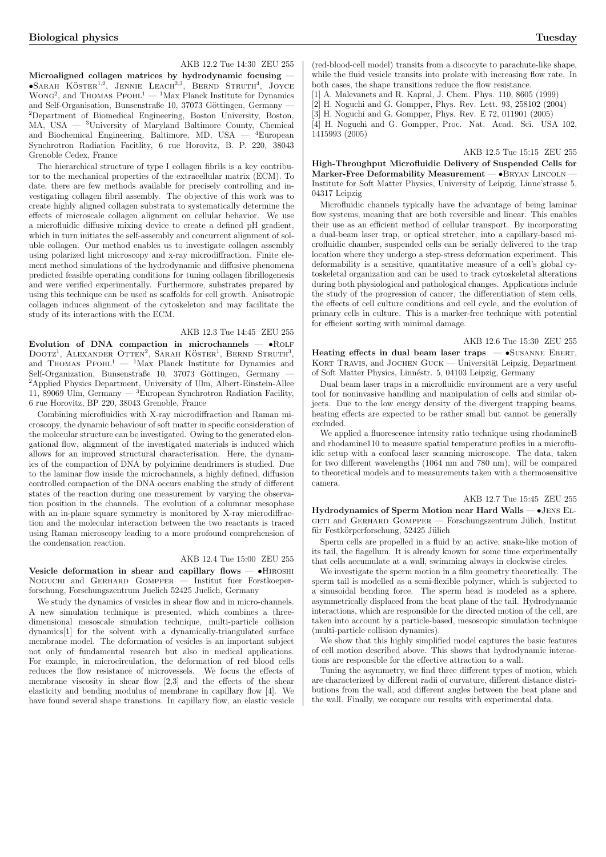Microaligned collagen matrices by hydrodynamic focusing —  $\bullet$ Sarah Köster<sup>1,2</sup>, Jennie Leach<sup>2,3</sup>, Bernd Struth<sup>4</sup>, Joyce  $WonG<sup>2</sup>$ , and Thomas PFOHL<sup>1</sup> — <sup>1</sup>Max Planck Institute for Dynamics and Self-Organisation, Bunsenstraße 10, 37073 Göttingen, Germany – <sup>2</sup>Department of Biomedical Engineering, Boston University, Boston, MA, USA — <sup>3</sup>University of Maryland Baltimore County, Chemical and Biochemical Engineering, Baltimore, MD, USA — <sup>4</sup>European and Biochemical Engineering, Baltimore,  $MD$ , USA — Synchrotron Radiation Facitlity, 6 rue Horovitz, B. P. 220, 38043 Grenoble Cedex, France

The hierarchical structure of type I collagen fibrils is a key contributor to the mechanical properties of the extracellular matrix (ECM). To date, there are few methods available for precisely controlling and investigating collagen fibril assembly. The objective of this work was to create highly aligned collagen substrata to systematically determine the effects of microscale collagen alignment on cellular behavior. We use a microfluidic diffusive mixing device to create a defined pH gradient, which in turn initiates the self-assembly and concurrent alignment of soluble collagen. Our method enables us to investigate collagen assembly using polarized light microscopy and x-ray microdiffraction. Finite element method simulations of the hydrodynamic and diffusive phenomena predicted feasible operating conditions for tuning collagen fibrillogenesis and were verified experimentally. Furthermore, substrates prepared by using this technique can be used as scaffolds for cell growth. Anisotropic collagen induces alignment of the cytoskeleton and may facilitate the study of its interactions with the ECM.

### AKB 12.3 Tue 14:45 ZEU 255

Evolution of DNA compaction in microchannels — •Rolf  $\mu_{\text{D}O}$ , ALEXANDER OTTEN<sup>2</sup>, SARAH KÖSTER<sup>1</sup>, BERND STRUTH<sup>3</sup>, and THOMAS PFOHL<sup>1</sup> — <sup>1</sup>Max Planck Institute for Dynamics and Self-Organization, Bunsenstraße 10, 37073 Göttingen, Germany <sup>2</sup>Applied Physics Department, University of Ulm, Albert-Einstein-Allee 11, 89069 Ulm, Germany —  ${}^{3}$ European Synchrotron Radiation Facility, 6 rue Horovitz, BP 220, 38043 Grenoble, France

Combining microfluidics with X-ray microdiffraction and Raman microscopy, the dynamic behaviour of soft matter in specific consideration of the molecular structure can be investigated. Owing to the generated elongational flow, alignment of the investigated materials is induced which allows for an improved structural characterisation. Here, the dynamics of the compaction of DNA by polyimine dendrimers is studied. Due to the laminar flow inside the microchannels, a highly defined, diffusion controlled compaction of the DNA occurs enabling the study of different states of the reaction during one measurement by varying the observation position in the channels. The evolution of a columnar mesophase with an in-plane square symmetry is monitored by X-ray microdiffraction and the molecular interaction between the two reactants is traced using Raman microscopy leading to a more profound comprehension of the condensation reaction.

### AKB 12.4 Tue 15:00 ZEU 255

Vesicle deformation in shear and capillary flows — •HIROSHI NOGUCHI and GERHARD GOMPPER — Institut fuer Forstkoeper-NOGUCHI and GERHARD GOMPPER  $$ forschung, Forschungszentrum Juelich 52425 Juelich, Germany

We study the dynamics of vesicles in shear flow and in micro-channels. A new simulation technique is presented, which combines a threedimensional mesoscale simulation technique, multi-particle collision dynamics[1] for the solvent with a dynamically-triangulated surface membrane model. The deformation of vesicles is an important subject not only of fundamental research but also in medical applications. For example, in microcirculation, the deformation of red blood cells reduces the flow resistance of microvessels. We focus the effects of membrane viscosity in shear flow [2,3] and the effects of the shear elasticity and bending modulus of membrane in capillary flow [4]. We have found several shape transtions. In capillary flow, an elastic vesicle

(red-blood-cell model) transits from a discocyte to parachute-like shape, while the fluid vesicle transits into prolate with increasing flow rate. In both cases, the shape transitions reduce the flow resistance.

[1] A. Malevanets and R. Kapral, J. Chem. Phys. 110, 8605 (1999)

[2] H. Noguchi and G. Gompper, Phys. Rev. Lett. 93, 258102 (2004)

[3] H. Noguchi and G. Gompper, Phys. Rev. E 72, 011901 (2005)

[4] H. Noguchi and G. Gompper, Proc. Nat. Acad. Sci. USA 102, 1415993 (2005)

AKB 12.5 Tue 15:15 ZEU 255

High-Throughput Microfluidic Delivery of Suspended Cells for Marker-Free Deformability Measurement - · BRYAN LINCOLN -Institute for Soft Matter Physics, University of Leipzig, Linne'strasse 5, 04317 Leipzig

Microfluidic channels typically have the advantage of being laminar flow systems, meaning that are both reversible and linear. This enables their use as an efficient method of cellular transport. By incorporating a dual-beam laser trap, or optical stretcher, into a capillary-based microfluidic chamber, suspended cells can be serially delivered to the trap location where they undergo a step-stress deformation experiment. This deformability is a sensitive, quantitative measure of a cell's global cytoskeletal organization and can be used to track cytoskeletal alterations during both physiological and pathological changes. Applications include the study of the progression of cancer, the differentiation of stem cells, the effects of cell culture conditions and cell cycle, and the evolution of primary cells in culture. This is a marker-free technique with potential for efficient sorting with minimal damage.

AKB 12.6 Tue 15:30 ZEU 255 Heating effects in dual beam laser traps  $\bullet$ SUSANNE EBERT, KORT TRAVIS, and JOCHEN GUCK — Universität Leipzig, Department of Soft Matter Physics, Linnéstr. 5, 04103 Leipzig, Germany

Dual beam laser traps in a microfluidic environment are a very useful tool for noninvasive handling and manipulation of cells and similar objects. Due to the low energy density of the divergent trapping beams, heating effects are expected to be rather small but cannot be generally excluded.

We applied a fluorescence intensity ratio technique using rhodamineB and rhodamine110 to measure spatial temperature profiles in a microfluidic setup with a confocal laser scanning microscope. The data, taken for two different wavelengths (1064 nm and 780 nm), will be compared to theoretical models and to measurements taken with a thermosensitive camera.

### AKB 12.7 Tue 15:45 ZEU 255

Hydrodynamics of Sperm Motion near Hard Walls — •Jens El-GETI and GERHARD GOMPPER — Forschungszentrum Jülich, Institut für Festkörperforschung, 52425 Jülich

Sperm cells are propelled in a fluid by an active, snake-like motion of its tail, the flagellum. It is already known for some time experimentally that cells accumulate at a wall, swimming always in clockwise circles.

We investigate the sperm motion in a film geometry theoretically. The sperm tail is modelled as a semi-flexible polymer, which is subjected to a sinusoidal bending force. The sperm head is modeled as a sphere, asymmetrically displaced from the beat plane of the tail. Hydrodynamic interactions, which are responsible for the directed motion of the cell, are taken into account by a particle-based, mesoscopic simulation technique (multi-particle collision dynamics).

We show that this highly simplified model captures the basic features of cell motion described above. This shows that hydrodynamic interactions are responsible for the effective attraction to a wall.

Tuning the asymmetry, we find three different types of motion, which are characterized by different radii of curvature, different distance distributions from the wall, and different angles between the beat plane and the wall. Finally, we compare our results with experimental data.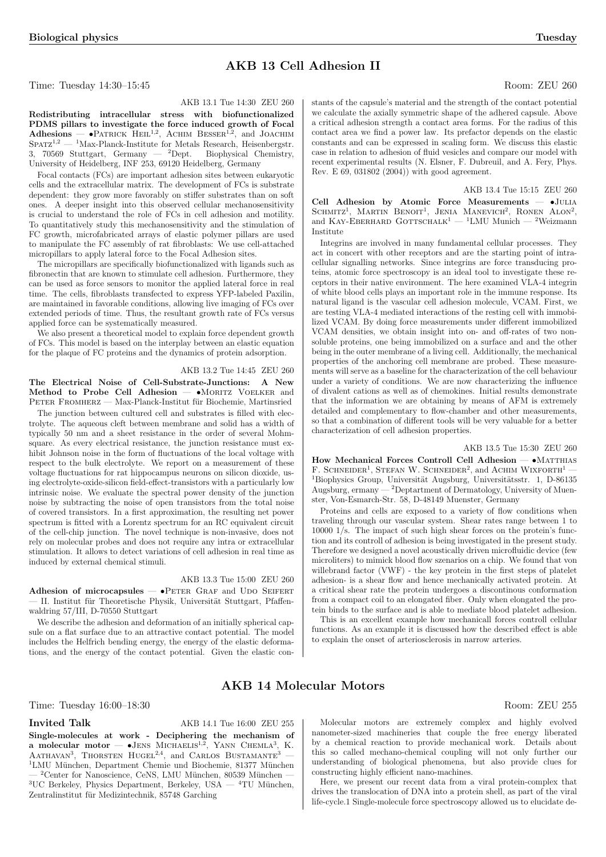## AKB 13 Cell Adhesion II

Time: Tuesday 14:30–15:45 Room: ZEU 260

AKB 13.1 Tue 14:30 ZEU 260

Redistributing intracellular stress with biofunctionalized PDMS pillars to investigate the force induced growth of Focal  $A$ dhesions — •Patrick Heil<sup>1,2</sup>, Achim Besser<sup>1,2</sup>, and JOACHIM  $S$ PATZ<sup>1,2</sup> — <sup>1</sup>Max-Planck-Institute for Metals Research, Heisenbergstr. 3, 70569 Stuttgart, Germany — <sup>2</sup>Dept. Biophysical Chemistry, University of Heidelberg, INF 253, 69120 Heidelberg, Germany

Focal contacts (FCs) are important adhesion sites between eukaryotic cells and the extracellular matrix. The development of FCs is substrate dependent: they grow more favorably on stiffer substrates than on soft ones. A deeper insight into this observed cellular mechanosensitivity is crucial to understand the role of FCs in cell adhesion and motility. To quantitatively study this mechanosensitivity and the stimulation of FC growth, microfabricated arrays of elastic polymer pillars are used to manipulate the FC assembly of rat fibroblasts: We use cell-attached

The micropillars are specifically biofunctionalized with ligands such as fibronectin that are known to stimulate cell adhesion. Furthermore, they can be used as force sensors to monitor the applied lateral force in real time. The cells, fibroblasts transfected to express YFP-labeled Paxilin, are maintained in favorable conditions, allowing live imaging of FCs over extended periods of time. Thus, the resultant growth rate of FCs versus

We also present a theoretical model to explain force dependent growth of FCs. This model is based on the interplay between an elastic equation for the plaque of FC proteins and the dynamics of protein adsorption.

The Electrical Noise of Cell-Substrate-Junctions: A New Method to Probe Cell Adhesion -  $\bullet$ MORITZ VOELKER and PETER FROMHERZ — Max-Planck-Institut für Biochemie, Martinsried The junction between cultured cell and substrates is filled with electrolyte. The aqueous cleft between membrane and solid has a width of

micropillars to apply lateral force to the Focal Adhesion sites.

applied force can be systematically measured.

stants of the capsule's material and the strength of the contact potential we calculate the axially symmetric shape of the adhered capsule. Above a critical adhesion strength a contact area forms. For the radius of this contact area we find a power law. Its prefactor depends on the elastic constants and can be expressed in scaling form. We discuss this elastic case in relation to adhesion of fluid vesicles and compare our model with recent experimental results (N. Elsner, F. Dubreuil, and A. Fery, Phys. Rev. E 69, 031802 (2004)) with good agreement.

AKB 13.4 Tue 15:15 ZEU 260 Cell Adhesion by Atomic Force Measurements — •Julia SCHMITZ<sup>1</sup>, MARTIN BENOIT<sup>1</sup>, JENIA MANEVICH<sup>2</sup>, RONEN ALON<sup>2</sup>, and KAY-EBERHARD GOTTSCHALK<sup>1</sup> — <sup>1</sup>LMU Munich — <sup>2</sup>Weizmann Institute

Integrins are involved in many fundamental cellular processes. They act in concert with other receptors and are the starting point of intracellular signalling networks. Since integrins are force transducing proteins, atomic force spectroscopy is an ideal tool to investigate these receptors in their native environment. The here examined VLA-4 integrin of white blood cells plays an important role in the immune response. Its natural ligand is the vascular cell adhesion molecule, VCAM. First, we are testing VLA-4 mediated interactions of the resting cell with immobilized VCAM. By doing force measurements under different immobilized VCAM densities, we obtain insight into on- and off-rates of two nonsoluble proteins, one being immobilized on a surface and and the other being in the outer membrane of a living cell. Additionally, the mechanical properties of the anchoring cell membrane are probed. These measurements will serve as a baseline for the characterization of the cell behaviour under a variety of conditions. We are now characterizing the influence of divalent cations as well as of chemokines. Initial results demonstrate that the information we are obtaining by means of AFM is extremely detailed and complementary to flow-chamber and other measurements, so that a combination of different tools will be very valuable for a better characterization of cell adhesion properties.

### AKB 13.5 Tue 15:30 ZEU 260

How Mechanical Forces Controll Cell Adhesion — •MATTHIAS F. SCHNEIDER<sup>1</sup>, STEFAN W. SCHNEIDER<sup>2</sup>, and ACHIM WIXFORTH<sup>1</sup> —  $1B$ iophysics Group, Universität Augsburg, Universitätsstr. 1, D-86135 Augsburg, ermany — <sup>2</sup>Deptartment of Dermatology, University of Muenster, Von-Esmarch-Str. 58, D-48149 Muenster, Germany

traveling through our vascular system. Shear rates range between 1 to 10000 1/s. The impact of such high shear forces on the protein's function and its controll of adhesion is being investigated in the present study. Therefore we designed a novel acoustically driven microfluidic device (few microliters) to mimick blood flow szenarios on a chip. We found that von willebrand factor (VWF) - the key protein in the first steps of platelet adhesion- is a shear flow and hence mechanically activated protein. At a critical shear rate the protein undergoes a discontinous conformation from a compact coil to an elongated fiber. Only when elongated the protein binds to the surface and is able to mediate blood platelet adhesion.

This is an excellent example how mechanicall forces controll cellular functions. As an example it is discussed how the described effect is able to explain the onset of arteriosclerosis in narrow arteries.

### AKB 14 Molecular Motors

Time: Tuesday 16:00–18:30 Room: ZEU 255

Invited Talk AKB 14.1 Tue 16:00 ZEU 255 Single-molecules at work - Deciphering the mechanism of<br>a molecular motor  $-$  •JENS MICHAELIS<sup>1,2</sup>, YANN CHEMLA<sup>3</sup>, K.  $A$ ATHAVAN<sup>3</sup>, THORSTEN HUGEL<sup>2,4</sup>, and CARLOS BUSTAMANTE<sup>3</sup> —  $1$ LMU München, Department Chemie und Biochemie, 81377 München  $2$ Center for Nanoscience, CeNS, LMU München, 80539 München  $3UC$  Berkeley, Physics Department, Berkeley, USA  $4TU$  München, Zentralinstitut für Medizintechnik, 85748 Garching

Molecular motors are extremely complex and highly evolved nanometer-sized machineries that couple the free energy liberated by a chemical reaction to provide mechanical work. Details about this so called mechano-chemical coupling will not only further our understanding of biological phenomena, but also provide clues for constructing highly efficient nano-machines.

Here, we present our recent data from a viral protein-complex that drives the translocation of DNA into a protein shell, as part of the viral life-cycle.1 Single-molecule force spectroscopy allowed us to elucidate de-

Proteins and cells are exposed to a variety of flow conditions when

typically 50 nm and a sheet resistance in the order of several Mohmsquare. As every electrical resistance, the junction resistance must exhibit Johnson noise in the form of fluctuations of the local voltage with respect to the bulk electrolyte. We report on a measurement of these

voltage fluctuations for rat hippocampus neurons on silicon dioxide, using electrolyte-oxide-silicon field-effect-transistors with a particularly low intrinsic noise. We evaluate the spectral power density of the junction noise by subtracting the noise of open transistors from the total noise of covered transistors. In a first approximation, the resulting net power

spectrum is fitted with a Lorentz spectrum for an RC equivalent circuit of the cell-chip junction. The novel technique is non-invasive, does not rely on molecular probes and does not require any intra or extracellular stimulation. It allows to detect variations of cell adhesion in real time as

### AKB 13.3 Tue 15:00 ZEU 260

AKB 13.2 Tue 14:45 ZEU 260

Adhesion of microcapsules  $\bullet$ PETER GRAF and UDO SEIFERT II. Institut für Theoretische Physik, Universität Stuttgart, Pfaffenwaldring 57/III, D-70550 Stuttgart

We describe the adhesion and deformation of an initially spherical capsule on a flat surface due to an attractive contact potential. The model includes the Helfrich bending energy, the energy of the elastic deformations, and the energy of the contact potential. Given the elastic con-

induced by external chemical stimuli.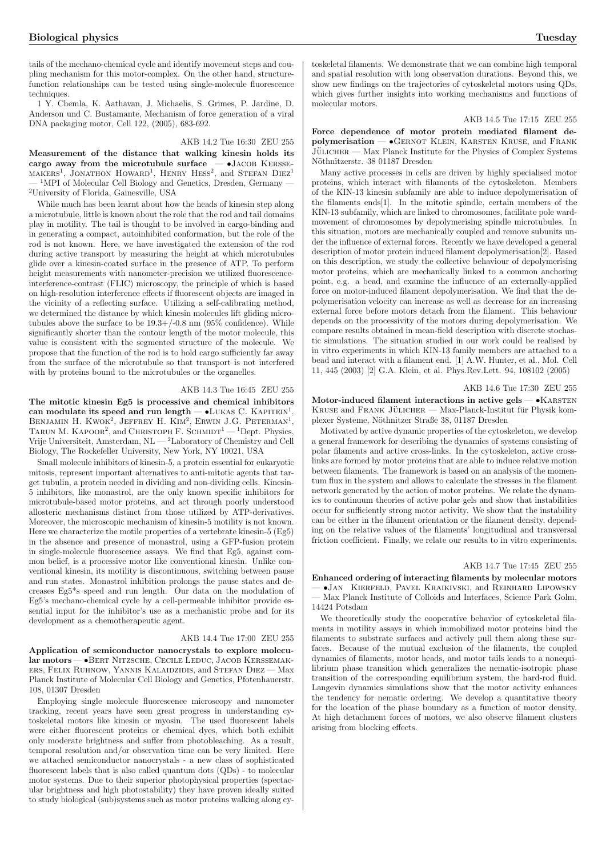tails of the mechano-chemical cycle and identify movement steps and coupling mechanism for this motor-complex. On the other hand, structurefunction relationships can be tested using single-molecule fluorescence techniques.

1 Y. Chemla, K. Aathavan, J. Michaelis, S. Grimes, P. Jardine, D. Anderson und C. Bustamante, Mechanism of force generation of a viral DNA packaging motor, Cell 122, (2005), 683-692.

AKB 14.2 Tue 16:30 ZEU 255

Measurement of the distance that walking kinesin holds its cargo away from the microtubule surface  $\rightarrow$  •JACOB KERSSEcargo away from the microtubule surface edigo away from the inicrotubule surface  $-$  USACOB KERSSE-MAKERS<sup>1</sup>, JONATHON HOWARD<sup>1</sup>, HENRY HESS<sup>2</sup>, and STEFAN DIEZ<sup>1</sup> <sup>1</sup>MPI of Molecular Cell Biology and Genetics, Dresden, Germany <sup>2</sup>University of Florida, Gainesville, USA

While much has been learnt about how the heads of kinesin step along a microtubule, little is known about the role that the rod and tail domains play in motility. The tail is thought to be involved in cargo-binding and in generating a compact, autoinhibited conformation, but the role of the rod is not known. Here, we have investigated the extension of the rod during active transport by measuring the height at which microtubules glide over a kinesin-coated surface in the presence of ATP. To perform height measurements with nanometer-precision we utilized fluorescenceinterference-contrast (FLIC) microscopy, the principle of which is based on high-resolution interference effects if fluorescent objects are imaged in the vicinity of a reflecting surface. Utilizing a self-calibrating method, we determined the distance by which kinesin molecules lift gliding microtubules above the surface to be  $19.3+/-0.8$  nm  $(95\% \text{ confidence})$ . While significantly shorter than the contour length of the motor molecule, this value is consistent with the segmented structure of the molecule. We propose that the function of the rod is to hold cargo sufficiently far away from the surface of the microtubule so that transport is not interfered with by proteins bound to the microtubules or the organelles.

### AKB 14.3 Tue 16:45 ZEU 255

The mitotic kinesin Eg5 is processive and chemical inhibitors The influent kines in Ego is processive and chemical immortors can modulate its speed and run length  $-$  •LUKAS C. KAPITEIN<sup>1</sup>, ean modulate its speed and run length — Cloras C. KAFITER,<br>BENJAMIN H. KWOK<sup>2</sup>, JEFFREY H. KIM<sup>2</sup>, ERWIN J.G. PETERMAN<sup>1</sup>, DENJAMIN II. KWOK, JEFFRET II. KIM, ERWIN J.G. I ETERMAN,<br>TARUN M. KAPOOR<sup>2</sup>, and CHRISTOPH F. SCHMIDT<sup>1</sup> — <sup>1</sup>Dept. Physics, Vrije Universiteit, Amsterdam, NL — <sup>2</sup>Laboratory of Chemistry and Cell Biology, The Rockefeller University, New York, NY 10021, USA

Small molecule inhibitors of kinesin-5, a protein essential for eukaryotic mitosis, represent important alternatives to anti-mitotic agents that target tubulin, a protein needed in dividing and non-dividing cells. Kinesin-5 inhibitors, like monastrol, are the only known specific inhibitors for microtubule-based motor proteins, and act through poorly understood allosteric mechanisms distinct from those utilized by ATP-derivatives. Moreover, the microscopic mechanism of kinesin-5 motility is not known. Here we characterize the motile properties of a vertebrate kinesin-5 (Eg5) in the absence and presence of monastrol, using a GFP-fusion protein in single-molecule fluorescence assays. We find that Eg5, against common belief, is a processive motor like conventional kinesin. Unlike conventional kinesin, its motility is discontinuous, switching between pause and run states. Monastrol inhibition prolongs the pause states and decreases Eg5\*s speed and run length. Our data on the modulation of Eg5's mechano-chemical cycle by a cell-permeable inhibitor provide essential input for the inhibitor's use as a mechanistic probe and for its development as a chemotherapeutic agent.

### AKB 14.4 Tue 17:00 ZEU 255

Application of semiconductor nanocrystals to explore molecular motors — •Bert Nitzsche, Cecile Leduc, Jacob Kerssemakers, Felix Ruhnow, Yannis Kalaidzidis, and Stefan Diez — Max Planck Institute of Molecular Cell Biology and Genetics, Pfotenhauerstr. 108, 01307 Dresden

Employing single molecule fluorescence microscopy and nanometer tracking, recent years have seen great progress in understanding cytoskeletal motors like kinesin or myosin. The used fluorescent labels were either fluorescent proteins or chemical dyes, which both exhibit only moderate brightness and suffer from photobleaching. As a result, temporal resolution and/or observation time can be very limited. Here we attached semiconductor nanocrystals - a new class of sophisticated fluorescent labels that is also called quantum dots (QDs) - to molecular motor systems. Due to their superior photophysical properties (spectacular brightness and high photostability) they have proven ideally suited to study biological (sub)systems such as motor proteins walking along cytoskeletal filaments. We demonstrate that we can combine high temporal and spatial resolution with long observation durations. Beyond this, we show new findings on the trajectories of cytoskeletal motors using QDs, which gives further insights into working mechanisms and functions of molecular motors.

### AKB 14.5 Tue 17:15 ZEU 255

Force dependence of motor protein mediated filament depolymerisation — •Gernot Klein, Karsten Kruse, and Frank  $J\ddot{\text{u}}$ LICHER — Max Planck Institute for the Physics of Complex Systems Nöthnitzerstr. 38 01187 Dresden

Many active processes in cells are driven by highly specialised motor proteins, which interact with filaments of the cytoskeleton. Members of the KIN-13 kinesin subfamily are able to induce depolymerisation of the filaments ends[1]. In the mitotic spindle, certain members of the KIN-13 subfamily, which are linked to chromosomes, facilitate pole wardmovement of chromosomes by depolymerising spindle microtubules. In this situation, motors are mechanically coupled and remove subunits under the influence of external forces. Recently we have developed a general description of motor protein induced filament depolymerisation[2]. Based on this description, we study the collective behaviour of depolymerising motor proteins, which are mechanically linked to a common anchoring point, e.g. a bead, and examine the influence of an externally-applied force on motor-induced filament depolymerisation. We find that the depolymerisation velocity can increase as well as decrease for an increasing external force before motors detach from the filament. This behaviour depends on the processivity of the motors during depolymerisation. We compare results obtained in mean-field description with discrete stochastic simulations. The situation studied in our work could be realised by in vitro experiments in which KIN-13 family members are attached to a bead and interact with a filament end. [1] A.W. Hunter, et al., Mol. Cell 11, 445 (2003) [2] G.A. Klein, et al. Phys.Rev.Lett. 94, 108102 (2005)

### AKB 14.6 Tue 17:30 ZEU 255

Motor-induced filament interactions in active gels  $- \cdot$  KARSTEN KRUSE and FRANK JÜLICHER — Max-Planck-Institut für Physik komplexer Systeme, Nöthnitzer Straße 38, 01187 Dresden

Motivated by active dynamic properties of the cytoskeleton, we develop a general framework for describing the dynamics of systems consisting of polar filaments and active cross-links. In the cytoskeleton, active crosslinks are formed by motor proteins that are able to induce relative motion between filaments. The framework is based on an analysis of the momentum flux in the system and allows to calculate the stresses in the filament network generated by the action of motor proteins. We relate the dynamics to continuum theories of active polar gels and show that instabilities occur for sufficiently strong motor activity. We show that the instability can be either in the filament orientation or the filament density, depending on the relative values of the filaments' longitudinal and transversal friction coefficient. Finally, we relate our results to in vitro experiments.

### AKB 14.7 Tue 17:45 ZEU 255

Enhanced ordering of interacting filaments by molecular motors

— •Jan Kierfeld, Pavel Kraikivski, and Reinhard Lipowsky — Max Planck Institute of Colloids and Interfaces, Science Park Golm, 14424 Potsdam

We theoretically study the cooperative behavior of cytoskeletal filaments in motility assays in which immobilized motor proteins bind the filaments to substrate surfaces and actively pull them along these surfaces. Because of the mutual exclusion of the filaments, the coupled dynamics of filaments, motor heads, and motor tails leads to a nonequilibrium phase transition which generalizes the nematic-isotropic phase transition of the corresponding equilibrium system, the hard-rod fluid. Langevin dynamics simulations show that the motor activity enhances the tendency for nematic ordering. We develop a quantitative theory for the location of the phase boundary as a function of motor density. At high detachment forces of motors, we also observe filament clusters arising from blocking effects.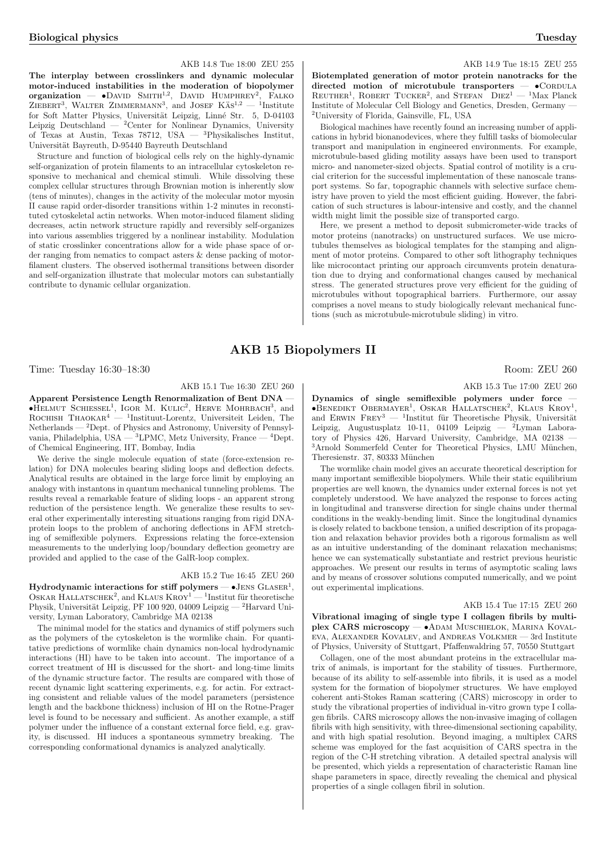### AKB 14.8 Tue 18:00 ZEU 255

The interplay between crosslinkers and dynamic molecular motor-induced instabilities in the moderation of biopolymer organization — •David SMITH<sup>1,2</sup>, DAVID HUMPHREY<sup>2</sup>, FALKO  $ZIEBERT<sup>3</sup>$ , WALTER ZIMMERMANN<sup>3</sup>, and JOSEF KAs<sup>1,2</sup> — <sup>1</sup>Institute for Soft Matter Physics, Universität Leipzig, Linné Str. 5, D-04103 Leipzig Deutschland  $-$  <sup>2</sup>Center for Nonlinear Dynamics, University of Texas at Austin, Texas 78712, USA — <sup>3</sup>Physikalisches Institut, Universität Bayreuth, D-95440 Bayreuth Deutschland

Structure and function of biological cells rely on the highly-dynamic self-organization of protein filaments to an intracellular cytoskeleton responsive to mechanical and chemical stimuli. While dissolving these complex cellular structures through Brownian motion is inherently slow (tens of minutes), changes in the activity of the molecular motor myosin II cause rapid order-disorder transitions within 1-2 minutes in reconstituted cytoskeletal actin networks. When motor-induced filament sliding decreases, actin network structure rapidly and reversibly self-organizes into various assemblies triggered by a nonlinear instability. Modulation of static crosslinker concentrations allow for a wide phase space of order ranging from nematics to compact asters & dense packing of motorfilament clusters. The observed isothermal transitions between disorder and self-organization illustrate that molecular motors can substantially contribute to dynamic cellular organization.

### AKB 14.9 Tue 18:15 ZEU 255

Biotemplated generation of motor protein nanotracks for the directed motion of microtubule transporters  $-\bullet$ CORDULA  $directed$  motion of microtubule transporters  $-$ REUTHER<sup>1</sup>, ROBERT TUCKER<sup>2</sup>, and STEFAN  $DIEZ<sup>1</sup> - <sup>1</sup>Max$  Planck Institute of Molecular Cell Biology and Genetics, Dresden, Germany — <sup>2</sup>University of Florida, Gainsville, FL, USA

Biological machines have recently found an increasing number of applications in hybrid bionanodevices, where they fulfill tasks of biomolecular transport and manipulation in engineered environments. For example, microtubule-based gliding motility assays have been used to transport micro- and nanometer-sized objects. Spatial control of motility is a crucial criterion for the successful implementation of these nanoscale transport systems. So far, topographic channels with selective surface chemistry have proven to yield the most efficient guiding. However, the fabrication of such structures is labour-intensive and costly, and the channel width might limit the possible size of transported cargo.

Here, we present a method to deposit submicrometer-wide tracks of motor proteins (nanotracks) on unstructured surfaces. We use microtubules themselves as biological templates for the stamping and alignment of motor proteins. Compared to other soft lithography techniques like microcontact printing our approach circumvents protein denaturation due to drying and conformational changes caused by mechanical stress. The generated structures prove very efficient for the guiding of microtubules without topographical barriers. Furthermore, our assay comprises a novel means to study biologically relevant mechanical functions (such as microtubule-microtubule sliding) in vitro.

### AKB 15 Biopolymers II

Time: Tuesday 16:30–18:30 Room: ZEU 260

### AKB 15.1 Tue 16:30 ZEU 260

Apparent Persistence Length Renormalization of Bent DNA —  $\bullet$ HELMUT SCHIESSEL<sup>1</sup>, IGOR M. KULIC<sup>2</sup>, HERVE MOHRBACH<sup>3</sup>, and ROCHISH THAOKAR<sup>4</sup> — <sup>1</sup>Instituut-Lorentz, Universiteit Leiden, The  $\mbox{Netherlands}$  —  $^2\mbox{Depth}.$  of Physics and Astronomy, University of Pennsylvania, Philadelphia, USA — <sup>3</sup>LPMC, Metz University, France — <sup>4</sup>Dept. of Chemical Engineering, IIT, Bombay, India

We derive the single molecule equation of state (force-extension relation) for DNA molecules bearing sliding loops and deflection defects. Analytical results are obtained in the large force limit by employing an analogy with instantons in quantum mechanical tunneling problems. The results reveal a remarkable feature of sliding loops - an apparent strong reduction of the persistence length. We generalize these results to several other experimentally interesting situations ranging from rigid DNAprotein loops to the problem of anchoring deflections in AFM stretching of semiflexible polymers. Expressions relating the force-extension measurements to the underlying loop/boundary deflection geometry are provided and applied to the case of the GalR-loop complex.

### AKB 15.2 Tue 16:45 ZEU 260

 $Hydrodynamic$  interactions for stiff polymers  $-$  •JENS  $GLASER<sup>1</sup>$ ,  $\frac{1}{100}$  Muslim E interactions for still polymers  $\rightarrow$  JENS GLASER,  $\sim$  OSKAR HALLATSCHEK<sup>2</sup>, and KLAUS KROY<sup>1</sup> — <sup>1</sup>Institut für theoretische Physik, Universität Leipzig, PF 100 920, 04009 Leipzig — <sup>2</sup>Harvard University, Lyman Laboratory, Cambridge MA 02138

The minimal model for the statics and dynamics of stiff polymers such as the polymers of the cytoskeleton is the wormlike chain. For quantitative predictions of wormlike chain dynamics non-local hydrodynamic interactions (HI) have to be taken into account. The importance of a correct treatment of HI is discussed for the short- and long-time limits of the dynamic structure factor. The results are compared with those of recent dynamic light scattering experiments, e.g. for actin. For extracting consistent and reliable values of the model parameters (persistence length and the backbone thickness) inclusion of HI on the Rotne-Prager level is found to be necessary and sufficient. As another example, a stiff polymer under the influence of a constant external force field, e.g. gravity, is discussed. HI induces a spontaneous symmetry breaking. The corresponding conformational dynamics is analyzed analytically.

AKB 15.3 Tue 17:00 ZEU 260

Dynamics of single semiflexible polymers under force  $\bullet$ Benedikt Obermayer<sup>1</sup>, Oskar Hallatschek<sup>2</sup>, Klaus Kroy<sup>1</sup>, **EREDIKT OBERMATER**, OSNAR HALLATSCHER, NLAGS NROT, and ERWIN FREY<sup>3</sup> — <sup>1</sup>Institut für Theoretische Physik, Universität Leipzig, Augustusplatz 10-11, 04109 Leipzig — <sup>2</sup>Lyman Laboratory of Physics 426, Harvard University, Cambridge, MA 02138 — <sup>3</sup>Arnold Sommerfeld Center for Theoretical Physics, LMU München, Theresienstr. 37, 80333 München

The wormlike chain model gives an accurate theoretical description for many important semiflexible biopolymers. While their static equilibrium properties are well known, the dynamics under external forces is not yet completely understood. We have analyzed the response to forces acting in longitudinal and transverse direction for single chains under thermal conditions in the weakly-bending limit. Since the longitudinal dynamics is closely related to backbone tension, a unified description of its propagation and relaxation behavior provides both a rigorous formalism as well as an intuitive understanding of the dominant relaxation mechanisms; hence we can systematically substantiate and restrict previous heuristic approaches. We present our results in terms of asymptotic scaling laws and by means of crossover solutions computed numerically, and we point out experimental implications.

### AKB 15.4 Tue 17:15 ZEU 260

Vibrational imaging of single type I collagen fibrils by multiplex CARS microscopy —  $\bullet$ ADAM MUSCHIELOK, MARINA KOVALeva, Alexander Kovalev, and Andreas Volkmer — 3rd Institute of Physics, University of Stuttgart, Pfaffenwaldring 57, 70550 Stuttgart

Collagen, one of the most abundant proteins in the extracellular matrix of animals, is important for the stability of tissues. Furthermore, because of its ability to self-assemble into fibrils, it is used as a model system for the formation of biopolymer structures. We have employed coherent anti-Stokes Raman scattering (CARS) microscopy in order to study the vibrational properties of individual in-vitro grown type I collagen fibrils. CARS microscopy allows the non-invasive imaging of collagen fibrils with high sensitivity, with three-dimensional sectioning capability, and with high spatial resolution. Beyond imaging, a multiplex CARS scheme was employed for the fast acquisition of CARS spectra in the region of the C-H stretching vibration. A detailed spectral analysis will be presented, which yields a representation of characteristic Raman line shape parameters in space, directly revealing the chemical and physical properties of a single collagen fibril in solution.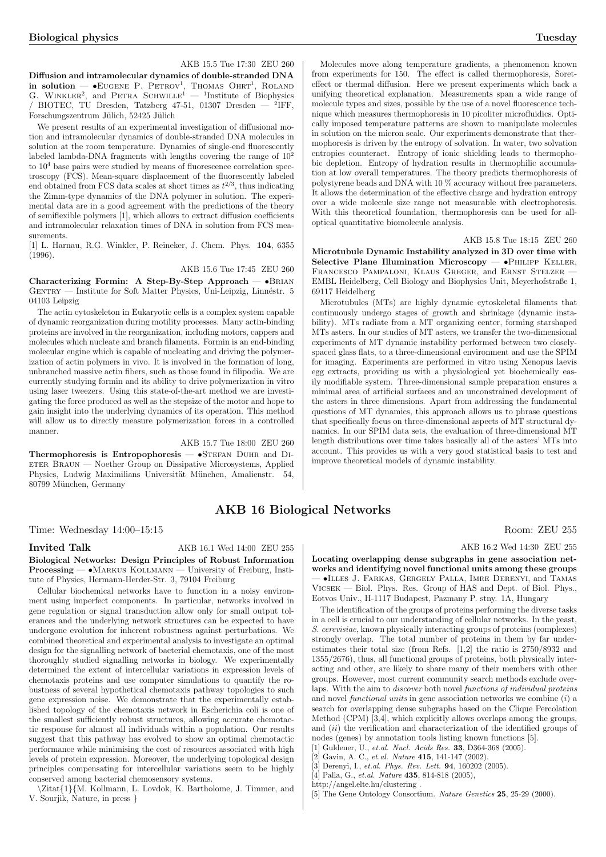Diffusion and intramolecular dynamics of double-stranded DNA Dirusion and intramolecular dynamics of double-strained DIVA<br>in solution — •EUGENE P. PETROV<sup>1</sup>, THOMAS OHRT<sup>1</sup>, ROLAND<br>G. WINKLER<sup>2</sup>, and PETRA SCHWILLE<sup>1</sup> — <sup>1</sup>Institute of Biophysics / BIOTEC, TU Dresden, Tatzberg 47-51, 01307 Dresden  $-$  <sup>2</sup>IFF, Forschungszentrum Jülich, 52425 Jülich

We present results of an experimental investigation of diffusional motion and intramolecular dynamics of double-stranded DNA molecules in solution at the room temperature. Dynamics of single-end fluorescently labeled lambda-DNA fragments with lengths covering the range of  $10^2$ to  $10<sup>4</sup>$  base pairs were studied by means of fluorescence correlation spectroscopy (FCS). Mean-square displacement of the fluorescently labeled end obtained from FCS data scales at short times as  $t^{2/3}$ , thus indicating the Zimm-type dynamics of the DNA polymer in solution. The experimental data are in a good agreement with the predictions of the theory of semiflexible polymers [1], which allows to extract diffusion coefficients and intramolecular relaxation times of DNA in solution from FCS measurements.

[1] L. Harnau, R.G. Winkler, P. Reineker, J. Chem. Phys. 104, 6355  $(1996)$ 

AKB 15.6 Tue 17:45 ZEU 260

Characterizing Formin: A Step-By-Step Approach  $\bullet$ BRIAN GENTRY — Institute for Soft Matter Physics, Uni-Leipzig, Linnéstr. 5 04103 Leipzig

The actin cytoskeleton in Eukaryotic cells is a complex system capable of dynamic reorganization during motility processes. Many actin-binding proteins are involved in the reorganization, including motors, cappers and molecules which nucleate and branch filaments. Formin is an end-binding molecular engine which is capable of nucleating and driving the polymerization of actin polymers in vivo. It is involved in the formation of long, unbranched massive actin fibers, such as those found in filipodia. We are currently studying formin and its ability to drive polymerization in vitro using laser tweezers. Using this state-of-the-art method we are investigating the force produced as well as the stepsize of the motor and hope to gain insight into the underlying dynamics of its operation. This method will allow us to directly measure polymerization forces in a controlled manner.

AKB 15.7 Tue 18:00 ZEU 260

Thermophoresis is Entropophoresis  $-$  •STEFAN DUHR and DIeter Braun — Noether Group on Dissipative Microsystems, Applied Physics, Ludwig Maximilians Universität München, Amalienstr. 54, 80799 München, Germany

### AKB 16 Biological Networks

Time: Wednesday 14:00–15:15 Room: ZEU 255

Invited Talk AKB 16.1 Wed 14:00 ZEU 255

Biological Networks: Design Principles of Robust Information Processing — •Markus Kollmann — University of Freiburg, Institute of Physics, Hermann-Herder-Str. 3, 79104 Freiburg

Cellular biochemical networks have to function in a noisy environment using imperfect components. In particular, networks involved in gene regulation or signal transduction allow only for small output tolerances and the underlying network structures can be expected to have undergone evolution for inherent robustness against perturbations. We combined theoretical and experimental analysis to investigate an optimal design for the signalling network of bacterial chemotaxis, one of the most thoroughly studied signalling networks in biology. We experimentally determined the extent of intercellular variations in expression levels of chemotaxis proteins and use computer simulations to quantify the robustness of several hypothetical chemotaxis pathway topologies to such gene expression noise. We demonstrate that the experimentally established topology of the chemotaxis network in Escherichia coli is one of the smallest sufficiently robust structures, allowing accurate chemotactic response for almost all individuals within a population. Our results suggest that this pathway has evolved to show an optimal chemotactic performance while minimising the cost of resources associated with high levels of protein expression. Moreover, the underlying topological design principles compensating for intercellular variations seem to be highly conserved among bacterial chemosensory systems.

\Zitat{1}{M. Kollmann, L. Lovdok, K. Bartholome, J. Timmer, and V. Sourjik, Nature, in press }

Molecules move along temperature gradients, a phenomenon known from experiments for 150. The effect is called thermophoresis, Soreteffect or thermal diffusion. Here we present experiments which back a unifying theoretical explanation. Measurements span a wide range of molecule types and sizes, possible by the use of a novel fluorescence technique which measures thermophoresis in 10 picoliter microfluidics. Optically imposed temperature patterns are shown to manipulate molecules in solution on the micron scale. Our experiments demonstrate that thermophoresis is driven by the entropy of solvation. In water, two solvation entropies counteract. Entropy of ionic shielding leads to thermophobic depletion. Entropy of hydration results in thermophilic accumulation at low overall temperatures. The theory predicts thermophoresis of polystyrene beads and DNA with 10 % accuracy without free parameters. It allows the determination of the effective charge and hydration entropy over a wide molecule size range not measurable with electrophoresis. With this theoretical foundation, thermophoresis can be used for alloptical quantitative biomolecule analysis.

### AKB 15.8 Tue 18:15 ZEU 260

Microtubule Dynamic Instability analyzed in 3D over time with Selective Plane Illumination Microscopy - · PHILIPP KELLER, FRANCESCO PAMPALONI, KLAUS GREGER, and ERNST STELZER EMBL Heidelberg, Cell Biology and Biophysics Unit, Meyerhofstraße 1, 69117 Heidelberg

Microtubules (MTs) are highly dynamic cytoskeletal filaments that continuously undergo stages of growth and shrinkage (dynamic instability). MTs radiate from a MT organizing center, forming starshaped MTs asters. In our studies of MT asters, we transfer the two-dimensional experiments of MT dynamic instability performed between two closelyspaced glass flats, to a three-dimensional environment and use the SPIM for imaging. Experiments are performed in vitro using Xenopus laevis egg extracts, providing us with a physiological yet biochemically easily modifiable system. Three-dimensional sample preparation ensures a minimal area of artificial surfaces and an unconstrained development of the asters in three dimensions. Apart from addressing the fundamental questions of MT dynamics, this approach allows us to phrase questions that specifically focus on three-dimensional aspects of MT structural dynamics. In our SPIM data sets, the evaluation of three-dimensional MT length distributions over time takes basically all of the asters' MTs into account. This provides us with a very good statistical basis to test and improve theoretical models of dynamic instability.

AKB 16.2 Wed 14:30 ZEU 255

Locating overlapping dense subgraphs in gene association networks and identifying novel functional units among these groups — •Illes J. Farkas, Gergely Palla, Imre Derenyi, and Tamas Vicsek — Biol. Phys. Res. Group of HAS and Dept. of Biol. Phys., Eotvos Univ., H-1117 Budapest, Pazmany P. stny. 1A, Hungary

The identification of the groups of proteins performing the diverse tasks in a cell is crucial to our understanding of cellular networks. In the yeast, S. cerevisiae, known physically interacting groups of proteins (complexes) strongly overlap. The total number of proteins in them by far underestimates their total size (from Refs. [1,2] the ratio is 2750/8932 and 1355/2676), thus, all functional groups of proteins, both physically interacting and other, are likely to share many of their members with other groups. However, most current community search methods exclude overlaps. With the aim to discover both novel functions of individual proteins and novel *functional units* in gene association networks we combine  $(i)$  a search for overlapping dense subgraphs based on the Clique Percolation Method (CPM) [3,4], which explicitly allows overlaps among the groups, and (ii) the verification and characterization of the identified groups of nodes (genes) by annotation tools listing known functions [5]. [1] Guldener, U., et.al. Nucl. Acids Res. 33, D364-368 (2005).

 $[2]$  Gavin, A. C., et.al. Nature 415, 141-147 (2002).

 $[3]$  Derenyi, I., et.al. Phys. Rev. Lett. **94**, 160202 (2005).

[4] Palla, G., et.al. Nature 435, 814-818 (2005),

http://angel.elte.hu/clustering .

[5] The Gene Ontology Consortium. Nature Genetics 25, 25-29 (2000).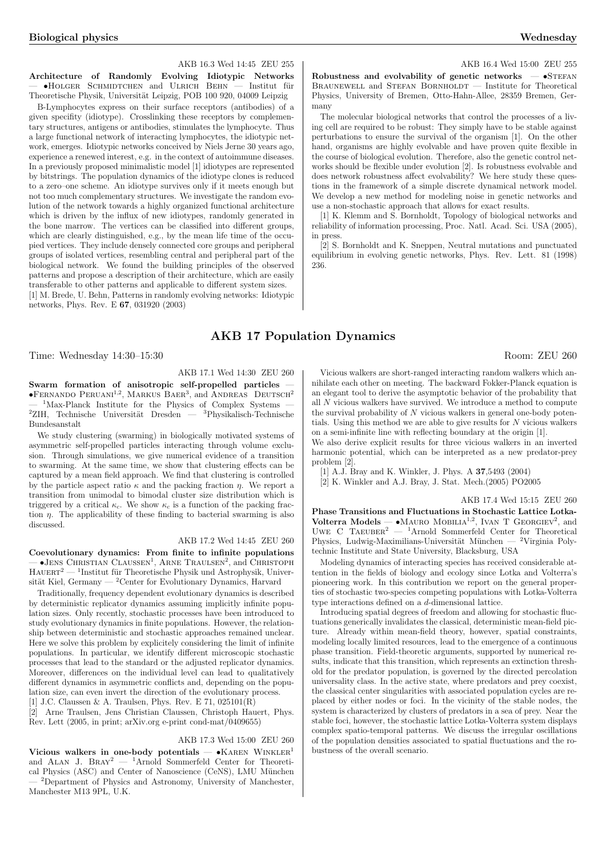### AKB 16.3 Wed 14:45 ZEU 255

Architecture of Randomly Evolving Idiotypic Networks<br>— •HOLGER SCHMIDTCHEN and ULRICH BEHN — Institut für Theoretische Physik, Universität Leipzig, POB 100 920, 04009 Leipzig

B-Lymphocytes express on their surface receptors (antibodies) of a given specifity (idiotype). Crosslinking these receptors by complementary structures, antigens or antibodies, stimulates the lymphocyte. Thus a large functional network of interacting lymphocytes, the idiotypic network, emerges. Idiotypic networks conceived by Niels Jerne 30 years ago, experience a renewed interest, e.g. in the context of autoimmune diseases. In a previously proposed minimalistic model [1] idiotypes are represented by bitstrings. The population dynamics of the idiotype clones is reduced to a zero–one scheme. An idiotype survives only if it meets enough but not too much complementary structures. We investigate the random evolution of the network towards a highly organized functional architecture which is driven by the influx of new idiotypes, randomly generated in the bone marrow. The vertices can be classified into different groups, which are clearly distinguished, e.g., by the mean life time of the occupied vertices. They include densely connected core groups and peripheral groups of isolated vertices, resembling central and peripheral part of the biological network. We found the building principles of the observed patterns and propose a description of their architecture, which are easily transferable to other patterns and applicable to different system sizes. [1] M. Brede, U. Behn, Patterns in randomly evolving networks: Idiotypic networks, Phys. Rev. E 67, 031920 (2003)

Time: Wednesday 14:30–15:30 Room: ZEU 260

### AKB 17.1 Wed 14:30 ZEU 260

Swarm formation of anisotropic self-propelled particles **SWATHE TOFFRIGHT OF ALL SOLUTION** SUPPRISE PROPERTIES —<br>**•FERNANDO PERUANI<sup>1,2</sup>, MARKUS BAER<sup>3</sup>, and ANDREAS DEUTSCH<sup>2</sup>**  $1$ Max-Planck Institute for the Physics of Complex Systems <sup>2</sup>ZIH, Technische Universität Dresden — <sup>3</sup>Physikalisch-Technische Bundesanstalt

We study clustering (swarming) in biologically motivated systems of asymmetric self-propelled particles interacting through volume exclusion. Through simulations, we give numerical evidence of a transition to swarming. At the same time, we show that clustering effects can be captured by a mean field approach. We find that clustering is controlled by the particle aspect ratio  $\kappa$  and the packing fraction  $\eta$ . We report a transition from unimodal to bimodal cluster size distribution which is triggered by a critical  $\kappa_c$ . We show  $\kappa_c$  is a function of the packing fraction  $\eta$ . The applicability of these finding to bacterial swarming is also discussed.

### AKB 17.2 Wed 14:45 ZEU 260

Coevolutionary dynamics: From finite to infinite populations  $\sim$  •Jens Christian Claussen<sup>1</sup>, Arne Traulsen<sup>2</sup>, and Christoph  $H A U E R T<sup>2</sup>$  — <sup>1</sup>Institut für Theoretische Physik und Astrophysik, Universität Kiel, Germany — <sup>2</sup>Center for Evolutionary Dynamics, Harvard

Traditionally, frequency dependent evolutionary dynamics is described by deterministic replicator dynamics assuming implicitly infinite population sizes. Only recently, stochastic processes have been introduced to study evolutionary dynamics in finite populations. However, the relationship between deterministic and stochastic approaches remained unclear. Here we solve this problem by explicitely considering the limit of infinite populations. In particular, we identify different microscopic stochastic processes that lead to the standard or the adjusted replicator dynamics. Moreover, differences on the individual level can lead to qualitatively different dynamics in asymmetric conflicts and, depending on the population size, can even invert the direction of the evolutionary process.

[1] J.C. Claussen & A. Traulsen, Phys. Rev. E 71, 025101(R) [2] Arne Traulsen, Jens Christian Claussen, Christoph Hauert, Phys. Rev. Lett (2005, in print; arXiv.org e-print cond-mat/0409655)

### AKB 17.3 Wed 15:00 ZEU 260

Vicious walkers in one-body potentials —  $\bullet$ KAREN WINKLER<sup>1</sup> and Alan J. Bray<sup>2</sup> — <sup>1</sup>Arnold Sommerfeld Center for Theoretical Physics (ASC) and Center of Nanoscience (CeNS), LMU München — <sup>2</sup>Department of Physics and Astronomy, University of Manchester, Manchester M13 9PL, U.K.

AKB 16.4 Wed 15:00 ZEU 255

Robustness and evolvability of genetic networks  $-$  •STEFAN BRAUNEWELL and STEFAN BORNHOLDT — Institute for Theoretical Physics, University of Bremen, Otto-Hahn-Allee, 28359 Bremen, Germany

The molecular biological networks that control the processes of a living cell are required to be robust: They simply have to be stable against perturbations to ensure the survival of the organism [1]. On the other hand, organisms are highly evolvable and have proven quite flexible in the course of biological evolution. Therefore, also the genetic control networks should be flexible under evolution [2]. Is robustness evolvable and does network robustness affect evolvability? We here study these questions in the framework of a simple discrete dynamical network model. We develop a new method for modeling noise in genetic networks and use a non-stochastic approach that allows for exact results.

[1] K. Klemm and S. Bornholdt, Topology of biological networks and reliability of information processing, Proc. Natl. Acad. Sci. USA (2005), in press.

[2] S. Bornholdt and K. Sneppen, Neutral mutations and punctuated equilibrium in evolving genetic networks, Phys. Rev. Lett. 81 (1998) 236.

## AKB 17 Population Dynamics

Vicious walkers are short-ranged interacting random walkers which annihilate each other on meeting. The backward Fokker-Planck equation is an elegant tool to derive the asymptotic behavior of the probability that all N vicious walkers have survived. We introduce a method to compute the survival probability of  $N$  vicious walkers in general one-body potentials. Using this method we are able to give results for  $N$  vicious walkers on a semi-infinite line with reflecting boundary at the origin [1].

We also derive explicit results for three vicious walkers in an inverted harmonic potential, which can be interpreted as a new predator-prey problem [2].

[1] A.J. Bray and K. Winkler, J. Phys. A  $37,5493$  (2004)

[2] K. Winkler and A.J. Bray, J. Stat. Mech.(2005) PO2005

### AKB 17.4 Wed 15:15 ZEU 260

Phase Transitions and Fluctuations in Stochastic Lattice Lotka-These Fransitions and Proceduations in Stochastic Lattice Lotka-<br>Volterra Models — •MAURO MOBILIA<sup>1,2</sup>, IVAN T GEORGIEV<sup>2</sup>, and<br>UWE C TAEUBER<sup>2</sup> — <sup>1</sup>Arnold Sommerfeld Center for Theoretical Physics, Ludwig-Maximilians-Universität München — <sup>2</sup>Virginia Polytechnic Institute and State University, Blacksburg, USA

Modeling dynamics of interacting species has received considerable attention in the fields of biology and ecology since Lotka and Volterra's pioneering work. In this contribution we report on the general properties of stochastic two-species competing populations with Lotka-Volterra type interactions defined on a d-dimensional lattice.

Introducing spatial degrees of freedom and allowing for stochastic fluctuations generically invalidates the classical, deterministic mean-field picture. Already within mean-field theory, however, spatial constraints, modeling locally limited resources, lead to the emergence of a continuous phase transition. Field-theoretic arguments, supported by numerical results, indicate that this transition, which represents an extinction threshold for the predator population, is governed by the directed percolation universality class. In the active state, where predators and prey coexist, the classical center singularities with associated population cycles are replaced by either nodes or foci. In the vicinity of the stable nodes, the system is characterized by clusters of predators in a sea of prey. Near the stable foci, however, the stochastic lattice Lotka-Volterra system displays complex spatio-temporal patterns. We discuss the irregular oscillations of the population densities associated to spatial fluctuations and the robustness of the overall scenario.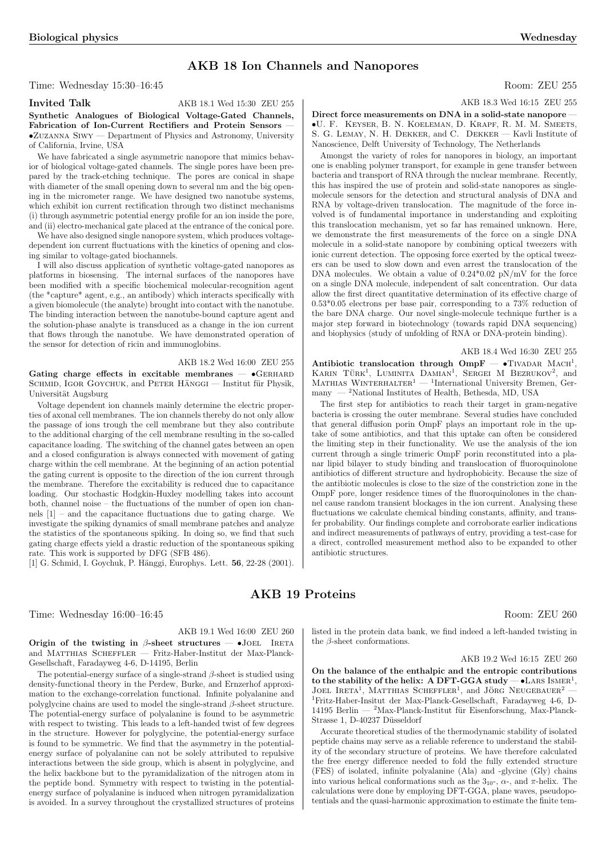### AKB 18 Ion Channels and Nanopores

Time: Wednesday 15:30–16:45 Room: ZEU 255

Invited Talk AKB 18.1 Wed 15:30 ZEU 255

Synthetic Analogues of Biological Voltage-Gated Channels, Fabrication of Ion-Current Rectifiers and Protein Sensors •Zuzanna Siwy — Department of Physics and Astronomy, University of California, Irvine, USA

We have fabricated a single asymmetric nanopore that mimics behavior of biological voltage-gated channels. The single pores have been prepared by the track-etching technique. The pores are conical in shape with diameter of the small opening down to several nm and the big opening in the micrometer range. We have designed two nanotube systems, which exhibit ion current rectification through two distinct mechanisms (i) through asymmetric potential energy profile for an ion inside the pore, and (ii) electro-mechanical gate placed at the entrance of the conical pore.

We have also designed single nanopore system, which produces voltagedependent ion current fluctuations with the kinetics of opening and closing similar to voltage-gated biochannels.

I will also discuss application of synthetic voltage-gated nanopores as platforms in biosensing. The internal surfaces of the nanopores have been modified with a specific biochemical molecular-recognition agent (the \*capture\* agent, e.g., an antibody) which interacts specifically with a given biomolecule (the analyte) brought into contact with the nanotube. The binding interaction between the nanotube-bound capture agent and the solution-phase analyte is transduced as a change in the ion current that flows through the nanotube. We have demonstrated operation of the sensor for detection of ricin and immunoglobins.

### AKB 18.2 Wed 16:00 ZEU 255

Gating charge effects in excitable membranes  $\bullet$  GERHARD SCHMID, IGOR GOYCHUK, and PETER HÄNGGI — Institut für Physik, Universität Augsburg

Voltage dependent ion channels mainly determine the electric properties of axonal cell membranes. The ion channels thereby do not only allow the passage of ions trough the cell membrane but they also contribute to the additional charging of the cell membrane resulting in the so-called capacitance loading. The switching of the channel gates between an open and a closed configuration is always connected with movement of gating charge within the cell membrane. At the beginning of an action potential the gating current is opposite to the direction of the ion current through the membrane. Therefore the excitability is reduced due to capacitance loading. Our stochastic Hodgkin-Huxley modelling takes into account both, channel noise – the fluctuations of the number of open ion channels [1] – and the capacitance fluctuations due to gating charge. We investigate the spiking dynamics of small membrane patches and analyze the statistics of the spontaneous spiking. In doing so, we find that such gating charge effects yield a drastic reduction of the spontaneous spiking rate. This work is supported by DFG (SFB 486).

[1] G. Schmid, I. Goychuk, P. Hänggi, Europhys. Lett. **56**, 22-28 (2001).

### AKB 19 Proteins

Time: Wednesday 16:00–16:45 Room: ZEU 260

### AKB 19.1 Wed 16:00 ZEU 260

Origin of the twisting in  $\beta$ -sheet structures — •JOEL IRETA and MATTHIAS SCHEFFLER — Fritz-Haber-Institut der Max-Planck-Gesellschaft, Faradayweg 4-6, D-14195, Berlin

The potential-energy surface of a single-strand  $\beta$ -sheet is studied using density-functional theory in the Perdew, Burke, and Ernzerhof approximation to the exchange-correlation functional. Infinite polyalanine and polyglycine chains are used to model the single-strand  $\beta$  -sheet structure. The potential-energy surface of polyalanine is found to be asymmetric with respect to twisting. This leads to a left-handed twist of few degrees in the structure. However for polyglycine, the potential-energy surface is found to be symmetric. We find that the asymmetry in the potentialenergy surface of polyalanine can not be solely attributed to repulsive interactions between the side group, which is absent in polyglycine, and the helix backbone but to the pyramidalization of the nitrogen atom in the peptide bond. Symmetry with respect to twisting in the potentialenergy surface of polyalanine is induced when nitrogen pyramidalization is avoided. In a survey throughout the crystallized structures of proteins

AKB 18.3 Wed 16:15 ZEU 255

Direct force measurements on DNA in a solid-state nanopore -•U. F. Keyser, B. N. Koeleman, D. Krapf, R. M. M. Smeets, S. G. LEMAY, N. H. DEKKER, and C. DEKKER — Kavli Institute of Nanoscience, Delft University of Technology, The Netherlands

Amongst the variety of roles for nanopores in biology, an important one is enabling polymer transport, for example in gene transfer between bacteria and transport of RNA through the nuclear membrane. Recently, this has inspired the use of protein and solid-state nanopores as singlemolecule sensors for the detection and structural analysis of DNA and RNA by voltage-driven translocation. The magnitude of the force involved is of fundamental importance in understanding and exploiting this translocation mechanism, yet so far has remained unknown. Here, we demonstrate the first measurements of the force on a single DNA molecule in a solid-state nanopore by combining optical tweezers with ionic current detection. The opposing force exerted by the optical tweezers can be used to slow down and even arrest the translocation of the DNA molecules. We obtain a value of  $0.24*0.02$  pN/mV for the force on a single DNA molecule, independent of salt concentration. Our data allow the first direct quantitative determination of its effective charge of 0.53\*0.05 electrons per base pair, corresponding to a 73% reduction of the bare DNA charge. Our novel single-molecule technique further is a major step forward in biotechnology (towards rapid DNA sequencing) and biophysics (study of unfolding of RNA or DNA-protein binding).

AKB 18.4 Wed 16:30 ZEU 255 Antibiotic translocation through  $OmpF - \bullet TivADAR MACH^1$ ,  $KARIN$   $T\ddot{v}RK<sup>1</sup>$ , LUMINITA DAMIAN<sup>1</sup>, SERGEI M BEZRUKOV<sup>2</sup>, and MATHIAS WINTERHALTER<sup>1</sup> — <sup>1</sup>International University Bremen, Ger-<br>MATHIAS WINTERHALTER<sup>1</sup> — <sup>1</sup>International University Bremen, Germany  $-$  <sup>2</sup>National Institutes of Health, Bethesda, MD, USA

The first step for antibiotics to reach their target in gram-negative bacteria is crossing the outer membrane. Several studies have concluded that general diffusion porin OmpF plays an important role in the uptake of some antibiotics, and that this uptake can often be considered the limiting step in their functionality. We use the analysis of the ion current through a single trimeric OmpF porin reconstituted into a planar lipid bilayer to study binding and translocation of fluoroquinolone antibiotics of different structure and hydrophobicity. Because the size of the antibiotic molecules is close to the size of the constriction zone in the OmpF pore, longer residence times of the fluoroquinolones in the channel cause random transient blockages in the ion current. Analysing these fluctuations we calculate chemical binding constants, affinity, and transfer probability. Our findings complete and corroborate earlier indications and indirect measurements of pathways of entry, providing a test-case for a direct, controlled measurement method also to be expanded to other antibiotic structures.

listed in the protein data bank, we find indeed a left-handed twisting in the β-sheet conformations.

### AKB 19.2 Wed 16:15 ZEU 260

On the balance of the enthalpic and the entropic contributions on the balance of the entrialpic and the entropic contributions to the stability of the helix:  $A DFT-GGA study - \bullet LARS ISMER^1$ ,  $J$ OEL IRETA<sup>1</sup>, MATTHIAS SCHEFFLER<sup>1</sup>, and JÖRG NEUGEBAUER<sup>2</sup> — 1Fritz-Haber-Insitut der Max-Planck-Gesellschaft, Faradayweg 4-6, D-14195 Berlin —  $^2$ Max-Planck-Institut für Eisenforschung, Max-Planck-Strasse 1, D-40237 Düsseldorf

Accurate theoretical studies of the thermodynamic stability of isolated peptide chains may serve as a reliable reference to understand the stability of the secondary structure of proteins. We have therefore calculated the free energy difference needed to fold the fully extended structure (FES) of isolated, infinite polyalanine (Ala) and -glycine (Gly) chains into various helical conformations such as the  $3_{10}$ -,  $\alpha$ -, and  $\pi$ -helix. The calculations were done by employing DFT-GGA, plane waves, pseudopotentials and the quasi-harmonic approximation to estimate the finite tem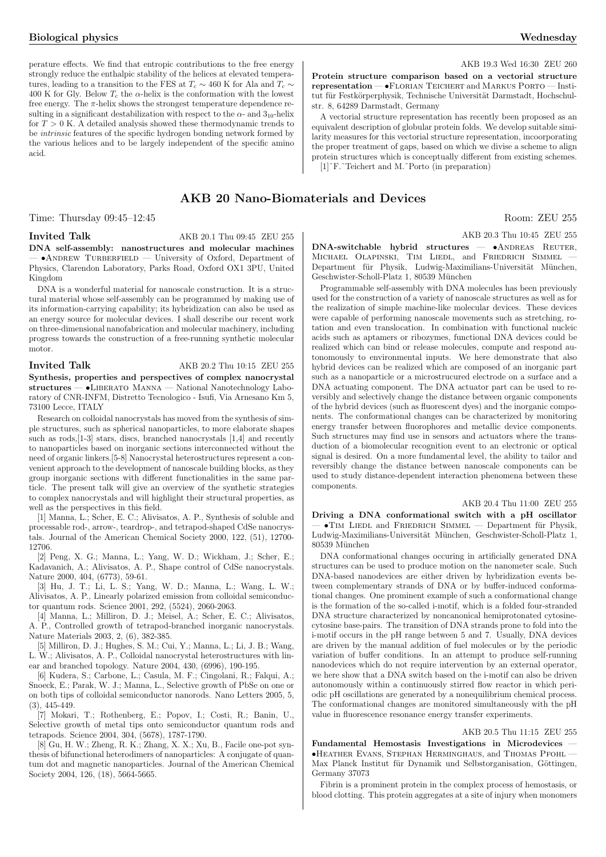perature effects. We find that entropic contributions to the free energy strongly reduce the enthalpic stability of the helices at elevated temperatures, leading to a transition to the FES at  $T_c \sim 460$  K for Ala and  $T_c \sim$ 400 K for Gly. Below  $T_c$  the  $\alpha$ -helix is the conformation with the lowest free energy. The  $\pi$ -helix shows the strongest temperature dependence resulting in a significant destabilization with respect to the  $\alpha$ - and  $3_{10}$ -helix for  $T > 0$  K. A detailed analysis showed these thermodynamic trends to be intrinsic features of the specific hydrogen bonding network formed by the various helices and to be largely independent of the specific amino acid.

Time: Thursday 09:45–12:45 Room: ZEU 255

### Invited Talk AKB 20.1 Thu 09:45 ZEU 255

DNA self-assembly: nanostructures and molecular machines  $\bullet$ ANDREW TURBERFIELD — University of Oxford, Department of Physics, Clarendon Laboratory, Parks Road, Oxford OX1 3PU, United Kingdom

DNA is a wonderful material for nanoscale construction. It is a structural material whose self-assembly can be programmed by making use of its information-carrying capability; its hybridization can also be used as an energy source for molecular devices. I shall describe our recent work on three-dimensional nanofabrication and molecular machinery, including progress towards the construction of a free-running synthetic molecular motor.

### **Invited Talk** AKB 20.2 Thu 10:15 ZEU 255

Synthesis, properties and perspectives of complex nanocrystal structures — •LIBERATO MANNA — National Nanotechnology Laboratory of CNR-INFM, Distretto Tecnologico - Isufi, Via Arnesano Km 5, 73100 Lecce, ITALY

Research on colloidal nanocrystals has moved from the synthesis of simple structures, such as spherical nanoparticles, to more elaborate shapes such as rods,[1-3] stars, discs, branched nanocrystals [1,4] and recently to nanoparticles based on inorganic sections interconnected without the need of organic linkers.[5-8] Nanocrystal heterostructures represent a convenient approach to the development of nanoscale building blocks, as they group inorganic sections with different functionalities in the same particle. The present talk will give an overview of the synthetic strategies to complex nanocrystals and will highlight their structural properties, as well as the perspectives in this field.

[1] Manna, L.; Scher, E. C.; Alivisatos, A. P., Synthesis of soluble and processable rod-, arrow-, teardrop-, and tetrapod-shaped CdSe nanocrystals. Journal of the American Chemical Society 2000, 122, (51), 12700- 12706.

[2] Peng, X. G.; Manna, L.; Yang, W. D.; Wickham, J.; Scher, E.; Kadavanich, A.; Alivisatos, A. P., Shape control of CdSe nanocrystals. Nature 2000, 404, (6773), 59-61.

[3] Hu, J. T.; Li, L. S.; Yang, W. D.; Manna, L.; Wang, L. W.; Alivisatos, A. P., Linearly polarized emission from colloidal semiconductor quantum rods. Science 2001, 292, (5524), 2060-2063.

[4] Manna, L.; Milliron, D. J.; Meisel, A.; Scher, E. C.; Alivisatos, A. P., Controlled growth of tetrapod-branched inorganic nanocrystals. Nature Materials 2003, 2, (6), 382-385.

[5] Milliron, D. J.; Hughes, S. M.; Cui, Y.; Manna, L.; Li, J. B.; Wang, L. W.; Alivisatos, A. P., Colloidal nanocrystal heterostructures with linear and branched topology. Nature 2004, 430, (6996), 190-195.

[6] Kudera, S.; Carbone, L.; Casula, M. F.; Cingolani, R.; Falqui, A.; Snoeck, E.; Parak, W. J.; Manna, L., Selective growth of PbSe on one or on both tips of colloidal semiconductor nanorods. Nano Letters 2005, 5, (3), 445-449.

[7] Mokari, T.; Rothenberg, E.; Popov, I.; Costi, R.; Banin, U., Selective growth of metal tips onto semiconductor quantum rods and tetrapods. Science 2004, 304, (5678), 1787-1790.

[8] Gu, H. W.; Zheng, R. K.; Zhang, X. X.; Xu, B., Facile one-pot synthesis of bifunctional heterodimers of nanoparticles: A conjugate of quantum dot and magnetic nanoparticles. Journal of the American Chemical Society 2004, 126, (18), 5664-5665.

AKB 19.3 Wed 16:30 ZEU 260

Protein structure comparison based on a vectorial structure representation — •Florian Teichert and Markus Porto — Institut für Festkörperphysik, Technische Universität Darmstadt, Hochschulstr. 8, 64289 Darmstadt, Germany

A vectorial structure representation has recently been proposed as an equivalent description of globular protein folds. We develop suitable similarity measures for this vectorial structure representation, incoorporating the proper treatment of gaps, based on which we divise a scheme to align protein structures which is conceptually different from existing schemes. [1]<sup> $\sim$ </sup>F.<sup> $\sim$ </sup>Teichert and M.<sup> $\sim$ </sup>Porto (in preparation)

## AKB 20 Nano-Biomaterials and Devices

AKB 20.3 Thu 10:45 ZEU 255

DNA-switchable hybrid structures - ANDREAS REUTER, MICHAEL OLAPINSKI, TIM LIEDL, and FRIEDRICH SIMMEL Department für Physik, Ludwig-Maximilians-Universität München, Geschwister-Scholl-Platz 1, 80539 München

Programmable self-assembly with DNA molecules has been previously used for the construction of a variety of nanoscale structures as well as for the realization of simple machine-like molecular devices. These devices were capable of performing nanoscale movements such as stretching, rotation and even translocation. In combination with functional nucleic acids such as aptamers or ribozymes, functional DNA devices could be realized which can bind or release molecules, compute and respond autonomously to environmental inputs. We here demonstrate that also hybrid devices can be realized which are composed of an inorganic part such as a nanoparticle or a microstrucured electrode on a surface and a DNA actuating component. The DNA actuator part can be used to reversibly and selectively change the distance between organic components of the hybrid devices (such as fluorescent dyes) and the inorganic components. The conformational changes can be characterized by monitoring energy transfer between fluorophores and metallic device components. Such structures may find use in sensors and actuators where the transduction of a biomolecular recognition event to an electronic or optical signal is desired. On a more fundamental level, the ability to tailor and reversibly change the distance between nanoscale components can be used to study distance-dependent interaction phenomena between these components.

#### AKB 20.4 Thu 11:00 ZEU 255

Driving a DNA conformational switch with a pH oscillator  $\bullet$ TIM LIEDL and FRIEDRICH SIMMEL — Department für Physik, Ludwig-Maximilians-Universität München, Geschwister-Scholl-Platz 1, 80539 München

DNA conformational changes occuring in artificially generated DNA structures can be used to produce motion on the nanometer scale. Such DNA-based nanodevices are either driven by hybridization events between complementary strands of DNA or by buffer-induced conformational changes. One prominent example of such a conformational change is the formation of the so-called i-motif, which is a folded four-stranded DNA structure characterized by noncanonical hemiprotonated cytosinecytosine base-pairs. The transition of DNA strands prone to fold into the i-motif occurs in the pH range between 5 and 7. Usually, DNA devices are driven by the manual addition of fuel molecules or by the periodic variation of buffer conditions. In an attempt to produce self-running nanodevices which do not require intervention by an external operator, we here show that a DNA switch based on the i-motif can also be driven autonomously within a continuously stirred flow reactor in which periodic pH oscillations are generated by a nonequilibrium chemical process. The conformational changes are monitored simultaneously with the pH value in fluorescence resonance energy transfer experiments.

### AKB 20.5 Thu 11:15 ZEU 255

Fundamental Hemostasis Investigations in Microdevices •Heather Evans, Stephan Herminghaus, and Thomas Pfohl — Max Planck Institut für Dynamik und Selbstorganisation, Göttingen, Germany 37073

Fibrin is a prominent protein in the complex process of hemostasis, or blood clotting. This protein aggregates at a site of injury when monomers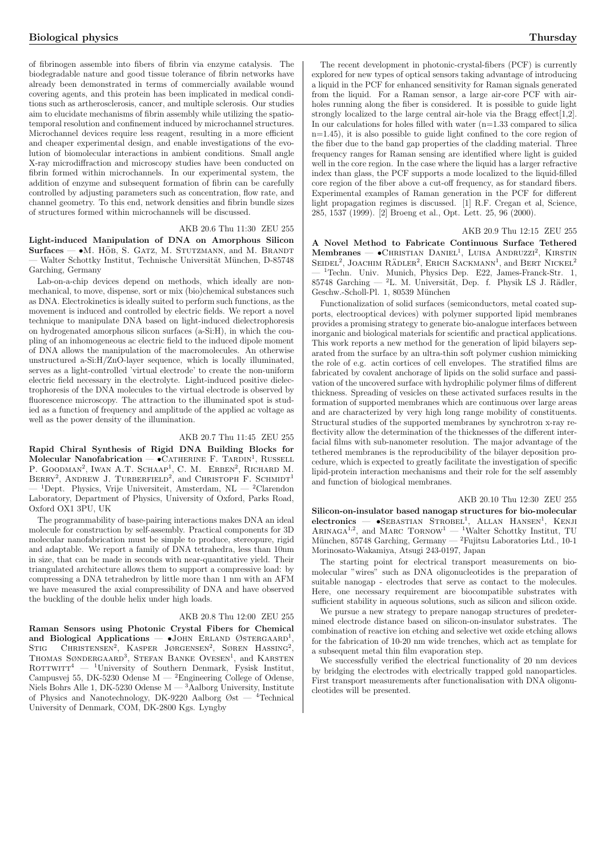of fibrinogen assemble into fibers of fibrin via enzyme catalysis. The biodegradable nature and good tissue tolerance of fibrin networks have already been demonstrated in terms of commercially available wound covering agents, and this protein has been implicated in medical conditions such as artherosclerosis, cancer, and multiple sclerosis. Our studies aim to elucidate mechanisms of fibrin assembly while utilizing the spatiotemporal resolution and confinement induced by microchannel structures. Microchannel devices require less reagent, resulting in a more efficient and cheaper experimental design, and enable investigations of the evolution of biomolecular interactions in ambient conditions. Small angle X-ray microdiffraction and microscopy studies have been conducted on fibrin formed within microchannels. In our experimental system, the addition of enzyme and subsequent formation of fibrin can be carefully controlled by adjusting parameters such as concentration, flow rate, and channel geometry. To this end, network densities and fibrin bundle sizes of structures formed within microchannels will be discussed.

### AKB 20.6 Thu 11:30 ZEU 255

Light-induced Manipulation of DNA on Amorphous Silicon  $Surfaces - \bullet M$ . HÖB, S. GATZ, M. STUTZMANN, and M. BRANDT Walter Schottky Institut, Technische Universität München, D-85748 Garching, Germany

Lab-on-a-chip devices depend on methods, which ideally are nonmechanical, to move, dispense, sort or mix (bio)chemical substances such as DNA. Electrokinetics is ideally suited to perform such functions, as the movement is induced and controlled by electric fields. We report a novel technique to manipulate DNA based on light-induced dielectrophoresis on hydrogenated amorphous silicon surfaces (a-Si:H), in which the coupling of an inhomogeneous ac electric field to the induced dipole moment of DNA allows the manipulation of the macromolecules. An otherwise unstructured a-Si: $H/ZnO$ -layer sequence, which is locally illuminated, serves as a light-controlled 'virtual electrode' to create the non-uniform electric field necessary in the electrolyte. Light-induced positive dielectrophoresis of the DNA molecules to the virtual electrode is observed by fluorescence microscopy. The attraction to the illuminated spot is studied as a function of frequency and amplitude of the applied ac voltage as well as the power density of the illumination.

### AKB 20.7 Thu 11:45 ZEU 255

Rapid Chiral Synthesis of Rigid DNA Building Blocks for Rapid Chirar Synthesis of Rigid DIVA Bunding Blocks for<br>Molecular Nanofabrication — •CATHERINE F. TARDIN<sup>1</sup>, RUSSELL MOLECULA INMOLECULATION – CATHERINE F. TAKDIN, RUSSELL<br>P. GOODMAN<sup>2</sup>, IWAN A.T. SCHAAP<sup>1</sup>, C. M. ERBEN<sup>2</sup>, RICHARD M.<br>BERRY<sup>2</sup>, ANDREW J. TURBERFIELD<sup>2</sup>, and CHRISTOPH F. SCHMIDT<sup>1</sup> <sup>1</sup>Dept. Physics, Vrije Universiteit, Amsterdam, NL — <sup>2</sup>Clarendon Laboratory, Department of Physics, University of Oxford, Parks Road, Oxford OX1 3PU, UK

The programmability of base-pairing interactions makes DNA an ideal molecule for construction by self-assembly. Practical components for 3D molecular nanofabrication must be simple to produce, stereopure, rigid and adaptable. We report a family of DNA tetrahedra, less than 10nm in size, that can be made in seconds with near-quantitative yield. Their triangulated architecture allows them to support a compressive load: by compressing a DNA tetrahedron by little more than 1 nm with an AFM we have measured the axial compressibility of DNA and have observed the buckling of the double helix under high loads.

### AKB 20.8 Thu 12:00 ZEU 255

Raman Sensors using Photonic Crystal Fibers for Chemical and Biological Applications — •JOHN ERLAND ØSTERGAARD<sup>1</sup>, STIG CHRISTENSEN<sup>2</sup>, KASPER JØRGENSEN<sup>2</sup>, SØREN HASSING<sup>2</sup>, STIG CHRISTENSEN, KASPER JØRGENSEN, SØREN HASSING,<br>THOMAS SØNDERGAARD<sup>3</sup>, STEFAN BANKE OVESEN<sup>1</sup>, and KARSTEN ROTTWITT<sup>4</sup> — <sup>1</sup>University of Southern Denmark, Fysisk Institut, Campusvej 55, DK-5230 Odense M — <sup>2</sup>Engineering College of Odense, Niels Bohrs Alle 1, DK-5230 Odense M  $-$  <sup>3</sup>Aalborg University, Institute of Physics and Nanotechnology, DK-9220 Aalborg  $\mathcal{O}_{st}$  — <sup>4</sup>Technical University of Denmark, COM, DK-2800 Kgs. Lyngby

The recent development in photonic-crystal-fibers (PCF) is currently explored for new types of optical sensors taking advantage of introducing a liquid in the PCF for enhanced sensitivity for Raman signals generated from the liquid. For a Raman sensor, a large air-core PCF with airholes running along the fiber is considered. It is possible to guide light strongly localized to the large central air-hole via the Bragg effect[1,2]. In our calculations for holes filled with water  $(n=1.33$  compared to silica n=1.45), it is also possible to guide light confined to the core region of the fiber due to the band gap properties of the cladding material. Three frequency ranges for Raman sensing are identified where light is guided well in the core region. In the case where the liquid has a larger refractive index than glass, the PCF supports a mode localized to the liquid-filled core region of the fiber above a cut-off frequency, as for standard fibers. Experimental examples of Raman generation in the PCF for different light propagation regimes is discussed. [1] R.F. Cregan et al, Science, 285, 1537 (1999). [2] Broeng et al., Opt. Lett. 25, 96 (2000).

AKB 20.9 Thu 12:15 ZEU 255

A Novel Method to Fabricate Continuous Surface Tethered Membranes — •CHRISTIAN DANIEL<sup>1</sup>, LUISA ANDRUZZI<sup>2</sup>, KIRSTIN Membranes — CHRISTIAN DANLER, LOISA ANDROZZI, KIRSTIN<br>SEIDEL<sup>2</sup>, JOACHIM RÄDLER<sup>2</sup>, ERICH SACKMANN<sup>1</sup>, and BERT NICKEL<sup>2</sup> <sup>1</sup>Techn. Univ. Munich, Physics Dep. E22, James-Franck-Str. 1, 85748 Garching —  $^2$ L. M. Universität, Dep. f. Physik LS J. Rädler, Geschw.-Scholl-Pl. 1, 80539 München

Functionalization of solid surfaces (semiconductors, metal coated supports, electrooptical devices) with polymer supported lipid membranes provides a promising strategy to generate bio-analogue interfaces between inorganic and biological materials for scientific and practical applications. This work reports a new method for the generation of lipid bilayers separated from the surface by an ultra-thin soft polymer cushion mimicking the role of e.g. actin cortices of cell envelopes. The stratified films are fabricated by covalent anchorage of lipids on the solid surface and passivation of the uncovered surface with hydrophilic polymer films of different thickness. Spreading of vesicles on these activated surfaces results in the formation of supported membranes which are continuous over large areas and are characterized by very high long range mobility of constituents. Structural studies of the supported membranes by synchrotron x-ray reflectivity allow the determination of the thicknesses of the different interfacial films with sub-nanometer resolution. The major advantage of the tethered membranes is the reproducibility of the bilayer deposition procedure, which is expected to greatly facilitate the investigation of specific lipid-protein interaction mechanisms and their role for the self assembly and function of biological membranes.

### AKB 20.10 Thu 12:30 ZEU 255

Silicon-on-insulator based nanogap structures for bio-molecular  $\text{electronics}$   $\longrightarrow$   $\text{SEBASTIAN}$   $\text{STROBEL}^1$ , ALLAN HANSEN<sup>1</sup>, KENJI ARINAGA<sup>1,2</sup>, and MARC  $\text{TORNOWLED}^1$  Walter Schottky Institut, TU München, 85748 Garching, Germany — <sup>2</sup>Fujitsu Laboratories Ltd., 10-1 Morinosato-Wakamiya, Atsugi 243-0197, Japan

The starting point for electrical transport measurements on biomolecular "wires" such as DNA oligonucleotides is the preparation of suitable nanogap - electrodes that serve as contact to the molecules. Here, one necessary requirement are biocompatible substrates with sufficient stability in aqueous solutions, such as silicon and silicon oxide.

We pursue a new strategy to prepare nanogap structures of predetermined electrode distance based on silicon-on-insulator substrates. The combination of reactive ion etching and selective wet oxide etching allows for the fabrication of 10-20 nm wide trenches, which act as template for a subsequent metal thin film evaporation step.

We successfully verified the electrical functionality of 20 nm devices by bridging the electrodes with electrically trapped gold nanoparticles. First transport measurements after functionalisation with DNA oligonucleotides will be presented.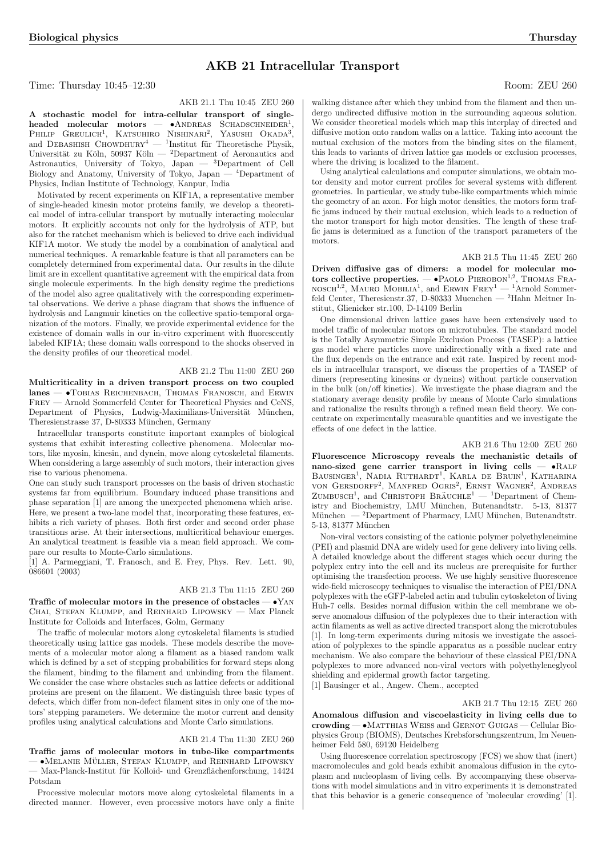### AKB 21 Intracellular Transport

Time: Thursday 10:45–12:30 Room: ZEU 260

AKB 21.1 Thu 10:45 ZEU 260

A stochastic model for intra-cellular transport of single- $A$  stochastic moder for intra-echinal transport of single-<br>headed molecular motors  $\bullet$  ANDREAS SCHADSCHNEIDER<sup>1</sup>, neaded molecular molors - CANDREAS SCHADSCHNEIDER,<br>PHILIP GREULICH<sup>1</sup>, KATSUHIRO NISHINARI<sup>2</sup>, YASUSHI OKADA<sup>3</sup>, and DEBASHISH CHOWDHURY<sup>4</sup> — <sup>1</sup>Institut für Theoretische Physik, Universität zu Köln, 50937 Köln — <sup>2</sup>Department of Aeronautics and Astronautics, University of Tokyo, Japan — <sup>3</sup>Department of Cell Biology and Anatomy, University of Tokyo, Japan — <sup>4</sup>Department of Physics, Indian Institute of Technology, Kanpur, India

Motivated by recent experiments on KIF1A, a representative member of single-headed kinesin motor proteins family, we develop a theoretical model of intra-cellular transport by mutually interacting molecular motors. It explicitly accounts not only for the hydrolysis of ATP, but also for the ratchet mechanism which is believed to drive each individual KIF1A motor. We study the model by a combination of analytical and numerical techniques. A remarkable feature is that all parameters can be completely determined from experimental data. Our results in the dilute limit are in excellent quantitative agreement with the empirical data from single molecule experiments. In the high density regime the predictions of the model also agree qualitatively with the corresponding experimental observations. We derive a phase diagram that shows the influence of hydrolysis and Langmuir kinetics on the collective spatio-temporal organization of the motors. Finally, we provide experimental evidence for the existence of domain walls in our in-vitro experiment with fluorescently labeled KIF1A; these domain walls correspond to the shocks observed in the density profiles of our theoretical model.

### AKB 21.2 Thu 11:00 ZEU 260

Multicriticality in a driven transport process on two coupled lanes — •Tobias Reichenbach, Thomas Franosch, and Erwin Frey — Arnold Sommerfeld Center for Theoretical Physics and CeNS, Department of Physics, Ludwig-Maximilians-Universität München, Theresienstrasse 37, D-80333 München, Germany

Intracellular transports constitute important examples of biological systems that exhibit interesting collective phenomena. Molecular motors, like myosin, kinesin, and dynein, move along cytoskeletal filaments. When considering a large assembly of such motors, their interaction gives rise to various phenomena.

One can study such transport processes on the basis of driven stochastic systems far from equilibrium. Boundary induced phase transitions and phase separation [1] are among the unexpected phenomena which arise. Here, we present a two-lane model that, incorporating these features, exhibits a rich variety of phases. Both first order and second order phase transitions arise. At their intersections, multicritical behaviour emerges. An analytical treatment is feasible via a mean field approach. We compare our results to Monte-Carlo simulations.

[1] A. Parmeggiani, T. Franosch, and E. Frey, Phys. Rev. Lett. 90, 086601 (2003)

### AKB 21.3 Thu 11:15 ZEU 260

Traffic of molecular motors in the presence of obstacles —  $\bullet$ YAN CHAI, STEFAN KLUMPP, and REINHARD LIPOWSKY - Max Planck Institute for Colloids and Interfaces, Golm, Germany

The traffic of molecular motors along cytoskeletal filaments is studied theoretically using lattice gas models. These models describe the movements of a molecular motor along a filament as a biased random walk which is defined by a set of stepping probabilities for forward steps along the filament, binding to the filament and unbinding from the filament. We consider the case where obstacles such as lattice defects or additional proteins are present on the filament. We distinguish three basic types of defects, which differ from non-defect filament sites in only one of the motors' stepping parameters. We determine the motor current and density profiles using analytical calculations and Monte Carlo simulations.

### AKB 21.4 Thu 11:30 ZEU 260

Traffic jams of molecular motors in tube-like compartments  $\bullet$ Melanie Müller, Stefan Klumpp, and Reinhard Lipowsky Max-Planck-Institut für Kolloid- und Grenzflächenforschung, 14424 Potsdam

Processive molecular motors move along cytoskeletal filaments in a directed manner. However, even processive motors have only a finite

walking distance after which they unbind from the filament and then undergo undirected diffusive motion in the surrounding aqueous solution. We consider theoretical models which map this interplay of directed and diffusive motion onto random walks on a lattice. Taking into account the mutual exclusion of the motors from the binding sites on the filament, this leads to variants of driven lattice gas models or exclusion processes, where the driving is localized to the filament.

Using analytical calculations and computer simulations, we obtain motor density and motor current profiles for several systems with different geometries. In particular, we study tube-like compartments which mimic the geometry of an axon. For high motor densities, the motors form traffic jams induced by their mutual exclusion, which leads to a reduction of the motor transport for high motor densities. The length of these traffic jams is determined as a function of the transport parameters of the motors.

#### AKB 21.5 Thu 11:45 ZEU 260

Driven diffusive gas of dimers: a model for molecular mo $t$ ors collective properties.  $\rightarrow$ PAOLO PIEROBON<sup>1,2</sup>, THOMAS FRA- $NSSCH<sup>1,2</sup>$ , MAURO MOBILIA<sup>1</sup>, and ERWIN FREY<sup>1</sup> — <sup>1</sup>Arnold Sommerfeld Center, Theresienstr.37, D-80333 Muenchen — <sup>2</sup>Hahn Meitner Institut, Glienicker str.100, D-14109 Berlin

One dimensional driven lattice gases have been extensively used to model traffic of molecular motors on microtubules. The standard model is the Totally Asymmetric Simple Exclusion Process (TASEP): a lattice gas model where particles move unidirectionally with a fixed rate and the flux depends on the entrance and exit rate. Inspired by recent models in intracellular transport, we discuss the properties of a TASEP of dimers (representing kinesins or dyneins) without particle conservation in the bulk (on/off kinetics). We investigate the phase diagram and the stationary average density profile by means of Monte Carlo simulations and rationalize the results through a refined mean field theory. We concentrate on experimentally measurable quantities and we investigate the effects of one defect in the lattice.

### AKB 21.6 Thu 12:00 ZEU 260

Fluorescence Microscopy reveals the mechanistic details of nano-sized gene carrier transport in living cells — •Ralf nano-sized gene carrier transport in hving cens — vitale<br>BAUSINGER<sup>1</sup>, NADIA RUTHARDT<sup>1</sup>, KARLA DE BRUIN<sup>1</sup>, KATHARINA von Gersdorff<sup>2</sup> , Manfred Ogris<sup>2</sup> , Ernst Wagner<sup>2</sup> , Andreas  $Z$ UMBUSCH<sup>1</sup>, and CHRISTOPH BRÄUCHLE<sup>1</sup> — <sup>1</sup>Department of Chemistry and Biochemistry, LMU München, Butenandtstr. 5-13, 81377<br>München — <sup>2</sup>Department of Pharmacy, LMU München, Butenandtstr.  $^2$ Department of Pharmacy, LMU München, Butenandtstr. 5-13, 81377 München

Non-viral vectors consisting of the cationic polymer polyethyleneimine (PEI) and plasmid DNA are widely used for gene delivery into living cells. A detailed knowledge about the different stages which occur during the polyplex entry into the cell and its nucleus are prerequisite for further optimising the transfection process. We use highly sensitive fluorescence wide-field microscopy techniques to visualise the interaction of PEI/DNA polyplexes with the eGFP-labeled actin and tubulin cytoskeleton of living Huh-7 cells. Besides normal diffusion within the cell membrane we observe anomalous diffusion of the polyplexes due to their interaction with actin filaments as well as active directed transport along the microtubules [1]. In long-term experiments during mitosis we investigate the association of polyplexes to the spindle apparatus as a possible nuclear entry mechanism. We also compare the behaviour of these classical PEI/DNA polyplexes to more advanced non-viral vectors with polyethyleneglycol shielding and epidermal growth factor targeting.

[1] Bausinger et al., Angew. Chem., accepted

### AKB 21.7 Thu 12:15 ZEU 260

Anomalous diffusion and viscoelasticity in living cells due to crowding — •Matthias Weiss and Gernot Guigas — Cellular Biophysics Group (BIOMS), Deutsches Krebsforschungszentrum, Im Neuenheimer Feld 580, 69120 Heidelberg

Using fluorescence correlation spectroscopy (FCS) we show that (inert) macromolecules and gold beads exhibit anomalous diffusion in the cytoplasm and nucleoplasm of living cells. By accompanying these observations with model simulations and in vitro experiments it is demonstrated that this behavior is a generic consequence of 'molecular crowding' [1].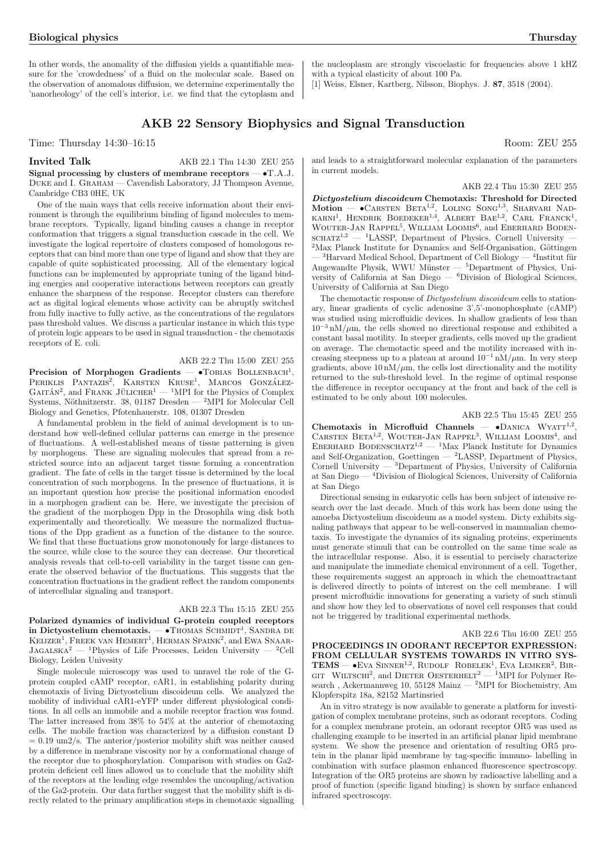In other words, the anomality of the diffusion yields a quantifiable measure for the 'crowdedness' of a fluid on the molecular scale. Based on the observation of anomalous diffusion, we determine experimentally the 'nanorheology' of the cell's interior, i.e. we find that the cytoplasm and

Time: Thursday  $14:30-16:15$  Room: ZEU 255

### Invited Talk AKB 22.1 Thu 14:30 ZEU 255

Signal processing by clusters of membrane receptors  $- \bullet T.A.J.$ Duke and I. Graham — Cavendish Laboratory, JJ Thompson Avenue, Cambridge CB3 0HE, UK

One of the main ways that cells receive information about their environment is through the equilibrium binding of ligand molecules to membrane receptors. Typically, ligand binding causes a change in receptor conformation that triggers a signal transduction cascade in the cell. We investigate the logical repertoire of clusters composed of homologous receptors that can bind more than one type of ligand and show that they are capable of quite sophisticated processing. All of the elementary logical functions can be implemented by appropriate tuning of the ligand binding energies and cooperative interactions between receptors can greatly enhance the sharpness of the response. Receptor clusters can therefore act as digital logical elements whose activity can be abruptly switched from fully inactive to fully active, as the concentrations of the regulators pass threshold values. We discuss a particular instance in which this type of protein logic appears to be used in signal transduction - the chemotaxis receptors of E. coli.

### AKB 22.2 Thu 15:00 ZEU 255

Precision of Morphogen Gradients — •TOBIAS BOLLENBACH<sup>1</sup>, PERIKLIS PANTAZIS<sup>2</sup>, KARSTEN KRUSE<sup>1</sup>, MARCOS GONZÁLEZ- $GATTÁN<sup>2</sup>$ , and FRANK JÜLICHER<sup>1</sup> — <sup>1</sup>MPI for the Physics of Complex Systems, Nöthnitzerstr. 38, 01187 Dresden —  $^{2}MPI$  for Molecular Cell Biology and Genetics, Pfotenhauerstr. 108, 01307 Dresden

A fundamental problem in the field of animal development is to understand how well-defined cellular patterns can emerge in the presence of fluctuations. A well-established means of tissue patterning is given by morphogens. These are signaling molecules that spread from a restricted source into an adjacent target tissue forming a concentration gradient. The fate of cells in the target tissue is determined by the local concentration of such morphogens. In the presence of fluctuations, it is an important question how precise the positional information encoded in a morphogen gradient can be. Here, we investigate the precision of the gradient of the morphogen Dpp in the Drosophila wing disk both experimentally and theoretically. We measure the normalized fluctuations of the Dpp gradient as a function of the distance to the source. We find that these fluctuations grow monotonously for large distances to the source, while close to the source they can decrease. Our theoretical analysis reveals that cell-to-cell variability in the target tissue can generate the observed behavior of the fluctuations. This suggests that the concentration fluctuations in the gradient reflect the random components of intercellular signaling and transport.

### AKB 22.3 Thu 15:15 ZEU 255

Polarized dynamics of individual G-protein coupled receptors in Dictyostelium chemotaxis. — •Thomas Schmidt<sup>1</sup>, Sandra de Biotyostelium chemotaxis. — •Thomas Schmidt<sup>1</sup>, Sandra de In Dictyostemann chemotaxis.  $-$  • Thomas Schmidt, Sandra de Keijzer<sup>1</sup>, Freek van Hemert<sup>1</sup>, Herman Spaink<sup>2</sup>, and Ewa Snaar- $JAGALSKA<sup>2</sup>$  — <sup>1</sup>Physics of Life Processes, Leiden University — <sup>2</sup>Cell Biology, Leiden Univesity

Single molecule microscopy was used to unravel the role of the Gprotein coupled cAMP receptor, cAR1, in establishing polarity during chemotaxis of living Dictyostelium discoideum cells. We analyzed the mobility of individual cAR1-eYFP under different physiological conditions. In all cells an immobile and a mobile receptor fraction was found. The latter increased from  $38\%$  to  $54\%$  at the anterior of chemotaxing cells. The mobile fraction was characterized by a diffusion constant D  $= 0.19 \text{ um2/s}$ . The anterior/posterior mobility shift was neither caused by a difference in membrane viscosity nor by a conformational change of the receptor due to phosphorylation. Comparison with studies on Ga2 protein deficient cell lines allowed us to conclude that the mobility shift of the receptors at the leading edge resembles the uncoupling/activation of the Ga2-protein. Our data further suggest that the mobility shift is directly related to the primary amplification steps in chemotaxic signalling

and leads to a straightforward molecular explanation of the parameters in current models.

the nucleoplasm are strongly viscoelastic for frequencies above 1 kHZ

[1] Weiss, Elsner, Kartberg, Nilsson, Biophys. J. 87, 3518 (2004).

with a typical elasticity of about 100 Pa.

### AKB 22.4 Thu 15:30 ZEU 255

Dictyostelium discoideum Chemotaxis: Threshold for Directed  $\text{Motion} \longrightarrow \text{CARSTEN} \text{ BETA}^{1,2}$ , LOLING SONG<sup>1,3</sup>, SHARVARI NAD-KARNI<sup>1</sup>, HENDRIK BOEDEKER<sup>1,4</sup>, ALBERT BAE<sup>1,2</sup>, CARL FRANCK<sup>1</sup>, WOUTER-JAN RAPPEL<sup>5</sup>, WILLIAM LOOMIS<sup>6</sup>, and Eberhard BODEN- $\text{SCHATZ}^{1,2}$  — <sup>1</sup>LASSP, Department of Physics, Cornell University –  $2$ Max Planck Institute for Dynamics and Self-Organisation, Göttingen  $-$ <sup>3</sup>Harvard Medical School, Department of Cell Biology  $-$ <sup>4</sup>Institut für Angewandte Physik, WWU Münster —  ${}^5$ Department of Physics, University of California at San Diego — <sup>6</sup>Division of Biological Sciences, University of California at San Diego

The chemotactic response of Dictyostelium discoideum cells to stationary, linear gradients of cyclic adenosine 3',5'-monophosphate (cAMP) was studied using microfluidic devices. In shallow gradients of less than  $10^{-3}$  nM/ $\mu$ m, the cells showed no directional response and exhibited a constant basal motility. In steeper gradients, cells moved up the gradient on average. The chemotactic speed and the motility increased with increasing steepness up to a plateau at around  $10^{-1}$  nM/ $\mu$ m. In very steep gradients, above  $10 \text{ nM}/\mu \text{m}$ , the cells lost directionality and the motility returned to the sub-threshold level. In the regime of optimal response the difference in receptor occupancy at the front and back of the cell is estimated to be only about 100 molecules.

### AKB 22.5 Thu 15:45 ZEU 255

Chemotaxis in Microfluid Channels — •DANICA WYATT<sup>1,2</sup>, CARSTEN BETA<sup>1,2</sup>, WOUTER-JAN RAPPEL<sup>3</sup>, WILLIAM LOOMIS<sup>4</sup>, and EBERHARD BODENSCHATZ<sup>1,2</sup> — <sup>1</sup>Max Planck Institute for Dynamics and Self-Organization, Goettingen — <sup>2</sup>LASSP, Department of Physics, Cornell University —  ${}^{3}$ Department of Physics, University of California at San Diego — <sup>4</sup>Division of Biological Sciences, University of California at San Diego

Directional sensing in eukaryotic cells has been subject of intensive research over the last decade. Much of this work has been done using the amoeba Dictyostelium discoideum as a model system. Dicty exhibits signaling pathways that appear to be well-conserved in mammalian chemotaxis. To investigate the dynamics of its signaling proteins, experiments must generate stimuli that can be controlled on the same time scale as the intracellular response. Also, it is essential to percisely characterize and manipulate the immediate chemical environment of a cell. Together, these requirements suggest an approach in which the chemoattractant is delivered directly to points of interest on the cell membrane. I will present microfluidic innovations for generating a variety of such stimuli and show how they led to observations of novel cell responses that could not be triggered by traditional experimental methods.

AKB 22.6 Thu 16:00 ZEU 255

PROCEEDINGS IN ODORANT RECEPTOR EXPRESSION: FROM CELLULAR SYSTEMS TOWARDS IN VITRO SYS-TEMS — •EVA SINNER<sup>1,2</sup>, RUDOLF ROBELEK<sup>1</sup>, EVA LEMKER<sup>2</sup>, BIR- $T_{\text{EM3}}$  =  $\bullet$  EVA SINNER<sup>7</sup>, RODOLF ROBELER, EVA LEMNER, SIRGIT WILTSCHI<sup>2</sup>, and DIETER OESTERHELT<sup>2</sup> — <sup>1</sup>MPI for Polymer Research, Ackermannweg 10, 55128 Mainz  $-$  <sup>2</sup>MPI for Biochemistry, Am Klopferspitz 18a, 82152 Martinsried

An in vitro strategy is now available to generate a platform for investigation of complex membrane proteins, such as odorant receptors. Coding for a complex membrane protein, an odorant receptor OR5 was used as challenging example to be inserted in an artificial planar lipid membrane system. We show the presence and orientation of resulting OR5 protein in the planar lipid membrane by tag-specific immuno- labelling in combination with surface plasmon enhanced fluorescence spectroscopy. Integration of the OR5 proteins are shown by radioactive labelling and a proof of function (specific ligand binding) is shown by surface enhanced infrared spectroscopy.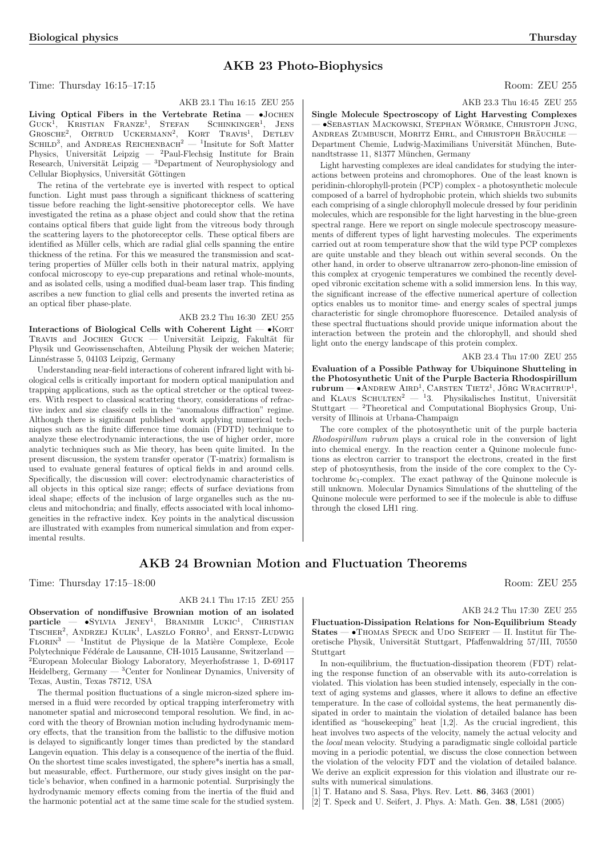### AKB 23 Photo-Biophysics

### Time: Thursday 16:15–17:15 Room: ZEU 255

AKB 23.1 Thu 16:15 ZEU 255

AKB 23.3 Thu 16:45 ZEU 255

Single Molecule Spectroscopy of Light Harvesting Complexes — •Sebastian Mackowski, Stephan Wormke ¨ , Christoph Jung, ANDREAS ZUMBUSCH, MORITZ EHRL, and CHRISTOPH BRAUCHLE · Department Chemie, Ludwig-Maximilians Universität München, Butenandtstrasse 11, 81377 München, Germany

Light harvesting complexes are ideal candidates for studying the interactions between proteins and chromophores. One of the least known is peridinin-chlorophyll-protein (PCP) complex - a photosynthetic molecule composed of a barrel of hydrophobic protein, which shields two subunits each comprising of a single chlorophyll molecule dressed by four peridinin molecules, which are responsible for the light harvesting in the blue-green spectral range. Here we report on single molecule spectroscopy measurements of different types of light harvesting molecules. The experiments carried out at room temperature show that the wild type PCP complexes are quite unstable and they bleach out within several seconds. On the other hand, in order to observe ultranarrow zero-phonon-line emission of this complex at cryogenic temperatures we combined the recently developed vibronic excitation scheme with a solid immersion lens. In this way, the significant increase of the effective numerical aperture of collection optics enables us to monitor time- and energy scales of spectral jumps characteristic for single chromophore fluorescence. Detailed analysis of these spectral fluctuations should provide unique information about the interaction between the protein and the chlorophyll, and should shed light onto the energy landscape of this protein complex.

### AKB 23.4 Thu 17:00 ZEU 255

Evaluation of a Possible Pathway for Ubiquinone Shutteling in the Photosynthetic Unit of the Purple Bacteria Rhodospirillum  $r$ ubrum — •ANDREW AIRD<sup>1</sup>, CARSTEN TIETZ<sup>1</sup>, JÖRG WRACHTRUP<sup>1</sup>, and KLAUS SCHULTEN<sup>2</sup> — <sup>1</sup>3. Physikalisches Institut, Universität Stuttgart  $-$  <sup>2</sup>Theoretical and Computational Biophysics Group, University of Illinois at Urbana-Champaign

The core complex of the photosynthetic unit of the purple bacteria Rhodospirillum rubrum plays a cruical role in the conversion of light into chemical energy. In the reaction center a Quinone molecule functions as electron carrier to transport the electrons, created in the first step of photosynthesis, from the inside of the core complex to the Cytochrome  $bc_1$ -complex. The exact pathway of the Quinone molecule is still unknown. Molecular Dynamics Simulations of the shutteling of the Quinone molecule were performed to see if the molecule is able to diffuse through the closed LH1 ring.

## AKB 24 Brownian Motion and Fluctuation Theorems

Time: Thursday 17:15–18:00 Room: ZEU 255

AKB 24.2 Thu 17:30 ZEU 255

Fluctuation-Dissipation Relations for Non-Equilibrium Steady  $States - \bullet$ Thomas Speck and Udo Seifert — II. Institut für Theoretische Physik, Universität Stuttgart, Pfaffenwaldring 57/III, 70550 Stuttgart

In non-equilibrium, the fluctuation-dissipation theorem (FDT) relating the response function of an observable with its auto-correlation is violated. This violation has been studied intensely, especially in the context of aging systems and glasses, where it allows to define an effective temperature. In the case of colloidal systems, the heat permanently dissipated in order to maintain the violation of detailed balance has been identified as "housekeeping" heat [1,2]. As the crucial ingredient, this heat involves two aspects of the velocity, namely the actual velocity and the local mean velocity. Studying a paradigmatic single colloidal particle moving in a periodic potential, we discuss the close connection between the violation of the velocity FDT and the violation of detailed balance. We derive an explicit expression for this violation and illustrate our results with numerical simulations.

[1] T. Hatano and S. Sasa, Phys. Rev. Lett. 86, 3463 (2001)

[2] T. Speck and U. Seifert, J. Phys. A: Math. Gen. 38, L581 (2005)

Living Optical Fibers in the Vertebrate Retina -  $\bullet$ JOCHEN GUCK<sup>1</sup>, KRISTIAN FRANZE<sup>1</sup>, STEFAN SCHINKINGER<sup>1</sup>, JENS GOCK, KRISTIAN PRANZE, STEFAN SCHINKINGER, JENS<br>GROSCHE<sup>2</sup>, ORTRUD UCKERMANN<sup>2</sup>, KORT TRAVIS<sup>1</sup>, DETLEV SCHILD<sup>3</sup>, and ANDREAS REICHENBACH<sup>2</sup> — <sup>1</sup>Insitute for Soft Matter Physics, Universität Leipzig — <sup>2</sup>Paul-Flechsig Institute for Brain Research, Universität Leipzig —  ${}^{3}$ Department of Neurophysiology and Cellular Biophysics, Universität Göttingen

The retina of the vertebrate eye is inverted with respect to optical function. Light must pass through a significant thickness of scattering tissue before reaching the light-sensitive photoreceptor cells. We have investigated the retina as a phase object and could show that the retina contains optical fibers that guide light from the vitreous body through the scattering layers to the photoreceptor cells. These optical fibers are identified as Müller cells, which are radial glial cells spanning the entire thickness of the retina. For this we measured the transmission and scattering properties of Müller cells both in their natural matrix, applying confocal microscopy to eye-cup preparations and retinal whole-mounts, and as isolated cells, using a modified dual-beam laser trap. This finding ascribes a new function to glial cells and presents the inverted retina as an optical fiber phase-plate.

### AKB 23.2 Thu 16:30 ZEU 255

Interactions of Biological Cells with Coherent Light  $\bullet$ KORT TRAVIS and JOCHEN GUCK — Universität Leipzig, Fakultät für Physik und Geowissenschaften, Abteilung Physik der weichen Materie; Linn´estrasse 5, 04103 Leipzig, Germany

Understanding near-field interactions of coherent infrared light with biological cells is critically important for modern optical manipulation and trapping applications, such as the optical stretcher or the optical tweezers. With respect to classical scattering theory, considerations of refractive index and size classify cells in the "anomalous diffraction" regime. Although there is significant published work applying numerical techniques such as the finite difference time domain (FDTD) technique to analyze these electrodynamic interactions, the use of higher order, more analytic techniques such as Mie theory, has been quite limited. In the present discussion, the system transfer operator (T-matrix) formalism is used to evaluate general features of optical fields in and around cells. Specifically, the discussion will cover: electrodynamic characteristics of all objects in this optical size range; effects of surface deviations from ideal shape; effects of the inclusion of large organelles such as the nucleus and mitochondria; and finally, effects associated with local inhomogeneities in the refractive index. Key points in the analytical discussion are illustrated with examples from numerical simulation and from experimental results.

# particle — •Sylvia Jeney<sup>1</sup> , Branimir Lukic<sup>1</sup> , Christian

 $TISCHER<sup>2</sup>$ , ANDRZEJ KULIK<sup>1</sup>, LASZLO FORRO<sup>1</sup>, and ERNST-LUDWIG FLORIN<sup>3</sup> — <sup>1</sup>Institut de Physique de la Matière Complexe, Ecole Polytechnique Fédérale de Lausanne, CH-1015 Lausanne, Switzerland – <sup>2</sup>European Molecular Biology Laboratory, Meyerhofstrasse 1, D-69117 Heidelberg, Germany — <sup>3</sup>Center for Nonlinear Dynamics, University of Texas, Austin, Texas 78712, USA

Observation of nondiffusive Brownian motion of an isolated

The thermal position fluctuations of a single micron-sized sphere immersed in a fluid were recorded by optical trapping interferometry with nanometer spatial and microsecond temporal resolution. We find, in accord with the theory of Brownian motion including hydrodynamic memory effects, that the transition from the ballistic to the diffusive motion is delayed to significantly longer times than predicted by the standard Langevin equation. This delay is a consequence of the inertia of the fluid. On the shortest time scales investigated, the sphere\*s inertia has a small, but measurable, effect. Furthermore, our study gives insight on the particle's behavior, when confined in a harmonic potential. Surprisingly the hydrodynamic memory effects coming from the inertia of the fluid and the harmonic potential act at the same time scale for the studied system.

## AKB 24.1 Thu 17:15 ZEU 255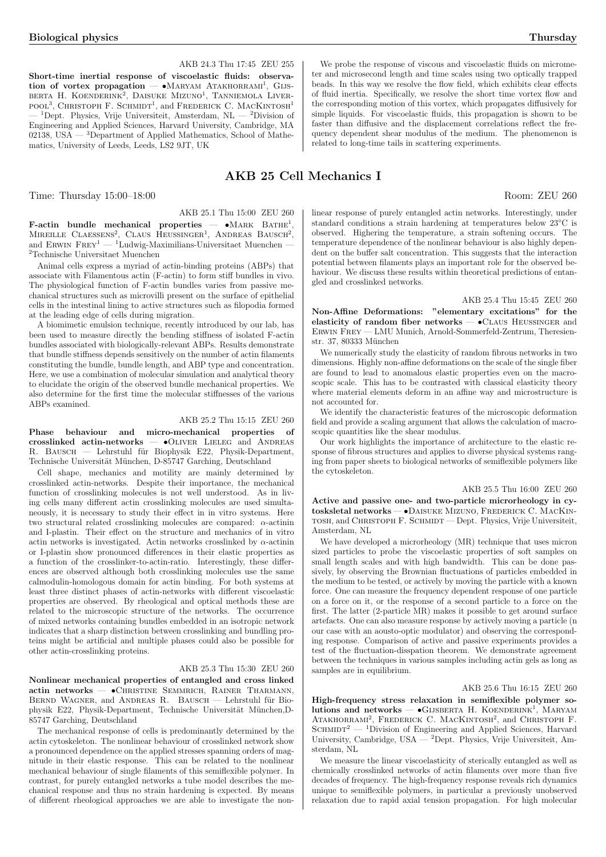Short-time inertial response of viscoelastic fluids: observa-Short-time meritar response or viscoelastic muds. Observa-<br>tion of vortex propagation — •MARYAM ATAKHORRAMI<sup>1</sup>, GIJS-BERTA H. KOENDERINK<sup>2</sup>, DAISUKE MIZUNO<sup>1</sup>, TANNIEMOLA LIVER-BEATA II. KOENDEAINK, DAISOKE MIZONO, TANNIEMOLA LIVER-<br>POOL<sup>3</sup>, CHRISTOPH F. SCHMIDT<sup>1</sup>, and FREDERICK C. MACKINTOSH<sup>1</sup> <sup>1</sup>Dept. Physics, Vrije Universiteit, Amsterdam, NL  $-$  <sup>2</sup>Division of Engineering and Applied Sciences, Harvard University, Cambridge, MA 02138, USA — 3Department of Applied Mathematics, School of Mathematics, University of Leeds, Leeds, LS2 9JT, UK

## AKB 25 Cell Mechanics I

Time: Thursday  $15:00-18:00$  Room: ZEU 260

AKB 25.1 Thu 15:00 ZEU 260

AKB 24.3 Thu 17:45 ZEU 255

F-actin bundle mechanical properties  $-$  •MARK BATHE<sup>1</sup>, **MIREILLE CLAESSENS<sup>2</sup>**, CLAUS HEUSSINGER<sup>1</sup>, ANDREAS BAUSCH<sup>2</sup>, and ERWIN  $F$ REY<sup>1</sup> — <sup>1</sup>Ludwig-Maximilians-Universitaet Muenchen – <sup>2</sup>Technische Universitaet Muenchen

Animal cells express a myriad of actin-binding proteins (ABPs) that associate with Filamentous actin (F-actin) to form stiff bundles in vivo. The physiological function of F-actin bundles varies from passive mechanical structures such as microvilli present on the surface of epithelial cells in the intestinal lining to active structures such as filopodia formed at the leading edge of cells during migration.

A biomimetic emulsion technique, recently introduced by our lab, has been used to measure directly the bending stiffness of isolated F-actin bundles associated with biologically-relevant ABPs. Results demonstrate that bundle stiffness depends sensitively on the number of actin filaments constituting the bundle, bundle length, and ABP type and concentration. Here, we use a combination of molecular simulation and analytical theory to elucidate the origin of the observed bundle mechanical properties. We also determine for the first time the molecular stiffnesses of the various ABPs examined.

### AKB 25.2 Thu 15:15 ZEU 260

Phase behaviour and micro-mechanical properties of crosslinked actin-networks — •Oliver Lieleg and Andreas R. BAUSCH — Lehrstuhl für Biophysik E22, Physik-Department, Technische Universität München, D-85747 Garching, Deutschland

Cell shape, mechanics and motility are mainly determined by crosslinked actin-networks. Despite their importance, the mechanical function of crosslinking molecules is not well understood. As in living cells many different actin crosslinking molecules are used simultaneously, it is necessary to study their effect in in vitro systems. Here two structural related crosslinking molecules are compared: α-actinin and I-plastin. Their effect on the structure and mechanics of in vitro actin networks is investigated. Actin networks crosslinked by  $\alpha$ -actinin or I-plastin show pronounced differences in their elastic properties as a function of the crosslinker-to-actin-ratio. Interestingly, these differences are observed although both crosslinking molecules use the same calmodulin-homologous domain for actin binding. For both systems at least three distinct phases of actin-networks with different viscoelastic properties are observed. By rheological and optical methods these are related to the microscopic structure of the networks. The occurrence of mixed networks containing bundles embedded in an isotropic network indicates that a sharp distinction between crosslinking and bundling proteins might be artificial and multiple phases could also be possible for other actin-crosslinking proteins.

### AKB 25.3 Thu 15:30 ZEU 260

Nonlinear mechanical properties of entangled and cross linked actin networks — •Christine Semmrich, Rainer Tharmann, BERND WAGNER, and ANDREAS R. BAUSCH — Lehrstuhl für Biophysik E22, Physik-Department, Technische Universität München,D-85747 Garching, Deutschland

The mechanical response of cells is predominantly determined by the actin cytoskeleton. The nonlinear behaviour of crosslinked network show a pronounced dependence on the applied stresses spanning orders of magnitude in their elastic response. This can be related to the nonlinear mechanical behaviour of single filaments of this semiflexible polymer. In contrast, for purely entangled networks a tube model describes the mechanical response and thus no strain hardening is expected. By means of different rheological approaches we are able to investigate the non-

We probe the response of viscous and viscoelastic fluids on micrometer and microsecond length and time scales using two optically trapped beads. In this way we resolve the flow field, which exhibits clear effects of fluid inertia. Specifically, we resolve the short time vortex flow and the corresponding motion of this vortex, which propagates diffusively for simple liquids. For viscoelastic fluids, this propagation is shown to be faster than diffusive and the displacement correlations reflect the frequency dependent shear modulus of the medium. The phenomenon is related to long-time tails in scattering experiments.

linear response of purely entangled actin networks. Interestingly, under standard conditions a strain hardening at temperatures below 23◦C is observed. Highering the temperature, a strain softening occurs. The temperature dependence of the nonlinear behaviour is also highly dependent on the buffer salt concentration. This suggests that the interaction potential between filaments plays an important role for the observed behaviour. We discuss these results within theoretical predictions of entangled and crosslinked networks.

### AKB 25.4 Thu 15:45 ZEU 260

Non-Affine Deformations: "elementary excitations" for the elasticity of random fiber networks —  $\bullet$ CLAUS HEUSSINGER and Erwin Frey — LMU Munich, Arnold-Sommerfeld-Zentrum, Theresienstr. 37, 80333 München

We numerically study the elasticity of random fibrous networks in two dimensions. Highly non-affine deformations on the scale of the single fiber are found to lead to anomalous elastic properties even on the macroscopic scale. This has to be contrasted with classical elasticity theory where material elements deform in an affine way and microstructure is not accounted for.

We identify the characteristic features of the microscopic deformation field and provide a scaling argument that allows the calculation of macroscopic quantities like the shear modulus.

Our work highlights the importance of architecture to the elastic response of fibrous structures and applies to diverse physical systems ranging from paper sheets to biological networks of semiflexible polymers like the cytoskeleton.

### AKB 25.5 Thu 16:00 ZEU 260

Active and passive one- and two-particle microrheology in cytosksletal networks — •Daisuke Mizuno, Frederick C. MacKintosh, and Christoph F. Schmidt — Dept. Physics, Vrije Universiteit, Amsterdam, NL

We have developed a microrheology (MR) technique that uses micron sized particles to probe the viscoelastic properties of soft samples on small length scales and with high bandwidth. This can be done passively, by observing the Brownian fluctuations of particles embedded in the medium to be tested, or actively by moving the particle with a known force. One can measure the frequency dependent response of one particle on a force on it, or the response of a second particle to a force on the first. The latter (2-particle MR) makes it possible to get around surface artefacts. One can also measure response by actively moving a particle (n our case with an aousto-optic modulator) and observing the corresponding response. Comparison of active and passive experiments provides a test of the fluctuation-disspation theorem. We demonstrate agreement between the techniques in various samples including actin gels as long as samples are in equilibrium.

#### AKB 25.6 Thu 16:15 ZEU 260

High-frequency stress relaxation in semiflexible polymer solutions and networks — •GIJSBERTA H. KOENDERINK<sup>1</sup>, MARYAM ATAKHORRAMI<sup>2</sup>, FREDERICK C. MACKINTOSH<sup>2</sup>, and CHRISTOPH F.  $SCHMIDT<sup>2</sup>$  — <sup>1</sup>Division of Engineering and Applied Sciences, Harvard University, Cambridge, USA — <sup>2</sup>Dept. Physics, Vrije Universiteit, Amsterdam, NL

We measure the linear viscoelasticity of sterically entangled as well as chemically crosslinked networks of actin filaments over more than five decades of frequency. The high-frequency response reveals rich dynamics unique to semiflexible polymers, in particular a previously unobserved relaxation due to rapid axial tension propagation. For high molecular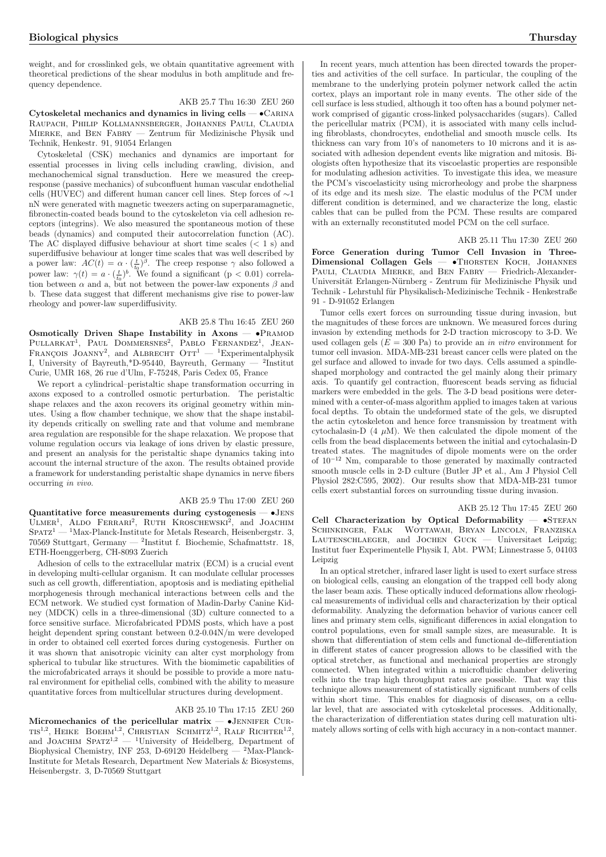weight, and for crosslinked gels, we obtain quantitative agreement with theoretical predictions of the shear modulus in both amplitude and frequency dependence.

AKB 25.7 Thu 16:30 ZEU 260

Cytoskeletal mechanics and dynamics in living cells — •Carina Raupach, Philip Kollmannsberger, Johannes Pauli, Claudia MIERKE, and BEN FABRY — Zentrum für Medizinische Physik und Technik, Henkestr. 91, 91054 Erlangen

Cytoskeletal (CSK) mechanics and dynamics are important for essential processes in living cells including crawling, division, and mechanochemical signal transduction. Here we measured the creepresponse (passive mechanics) of subconfluent human vascular endothelial cells (HUVEC) and different human cancer cell lines. Step forces of ∼1 nN were generated with magnetic tweezers acting on superparamagnetic, fibronectin-coated beads bound to the cytoskeleton via cell adhesion receptors (integrins). We also measured the spontaneous motion of these beads (dynamics) and computed their autocorrelation function (AC). The AC displayed diffusive behaviour at short time scales  $(< 1 \text{ s})$  and superdiffusive behaviour at longer time scales that was well described by a power law:  $AC(t) = \alpha \cdot (\frac{t}{t_0})^{\beta}$ . The creep response  $\gamma$  also followed a power law:  $\gamma(t) = a \cdot (\frac{t}{t_0})^b$ . We found a significant (p < 0.01) correlation between  $\alpha$  and a, but not between the power-law exponents  $\beta$  and b. These data suggest that different mechanisms give rise to power-law rheology and power-law superdiffusivity.

AKB 25.8 Thu 16:45 ZEU 260

Osmotically Driven Shape Instability in Axons -  $\bullet$ PRAMOD  $PULLARKAT<sup>1</sup>$ , Paul Dommersnes<sup>2</sup>, Pablo Fernandez<sup>1</sup>, Jean-François Joanny<sup>2</sup>, and Albrecht Oth<sup>1</sup> — <sup>1</sup>Experimentalphysik I, University of Bayreuth,\*D-95440, Bayreuth, Germany — <sup>2</sup> Institut Curie, UMR 168, 26 rue d'Ulm, F-75248, Paris Cedex 05, France

We report a cylindrical–peristaltic shape transformation occurring in axons exposed to a controlled osmotic perturbation. The peristaltic shape relaxes and the axon recovers its original geometry within minutes. Using a flow chamber technique, we show that the shape instability depends critically on swelling rate and that volume and membrane area regulation are responsible for the shape relaxation. We propose that volume regulation occurs via leakage of ions driven by elastic pressure, and present an analysis for the peristaltic shape dynamics taking into account the internal structure of the axon. The results obtained provide a framework for understanding peristaltic shape dynamics in nerve fibers occurring in vivo.

### AKB 25.9 Thu 17:00 ZEU 260

Quantitative force measurements during cystogenesis — •Jens Quantitative force measurements during cystogenesis — views<br>ULMER<sup>1</sup>, ALDO FERRARI<sup>2</sup>, RUTH KROSCHEWSKI<sup>2</sup>, and JOACHIM  $S$ PATZ<sup>1</sup> — <sup>1</sup>Max-Planck-Institute for Metals Research, Heisenbergstr. 3, 70569 Stuttgart, Germany — <sup>2</sup> Institut f. Biochemie, Schafmattstr. 18, ETH-Hoenggerberg, CH-8093 Zuerich

Adhesion of cells to the extracellular matrix (ECM) is a crucial event in developing multi-cellular organism. It can modulate cellular processes such as cell growth, differentiation, apoptosis and is mediating epithelial morphogenesis through mechanical interactions between cells and the ECM network. We studied cyst formation of Madin-Darby Canine Kidney (MDCK) cells in a three-dimensional (3D) culture connected to a force sensitive surface. Microfabricated PDMS posts, which have a post height dependent spring constant between 0.2-0.04N/m were developed in order to obtained cell exerted forces during cystogenesis. Further on it was shown that anisotropic vicinity can alter cyst morphology from spherical to tubular like structures. With the biomimetic capabilities of the microfabricated arrays it should be possible to provide a more natural environment for epithelial cells, combined with the ability to measure quantitative forces from multicellular structures during development.

### AKB 25.10 Thu 17:15 ZEU 260

Micromechanics of the pericellular matrix  $\bullet$ JENNIFER CUR-MICromechantes of the performant matrix  $-$  Usenwhere CORTIS<sup>1,2</sup>, REIKE BOEHM<sup>1,2</sup>, CHRISTIAN SCHMITZ<sup>1,2</sup>, RALF RICHTER<sup>1,2</sup>, and JOACHIM SPATZ<sup>1,2</sup> — <sup>1</sup>University of Heidelberg, Department of Biophysical Chemistry, INF 253, D-69120 Heidelberg — <sup>2</sup>Max-Planck-Institute for Metals Research, Department New Materials & Biosystems, Heisenbergstr. 3, D-70569 Stuttgart

In recent years, much attention has been directed towards the properties and activities of the cell surface. In particular, the coupling of the membrane to the underlying protein polymer network called the actin cortex, plays an important role in many events. The other side of the cell surface is less studied, although it too often has a bound polymer network comprised of gigantic cross-linked polysaccharides (sugars). Called the pericellular matrix (PCM), it is associated with many cells including fibroblasts, chondrocytes, endothelial and smooth muscle cells. Its thickness can vary from 10's of nanometers to 10 microns and it is associated with adhesion dependent events like migration and mitosis. Biologists often hypothesize that its viscoelastic properties are responsible for modulating adhesion activities. To investigate this idea, we measure the PCM's viscoelasticity using microrheology and probe the sharpness of its edge and its mesh size. The elastic modulus of the PCM under different condition is determined, and we characterize the long, elastic cables that can be pulled from the PCM. These results are compared with an externally reconstituted model PCM on the cell surface.

AKB 25.11 Thu 17:30 ZEU 260

Force Generation during Tumor Cell Invasion in Three-Dimensional Collagen Gels - THORSTEN KOCH, JOHANNES PAULI, CLAUDIA MIERKE, and BEN FABRY - Friedrich-Alexander-Universität Erlangen-Nürnberg - Zentrum für Medizinische Physik und Technik - Lehrstuhl für Physikalisch-Medizinische Technik - Henkestraße 91 - D-91052 Erlangen

Tumor cells exert forces on surrounding tissue during invasion, but the magnitudes of these forces are unknown. We measured forces during invasion by extending methods for 2-D traction microscopy to 3-D. We used collagen gels  $(E = 300 \text{ Pa})$  to provide an *in vitro* environment for tumor cell invasion. MDA-MB-231 breast cancer cells were plated on the gel surface and allowed to invade for two days. Cells assumed a spindleshaped morphology and contracted the gel mainly along their primary axis. To quantify gel contraction, fluorescent beads serving as fiducial markers were embedded in the gels. The 3-D bead positions were determined with a center-of-mass algorithm applied to images taken at various focal depths. To obtain the undeformed state of the gels, we disrupted the actin cytoskeleton and hence force transmission by treatment with cytochalasin-D  $(4 \mu M)$ . We then calculated the dipole moment of the cells from the bead displacements between the initial and cytochalasin-D treated states. The magnitudes of dipole moments were on the order of 10<sup>−</sup><sup>12</sup> Nm, comparable to those generated by maximally contracted smooth muscle cells in 2-D culture (Butler JP et al., Am J Physiol Cell Physiol 282:C595, 2002). Our results show that MDA-MB-231 tumor cells exert substantial forces on surrounding tissue during invasion.

AKB 25.12 Thu 17:45 ZEU 260 Cell Characterization by Optical Deformability  $-$  •STEFAN Schinkinger, Falk Wottawah, Bryan Lincoln, Franziska LAUTENSCHLAEGER, and JOCHEN GUCK — Universitaet Leipzig; Institut fuer Experimentelle Physik I, Abt. PWM; Linnestrasse 5, 04103 Leipzig

In an optical stretcher, infrared laser light is used to exert surface stress on biological cells, causing an elongation of the trapped cell body along the laser beam axis. These optically induced deformations allow rheological measurements of individual cells and characterization by their optical deformability. Analyzing the deformation behavior of various cancer cell lines and primary stem cells, significant differences in axial elongation to control populations, even for small sample sizes, are measurable. It is shown that differentiation of stem cells and functional de-differentiation in different states of cancer progression allows to be classified with the optical stretcher, as functional and mechanical properties are strongly connected. When integrated within a microfluidic chamber delivering cells into the trap high throughput rates are possible. That way this technique allows measurement of statistically significant numbers of cells within short time. This enables for diagnosis of diseases, on a cellular level, that are associated with cytoskeletal processes. Additionally, the characterization of differentiation states during cell maturation ultimately allows sorting of cells with high accuracy in a non-contact manner.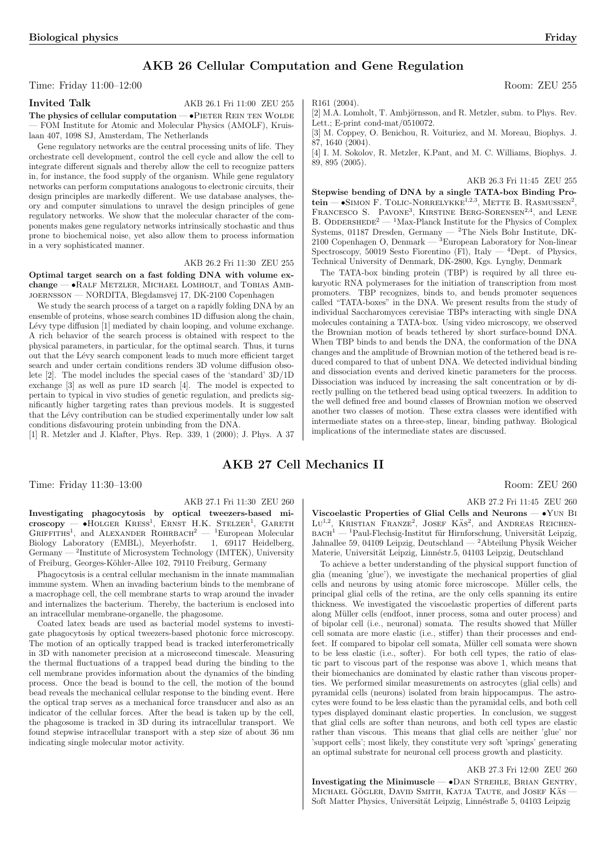## AKB 26 Cellular Computation and Gene Regulation

### Time: Friday 11:00–12:00 Room: ZEU 255

Invited Talk AKB 26.1 Fri 11:00 ZEU 255

The physics of cellular computation  $\bullet$ PIETER REIN TEN WOLDE — FOM Institute for Atomic and Molecular Physics (AMOLF), Kruislaan 407, 1098 SJ, Amsterdam, The Netherlands

Gene regulatory networks are the central processing units of life. They orchestrate cell development, control the cell cycle and allow the cell to integrate different signals and thereby allow the cell to recognize patters in, for instance, the food supply of the organism. While gene regulatory networks can perform computations analogous to electronic circuits, their design principles are markedly different. We use database analyses, theory and computer simulations to unravel the design principles of gene regulatory networks. We show that the molecular character of the components makes gene regulatory networks intrinsically stochastic and thus prone to biochemical noise, yet also allow them to process information in a very sophisticated manner.

### AKB 26.2 Fri 11:30 ZEU 255

Optimal target search on a fast folding DNA with volume exchange — •Ralf Metzler, Michael Lomholt, and Tobias Ambjoernsson — NORDITA, Blegdamsvej 17, DK-2100 Copenhagen

We study the search process of a target on a rapidly folding DNA by an ensemble of proteins, whose search combines 1D diffusion along the chain, Lévy type diffusion [1] mediated by chain looping, and volume exchange. A rich behavior of the search process is obtained with respect to the physical parameters, in particular, for the optimal search. Thus, it turns out that the Lévy search component leads to much more efficient target search and under certain conditions renders 3D volume diffusion obsolete [2]. The model includes the special cases of the 'standard' 3D/1D exchange [3] as well as pure 1D search [4]. The model is expected to pertain to typical in vivo studies of genetic regulation, and predicts significantly higher targeting rates than previous models. It is suggested that the Lévy contribution can be studied experimentally under low salt conditions disfavouring protein unbinding from the DNA.

[1] R. Metzler and J. Klafter, Phys. Rep. 339, 1 (2000); J. Phys. A 37

### AKB 27 Cell Mechanics II

Time: Friday 11:30–13:00 Room: ZEU 260

### AKB 27.1 Fri 11:30 ZEU 260

Investigating phagocytosis by optical tweezers-based minivestigating phagocytosis by optical tweezers-based in-<br>croscopy — •HOLGER KRESS<sup>1</sup>, ERNST H.K. STELZER<sup>1</sup>, GARETH GRIFFITHS<sup>1</sup>, and ALEXANDER ROHRBACH<sup>2</sup> — <sup>1</sup>European Molecular Biology Laboratory (EMBL), Meyerhofstr. 1, 69117 Heidelberg, Germany — <sup>2</sup>Institute of Microsystem Technology (IMTEK), University of Freiburg, Georges-K¨ohler-Allee 102, 79110 Freiburg, Germany

Phagocytosis is a central cellular mechanism in the innate mammalian immune system. When an invading bacterium binds to the membrane of a macrophage cell, the cell membrane starts to wrap around the invader and internalizes the bacterium. Thereby, the bacterium is enclosed into an intracellular membrane-organelle, the phagosome.

Coated latex beads are used as bacterial model systems to investigate phagocytosis by optical tweezers-based photonic force microscopy. The motion of an optically trapped bead is tracked interferometrically in 3D with nanometer precision at a microsecond timescale. Measuring the thermal fluctuations of a trapped bead during the binding to the cell membrane provides information about the dynamics of the binding process. Once the bead is bound to the cell, the motion of the bound bead reveals the mechanical cellular response to the binding event. Here the optical trap serves as a mechanical force transducer and also as an indicator of the cellular forces. After the bead is taken up by the cell, the phagosome is tracked in 3D during its intracellular transport. We found stepwise intracellular transport with a step size of about 36 nm indicating single molecular motor activity.

R161 (2004).

[2] M.A. Lomholt, T. Ambjörnsson, and R. Metzler, subm. to Phys. Rev. Lett.; E-print cond-mat/0510072.

[3] M. Coppey, O. Benichou, R. Voituriez, and M. Moreau, Biophys. J. 87, 1640 (2004).

[4] I. M. Sokolov, R. Metzler, K.Pant, and M. C. Williams, Biophys. J. 89, 895 (2005).

AKB 26.3 Fri 11:45 ZEU 255

Stepwise bending of DNA by a single TATA-box Binding Prostepwise behang of DIVA by a single TATA-box Binding 1 for-<br>tein — •SIMON F. TOLIC-NORRELYKKE<sup>1,2,3</sup>, METTE B. RASMUSSEN<sup>2</sup>, FRANCESCO S. PAVONE<sup>3</sup>, KIRSTINE BERG-SORENSEN<sup>2,4</sup>, and LENE B. ODDERSHEDE<sup>2</sup> — <sup>1</sup>Max-Planck Institute for the Physics of Complex Systems, 01187 Dresden, Germany — <sup>2</sup>The Niels Bohr Institute, DK-2100 Copenhagen O, Denmark — <sup>3</sup>European Laboratory for Non-linear Spectroscopy, 50019 Sesto Fiorentino (Fl), Italy  $-$  <sup>4</sup>Dept. of Physics, Technical University of Denmark, DK-2800, Kgs. Lyngby, Denmark

The TATA-box binding protein (TBP) is required by all three eukaryotic RNA polymerases for the initiation of transcription from most promoters. TBP recognizes, binds to, and bends promoter sequences called "TATA-boxes" in the DNA. We present results from the study of individual Saccharomyces cerevisiae TBPs interacting with single DNA molecules containing a TATA-box. Using video microscopy, we observed the Brownian motion of beads tethered by short surface-bound DNA. When TBP binds to and bends the DNA, the conformation of the DNA changes and the amplitude of Brownian motion of the tethered bead is reduced compared to that of unbent DNA. We detected individual binding and dissociation events and derived kinetic parameters for the process. Dissociation was induced by increasing the salt concentration or by directly pulling on the tethered bead using optical tweezers. In addition to the well defined free and bound classes of Brownian motion we observed another two classes of motion. These extra classes were identified with intermediate states on a three-step, linear, binding pathway. Biological implications of the intermediate states are discussed.

AKB 27.2 Fri 11:45 ZEU 260

Viscoelastic Properties of Glial Cells and Neurons — •Yun Bi  $\rm{Lu}^{1,2}$ , KRISTIAN FRANZE<sup>2</sup>, JOSEF KÄS<sup>2</sup>, and ANDREAS REICHEN- $\textsc{bact}^{1}$  —  $^{1}\textsc{Paul-Flechsig-Institut}$ für Hirnforschung, Universität Leipzig, Jahnallee 59, 04109 Leipzig, Deutschland — <sup>2</sup>Abteilung Physik Weicher Materie, Universität Leipzig, Linnéstr.5, 04103 Leipzig, Deutschland

To achieve a better understanding of the physical support function of glia (meaning 'glue'), we investigate the mechanical properties of glial cells and neurons by using atomic force microscope. Müller cells, the principal glial cells of the retina, are the only cells spanning its entire thickness. We investigated the viscoelastic properties of different parts along Müller cells (endfoot, inner process, soma and outer process) and of bipolar cell (i.e., neuronal) somata. The results showed that Müller cell somata are more elastic (i.e., stiffer) than their processes and endfeet. If compared to bipolar cell somata, Müller cell somata were shown to be less elastic (i.e., softer). For both cell types, the ratio of elastic part to viscous part of the response was above 1, which means that their biomechanics are dominated by elastic rather than viscous properties. We performed similar measurements on astrocytes (glial cells) and pyramidal cells (neurons) isolated from brain hippocampus. The astrocytes were found to be less elastic than the pyramidal cells, and both cell types displayed dominant elastic properties. In conclusion, we suggest that glial cells are softer than neurons, and both cell types are elastic rather than viscous. This means that glial cells are neither 'glue' nor 'support cells'; most likely, they constitute very soft 'springs' generating an optimal substrate for neuronal cell process growth and plasticity.

### AKB 27.3 Fri 12:00 ZEU 260

Investigating the Minimuscle  $\bullet$  Dan Strehle, Brian Gentry, MICHAEL GÖGLER, DAVID SMITH, KATJA TAUTE, and JOSEF KAS Soft Matter Physics, Universität Leipzig, Linnéstraße 5, 04103 Leipzig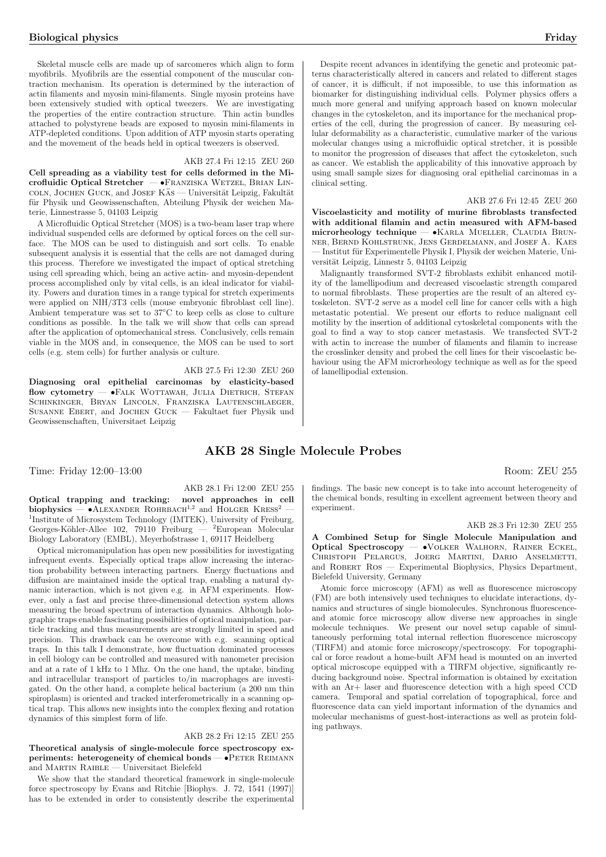Skeletal muscle cells are made up of sarcomeres which align to form myofibrils. Myofibrils are the essential component of the muscular contraction mechanism. Its operation is determined by the interaction of actin filaments and myosin mini-filaments. Single myosin proteins have been extensively studied with optical tweezers. We are investigating the properties of the entire contraction structure. Thin actin bundles attached to polystyrene beads are exposed to myosin mini-filaments in ATP-depleted conditions. Upon addition of ATP myosin starts operating and the movement of the beads held in optical tweezers is observed.

### AKB 27.4 Fri 12:15 ZEU 260

Cell spreading as a viability test for cells deformed in the Microfluidic Optical Stretcher — · FRANZISKA WETZEL, BRIAN LINcoln, Jochen Guck, and Josef KÄs — Universität Leipzig, Fakultät für Physik und Geowissenschaften, Abteilung Physik der weichen Materie, Linnestrasse 5, 04103 Leipzig

A Microfluidic Optical Stretcher (MOS) is a two-beam laser trap where individual suspended cells are deformed by optical forces on the cell surface. The MOS can be used to distinguish and sort cells. To enable subsequent analysis it is essential that the cells are not damaged during this process. Therefore we investigated the impact of optical stretching using cell spreading which, being an active actin- and myosin-dependent process accomplished only by vital cells, is an ideal indicator for viability. Powers and duration times in a range typical for stretch experiments were applied on NIH/3T3 cells (mouse embryonic fibroblast cell line). Ambient temperature was set to 37°C to keep cells as close to culture conditions as possible. In the talk we will show that cells can spread after the application of optomechanical stress. Conclusively, cells remain viable in the MOS and, in consequence, the MOS can be used to sort cells (e.g. stem cells) for further analysis or culture.

### AKB 27.5 Fri 12:30 ZEU 260

Diagnosing oral epithelial carcinomas by elasticity-based flow cytometry — •FALK WOTTAWAH, JULIA DIETRICH, STEFAN Schinkinger, Bryan Lincoln, Franziska Lautenschlaeger, Susanne Ebert, and Jochen Guck — Fakultaet fuer Physik und Geowissenschaften, Universitaet Leipzig

### AKB 28.1 Fri 12:00 ZEU 255

AKB 28 Single Molecule Probes

Optical trapping and tracking: novel approaches in cell biophysics —  $\bullet$ ALEXANDER ROHRBACH<sup>1,2</sup> and HOLGER KRESS<sup>2</sup> <sup>1</sup>Institute of Microsystem Technology (IMTEK), University of Freiburg, Georges-Köhler-Allee 102, 79110 Freiburg —  ${}^{2}$ European Molecular Biology Laboratory (EMBL), Meyerhofstrasse 1, 69117 Heidelberg

Optical micromanipulation has open new possibilities for investigating infrequent events. Especially optical traps allow increasing the interaction probability between interacting partners. Energy fluctuations and diffusion are maintained inside the optical trap, enabling a natural dynamic interaction, which is not given e.g. in AFM experiments. However, only a fast and precise three-dimensional detection system allows measuring the broad spectrum of interaction dynamics. Although holographic traps enable fascinating possibilities of optical manipulation, particle tracking and thus measurements are strongly limited in speed and precision. This drawback can be overcome with e.g. scanning optical traps. In this talk I demonstrate, how fluctuation dominated processes in cell biology can be controlled and measured with nanometer precision and at a rate of 1 kHz to 1 Mhz. On the one hand, the uptake, binding and intracellular transport of particles to/in macrophages are investigated. On the other hand, a complete helical bacterium (a 200 nm thin spiroplasm) is oriented and tracked interferometrically in a scanning optical trap. This allows new insights into the complex flexing and rotation dynamics of this simplest form of life.

### AKB 28.2 Fri 12:15 ZEU 255

Theoretical analysis of single-molecule force spectroscopy experiments: heterogeneity of chemical bonds — •Peter Reimann and Martin Raible — Universitaet Bielefeld

We show that the standard theoretical framework in single-molecule force spectroscopy by Evans and Ritchie [Biophys. J. 72, 1541 (1997)] has to be extended in order to consistently describe the experimental

Despite recent advances in identifying the genetic and proteomic patterns characteristically altered in cancers and related to different stages of cancer, it is difficult, if not impossible, to use this information as biomarker for distinguishing individual cells. Polymer physics offers a much more general and unifying approach based on known molecular changes in the cytoskeleton, and its importance for the mechanical properties of the cell, during the progression of cancer. By measuring cellular deformability as a characteristic, cumulative marker of the various molecular changes using a microfluidic optical stretcher, it is possible to monitor the progression of diseases that affect the cytoskeleton, such as cancer. We establish the applicability of this innovative approach by using small sample sizes for diagnosing oral epithelial carcinomas in a clinical setting.

### AKB 27.6 Fri 12:45 ZEU 260

Viscoelasticity and motility of murine fibroblasts transfected with additional filamin and actin measured with AFM-based microrheology technique — •Karla Mueller, Claudia Brunner, Bernd Kohlstrunk, Jens Gerdelmann, and Josef A. Kaes - Institut für Experimentelle Physik I, Physik der weichen Materie, Universität Leipzig, Linnestr 5, 04103 Leipzig

Malignantly transformed SVT-2 fibroblasts exhibit enhanced motility of the lamellipodium and decreased viscoelastic strength compared to normal fibroblasts. These properties are the result of an altered cytoskeleton. SVT-2 serve as a model cell line for cancer cells with a high metastatic potential. We present our efforts to reduce malignant cell motility by the insertion of additional cytoskeletal components with the goal to find a way to stop cancer metastasis. We transfected SVT-2 with actin to increase the number of filaments and filamin to increase the crosslinker density and probed the cell lines for their viscoelastic behaviour using the AFM microrheology technique as well as for the speed of lamellipodial extension.

# Time: Friday 12:00–13:00 Room: ZEU 255

findings. The basic new concept is to take into account heterogeneity of the chemical bonds, resulting in excellent agreement between theory and experiment.

### AKB 28.3 Fri 12:30 ZEU 255

A Combined Setup for Single Molecule Manipulation and Optical Spectroscopy — •Volker Walhorn, Rainer Eckel, Christoph Pelargus, Joerg Martini, Dario Anselmetti, and ROBERT ROS — Experimental Biophysics, Physics Department, Bielefeld University, Germany

Atomic force microscopy (AFM) as well as fluorescence microscopy (FM) are both intensively used techniques to elucidate interactions, dynamics and structures of single biomolecules. Synchronous fluorescenceand atomic force microscopy allow diverse new approaches in single molecule techniques. We present our novel setup capable of simultaneously performing total internal reflection fluorescence microscopy (TIRFM) and atomic force microscopy/spectroscopy. For topographical or force readout a home-built AFM head is mounted on an inverted optical microscope equipped with a TIRFM objective, significantly reducing background noise. Spectral information is obtained by excitation with an Ar+ laser and fluorescence detection with a high speed CCD camera. Temporal and spatial correlation of topographical, force and fluorescence data can yield important information of the dynamics and molecular mechanisms of guest-host-interactions as well as protein folding pathways.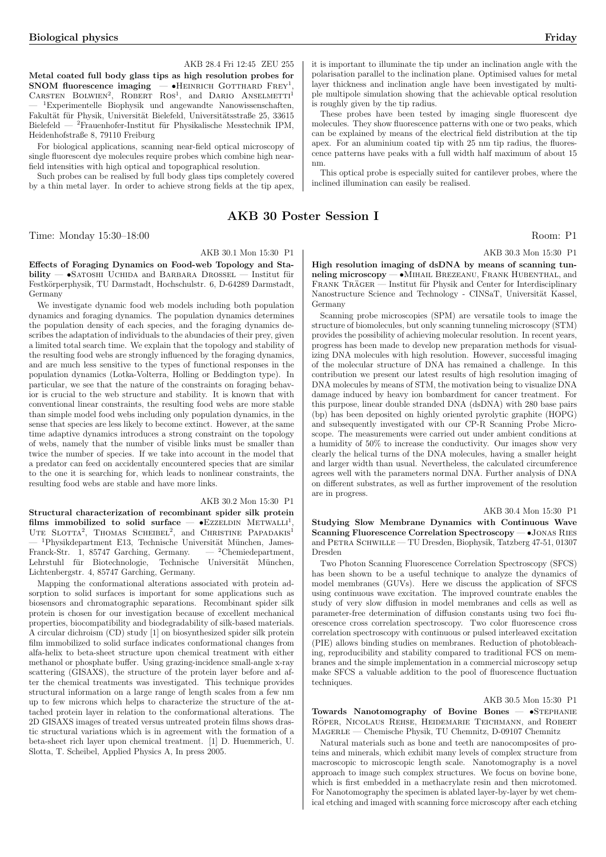### AKB 28.4 Fri 12:45 ZEU 255

Metal coated full body glass tips as high resolution probes for SNOM fluorescence imaging  $-$  •HEINRICH GOTTHARD FREY<sup>1</sup>, **SNOM fluorescence imaging**  $-$  • HEINRICH GOTTHARD FREY<sup>1</sup>, CARSTEN BOLWIEN<sup>2</sup>, ROBERT ROS<sup>1</sup>, and DARIO ANSELMETTI<sup>1</sup> <sup>1</sup>Experimentelle Biophysik und angewandte Nanowissenschaften, Fakultät für Physik, Universität Bielefeld, Universitätsstraße 25, 33615 Bielefeld — <sup>2</sup>Frauenhofer-Institut für Physikalische Messtechnik IPM, Heidenhofstraße 8, 79110 Freiburg

For biological applications, scanning near-field optical microscopy of single fluorescent dye molecules require probes which combine high nearfield intensities with high optical and topographical resolution.

Such probes can be realised by full body glass tips completely covered by a thin metal layer. In order to achieve strong fields at the tip apex,

### AKB 30 Poster Session I

Time: Monday 15:30–18:00 Room: P1

### AKB 30.1 Mon 15:30 P1

Effects of Foraging Dynamics on Food-web Topology and Sta $bility - SATOSHI$  UCHIDA and BARBARA DROSSEL  $-$  Institut für Festkörperphysik, TU Darmstadt, Hochschulstr. 6, D-64289 Darmstadt, Germany

We investigate dynamic food web models including both population dynamics and foraging dynamics. The population dynamics determines the population density of each species, and the foraging dynamics describes the adaptation of individuals to the abundacies of their prey, given a limited total search time. We explain that the topology and stability of the resulting food webs are strongly influenced by the foraging dynamics, and are much less sensitive to the types of functional responses in the population dynamics (Lotka-Volterra, Holling or Beddington type). In particular, we see that the nature of the constraints on foraging behavior is crucial to the web structure and stability. It is known that with conventional linear constraints, the resulting food webs are more stable than simple model food webs including only population dynamics, in the sense that species are less likely to become extinct. However, at the same time adaptive dynamics introduces a strong constraint on the topology of webs, namely that the number of visible links must be smaller than twice the number of species. If we take into account in the model that a predator can feed on accidentally encountered species that are similar to the one it is searching for, which leads to nonlinear constraints, the resulting food webs are stable and have more links.

### AKB 30.2 Mon 15:30 P1

Structural characterization of recombinant spider silk protein films immobilized to solid surface  $-$  •EzzELDIN METWALLI<sup>1</sup>, UTE SLOTTA<sup>2</sup>, THOMAS SCHEIBEL<sup>2</sup>, and CHRISTINE PAPADAKIS<sup>1</sup> <sup>1</sup>Physikdepartment E13, Technische Universität München, James-<br>nck-Str. 1, 85747 Garching, Germany.  $-$  <sup>2</sup>Chemiedepartment, Franck-Str. 1, 85747 Garching, Germany. Lehrstuhl für Biotechnologie, Technische Universität München, Lichtenbergstr. 4, 85747 Garching, Germany.

Mapping the conformational alterations associated with protein adsorption to solid surfaces is important for some applications such as biosensors and chromatographic separations. Recombinant spider silk protein is chosen for our investigation because of excellent mechanical properties, biocompatibility and biodegradability of silk-based materials. A circular dichroism (CD) study [1] on biosynthesized spider silk protein film immobilized to solid surface indicates conformational changes from alfa-helix to beta-sheet structure upon chemical treatment with either methanol or phosphate buffer. Using grazing-incidence small-angle x-ray scattering (GISAXS), the structure of the protein layer before and after the chemical treatments was investigated. This technique provides structural information on a large range of length scales from a few nm up to few microns which helps to characterize the structure of the attached protein layer in relation to the conformational alterations. The 2D GISAXS images of treated versus untreated protein films shows drastic structural variations which is in agreement with the formation of a beta-sheet rich layer upon chemical treatment. [1] D. Huemmerich, U. Slotta, T. Scheibel, Applied Physics A, In press 2005.

it is important to illuminate the tip under an inclination angle with the polarisation parallel to the inclination plane. Optimised values for metal layer thickness and inclination angle have been investigated by multiple multipole simulation showing that the achievable optical resolution is roughly given by the tip radius.

These probes have been tested by imaging single fluorescent dye molecules. They show fluorescence patterns with one or two peaks, which can be explained by means of the electrical field distribution at the tip apex. For an aluminium coated tip with 25 nm tip radius, the fluorescence patterns have peaks with a full width half maximum of about 15 nm.

This optical probe is especially suited for cantilever probes, where the inclined illumination can easily be realised.

AKB 30.3 Mon 15:30 P1

High resolution imaging of dsDNA by means of scanning tunneling microscopy — •Mihail Brezeanu, Frank Hubenthal, and FRANK TRÄGER — Institut für Physik and Center for Interdisciplinary Nanostructure Science and Technology - CINSaT, Universität Kassel, Germany

Scanning probe microscopies (SPM) are versatile tools to image the structure of biomolecules, but only scanning tunneling microscopy (STM) provides the possibility of achieving molecular resolution. In recent years, progress has been made to develop new preparation methods for visualizing DNA molecules with high resolution. However, successful imaging of the molecular structure of DNA has remained a challenge. In this contribution we present our latest results of high resolution imaging of DNA molecules by means of STM, the motivation being to visualize DNA damage induced by heavy ion bombardment for cancer treatment. For this purpose, linear double stranded DNA (dsDNA) with 280 base pairs (bp) has been deposited on highly oriented pyrolytic graphite (HOPG) and subsequently investigated with our CP-R Scanning Probe Microscope. The measurements were carried out under ambient conditions at a humidity of 50% to increase the conductivity. Our images show very clearly the helical turns of the DNA molecules, having a smaller height and larger width than usual. Nevertheless, the calculated circumference agrees well with the parameters normal DNA. Further analysis of DNA on different substrates, as well as further improvement of the resolution are in progress.

#### AKB 30.4 Mon 15:30 P1

Studying Slow Membrane Dynamics with Continuous Wave Scanning Fluorescence Correlation Spectroscopy — •Jonas Ries and PETRA SCHWILLE — TU Dresden, Biophysik, Tatzberg 47-51, 01307 Dresden

Two Photon Scanning Fluorescence Correlation Spectroscopy (SFCS) has been shown to be a useful technique to analyze the dynamics of model membranes (GUVs). Here we discuss the application of SFCS using continuous wave excitation. The improved countrate enables the study of very slow diffusion in model membranes and cells as well as parameter-free determination of diffusion constants using two foci fluorescence cross correlation spectroscopy. Two color fluorescence cross correlation spectroscopy with continuous or pulsed interleaved excitation (PIE) allows binding studies on membranes. Reduction of photobleaching, reproducibility and stability compared to traditional FCS on membranes and the simple implementation in a commercial microscopy setup make SFCS a valuable addition to the pool of fluorescence fluctuation techniques.

### AKB 30.5 Mon 15:30 P1

Towards Nanotomography of Bovine Bones  $-$  •STEPHANIE RÖPER, NICOLAUS REHSE, HEIDEMARIE TEICHMANN, and ROBERT Magerle — Chemische Physik, TU Chemnitz, D-09107 Chemnitz

Natural materials such as bone and teeth are nanocomposites of proteins and minerals, which exhibit many levels of complex structure from macroscopic to microscopic length scale. Nanotomography is a novel approach to image such complex structures. We focus on bovine bone, which is first embedded in a methacrylate resin and then microtomed. For Nanotomography the specimen is ablated layer-by-layer by wet chemical etching and imaged with scanning force microscopy after each etching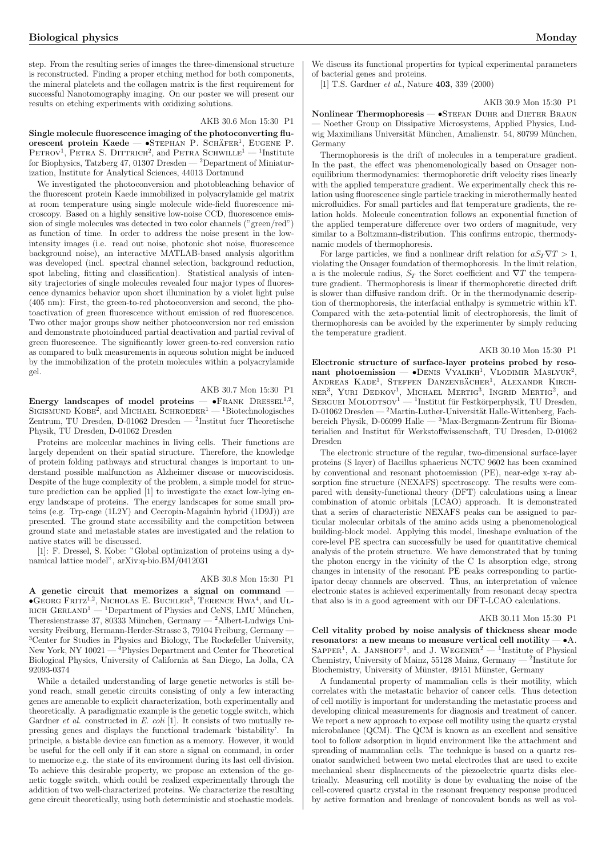step. From the resulting series of images the three-dimensional structure is reconstructed. Finding a proper etching method for both components, the mineral platelets and the collagen matrix is the first requirement for successful Nanotomography imaging. On our poster we will present our results on etching experiments with oxidizing solutions.

#### AKB 30.6 Mon 15:30 P1

Single molecule fluorescence imaging of the photoconverting fluorescent protein Kaede —  $\bullet$ STEPHAN P. SCHÄFER<sup>1</sup>, EUGENE P.  $PETROV<sup>1</sup>$ , PETRA S. DITTRICH<sup>2</sup>, and PETRA SCHWILLE<sup>1</sup>  $-$ <sup>1</sup>Institute for Biophysics, Tatzberg 47, 01307 Dresden — <sup>2</sup>Department of Miniaturization, Institute for Analytical Sciences, 44013 Dortmund

We investigated the photoconversion and photobleaching behavior of the fluorescent protein Kaede immobilized in polyacrylamide gel matrix at room temperature using single molecule wide-field fluorescence microscopy. Based on a highly sensitive low-noise CCD, fluorescence emission of single molecules was detected in two color channels ("green/red") as function of time. In order to address the noise present in the lowintensity images (i.e. read out noise, photonic shot noise, fluorescence background noise), an interactive MATLAB-based analysis algorithm was developed (incl. spectral channel selection, background reduction, spot labeling, fitting and classification). Statistical analysis of intensity trajectories of single molecules revealed four major types of fluorescence dynamics behavior upon short illumination by a violet light pulse (405 nm): First, the green-to-red photoconversion and second, the photoactivation of green fluorescence without emission of red fluorescence. Two other major groups show neither photoconversion nor red emission and demonstrate photoinduced partial deactivation and partial revival of green fluorescence. The significantly lower green-to-red conversion ratio as compared to bulk measurements in aqueous solution might be induced by the immobilization of the protein molecules within a polyacrylamide gel.

### AKB 30.7 Mon 15:30 P1

Energy landscapes of model proteins  $-$  •FRANK DRESSEL<sup>1,2</sup>,  $\text{Engy}$  and Scapes of model proteins  $\rightarrow$   $\text{F_RANK}$  Dresself  $\rightarrow$  SCHROEDER<sup>1</sup> — <sup>1</sup>Biotechnologisches Zentrum, TU Dresden, D-01062 Dresden — <sup>2</sup> Institut fuer Theoretische Physik, TU Dresden, D-01062 Dresden

Proteins are molecular machines in living cells. Their functions are largely dependent on their spatial structure. Therefore, the knowledge of protein folding pathways and structural changes is important to understand possible malfunction as Alzheimer disease or mucoviscidosis. Despite of the huge complexity of the problem, a simple model for structure prediction can be applied [1] to investigate the exact low-lying energy landscape of proteins. The energy landscapes for some small proteins (e.g. Trp-cage (1L2Y) and Cecropin-Magainin hybrid (1D9J)) are presented. The ground state accessibility and the competition between ground state and metastable states are investigated and the relation to native states will be discussed.

[1]: F. Dressel, S. Kobe: "Global optimization of proteins using a dynamical lattice model", arXiv:q-bio.BM/0412031

### AKB 30.8 Mon 15:30 P1

A genetic circuit that memorizes a signal on command —  $\bullet$  Georg Fritz<sup>1,2</sup>, Nicholas E. Buchler<sup>3</sup>, Terence Hwa<sup>4</sup>, and Ul-RICH Gerland<sup>1</sup> — <sup>1</sup>Department of Physics and CeNS, LMU München, Theresienstrasse 37, 80333 München, Germany — <sup>2</sup>Albert-Ludwigs University Freiburg, Hermann-Herder-Strasse 3, 79104 Freiburg, Germany — <sup>3</sup>Center for Studies in Physics and Biology, The Rockefeller University, New York, NY 10021 — <sup>4</sup>Physics Department and Center for Theoretical Biological Physics, University of California at San Diego, La Jolla, CA 92093-0374

While a detailed understanding of large genetic networks is still beyond reach, small genetic circuits consisting of only a few interacting genes are amenable to explicit characterization, both experimentally and theoretically. A paradigmatic example is the genetic toggle switch, which Gardner *et al.* constructed in E. coli [1]. It consists of two mutually repressing genes and displays the functional trademark 'bistability'. In principle, a bistable device can function as a memory. However, it would be useful for the cell only if it can store a signal on command, in order to memorize e.g. the state of its environment during its last cell division. To achieve this desirable property, we propose an extension of the genetic toggle switch, which could be realized experimentally through the addition of two well-characterized proteins. We characterize the resulting gene circuit theoretically, using both deterministic and stochastic models.

We discuss its functional properties for typical experimental parameters of bacterial genes and proteins.

[1] T.S. Gardner *et al.*, Nature **403**, 339 (2000)

AKB 30.9 Mon 15:30 P1

Nonlinear Thermophoresis — •STEFAN DUHR and DIETER BRAUN — Noether Group on Dissipative Microsystems, Applied Physics, Ludwig Maximilians Universität München, Amalienstr. 54, 80799 München, Germany

Thermophoresis is the drift of molecules in a temperature gradient. In the past, the effect was phenomenologically based on Onsager nonequilibrium thermodynamics: thermophoretic drift velocity rises linearly with the applied temperature gradient. We experimentally check this relation using fluorescence single particle tracking in microthermally heated microfluidics. For small particles and flat temperature gradients, the relation holds. Molecule concentration follows an exponential function of the applied temperature difference over two orders of magnitude, very similar to a Boltzmann-distribution. This confirms entropic, thermodynamic models of thermophoresis.

For large particles, we find a nonlinear drift relation for  $aS_T \nabla T > 1$ , violating the Onsager foundation of thermophoresis. In the limit relation, a is the molecule radius,  $S_T$  the Soret coefficient and  $\nabla T$  the temperature gradient. Thermophoresis is linear if thermophoretic directed drift is slower than diffusive random drift. Or in the thermodynamic description of thermophoresis, the interfacial enthalpy is symmetric within kT. Compared with the zeta-potential limit of electrophoresis, the limit of thermophoresis can be avoided by the experimenter by simply reducing the temperature gradient.

### AKB 30.10 Mon 15:30 P1

Electronic structure of surface-layer proteins probed by reso- $\mu$  photoemission  $\sim$  •Denis Vyalikh<sup>1</sup>, Vlodimir Maslyuk<sup>2</sup>, HANDREAS KADE<sup>1</sup>, STEFFEN DANZENBÄCHER<sup>1</sup>, ALEXANDR KIRCH- $N$ URI DEDKOV<sup>1</sup>, MICHAEL MERTIG<sup>3</sup>, INGRID MERTIG<sup>2</sup>, and SERGUEI MOLODTSOV<sup>1</sup> — <sup>1</sup>Institut für Festkörperphysik, TU Dresden, D-01062 Dresden — <sup>2</sup>Martin-Luther-Universität Halle-Wittenberg, Fachbereich Physik, D-06099 Halle —  ${}^{3}$ Max-Bergmann-Zentrum für Biomaterialien and Institut für Werkstoffwissenschaft, TU Dresden, D-01062 Dresden

The electronic structure of the regular, two-dimensional surface-layer proteins (S layer) of Bacillus sphaericus NCTC 9602 has been examined by conventional and resonant photoemission (PE), near-edge x-ray absorption fine structure (NEXAFS) spectroscopy. The results were compared with density-functional theory (DFT) calculations using a linear combination of atomic orbitals (LCAO) approach. It is demonstrated that a series of characteristic NEXAFS peaks can be assigned to particular molecular orbitals of the amino acids using a phenomenological building-block model. Applying this model, lineshape evaluation of the core-level PE spectra can successfully be used for quantitative chemical analysis of the protein structure. We have demonstrated that by tuning the photon energy in the vicinity of the C 1s absorption edge, strong changes in intensity of the resonant PE peaks corresponding to participator decay channels are observed. Thus, an interpretation of valence electronic states is achieved experimentally from resonant decay spectra that also is in a good agreement with our DFT-LCAO calculations.

### AKB 30.11 Mon 15:30 P1

Cell vitality probed by noise analysis of thickness shear mode resonators: a new means to measure vertical cell motility  $-\bullet A$ . ESONATORS. A HEW HIGHTS TO HEASTLE VELTRAL CENTROLLING  $\bullet$  A.<br>SAPPER<sup>1</sup>, A. JANSHOFF<sup>1</sup>, and J. WEGENER<sup>2</sup> — <sup>1</sup>Institute of Physical Chemistry, University of Mainz, 55128 Mainz, Germany — <sup>2</sup> Institute for Biochemistry, University of Münster, 49151 Münster, Germany

A fundamental property of mammalian cells is their motility, which correlates with the metastatic behavior of cancer cells. Thus detection of cell motiliy is important for understanding the metastatic process and developing clinical measurements for diagnosis and treatment of cancer. We report a new approach to expose cell motility using the quartz crystal microbalance (QCM). The QCM is known as an excellent and sensitive tool to follow adsorption in liquid environment like the attachment and spreading of mammalian cells. The technique is based on a quartz resonator sandwiched between two metal electrodes that are used to excite mechanical shear displacements of the piezoelectric quartz disks electrically. Measuring cell motility is done by evaluating the noise of the cell-covered quartz crystal in the resonant frequency response produced by active formation and breakage of noncovalent bonds as well as vol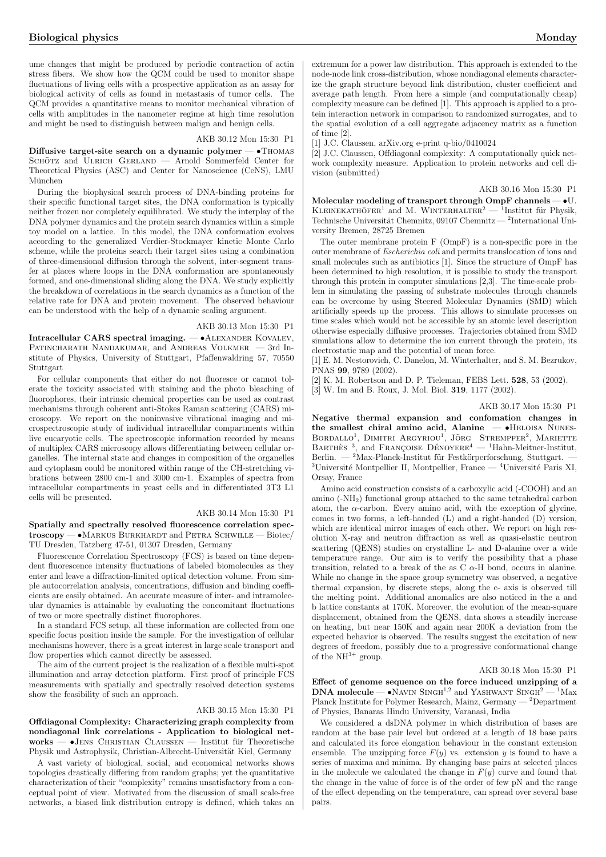ume changes that might be produced by periodic contraction of actin stress fibers. We show how the QCM could be used to monitor shape fluctuations of living cells with a prospective application as an assay for biological activity of cells as found in metastasis of tumor cells. The QCM provides a quantitative means to monitor mechanical vibration of cells with amplitudes in the nanometer regime at high time resolution and might be used to distinguish between malign and benign cells.

### AKB 30.12 Mon 15:30 P1

Diffusive target-site search on a dynamic polymer — •Thomas SCHÖTZ and ULRICH GERLAND — Arnold Sommerfeld Center for Theoretical Physics (ASC) and Center for Nanoscience (CeNS), LMU München

During the biophysical search process of DNA-binding proteins for their specific functional target sites, the DNA conformation is typically neither frozen nor completely equilibrated. We study the interplay of the DNA polymer dynamics and the protein search dynamics within a simple toy model on a lattice. In this model, the DNA conformation evolves according to the generalized Verdier-Stockmayer kinetic Monte Carlo scheme, while the proteins search their target sites using a combination of three-dimensional diffusion through the solvent, inter-segment transfer at places where loops in the DNA conformation are spontaneously formed, and one-dimensional sliding along the DNA. We study explicitly the breakdown of correlations in the search dynamics as a function of the relative rate for DNA and protein movement. The observed behaviour can be understood with the help of a dynamic scaling argument.

### AKB 30.13 Mon 15:30 P1

Intracellular CARS spectral imaging. — •Alexander Kovalev, Patincharath Nandakumar, and Andreas Volkmer — 3rd Institute of Physics, University of Stuttgart, Pfaffenwaldring 57, 70550 Stuttgart

For cellular components that either do not fluoresce or cannot tolerate the toxicity associated with staining and the photo bleaching of fluorophores, their intrinsic chemical properties can be used as contrast mechanisms through coherent anti-Stokes Raman scattering (CARS) microscopy. We report on the noninvasive vibrational imaging and microspectroscopic study of individual intracellular compartments within live eucaryotic cells. The spectroscopic information recorded by means of multiplex CARS microscopy allows differentiating between cellular organelles. The internal state and changes in composition of the organelles and cytoplasm could be monitored within range of the CH-stretching vibrations between 2800 cm-1 and 3000 cm-1. Examples of spectra from intracellular compartments in yeast cells and in differentiated 3T3 L1 cells will be presented.

### AKB 30.14 Mon 15:30 P1

Spatially and spectrally resolved fluorescence correlation spectroscopy —  $\bullet$ Markus Burkhardt and Petra Schwille — Biotec/ TU Dresden, Tatzberg 47-51, 01307 Dresden, Germany

Fluorescence Correlation Spectroscopy (FCS) is based on time dependent fluorescence intensity fluctuations of labeled biomolecules as they enter and leave a diffraction-limited optical detection volume. From simple autocorrelation analysis, concentrations, diffusion and binding coefficients are easily obtained. An accurate measure of inter- and intramolecular dynamics is attainable by evaluating the concomitant fluctuations of two or more spectrally distinct fluorophores.

In a standard FCS setup, all these information are collected from one specific focus position inside the sample. For the investigation of cellular mechanisms however, there is a great interest in large scale transport and flow properties which cannot directly be assessed.

The aim of the current project is the realization of a flexible multi-spot illumination and array detection platform. First proof of principle FCS measurements with spatially and spectrally resolved detection systems show the feasibility of such an approach.

#### AKB 30.15 Mon 15:30 P1

Offdiagonal Complexity: Characterizing graph complexity from nondiagonal link correlations - Application to biological net $works - \bullet$ JENS CHRISTIAN CLAUSSEN — Institut für Theoretische Physik und Astrophysik, Christian-Albrecht-Universität Kiel, Germany

A vast variety of biological, social, and economical networks shows topologies drastically differing from random graphs; yet the quantitative characterization of their "complexity" remains unsatisfactory from a conceptual point of view. Motivated from the discussion of small scale-free networks, a biased link distribution entropy is defined, which takes an extremum for a power law distribution. This approach is extended to the node-node link cross-distribution, whose nondiagonal elements characterize the graph structure beyond link distribution, cluster coefficient and average path length. From here a simple (and computationally cheap) complexity measure can be defined [1]. This approach is applied to a protein interaction network in comparison to randomized surrogates, and to the spatial evolution of a cell aggregate adjacency matrix as a function of time [2].

[1] J.C. Claussen, arXiv.org e-print q-bio/0410024

[2] J.C. Claussen, Offdiagonal complexity: A computationally quick network complexity measure. Application to protein networks and cell division (submitted)

### AKB 30.16 Mon 15:30 P1

Molecular modeling of transport through OmpF channels — •U.  $\mu_{\text{DE}}$  and  $\mu_{\text{DE}}$  and  $\mu_{\text{DE}}$  and  $\mu_{\text{DE}}$  and  $\mu_{\text{DE}}$  and  $\mu_{\text{DE}}$  and  $\mu_{\text{DE}}$  and  $\mu_{\text{DE}}$  and  $\mu_{\text{DE}}$  and  $\mu_{\text{DE}}$  and  $\mu_{\text{DE}}$  and  $\mu_{\text{DE}}$  and  $\mu_{\text{DE}}$  and  $\mu_{\text{DE}}$  and  $\mu_{\text{DE}}$  Technische Universität Chemnitz, 09107 Chemnitz —  $^2$ International University Bremen, 28725 Bremen

The outer membrane protein F (OmpF) is a non-specific pore in the outer membrane of Escherichia coli and permits translocation of ions and small molecules such as antibiotics [1]. Since the structure of OmpF has been determined to high resolution, it is possible to study the transport through this protein in computer simulations [2,3]. The time-scale problem in simulating the passing of substrate molecules through channels can be overcome by using Steered Molecular Dynamics (SMD) which artificially speeds up the process. This allows to simulate processes on time scales which would not be accessible by an atomic level description otherwise especially diffusive processes. Trajectories obtained from SMD simulations allow to determine the ion current through the protein, its electrostatic map and the potential of mean force.

[1] E. M. Nestorovich, C. Danelon, M. Winterhalter, and S. M. Bezrukov, PNAS 99, 9789 (2002).

[2] K. M. Robertson and D. P. Tieleman, FEBS Lett. 528, 53 (2002).

[3] W. Im and B. Roux, J. Mol. Biol. 319, 1177 (2002).

### AKB 30.17 Mon 15:30 P1

Negative thermal expansion and confomation changes in the smallest chiral amino acid, Alanine  $-$  •HELOISA NUNESthe smallest chiral amino acid, Alanine BORDALLO<sup>1</sup>, DIMITRI ARGYRIOU<sup>1</sup>, JÖRG STREMPFER<sup>2</sup>, MARIETTE  $B$ ARTHES<sup>3</sup>, and FRANÇOISE DÉNOYERE<sup>4</sup> — <sup>1</sup>Hahn-Meitner-Institut, Berlin. — <sup>2</sup>Max-Planck-Institut für Festkörperforschung, Stuttgart.  $3$ Université Montpellier II, Montpellier, France —  $4$ Université Paris XI, Orsay, France

Amino acid construction consists of a carboxylic acid (-COOH) and an amino (-NH2) functional group attached to the same tetrahedral carbon atom, the  $\alpha$ -carbon. Every amino acid, with the exception of glycine, comes in two forms, a left-handed (L) and a right-handed (D) version, which are identical mirror images of each other. We report on high resolution X-ray and neutron diffraction as well as quasi-elastic neutron scattering (QENS) studies on crystalline L- and D-alanine over a wide temperature range. Our aim is to verify the possibility that a phase transition, related to a break of the as  $C \alpha$ -H bond, occurs in alanine. While no change in the space group symmetry was observed, a negative thermal expansion, by discrete steps, along the c- axis is observed till the melting point. Additional anomalies are also noticed in the a and b lattice constants at 170K. Moreover, the evolution of the mean-square displacement, obtained from the QENS, data shows a steadily increase on heating, but near 150K and again near 200K a deviation from the expected behavior is observed. The results suggest the excitation of new degrees of freedom, possibly due to a progressive conformational change of the  $NH^{3+}$  group.

### AKB 30.18 Mon 15:30 P1

Effect of genome sequence on the force induced unzipping of a **DNA molecule — •NAVIN SINGH**<sup>1,2</sup> and YASHWANT SINGH<sup>2</sup> — <sup>1</sup>Max Planck Institute for Polymer Research, Mainz, Germany — <sup>2</sup>Department of Physics, Banaras Hindu University, Varanasi, India

We considered a dsDNA polymer in which distribution of bases are random at the base pair level but ordered at a length of 18 base pairs and calculated its force elongation behaviour in the constant extension ensemble. The unzipping force  $F(y)$  vs. extension y is found to have a series of maxima and minima. By changing base pairs at selected places in the molecule we calculated the change in  $F(y)$  curve and found that the change in the value of force is of the order of few pN and the range of the effect depending on the temperature, can spread over several base pairs.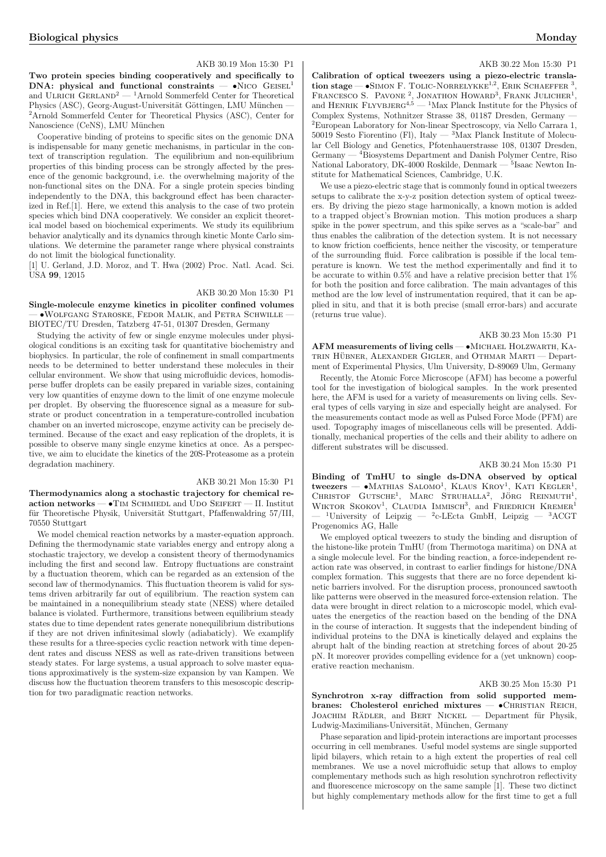#### AKB 30.19 Mon 15:30 P1

Two protein species binding cooperatively and specifically to  $DNA: physical and functional constraints - oN<sub>ICO</sub> GEISEL<sup>1</sup>$ and ULRICH GERLAND<sup>2</sup> — <sup>1</sup>Arnold Sommerfeld Center for Theoretical Physics (ASC), Georg-August-Universität Göttingen, LMU München – <sup>2</sup>Arnold Sommerfeld Center for Theoretical Physics (ASC), Center for Nanoscience (CeNS), LMU München

Cooperative binding of proteins to specific sites on the genomic DNA is indispensable for many genetic mechanisms, in particular in the context of transcription regulation. The equilibrium and non-equilibrium properties of this binding process can be strongly affected by the presence of the genomic background, i.e. the overwhelming majority of the non-functional sites on the DNA. For a single protein species binding independently to the DNA, this background effect has been characterized in Ref.[1]. Here, we extend this analysis to the case of two protein species which bind DNA cooperatively. We consider an explicit theoretical model based on biochemical experiments. We study its equilibrium behavior analytically and its dynamics through kinetic Monte Carlo simulations. We determine the parameter range where physical constraints do not limit the biological functionality.

[1] U. Gerland, J.D. Moroz, and T. Hwa (2002) Proc. Natl. Acad. Sci. USA 99, 12015

### AKB 30.20 Mon 15:30 P1

Single-molecule enzyme kinetics in picoliter confined volumes — •Wolfgang Staroske, Fedor Malik, and Petra Schwille — BIOTEC/TU Dresden, Tatzberg 47-51, 01307 Dresden, Germany

Studying the activity of few or single enzyme molecules under physiological conditions is an exciting task for quantitative biochemistry and biophysics. In particular, the role of confinement in small compartments needs to be determined to better understand these molecules in their cellular environment. We show that using microfluidic devices, homodisperse buffer droplets can be easily prepared in variable sizes, containing very low quantities of enzyme down to the limit of one enzyme molecule per droplet. By observing the fluorescence signal as a measure for substrate or product concentration in a temperature-controlled incubation chamber on an inverted microscope, enzyme activity can be precisely determined. Because of the exact and easy replication of the droplets, it is possible to observe many single enzyme kinetics at once. As a perspective, we aim to elucidate the kinetics of the 20S-Proteasome as a protein degradation machinery.

### AKB 30.21 Mon 15:30 P1

Thermodynamics along a stochastic trajectory for chemical reaction networks  $-$  •Tim Schmiedl and Udo Seifert — II. Institut für Theoretische Physik, Universität Stuttgart, Pfaffenwaldring 57/III, 70550 Stuttgart

We model chemical reaction networks by a master-equation approach. Defining the thermodynamic state variables energy and entropy along a stochastic trajectory, we develop a consistent theory of thermodynamics including the first and second law. Entropy fluctuations are constraint by a fluctuation theorem, which can be regarded as an extension of the second law of thermodynamics. This fluctuation theorem is valid for systems driven arbitrarily far out of equilibrium. The reaction system can be maintained in a nonequilibrium steady state (NESS) where detailed balance is violated. Furthermore, transitions between equilibrium steady states due to time dependent rates generate nonequilibrium distributions if they are not driven infinitesimal slowly (adiabaticly). We examplify these results for a three-species cyclic reaction network with time dependent rates and discuss NESS as well as rate-driven transitions between steady states. For large systems, a usual approach to solve master equations approximatively is the system-size expansion by van Kampen. We discuss how the fluctuation theorem transfers to this mesoscopic description for two paradigmatic reaction networks.

### AKB 30.22 Mon 15:30 P1

Calibration of optical tweezers using a piezo-electric transla $t_{\text{non-}1}$  and  $t_{\text{non-}2}$  and  $t_{\text{non-}1}$  are  $\frac{t_{\text{non-}}}{t_{\text{non-}}}$  and  $\frac{t_{\text{non-}}}{t_{\text{non-}}}$  below F. Tolic-Norrelykke<sup>1,2</sup>, ERIK SCHAEFFER<sup>3</sup>, FRANCESCO S. PAVONE<sup>2</sup>, JONATHON HOWARD<sup>3</sup>, FRANK JULICHER<sup>1</sup>, and HENRIK FLYVBJERG<sup>4,5</sup> — <sup>1</sup>Max Planck Institute for the Physics of Complex Systems, Nothnitzer Strasse 38, 01187 Dresden, Germany — <sup>2</sup>European Laboratory for Non-linear Spectroscopy, via Nello Carrara 1,  $50019$  Sesto Fiorentino (Fl), Italy  $-$  3Max Planck Institute of Molecular Cell Biology and Genetics, Pfotenhauerstrasse 108, 01307 Dresden, Germany — <sup>4</sup>Biosystems Department and Danish Polymer Centre, Riso National Laboratory, DK-4000 Roskilde, Denmark — 5Isaac Newton Institute for Mathematical Sciences, Cambridge, U.K.

We use a piezo-electric stage that is commonly found in optical tweezers setups to calibrate the x-y-z position detection system of optical tweezers. By driving the piezo stage harmonically, a known motion is added to a trapped object's Brownian motion. This motion produces a sharp spike in the power spectrum, and this spike serves as a "scale-bar" and thus enables the calibration of the detection system. It is not necessary to know friction coefficients, hence neither the viscosity, or temperature of the surrounding fluid. Force calibration is possible if the local temperature is known. We test the method experimentally and find it to be accurate to within 0.5% and have a relative precision better that 1% for both the position and force calibration. The main advantages of this method are the low level of instrumentation required, that it can be applied in situ, and that it is both precise (small error-bars) and accurate (returns true value).

### AKB 30.23 Mon 15:30 P1

AFM measurements of living cells — •Michael Holzwarth, Ka-TRIN HÜBNER, ALEXANDER GIGLER, and OTHMAR MARTI — Department of Experimental Physics, Ulm University, D-89069 Ulm, Germany

Recently, the Atomic Force Microscope (AFM) has become a powerful tool for the investigation of biological samples. In the work presented here, the AFM is used for a variety of measurements on living cells. Several types of cells varying in size and especially height are analysed. For the measurements contact mode as well as Pulsed Force Mode (PFM) are used. Topography images of miscellaneous cells will be presented. Additionally, mechanical properties of the cells and their ability to adhere on different substrates will be discussed.

### AKB 30.24 Mon 15:30 P1

Binding of TmHU to single ds-DNA observed by optical  $t$   $\mathbf{w}$  and  $\mathbf{w}$  is the  $\mathbf{w}$  and  $\mathbf{w}$  is the  $\mathbf{w}$  observed by optical tweezers  $\mathbf{w}$   $\mathbf{w}$ . Kational, KLAUS KROY<sup>1</sup>, KATI KEGLER<sup>1</sup>, CHRISTOF GUTSCHE<sup>1</sup>, MARC STRUHALLA<sup>2</sup>, JÖRG REINMUTH<sup>1</sup> CHRISTOF GUTSCHE<sup>1</sup>, MARC STRUHALLA<sup>2</sup>, JÖRG REINMUTH<sup>1</sup>, WIKTOR SKOKOV<sup>1</sup>, CLAUDIA IMMISCH<sup>3</sup>, and FRIEDRICH KREMER<sup>1</sup> <sup>1</sup>University of Leipzig — <sup>2</sup>c-LEcta GmbH, Leipzig — <sup>3</sup>ACGT Progenomics AG, Halle

We employed optical tweezers to study the binding and disruption of the histone-like protein TmHU (from Thermotoga maritima) on DNA at a single molecule level. For the binding reaction, a force-independent reaction rate was observed, in contrast to earlier findings for histone/DNA complex formation. This suggests that there are no force dependent kinetic barriers involved. For the disruption process, pronounced sawtooth like patterns were observed in the measured force-extension relation. The data were brought in direct relation to a microscopic model, which evaluates the energetics of the reaction based on the bending of the DNA in the course of interaction. It suggests that the independent binding of individual proteins to the DNA is kinetically delayed and explains the abrupt halt of the binding reaction at stretching forces of about 20-25 pN. It moreover provides compelling evidence for a (yet unknown) cooperative reaction mechanism.

### AKB 30.25 Mon 15:30 P1

Synchrotron x-ray diffraction from solid supported membranes: Cholesterol enriched mixtures -  $\bullet$ CHRISTIAN REICH, JOACHIM RÄDLER, and BERT NICKEL — Department für Physik, Ludwig-Maximilians-Universität, München, Germany

Phase separation and lipid-protein interactions are important processes occurring in cell membranes. Useful model systems are single supported lipid bilayers, which retain to a high extent the properties of real cell membranes. We use a novel microfluidic setup that allows to employ complementary methods such as high resolution synchrotron reflectivity and fluorescence microscopy on the same sample [1]. These two dictinct but highly complementary methods allow for the first time to get a full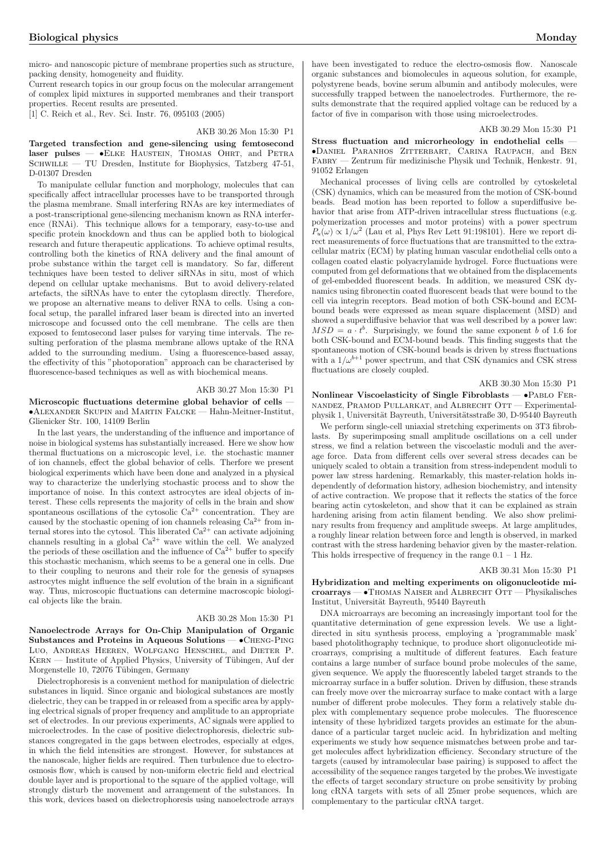micro- and nanoscopic picture of membrane properties such as structure, packing density, homogeneity and fluidity.

Current research topics in our group focus on the molecular arrangement of complex lipid mixtures in supported membranes and their transport properties. Recent results are presented.

[1] C. Reich et al., Rev. Sci. Instr. 76, 095103 (2005)

#### AKB 30.26 Mon 15:30 P1

Targeted transfection and gene-silencing using femtosecond laser pulses — •ELKE HAUSTEIN, THOMAS OHRT, and PETRA SCHWILLE — TU Dresden, Institute for Biophysics, Tatzberg 47-51, D-01307 Dresden

To manipulate cellular function and morphology, molecules that can specifically affect intracellular processes have to be transported through the plasma membrane. Small interfering RNAs are key intermediates of a post-transcriptional gene-silencing mechanism known as RNA interference (RNAi). This technique allows for a temporary, easy-to-use and specific protein knockdown and thus can be applied both to biological research and future therapeutic applications. To achieve optimal results, controlling both the kinetics of RNA delivery and the final amount of probe substance within the target cell is mandatory. So far, different techniques have been tested to deliver siRNAs in situ, most of which depend on cellular uptake mechanisms. But to avoid delivery-related artefacts, the siRNAs have to enter the cytoplasm directly. Therefore, we propose an alternative means to deliver RNA to cells. Using a confocal setup, the parallel infrared laser beam is directed into an inverted microscope and focussed onto the cell membrane. The cells are then exposed to femtosecond laser pulses for varying time intervals. The resulting perforation of the plasma membrane allows uptake of the RNA added to the surrounding medium. Using a fluorescence-based assay, the effectivity of this "photoporation" approach can be characterised by fluorescence-based techniques as well as with biochemical means.

#### AKB 30.27 Mon 15:30 P1

Microscopic fluctuations determine global behavior of cells — •Alexander Skupin and Martin Falcke — Hahn-Meitner-Institut, Glienicker Str. 100, 14109 Berlin

In the last years, the understanding of the influence and importance of noise in biological systems has substantially increased. Here we show how thermal fluctuations on a microscopic level, i.e. the stochastic manner of ion channels, effect the global behavior of cells. Therfore we present biological experiments which have been done and analyzed in a physical way to characterize the underlying stochastic process and to show the importance of noise. In this context astrocytes are ideal objects of interest. These cells represents the majority of cells in the brain and show spontaneous oscillations of the cytosolic  $\mathrm{Ca^{2+}}$  concentration. They are caused by the stochastic opening of ion channels releasing  $Ca^{2+}$  from internal stores into the cytosol. This liberated  $Ca^{2+}$  can activate adjoining channels resulting in a global  $Ca^{2+}$  wave within the cell. We analyzed the periods of these oscillation and the influence of  $Ca^{2+}$  buffer to specify this stochastic mechanism, which seems to be a general one in cells. Due to their coupling to neurons and their role for the genesis of synapses astrocytes might influence the self evolution of the brain in a significant way. Thus, microscopic fluctuations can determine macroscopic biological objects like the brain.

### AKB 30.28 Mon 15:30 P1

Nanoelectrode Arrays for On-Chip Manipulation of Organic Substances and Proteins in Aqueous Solutions — •Cheng-Ping Luo, Andreas Heeren, Wolfgang Henschel, and Dieter P. KERN — Institute of Applied Physics, University of Tübingen, Auf der Morgenstelle 10, 72076 Tübingen, Germany

Dielectrophoresis is a convenient method for manipulation of dielectric substances in liquid. Since organic and biological substances are mostly dielectric, they can be trapped in or released from a specific area by applying electrical signals of proper frequency and amplitude to an appropriate set of electrodes. In our previous experiments, AC signals were applied to microelectrodes. In the case of positive dielectrophoresis, dielectric substances congregated in the gaps between electrodes, especially at edges, in which the field intensities are strongest. However, for substances at the nanoscale, higher fields are required. Then turbulence due to electroosmosis flow, which is caused by non-uniform electric field and electrical double layer and is proportional to the square of the applied voltage, will strongly disturb the movement and arrangement of the substances. In this work, devices based on dielectrophoresis using nanoelectrode arrays

have been investigated to reduce the electro-osmosis flow. Nanoscale organic substances and biomolecules in aqueous solution, for example, polystyrene beads, bovine serum albumin and antibody molecules, were successfully trapped between the nanoelectrodes. Furthermore, the results demonstrate that the required applied voltage can be reduced by a factor of five in comparison with those using microelectrodes.

### AKB 30.29 Mon 15:30 P1

Stress fluctuation and microrheology in endothelial cells -•Daniel Paranhos Zitterbart, Carina Raupach, and Ben Fabry — Zentrum für medizinische Physik und Technik. Henkestr. 91. Zentrum für medizinische Physik und Technik, Henkestr. 91, 91052 Erlangen

Mechanical processes of living cells are controlled by cytoskeletal (CSK) dynamics, which can be measured from the motion of CSK-bound beads. Bead motion has been reported to follow a superdiffusive behavior that arise from ATP-driven intracellular stress fluctuations (e.g. polymerization processes and motor proteins) with a power spectrum  $P_u(\omega) \propto 1/\omega^2$  (Lau et al, Phys Rev Lett 91:198101). Here we report direct measurements of force fluctuations that are transmitted to the extracellular matrix (ECM) by plating human vascular endothelial cells onto a collagen coated elastic polyacrylamide hydrogel. Force fluctuations were computed from gel deformations that we obtained from the displacements of gel-embedded fluorescent beads. In addition, we measured CSK dynamics using fibronectin coated fluorescent beads that were bound to the cell via integrin receptors. Bead motion of both CSK-bound and ECMbound beads were expressed as mean square displacement (MSD) and showed a superdiffusive behavior that was well described by a power law:  $MSD = a \cdot t^b$ . Surprisingly, we found the same exponent b of 1.6 for both CSK-bound and ECM-bound beads. This finding suggests that the spontaneous motion of CSK-bound beads is driven by stress fluctuations with a  $1/\omega^{b+1}$  power spectrum, and that CSK dynamics and CSK stress fluctuations are closely coupled.

### AKB 30.30 Mon 15:30 P1

Nonlinear Viscoelasticity of Single Fibroblasts — •Pablo Fernandez, Pramod Pullarkat, and Albrecht Ott — Experimentalphysik 1, Universität Bayreuth, Universitätsstraße 30, D-95440 Bayreuth

We perform single-cell uniaxial stretching experiments on 3T3 fibroblasts. By superimposing small amplitude oscillations on a cell under stress, we find a relation between the viscoelastic moduli and the average force. Data from different cells over several stress decades can be uniquely scaled to obtain a transition from stress-independent moduli to power law stress hardening. Remarkably, this master-relation holds independently of deformation history, adhesion biochemistry, and intensity of active contraction. We propose that it reflects the statics of the force bearing actin cytoskeleton, and show that it can be explained as strain hardening arising from actin filament bending. We also show preliminary results from frequency and amplitude sweeps. At large amplitudes, a roughly linear relation between force and length is observed, in marked contrast with the stress hardening behavior given by the master-relation. This holds irrespective of frequency in the range  $0.1 - 1$  Hz.

#### AKB 30.31 Mon 15:30 P1

Hybridization and melting experiments on oligonucleotide mi $c\text{roarrays} \rightarrow \text{THOMAS NAISER}$  and ALBRECHT OTT — Physikalisches Institut, Universität Bayreuth, 95440 Bayreuth

DNA microarrays are becoming an increasingly important tool for the quantitative determination of gene expression levels. We use a lightdirected in situ synthesis process, employing a 'programmable mask' based photolithography technique, to produce short oligonucleotide microarrays, comprising a multitude of different features. Each feature contains a large number of surface bound probe molecules of the same, given sequence. We apply the fluorescently labeled target strands to the microarray surface in a buffer solution. Driven by diffusion, these strands can freely move over the microarray surface to make contact with a large number of different probe molecules. They form a relatively stable duplex with complementary sequence probe molecules. The fluorescence intensity of these hybridized targets provides an estimate for the abundance of a particular target nucleic acid. In hybridization and melting experiments we study how sequence mismatches between probe and target molecules affect hybridization efficiency. Secondary structure of the targets (caused by intramolecular base pairing) is supposed to affect the accessibility of the sequence ranges targeted by the probes.We investigate the effects of target secondary structure on probe sensitivity by probing long cRNA targets with sets of all 25mer probe sequences, which are complementary to the particular cRNA target.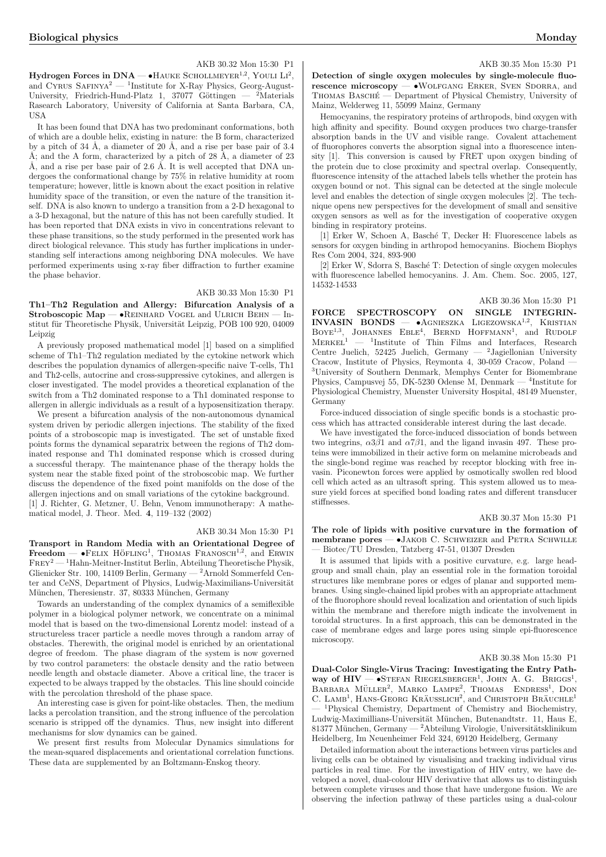### AKB 30.32 Mon 15:30 P1

 $Hydrogen$  Forces in  $DNA$   $\bullet$  HAUKE SCHOLLMEYER<sup>1,2</sup>, YOULI  $Li^2$ ,  $\frac{1}{2}$  and CYRUS SAFINYA<sup>2</sup> — <sup>1</sup>Institute for X-Ray Physics, Georg-August-University, Friedrich-Hund-Platz 1, 37077 Göttingen — <sup>2</sup>Materials Rasearch Laboratory, University of California at Santa Barbara, CA, **IISA** 

It has been found that DNA has two predominant conformations, both of which are a double helix, existing in nature: the B form, characterized by a pitch of 34 Å, a diameter of 20 Å, and a rise per base pair of  $3.4$ Å; and the A form, characterized by a pitch of  $28 \text{ Å}$ , a diameter of  $23$ Å, and a rise per base pair of 2.6 Å. It is well accepted that DNA undergoes the conformational change by 75% in relative humidity at room temperature; however, little is known about the exact position in relative humidity space of the transition, or even the nature of the transition itself. DNA is also known to undergo a transition from a 2-D hexagonal to a 3-D hexagonal, but the nature of this has not been carefully studied. It has been reported that DNA exists in vivo in concentrations relevant to these phase transitions, so the study performed in the presented work has direct biological relevance. This study has further implications in understanding self interactions among neighboring DNA molecules. We have performed experiments using x-ray fiber diffraction to further examine the phase behavior.

### AKB 30.33 Mon 15:30 P1

Th1–Th2 Regulation and Allergy: Bifurcation Analysis of a Stroboscopic Map —  $\bullet$ REINHARD VOGEL and ULRICH BEHN — Institut für Theoretische Physik, Universität Leipzig, POB 100 920, 04009 Leipzig

A previously proposed mathematical model [1] based on a simplified scheme of Th1–Th2 regulation mediated by the cytokine network which describes the population dynamics of allergen-specific naive T-cells, Th1 and Th2-cells, autocrine and cross-suppressive cytokines, and allergen is closer investigated. The model provides a theoretical explanation of the switch from a Th2 dominated response to a Th1 dominated response to allergen in allergic individuals as a result of a hyposensitization therapy.

We present a bifurcation analysis of the non-autonomous dynamical system driven by periodic allergen injections. The stability of the fixed points of a stroboscopic map is investigated. The set of unstable fixed points forms the dynamical separatrix between the regions of Th2 dominated response and Th1 dominated response which is crossed during a successful therapy. The maintenance phase of the therapy holds the system near the stable fixed point of the stroboscobic map. We further discuss the dependence of the fixed point manifolds on the dose of the allergen injections and on small variations of the cytokine background. [1] J. Richter, G. Metzner, U. Behn, Venom immunotherapy: A mathematical model, J. Theor. Med. 4, 119–132 (2002)

### AKB 30.34 Mon 15:30 P1

Transport in Random Media with an Orientational Degree of Freedom —  $\bullet$ FELIX HÖFLING<sup>1</sup>, THOMAS FRANOSCH<sup>1,2</sup>, and ERWIN Frey<sup>2</sup> — <sup>1</sup>Hahn-Meitner-Institut Berlin, Abteilung Theoretische Physik, Glienicker Str. 100, 14109 Berlin, Germany — <sup>2</sup>Arnold Sommerfeld Center and CeNS, Department of Physics, Ludwig-Maximilians-Universität München, Theresienstr. 37, 80333 München, Germany

Towards an understanding of the complex dynamics of a semiflexible polymer in a biological polymer network, we concentrate on a minimal model that is based on the two-dimensional Lorentz model: instead of a structureless tracer particle a needle moves through a random array of obstacles. Therewith, the original model is enriched by an orientational degree of freedom. The phase diagram of the system is now governed by two control parameters: the obstacle density and the ratio between needle length and obstacle diameter. Above a critical line, the tracer is expected to be always trapped by the obstacles. This line should coincide with the percolation threshold of the phase space.

An interesting case is given for point-like obstacles. Then, the medium lacks a percolation transition, and the strong influence of the percolation scenario is stripped off the dynamics. Thus, new insight into different mechanisms for slow dynamics can be gained.

We present first results from Molecular Dynamics simulations for the mean-squared displacements and orientational correlation functions. These data are supplemented by an Boltzmann-Enskog theory.

#### AKB 30.35 Mon 15:30 P1

Detection of single oxygen molecules by single-molecule fluorescence microscopy  $-\bullet$ WOLFGANG ERKER, SVEN SDORRA, and THOMAS BASCHÉ — Department of Physical Chemistry, University of Mainz, Welderweg 11, 55099 Mainz, Germany

Hemocyanins, the respiratory proteins of arthropods, bind oxygen with high affinity and specifity. Bound oxygen produces two charge-transfer absorption bands in the UV and visible range. Covalent attachement of fluorophores converts the absorption signal into a fluorescence intensity [1]. This conversion is caused by FRET upon oxygen binding of the protein due to close proximity and spectral overlap. Consequently, fluorescence intensity of the attached labels tells whether the protein has oxygen bound or not. This signal can be detected at the single molecule level and enables the detection of single oxygen molecules [2]. The technique opens new perspectives for the development of small and sensitive oxygen sensors as well as for the investigation of cooperative oxygen binding in respiratory proteins.

[1] Erker W, Schoen A, Basch´e T, Decker H: Fluorescence labels as sensors for oxygen binding in arthropod hemocyanins. Biochem Biophys Res Com 2004, 324, 893-900

[2] Erker W, Sdorra S, Basché T: Detection of single oxygen molecules with fluorescence labelled hemocyanins. J. Am. Chem. Soc. 2005, 127, 14532-14533

FORCE SPECTROSCOPY ON SINGLE INTEGRIN-<br>INVASIN BONDS -  $\bullet$ AGNIESZKA LIGEZOWSKA<sup>1,2</sup>. KRISTIAN  $INVASIN BONDS - AGNIEZKA LIGEZOWSKA<sup>1,2</sup>, KRISTIAN$  $B(YB)$ <sup>1,3</sup>, JOHANNES EBLE<sup>4</sup>, BERND HOFFMANN<sup>1</sup>, and RUDOLF  $MERKEL<sup>1</sup>$  — <sup>1</sup>Institute of Thin Films and Interfaces, Research  $MERKEL<sup>1</sup>$  — <sup>1</sup>Institute of Thin Films and Interfaces, Research Centre Juelich, 52425 Juelich, Germany — <sup>2</sup>Jagiellonian University Cracow, Institute of Physics, Reymonta 4, 30-059 Cracow, Poland — <sup>3</sup>University of Southern Denmark, Memphys Center for Biomembrane Physics, Campusvej 55, DK-5230 Odense M, Denmark — <sup>4</sup> Institute for Physiological Chemistry, Muenster University Hospital, 48149 Muenster, Germany

Force-induced dissociation of single specific bonds is a stochastic process which has attracted considerable interest during the last decade.

We have investigated the force-induced dissociation of bonds between two integrins,  $\alpha 3\beta 1$  and  $\alpha 7\beta 1$ , and the ligand invasin 497. These proteins were immobilized in their active form on melamine microbeads and the single-bond regime was reached by receptor blocking with free invasin. Piconewton forces were applied by osmotically swollen red blood cell which acted as an ultrasoft spring. This system allowed us to measure yield forces at specified bond loading rates and different transducer stiffnesses.

### AKB 30.37 Mon 15:30 P1

AKB 30.36 Mon 15:30 P1

The role of lipids with positive curvature in the formation of membrane pores -  $\bullet$ JAKOB C. SCHWEIZER and PETRA SCHWILLE — Biotec/TU Dresden, Tatzberg 47-51, 01307 Dresden

It is assumed that lipids with a positive curvature, e.g. large headgroup and small chain, play an essential role in the formation toroidal structures like membrane pores or edges of planar and supported membranes. Using single-chained lipid probes with an appropriate attachment of the fluorophore should reveal localization and orientation of such lipids within the membrane and therefore migth indicate the involvement in toroidal structures. In a first approach, this can be demonstrated in the case of membrane edges and large pores using simple epi-fluorescence microscopy.

### AKB 30.38 Mon 15:30 P1

Dual-Color Single-Virus Tracing: Investigating the Entry Path- $\mu$ an-Color Single-Virus Fracing. Hivestigating the Entry Fath-<br>way of  $\text{HIV} \rightarrow \text{STEFAN RIEGELSBERGER}^1$ , JOHN A. G. BRIGGS<sup>1</sup>, WAY OF HIV <sup>—</sup> USTEFAN RIEGELSBERGER, JOHN A. G. BRIGGS,<br>BARBARA MÜLLER<sup>2</sup>, MARKO LAMPE<sup>2</sup>, THOMAS ENDRESS<sup>1</sup>, DON DARBARA MULLER, MARNO LAMPE, THOMAS ENDRESS, DON<br>C. LAMB<sup>1</sup>, HANS-GEORG KRÄUSSLICH<sup>2</sup>, and CHRISTOPH BRÄUCHLE<sup>1</sup> <sup>1</sup>Physical Chemistry, Department of Chemistry and Biochemistry, Ludwig-Maximillians-Universität München, Butenandtstr. 11, Haus E, 81377 München, Germany — <sup>2</sup>Abteilung Virologie, Universitätsklinikum Heidelberg, Im Neuenheimer Feld 324, 69120 Heidelberg, Germany

Detailed information about the interactions between virus particles and living cells can be obtained by visualising and tracking individual virus particles in real time. For the investigation of HIV entry, we have developed a novel, dual-colour HIV derivative that allows us to distinguish between complete viruses and those that have undergone fusion. We are observing the infection pathway of these particles using a dual-colour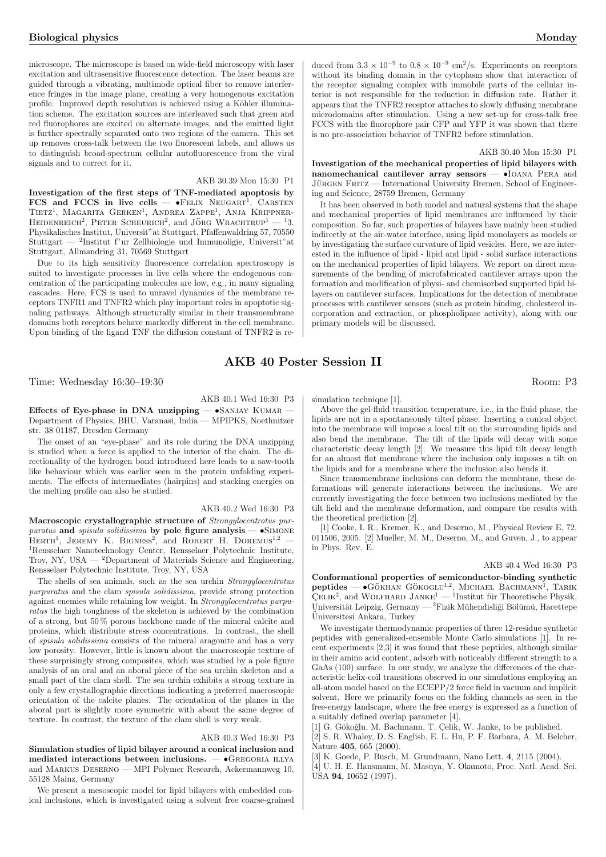microscope. The microscope is based on wide-field microscopy with laser excitation and ultrasensitive fluorescence detection. The laser beams are guided through a vibrating, multimode optical fiber to remove interference fringes in the image plane, creating a very homogenous excitation profile. Improved depth resolution is achieved using a Köhler illumination scheme. The excitation sources are interleaved such that green and red fluorophores are excited on alternate images, and the emitted light is further spectrally separated onto two regions of the camera. This set up removes cross-talk between the two fluorescent labels, and allows us to distinguish broad-spectrum cellular autofluorescence from the viral signals and to correct for it.

### AKB 30.39 Mon 15:30 P1

Investigation of the first steps of TNF-mediated apoptosis by  $FCS$  and  $FCCS$  in live cells —  $\bullet$ FELIX NEUGART<sup>1</sup>, CARSTEN TIETZ<sup>1</sup>, MAGARITA GERKEN<sup>1</sup>, ANDREA ZAPPE<sup>1</sup>, ANJA KRIPPNER-HEIDENREICH<sup>2</sup>, PETER SCHEURICH<sup>2</sup>, and JÖRG WRACHTRUP<sup>1</sup>  $-$ <sup>1</sup>3. Physikalisches Institut, Universit"at Stuttgart, Pfaffenwaldring 57, 70550 Stuttgart — <sup>2</sup> Institut f"ur Zellbiologie und Immunoligie, Universit"at Stuttgart, Allmandring 31, 70569 Stuttgart

Due to its high sensitivity fluorescence correlation spectroscopy is suited to investigate processes in live cells where the endogenous concentration of the participating molecules are low, e.g., in many signaling cascades. Here, FCS is used to unravel dynamics of the membrane receptors TNFR1 and TNFR2 which play important roles in apoptotic signaling pathways. Although structurally similar in their transmembrane domains both receptors behave markedly different in the cell membrane. Upon binding of the ligand TNF the diffusion constant of TNFR2 is reduced from  $3.3 \times 10^{-9}$  to  $0.8 \times 10^{-9}$  cm<sup>2</sup>/s. Experiments on receptors without its binding domain in the cytoplasm show that interaction of the receptor signaling complex with immobile parts of the cellular interior is not responsible for the reduction in diffusion rate. Rather it appears that the TNFR2 receptor attaches to slowly diffusing membrane microdomains after stimulation. Using a new set-up for cross-talk free FCCS with the fluorophore pair CFP and YFP it was shown that there is no pre-association behavior of TNFR2 before stimulation.

### AKB 30.40 Mon 15:30 P1

Investigation of the mechanical properties of lipid bilayers with nanomechanical cantilever array sensors — •Ioana Pera and JÜRGEN FRITZ — International University Bremen, School of Engineering and Science, 28759 Bremen, Germany

It has been observed in both model and natural systems that the shape and mechanical properties of lipid membranes are influenced by their composition. So far, such properties of bilayers have mainly been studied indirectly at the air-water interface, using lipid monolayers as models or by investigating the surface curvature of lipid vesicles. Here, we are interested in the influence of lipid - lipid and lipid - solid surface interactions on the mechanical properties of lipid bilayers. We report on direct measurements of the bending of microfabricated cantilever arrays upon the formation and modification of physi- and chemisorbed supported lipid bilayers on cantilever surfaces. Implications for the detection of membrane processes with cantilever sensors (such as protein binding, cholesterol incorporation and extraction, or phospholipase activity), along with our primary models will be discussed.

### AKB 40 Poster Session II

Time: Wednesday 16:30–19:30 Room: P3

### AKB 40.1 Wed 16:30 P3

Effects of Eye-phase in DNA unzipping  $\bullet$ SANJAY KUMAR Department of Physics, BHU, Varanasi, India — MPIPKS, Noethnitzer str. 38 01187, Dresden Germany

The onset of an "eye-phase" and its role during the DNA unzipping is studied when a force is applied to the interior of the chain. The directionality of the hydrogen bond introduced here leads to a saw-tooth like behaviour which was earlier seen in the protein unfolding experiments. The effects of intermediates (hairpins) and stacking energies on the melting profile can also be studied.

### AKB 40.2 Wed 16:30 P3

Macroscopic crystallographic structure of Strongylocentrotus purpuratus and spisula solidissima by pole figure analysis  $-\bullet$ SIMONE paratus and spisual solutional by pole lighte analysis  $-$  • Simone HERTH<sup>1</sup>, JEREMY K. BIGNESS<sup>2</sup>, and ROBERT H. DOREMUS<sup>1,2</sup> <sup>1</sup>Rensselaer Nanotechnology Center, Rensselaer Polytechnic Institute, Troy, NY, USA  $-$  <sup>2</sup>Department of Materials Science and Engineering, Rensselaer Polytechnic Institute, Troy, NY, USA

The shells of sea animals, such as the sea urchin Strongylocentrotus purpuratus and the clam spisula solidissima, provide strong protection against enemies while retaining low weight. In Strongylocentrotus purpuratus the high toughness of the skeleton is achieved by the combination of a strong, but 50 % porous backbone made of the mineral calcite and proteins, which distribute stress concentrations. In contrast, the shell of spisula solidissima consists of the mineral aragonite and has a very low porosity. However, little is known about the macroscopic texture of these surprisingly strong composites, which was studied by a pole figure analysis of an oral and an aboral piece of the sea urchin skeleton and a small part of the clam shell. The sea urchin exhibits a strong texture in only a few crystallographic directions indicating a preferred macroscopic orientation of the calcite planes. The orientation of the planes in the aboral part is slightly more symmetric with about the same degree of texture. In contrast, the texture of the clam shell is very weak.

### AKB 40.3 Wed 16:30 P3

Simulation studies of lipid bilayer around a conical inclusion and mediated interactions between inclusions.  $\bullet$ GREGORIA ILLYA and Markus Deserno — MPI Polymer Research, Ackermannweg 10, 55128 Mainz, Germany

We present a mesoscopic model for lipid bilayers with embedded conical inclusions, which is investigated using a solvent free coarse-grained simulation technique [1].

Above the gel-fluid transition temperature, i.e., in the fluid phase, the lipids are not in a spontaneously tilted phase. Inserting a conical object into the membrane will impose a local tilt on the surrounding lipids and also bend the membrane. The tilt of the lipids will decay with some characteristic decay length [2]. We measure this lipid tilt decay length for an almost flat membrane where the inclusion only imposes a tilt on the lipids and for a membrane where the inclusion also bends it.

Since transmembrane inclusions can deform the membrane, these deformations will generate interactions between the inclusions. We are currently investigating the force between two inclusions mediated by the tilt field and the membrane deformation, and compare the results with the theoretical prediction [2].

[1] Cooke, I. R., Kremer, K., and Deserno, M., Physical Review E, 72, 011506, 2005. [2] Mueller, M. M., Deserno, M., and Guven, J., to appear in Phys. Rev. E.

### AKB 40.4 Wed 16:30 P3

Conformational properties of semiconductor-binding synthetic comormational properties of semiconductor-binding synthetic<br>peptides —  $\bullet$ Gökhan Gökoglu<sup>1,2</sup>, Michael Bachmann<sup>1</sup>, Tarik<br>ÇELIK<sup>2</sup>, and WOLFHARD JANKE<sup>1</sup> — <sup>1</sup>Institut für Theoretische Physik, Universität Leipzig, Germany — <sup>2</sup>Fizik Mühendisliği Bölümü, Hacettepe Universitesi Ankara, Turkey ¨

We investigate thermodynamic properties of three 12-residue synthetic peptides with generalized-ensemble Monte Carlo simulations [1]. In recent experiments [2,3] it was found that these peptides, although similar in their amino acid content, adsorb with noticeably different strength to a GaAs (100) surface. In our study, we analyze the differences of the characteristic helix-coil transitions observed in our simulations employing an all-atom model based on the ECEPP/2 force field in vacuum and implicit solvent. Here we primarily focus on the folding channels as seen in the free-energy landscape, where the free energy is expressed as a function of a suitably defined overlap parameter [4].

[1] G. Gökoğlu, M. Bachmann, T. Çelik, W. Janke, to be published.

[2] S. R. Whaley, D. S. English, E. L. Hu, P. F. Barbara, A. M. Belcher, Nature 405, 665 (2000).

[3] K. Goede, P. Busch, M. Grundmann, Nano Lett. 4, 2115 (2004).

[4] U. H. E. Hansmann, M. Masuya, Y. Okamoto, Proc. Natl. Acad. Sci. USA 94, 10652 (1997).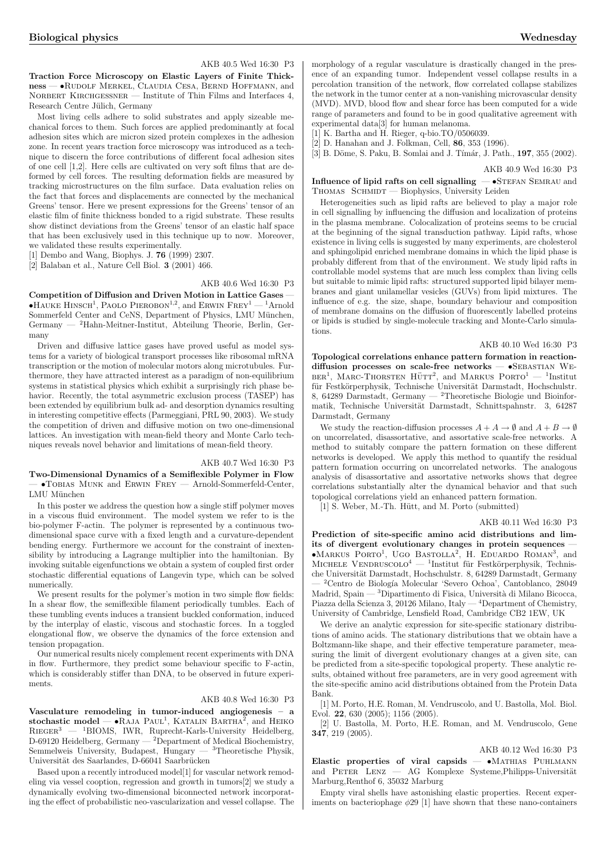AKB 40.5 Wed 16:30 P3

Traction Force Microscopy on Elastic Layers of Finite Thickness — •Rudolf Merkel, Claudia Cesa, Bernd Hoffmann, and NORBERT KIRCHGESSNER — Institute of Thin Films and Interfaces 4, Research Centre Jülich, Germany

Most living cells adhere to solid substrates and apply sizeable mechanical forces to them. Such forces are applied predominantly at focal adhesion sites which are micron sized protein complexes in the adhesion zone. In recent years traction force microscopy was introduced as a technique to discern the force contributions of different focal adhesion sites of one cell [1,2]. Here cells are cultivated on very soft films that are deformed by cell forces. The resulting deformation fields are measured by tracking microstructures on the film surface. Data evaluation relies on the fact that forces and displacements are connected by the mechanical Greens' tensor. Here we present expressions for the Greens' tensor of an elastic film of finite thickness bonded to a rigid substrate. These results show distinct deviations from the Greens' tensor of an elastic half space that has been exclusively used in this technique up to now. Moreover, we validated these results experimentally.

[1] Dembo and Wang, Biophys. J. 76 (1999) 2307.

[2] Balaban et al., Nature Cell Biol. 3 (2001) 466.

### AKB 40.6 Wed 16:30 P3

Competition of Diffusion and Driven Motion in Lattice Gases — **•HAUKE HINSCH<sup>1</sup>**, PAOLO PIEROBON<sup>1,2</sup>, and ERWIN FREY<sup>1</sup> — <sup>1</sup>Arnold Sommerfeld Center and CeNS, Department of Physics, LMU München, Germany — <sup>2</sup>Hahn-Meitner-Institut, Abteilung Theorie, Berlin, Germany

Driven and diffusive lattice gases have proved useful as model systems for a variety of biological transport processes like ribosomal mRNA transcription or the motion of molecular motors along microtubules. Furthermore, they have attracted interest as a paradigm of non-equilibrium systems in statistical physics which exhibit a surprisingly rich phase behavior. Recently, the total asymmetric exclusion process (TASEP) has been extended by equilibrium bulk ad- and desorption dynamics resulting in interesting competitive effects (Parmeggiani, PRL 90, 2003). We study the competition of driven and diffusive motion on two one-dimensional lattices. An investigation with mean-field theory and Monte Carlo techniques reveals novel behavior and limitations of mean-field theory.

### AKB 40.7 Wed 16:30 P3

Two-Dimensional Dynamics of a Semiflexible Polymer in Flow — •Tobias Munk and Erwin Frey — Arnold-Sommerfeld-Center, LMU München

In this poster we address the question how a single stiff polymer moves in a viscous fluid environment. The model system we refer to is the bio-polymer F-actin. The polymer is represented by a continuous twodimensional space curve with a fixed length and a curvature-dependent bending energy. Furthermore we account for the constraint of inextensibility by introducing a Lagrange multiplier into the hamiltonian. By invoking suitable eigenfunctions we obtain a system of coupled first order stochastic differential equations of Langevin type, which can be solved numerically.

We present results for the polymer's motion in two simple flow fields: In a shear flow, the semiflexible filament periodically tumbles. Each of these tumbling events induces a transient buckled conformation, induced by the interplay of elastic, viscous and stochastic forces. In a toggled elongational flow, we observe the dynamics of the force extension and tension propagation.

Our numerical results nicely complement recent experiments with DNA in flow. Furthermore, they predict some behaviour specific to F-actin, which is considerably stiffer than DNA, to be observed in future experiments.

### AKB 40.8 Wed 16:30 P3

Vasculature remodeling in tumor-induced angiogenesis – a vasculature remodeling in tumor-mudded anglogenesis –  $\alpha$  stochastic model — •RAJA PAUL<sup>1</sup>, KATALIN BARTHA<sup>2</sup>, and HEIKO  $RIEGER<sup>3</sup>$  — <sup>1</sup>BIOMS, IWR, Ruprecht-Karls-University Heidelberg, D-69120 Heidelberg, Germany — <sup>2</sup>Department of Medical Biochemistry, Semmelweis University, Budapest, Hungary —  ${}^{3}$ Theoretische Physik, Universität des Saarlandes, D-66041 Saarbrücken

Based upon a recently introduced model[1] for vascular network remodeling via vessel cooption, regression and growth in tumors[2] we study a dynamically evolving two-dimensional biconnected network incorporating the effect of probabilistic neo-vascularization and vessel collapse. The morphology of a regular vasculature is drastically changed in the presence of an expanding tumor. Independent vessel collapse results in a percolation transition of the network, flow correlated collapse stabilizes the network in the tumor center at a non-vanishing microvascular density (MVD). MVD, blood flow and shear force has been computed for a wide range of parameters and found to be in good qualitative agreement with experimental data[3] for human melanoma.

[1] K. Bartha and H. Rieger, q-bio.TO/0506039.

[2] D. Hanahan and J. Folkman, Cell, 86, 353 (1996).

[3] B. Döme, S. Paku, B. Somlai and J. Tímár, J. Path., 197, 355 (2002).

AKB 40.9 Wed 16:30 P3

Influence of lipid rafts on cell signalling  $-$  •STEFAN SEMRAU and THOMAS SCHMIDT — Biophysics, University Leiden

Heterogeneities such as lipid rafts are believed to play a major role in cell signalling by influencing the diffusion and localization of proteins in the plasma membrane. Colocalization of proteins seems to be crucial at the beginning of the signal transduction pathway. Lipid rafts, whose existence in living cells is suggested by many experiments, are cholesterol and sphingolipid enriched membrane domains in which the lipid phase is probably different from that of the environment. We study lipid rafts in controllable model systems that are much less complex than living cells but suitable to mimic lipid rafts: structured supported lipid bilayer membranes and giant unilamellar vesicles (GUVs) from lipid mixtures. The influence of e.g. the size, shape, boundary behaviour and composition of membrane domains on the diffusion of fluorescently labelled proteins or lipids is studied by single-molecule tracking and Monte-Carlo simulations.

### AKB 40.10 Wed 16:30 P3

Topological correlations enhance pattern formation in reactiondiffusion processes on scale-free networks  $-$  •SEBASTIAN WE- $\mu_{\text{BER}}$ , MARC-THORSTEN HÜTT<sup>2</sup>, and MARKUS PORTO<sup>1</sup> — <sup>1</sup>Institute für Festkörperphysik, Technische Universität Darmstadt, Hochschulstr. 8, 64289 Darmstadt, Germany — <sup>2</sup>Theoretische Biologie und Bioinformatik, Technische Universität Darmstadt, Schnittspahnstr. 3, 64287 Darmstadt, Germany

We study the reaction-diffusion processes  $A + A \rightarrow \emptyset$  and  $A + B \rightarrow \emptyset$ on uncorrelated, disassortative, and assortative scale-free networks. A method to suitably compare the pattern formation on these different networks is developed. We apply this method to quantify the residual pattern formation occurring on uncorrelated networks. The analogous analysis of disassortative and assortative networks shows that degree correlations substantially alter the dynamical behavior and that such topological correlations yield an enhanced pattern formation.

[1] S. Weber, M.-Th. Hütt, and M. Porto (submitted)

### AKB 40.11 Wed 16:30 P3

Prediction of site-specific amino acid distributions and limits of divergent evolutionary changes in protein sequences **EXECUTE: FORTO<sup>1</sup>**, UGO BASTOLLA<sup>2</sup>, H. EDUARDO ROMAN<sup>3</sup>, and **MARKOS 1 ORIO**, OGO DASTOLLA, IT. EDUARDO ROMAN, and MICHELE VENDRUSCOLO<sup>4</sup> — <sup>1</sup>Institut für Festkörperphysik, Technische Universität Darmstadt, Hochschulstr. 8, 64289 Darmstadt, Germany <sup>2</sup>Centro de Biología Molecular 'Severo Ochoa', Cantoblanco, 28049 Madrid, Spain — <sup>3</sup>Dipartimento di Fisica, Universit`a di Milano Bicocca, Piazza della Scienza 3, 20126 Milano, Italy — <sup>4</sup>Department of Chemistry, University of Cambridge, Lensfield Road, Cambridge CB2 1EW, UK

We derive an analytic expression for site-specific stationary distributions of amino acids. The stationary distributions that we obtain have a Boltzmann-like shape, and their effective temperature parameter, measuring the limit of divergent evolutionary changes at a given site, can be predicted from a site-specific topological property. These analytic results, obtained without free parameters, are in very good agreement with the site-specific amino acid distributions obtained from the Protein Data Bank.

[1] M. Porto, H.E. Roman, M. Vendruscolo, and U. Bastolla, Mol. Biol. Evol. 22, 630 (2005); 1156 (2005).

[2] U. Bastolla, M. Porto, H.E. Roman, and M. Vendruscolo, Gene 347, 219 (2005).

### AKB 40.12 Wed 16:30 P3

Elastic properties of viral capsids — •Mathias Puhlmann and PETER LENZ — AG Komplexe Systeme, Philipps-Universität Marburg,Renthof 6, 35032 Marburg

Empty viral shells have astonishing elastic properties. Recent experiments on bacteriophage  $\phi$ 29 [1] have shown that these nano-containers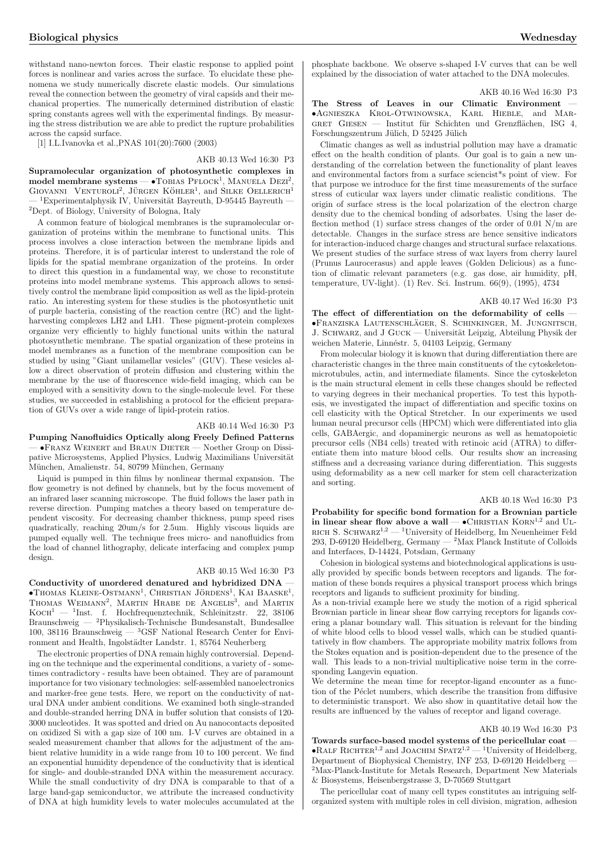withstand nano-newton forces. Their elastic response to applied point forces is nonlinear and varies across the surface. To elucidate these phenomena we study numerically discrete elastic models. Our simulations reveal the connection between the geometry of viral capsids and their mechanical properties. The numerically determined distribution of elastic spring constants agrees well with the experimental findings. By measuring the stress distribution we are able to predict the rupture probabilities across the capsid surface.

[1] I.L.Ivanovka et al.,PNAS 101(20):7600 (2003)

AKB 40.13 Wed 16:30 P3 Supramolecular organization of photosynthetic complexes in model membrane systems  $\bullet$ TOBIAS  $\text{PFLOCK}^1$ , MANUELA DEZI<sup>2</sup>,  $GIOVANNI$  VENTUROLI<sup>2</sup>, JÜRGEN KÖHLER<sup>1</sup>, and SILKE OELLERICH<sup>1</sup>  ${}^{1}$ Experimentalphysik IV, Universität Bayreuth, D-95445 Bayreuth <sup>2</sup>Dept. of Biology, University of Bologna, Italy

A common feature of biological membranes is the supramolecular organization of proteins within the membrane to functional units. This process involves a close interaction between the membrane lipids and proteins. Therefore, it is of particular interest to understand the role of lipids for the spatial membrane organization of the proteins. In order to direct this question in a fundamental way, we chose to reconstitute proteins into model membrane systems. This approach allows to sensitively control the membrane lipid composition as well as the lipid-protein ratio. An interesting system for these studies is the photosynthetic unit of purple bacteria, consisting of the reaction centre (RC) and the lightharvesting complexes LH2 and LH1. These pigment-protein complexes organize very efficiently to highly functional units within the natural photosynthetic membrane. The spatial organization of these proteins in model membranes as a function of the membrane composition can be studied by using "Giant unilamellar vesicles" (GUV). These vesicles allow a direct observation of protein diffusion and clustering within the membrane by the use of fluorescence wide-field imaging, which can be employed with a sensitivity down to the single-molecule level. For these studies, we succeeded in establishing a protocol for the efficient preparation of GUVs over a wide range of lipid-protein ratios.

### AKB 40.14 Wed 16:30 P3

Pumping Nanofluidics Optically along Freely Defined Patterns — •Franz Weinert and Braun Dieter — Noether Group on Dissipative Microsystems, Applied Physics, Ludwig Maximilians Universität München, Amalienstr. 54, 80799 München, Germany

Liquid is pumped in thin films by nonlinear thermal expansion. The flow geometry is not defined by channels, but by the focus movement of an infrared laser scanning microscope. The fluid follows the laser path in reverse direction. Pumping matches a theory based on temperature dependent viscosity. For decreasing chamber thickness, pump speed rises quadratically, reaching 20um/s for 2.5um. Highly viscous liquids are pumped equally well. The technique frees micro- and nanofluidics from the load of channel lithography, delicate interfacing and complex pump design.

### AKB 40.15 Wed 16:30 P3

Conductivity of unordered denatured and hybridized DNA —  $\bullet$ Thomas Kleine-Ostmann<sup>1</sup>, Christian Jördens<sup>1</sup>, Kai Baaske<sup>1</sup>, **THOMAS NLEINE-OSTMANN**, CHRISTIAN JORDENS, NAT DAASNE, THOMAS WEIMANN<sup>2</sup>, MARTIN HRABE DE ANGELIS<sup>3</sup>, and MARTIN  $\rm KocH^1$  —  $\rm ^1Inst.$   $\,$  f.  $\rm ^'$  Hochfrequenztechnik, Schleinitzstr. 22, 38106 Braunschweig — <sup>2</sup>Physikalisch-Technische Bundesanstalt, Bundesallee 100, 38116 Braunschweig — <sup>3</sup>GSF National Research Center for Environment and Health, Ingolstädter Landstr. 1, 85764 Neuherberg

The electronic properties of DNA remain highly controversial. Depending on the technique and the experimental conditions, a variety of - sometimes contradictory - results have been obtained. They are of paramount importance for two visionary technologies: self-assembled nanoelectronics and marker-free gene tests. Here, we report on the conductivity of natural DNA under ambient conditions. We examined both single-stranded and double-stranded herring DNA in buffer solution that consists of 120- 3000 nucleotides. It was spotted and dried on Au nanocontacts deposited on oxidized Si with a gap size of 100 nm. I-V curves are obtained in a sealed measurement chamber that allows for the adjustment of the ambient relative humidity in a wide range from 10 to 100 percent. We find an exponential humidity dependence of the conductivity that is identical for single- and double-stranded DNA within the measurement accuracy. While the small conductivity of dry DNA is comparable to that of a large band-gap semiconductor, we attribute the increased conductivity of DNA at high humidity levels to water molecules accumulated at the phosphate backbone. We observe s-shaped I-V curves that can be well explained by the dissociation of water attached to the DNA molecules.

AKB 40.16 Wed 16:30 P3

The Stress of Leaves in our Climatic Environment •Agnieszka Krol-Otwinowska, Karl Hieble, and Mar-GRET GIESEN — Institut für Schichten und Grenzflächen, ISG 4, Forschungszentrum Jülich, D 52425 Jülich

Climatic changes as well as industrial pollution may have a dramatic effect on the health condition of plants. Our goal is to gain a new understanding of the correlation between the functionality of plant leaves and environmental factors from a surface sciencist\*s point of view. For that purpose we introduce for the first time measurements of the surface stress of cuticular wax layers under climatic realistic conditions. The origin of surface stress is the local polarization of the electron charge density due to the chemical bonding of adsorbates. Using the laser deflection method  $(1)$  surface stress changes of the order of 0.01 N/m are detectable. Changes in the surface stress are hence sensitive indicators for interaction-induced charge changes and structural surface relaxations. We present studies of the surface stress of wax layers from cherry laurel (Prunus Laurocerasus) and apple leaves (Golden Delicious) as a function of climatic relevant parameters (e.g. gas dose, air humidity, pH, temperature, UV-light). (1) Rev. Sci. Instrum. 66(9), (1995), 4734

#### AKB 40.17 Wed 16:30 P3

The effect of differentiation on the deformability of cells •Franziska Lautenschlager ¨ , S. Schinkinger, M. Jungnitsch, J. SCHWARZ, and J GUCK — Universität Leipzig, Abteilung Physik der weichen Materie, Linnéstr. 5, 04103 Leipzig, Germany

From molecular biology it is known that during differentiation there are characteristic changes in the three main constituents of the cytoskeletonmicrotubules, actin, and intermediate filaments. Since the cytoskeleton is the main structural element in cells these changes should be reflected to varying degrees in their mechanical properties. To test this hypothesis, we investigated the impact of differentiation and specific toxins on cell elasticity with the Optical Stretcher. In our experiments we used human neural precursor cells (HPCM) which were differentiated into glia cells, GABAergic, and dopaminergic neurons as well as hematopoietic precursor cells (NB4 cells) treated with retinoic acid (ATRA) to differentiate them into mature blood cells. Our results show an increasing stiffness and a decreasing variance during differentiation. This suggests using deformability as a new cell marker for stem cell characterization and sorting.

### AKB 40.18 Wed 16:30 P3

Probability for specific bond formation for a Brownian particle in linear shear flow above a wall —  $\bullet$ CHRISTIAN KORN<sup>1,2</sup> and UL-RICH S. SCHWARZ<sup>1,2</sup> — <sup>1</sup>University of Heidelberg, Im Neuenheimer Feld 293, D-69120 Heidelberg, Germany — <sup>2</sup>Max Planck Institute of Colloids and Interfaces, D-14424, Potsdam, Germany

Cohesion in biological systems and biotechnological applications is usually provided by specific bonds between receptors and ligands. The formation of these bonds requires a physical transport process which brings receptors and ligands to sufficient proximity for binding.

As a non-trivial example here we study the motion of a rigid spherical Brownian particle in linear shear flow carrying receptors for ligands covering a planar boundary wall. This situation is relevant for the binding of white blood cells to blood vessel walls, which can be studied quantitatively in flow chambers. The appropriate mobility matrix follows from the Stokes equation and is position-dependent due to the presence of the wall. This leads to a non-trivial multiplicative noise term in the corresponding Langevin equation.

We determine the mean time for receptor-ligand encounter as a function of the Péclet numbers, which describe the transition from diffusive to deterministic transport. We also show in quantitative detail how the results are influenced by the values of receptor and ligand coverage.

### AKB 40.19 Wed 16:30 P3

Towards surface-based model systems of the pericellular coat — • RALF RICHTER<sup>1,2</sup> and JOACHIM SPATZ<sup>1,2</sup> — <sup>1</sup>University of Heidelberg, Department of Biophysical Chemistry, INF 253, D-69120 Heidelberg — <sup>2</sup>Max-Planck-Institute for Metals Research, Department New Materials & Biosystems, Heisenbergstrasse 3, D-70569 Stuttgart

The pericellular coat of many cell types constitutes an intriguing selforganized system with multiple roles in cell division, migration, adhesion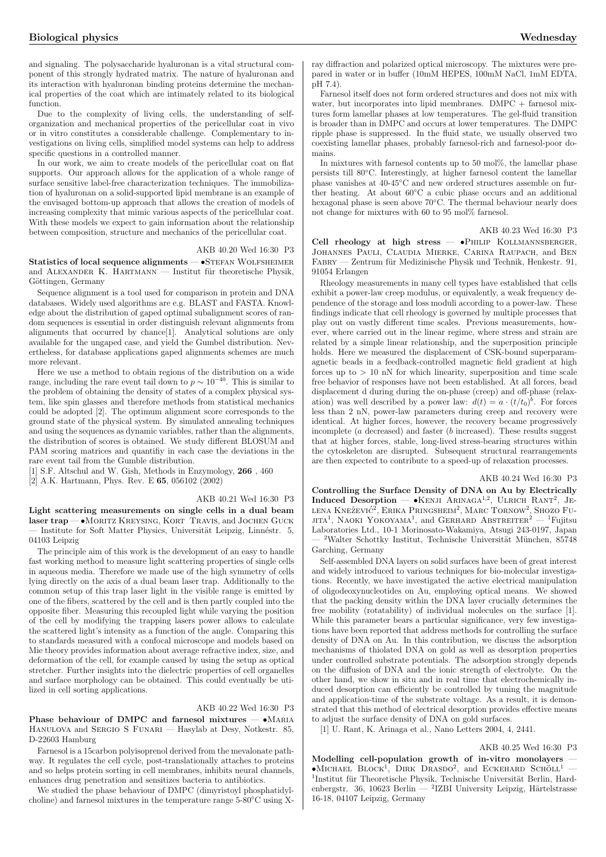and signaling. The polysaccharide hyaluronan is a vital structural component of this strongly hydrated matrix. The nature of hyaluronan and its interaction with hyaluronan binding proteins determine the mechanical properties of the coat which are intimately related to its biological function.

Due to the complexity of living cells, the understanding of selforganization and mechanical properties of the pericellular coat in vivo or in vitro constitutes a considerable challenge. Complementary to investigations on living cells, simplified model systems can help to address specific questions in a controlled manner.

In our work, we aim to create models of the pericellular coat on flat supports. Our approach allows for the application of a whole range of surface sensitive label-free characterization techniques. The immobilization of hyaluronan on a solid-supported lipid membrane is an example of the envisaged bottom-up approach that allows the creation of models of increasing complexity that mimic various aspects of the pericellular coat. With these models we expect to gain information about the relationship between composition, structure and mechanics of the pericellular coat.

AKB 40.20 Wed 16:30 P3

Statistics of local sequence alignments — • STEFAN WOLFSHEIMER and ALEXANDER K. HARTMANN — Institut für theoretische Physik, Göttingen, Germany

Sequence alignment is a tool used for comparison in protein and DNA databases. Widely used algorithms are e.g. BLAST and FASTA. Knowledge about the distribution of gaped optimal subalignment scores of random sequences is essential in order distinguish relevant alignments from alignments that occurred by chance[1]. Analytical solutions are only available for the ungaped case, and yield the Gumbel distribution. Nevertheless, for database applications gaped alignments schemes are much more relevant.

Here we use a method to obtain regions of the distribution on a wide range, including the rare event tail down to  $p \sim 10^{-40}$ . This is similar to the problem of obtaining the density of states of a complex physical system, like spin glasses and therefore methods from statistical mechanics could be adopted [2]. The optimum alignment score corresponds to the ground state of the physical system. By simulated annealing techniques and using the sequences as dynamic variables, rather than the alignments, the distribution of scores is obtained. We study different BLOSUM and PAM scoring matrices and quantifiy in each case the deviations in the rare event tail from the Gumble distribution.

[1] S.F. Altschul and W. Gish, Methods in Enzymology, 266 , 460

[2] A.K. Hartmann, Phys. Rev. E 65, 056102 (2002)

### AKB 40.21 Wed 16:30 P3

Light scattering measurements on single cells in a dual beam laser trap — •Moritz Kreysing, Kort Travis, and Jochen Guck Institute for Soft Matter Physics, Universität Leipzig, Linnéstr. 5, 04103 Leipzig

The principle aim of this work is the development of an easy to handle fast working method to measure light scattering properties of single cells in aqueous media. Therefore we made use of the high symmetry of cells lying directly on the axis of a dual beam laser trap. Additionally to the common setup of this trap laser light in the visible range is emitted by one of the fibers, scattered by the cell and is then partly coupled into the opposite fiber. Measuring this recoupled light while varying the position of the cell by modifying the trapping lasers power allows to calculate the scattered light's intensity as a function of the angle. Comparing this to standards measured with a confocal microscope and models based on Mie theory provides information about average refractive index, size, and deformation of the cell, for example caused by using the setup as optical stretcher. Further insights into the dielectric properties of cell organelles and surface morphology can be obtained. This could eventually be utilized in cell sorting applications.

### AKB 40.22 Wed 16:30 P3

Phase behaviour of DMPC and farnesol mixtures -  $\bullet$ MARIA Hanulova and Sergio S Funari — Hasylab at Desy, Notkestr. 85, D-22603 Hamburg

Farnesol is a 15carbon polyisoprenol derived from the mevalonate pathway. It regulates the cell cycle, post-translationally attaches to proteins and so helps protein sorting in cell membranes, inhibits neural channels, enhances drug penetration and sensitizes bacteria to antibiotics.

We studied the phase behaviour of DMPC (dimyristoyl phosphatidylcholine) and farnesol mixtures in the temperature range 5-80◦C using X- ray diffraction and polarized optical microscopy. The mixtures were prepared in water or in buffer (10mM HEPES, 100mM NaCl, 1mM EDTA, pH 7.4).

Farnesol itself does not form ordered structures and does not mix with water, but incorporates into lipid membranes. DMPC + farnesol mixtures form lamellar phases at low temperatures. The gel-fluid transition is broader than in DMPC and occurs at lower temperatures. The DMPC ripple phase is suppressed. In the fluid state, we usually observed two coexisting lamellar phases, probably farnesol-rich and farnesol-poor domains.

In mixtures with farnesol contents up to 50 mol%, the lamellar phase persists till 80◦C. Interestingly, at higher farnesol content the lamellar phase vanishes at 40-45◦C and new ordered structures assemble on further heating. At about 60◦C a cubic phase occurs and an additional hexagonal phase is seen above 70◦C. The thermal behaviour nearly does not change for mixtures with 60 to 95 mol% farnesol.

AKB 40.23 Wed 16:30 P3

Cell rheology at high stress -  $\bullet$ PHILIP KOLLMANNSBERGER, JOHANNES PAULI, CLAUDIA MIERKE, CARINA RAUPACH, and BEN FABRY — Zentrum für Medizinische Physik und Technik, Henkestr. 91, 91054 Erlangen

Rheology measurements in many cell types have established that cells exhibit a power-law creep modulus, or equivalently, a weak frequency dependence of the storage and loss moduli according to a power-law. These findings indicate that cell rheology is governed by multiple processes that play out on vastly different time scales. Previous measurements, however, where carried out in the linear regime, where stress and strain are related by a simple linear relationship, and the superposition principle holds. Here we measured the displacement of CSK-bound superparamagnetic beads in a feedback-controlled magnetic field gradient at high forces up to  $> 10$  nN for which linearity, superposition and time scale free behavior of responses have not been established. At all forces, bead displacement d during during the on-phase (creep) and off-phase (relaxation) was well described by a power law:  $d(t) = a \cdot (t/t_0)^b$ . For forces less than 2 nN, power-law parameters during creep and recovery were identical. At higher forces, however, the recovery became progressively incomplete (a decreased) and faster (b increased). These results suggest that at higher forces, stable, long-lived stress-bearing structures within the cytoskeleton are disrupted. Subsequent structural rearrangements are then expected to contribute to a speed-up of relaxation processes.

#### AKB 40.24 Wed 16:30 P3

Controlling the Surface Density of DNA on Au by Electrically Induced Desorption — •KENJI ARINAGA<sup>1,2</sup>, ULRICH RANT<sup>2</sup>, JE-LENA KNEŽEVIĆ<sup>2</sup>, ERIKA PRINGSHEIM<sup>2</sup>, MARC TORNOW<sup>2</sup>, SHOZO FU-LENA INEZEVIC; EKINA I KINGSHEIM; MARC TOKNOW; SHOZO FUJITA<sup>1</sup>, NAOKI YOKOYAMA<sup>1</sup>, and GERHARD ABSTREITER<sup>2</sup> — <sup>1</sup>Fujitsu Laboratories Ltd., 10-1 Morinosato-Wakamiya, Atsugi 243-0197, Japan <sup>2</sup>Walter Schottky Institut, Technische Universität München, 85748 Garching, Germany

Self-assembled DNA layers on solid surfaces have been of great interest and widely introduced to various techniques for bio-molecular investigations. Recently, we have investigated the active electrical manipulation of oligodeoxynucleotides on Au, employing optical means. We showed that the packing density within the DNA layer crucially determines the free mobility (rotatability) of individual molecules on the surface [1]. While this parameter bears a particular significance, very few investigations have been reported that address methods for controlling the surface density of DNA on Au. In this contribution, we discuss the adsorption mechanisms of thiolated DNA on gold as well as desorption properties under controlled substrate potentials. The adsorption strongly depends on the diffusion of DNA and the ionic strength of electrolyte. On the other hand, we show in situ and in real time that electrochemically induced desorption can efficiently be controlled by tuning the magnitude and application-time of the substrate voltage. As a result, it is demonstrated that this method of electrical desorption provides effective means to adjust the surface density of DNA on gold surfaces.

[1] U. Rant, K. Arinaga et al., Nano Letters 2004, 4, 2441.

### AKB 40.25 Wed 16:30 P3

Modelling cell-population growth of in-vitro monolayers —  $\bullet$ Michael Block<sup>1</sup>, DIRK DRASDO<sup>2</sup>, and Eckehard Schöll<sup>1</sup> — <sup>1</sup>Institut für Theoretische Physik, Technische Universität Berlin, Hardenbergstr. 36, 10623 Berlin — <sup>2</sup>IZBI University Leipzig, Härtelstrasse 16-18, 04107 Leipzig, Germany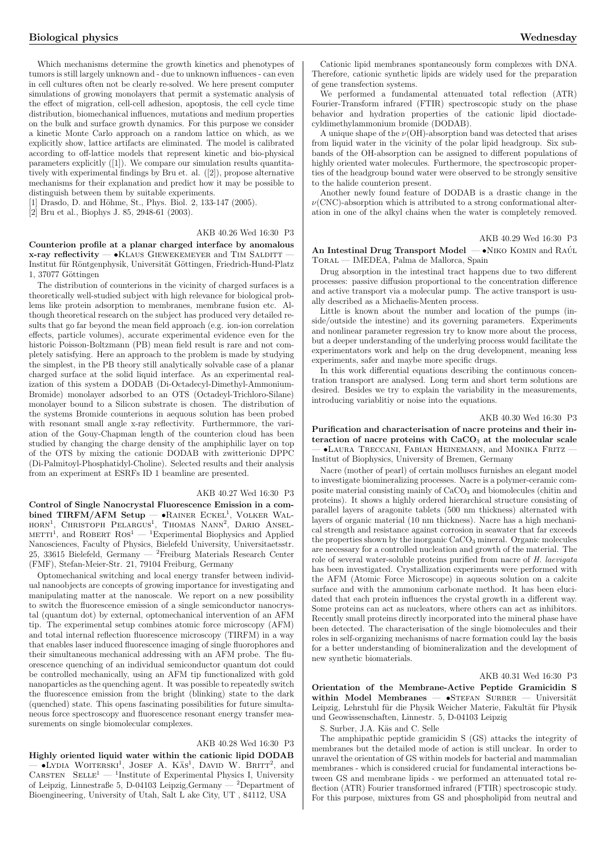Which mechanisms determine the growth kinetics and phenotypes of tumors is still largely unknown and - due to unknown influences - can even in cell cultures often not be clearly re-solved. We here present computer simulations of growing monolayers that permit a systematic analysis of the effect of migration, cell-cell adhesion, apoptosis, the cell cycle time distribution, biomechanical influences, mutations and medium properties on the bulk and surface growth dynamics. For this purpose we consider a kinetic Monte Carlo approach on a random lattice on which, as we explicitly show, lattice artifacts are eliminated. The model is calibrated according to off-lattice models that represent kinetic and bio-physical parameters explicitly ([1]). We compare our simulation results quantitatively with experimental findings by Bru et. al. ([2]), propose alternative mechanisms for their explanation and predict how it may be possible to distinguish between them by suitable experiments.

[1] Drasdo, D. and Höhme, St., Phys. Biol. 2, 133-147 (2005).

[2] Bru et al., Biophys J. 85, 2948-61 (2003).

### AKB 40.26 Wed 16:30 P3

Counterion profile at a planar charged interface by anomalous  $x$ -ray reflectivity  $\bullet$ KLAUS GIEWEKEMEYER and TIM SALDITT  $-$ Institut für Röntgenphysik, Universität Göttingen, Friedrich-Hund-Platz 1, 37077 Göttingen

The distribution of counterions in the vicinity of charged surfaces is a theoretically well-studied subject with high relevance for biological problems like protein adsorption to membranes, membrane fusion etc. Although theoretical research on the subject has produced very detailed results that go far beyond the mean field approach (e.g. ion-ion correlation effects, particle volumes), accurate experimental evidence even for the historic Poisson-Boltzmann (PB) mean field result is rare and not completely satisfying. Here an approach to the problem is made by studying the simplest, in the PB theory still analytically solvable case of a planar charged surface at the solid liquid interface. As an experimental realization of this system a DODAB (Di-Octadecyl-Dimethyl-Ammonium-Bromide) monolayer adsorbed to an OTS (Octadeyl-Trichloro-Silane) monolayer bound to a Silicon substrate is chosen. The distribution of the systems Bromide counterions in aequous solution has been probed with resonant small angle x-ray reflectivity. Furthermmore, the variation of the Gouy-Chapman length of the counterion cloud has been studied by changing the charge density of the amphiphilic layer on top of the OTS by mixing the cationic DODAB with zwitterionic DPPC (Di-Palmitoyl-Phosphatidyl-Choline). Selected results and their analysis from an experiment at ESRFs ID 1 beamline are presented.

### AKB 40.27 Wed 16:30 P3

Control of Single Nanocrystal Fluorescence Emission in a combined TIRFM/AFM Setup — •RAINER ECKEL<sup>1</sup>, VOLKER WAL-HORN<sup>1</sup>, CHRISTOPH PELARGUS<sup>1</sup>, THOMAS NANN<sup>2</sup>, DARIO ANSEL- $M_{\text{EMN}}$ , Charlotter Telearatos, Thomas Ivann, Danio Albert Ros-Nanosciences, Faculty of Physics, Bielefeld University, Universitaetsstr. 25, 33615 Bielefeld, Germany — <sup>2</sup>Freiburg Materials Research Center (FMF), Stefan-Meier-Str. 21, 79104 Freiburg, Germany

Optomechanical switching and local energy transfer between individual nanoobjects are concepts of growing importance for investigating and manipulating matter at the nanoscale. We report on a new possibility to switch the fluorescence emission of a single semiconductor nanocrystal (quantum dot) by external, optomechanical intervention of an AFM tip. The experimental setup combines atomic force microscopy (AFM) and total internal reflection fluorescence microscopy (TIRFM) in a way that enables laser induced fluorescence imaging of single fluorophores and their simultaneous mechanical addressing with an AFM probe. The fluorescence quenching of an individual semiconductor quantum dot could be controlled mechanically, using an AFM tip functionalized with gold nanoparticles as the quenching agent. It was possible to repeatedly switch the fluorescence emission from the bright (blinking) state to the dark (quenched) state. This opens fascinating possibilities for future simultaneous force spectroscopy and fluorescence resonant energy transfer measurements on single biomolecular complexes.

### AKB 40.28 Wed 16:30 P3

Highly oriented liquid water within the cationic lipid DODAB  $-$  •Lydia Woiterski<sup>1</sup>, Josef A. Kas<sup>1</sup>, David W. Britt<sup>2</sup>, and CARSTEN SELLE<sup>1</sup> — <sup>1</sup>Institute of Experimental Physics I, University of Leipzig, Linnestraße 5, D-04103 Leipzig,Germany — <sup>2</sup>Department of Bioengineering, University of Utah, Salt L ake City, UT , 84112, USA

Cationic lipid membranes spontaneously form complexes with DNA. Therefore, cationic synthetic lipids are widely used for the preparation of gene transfection systems.

We performed a fundamental attenuated total reflection (ATR) Fourier-Transform infrared (FTIR) spectroscopic study on the phase behavior and hydration properties of the cationic lipid dioctadecyldimethylammonium bromide (DODAB).

A unique shape of the  $\nu(OH)$ -absorption band was detected that arises from liquid water in the vicinity of the polar lipid headgroup. Six subbands of the OH-absorption can be assigned to different populations of highly oriented water molecules. Furthermore, the spectroscopic properties of the headgroup bound water were observed to be strongly sensitive to the halide counterion present.

Another newly found feature of DODAB is a drastic change in the  $\nu$ (CNC)-absorption which is attributed to a strong conformational alteration in one of the alkyl chains when the water is completely removed.

### An Intestinal Drug Transport Model  $-$  •Niko Komin and Raúl Toral — IMEDEA, Palma de Mallorca, Spain

Drug absorption in the intestinal tract happens due to two different processes: passive diffusion proportional to the concentration difference and active transport via a molecular pump. The active transport is usually described as a Michaelis-Menten process.

Little is known about the number and location of the pumps (inside/outside the intestine) and its governing parameters. Experiments and nonlinear parameter regression try to know more about the process, but a deeper understanding of the underlying process would facilitate the experimentators work and help on the drug development, meaning less experiments, safer and maybe more specific drugs.

In this work differential equations describing the continuous concentration transport are analysed. Long term and short term solutions are desired. Besides we try to explain the variability in the measurements, introducing variablitiy or noise into the equations.

### AKB 40.30 Wed 16:30 P3

Purification and characterisation of nacre proteins and their interaction of nacre proteins with  $CaCO<sub>3</sub>$  at the molecular scale — •Laura Treccani, Fabian Heinemann, and Monika Fritz — Institut of Biophysics, University of Bremen, Germany

Nacre (mother of pearl) of certain molluscs furnishes an elegant model to investigate biomineralizing processes. Nacre is a polymer-ceramic composite material consisting mainly of CaCO<sub>3</sub> and biomolecules (chitin and proteins). It shows a highly ordered hierarchical structure consisting of parallel layers of aragonite tablets (500 nm thickness) alternated with layers of organic material (10 nm thickness). Nacre has a high mechanical strength and resistance against corrosion in seawater that far exceeds the properties shown by the inorganic CaCO<sub>3</sub> mineral. Organic molecules are necessary for a controlled nucleation and growth of the material. The role of several water-soluble proteins purified from nacre of H. laevigata has been investigated. Crystallization experiments were performed with the AFM (Atomic Force Microscope) in aqueous solution on a calcite surface and with the ammonium carbonate method. It has been elucidated that each protein influences the crystal growth in a different way. Some proteins can act as nucleators, where others can act as inhibitors. Recently small proteins directly incorporated into the mineral phase have been detected. The characterisation of the single biomolecules and their roles in self-organizing mechanisms of nacre formation could lay the basis for a better understanding of biomineralization and the development of new synthetic biomaterials.

### AKB 40.31 Wed 16:30 P3

Orientation of the Membrane-Active Peptide Gramicidin S within Model Membranes  $-$  •STEFAN SURBER  $-$  Universität Leipzig, Lehrstuhl für die Physik Weicher Materie, Fakultät für Physik und Geowissenschaften, Linnestr. 5, D-04103 Leipzig

S. Surber, J.A. Käs and C. Selle

The amphipathic peptide gramicidin S (GS) attacks the integrity of membranes but the detailed mode of action is still unclear. In order to unravel the orientation of GS within models for bacterial and mammalian membranes - which is considered crucial for fundamental interactions between GS and membrane lipids - we performed an attenuated total reflection (ATR) Fourier transformed infrared (FTIR) spectroscopic study. For this purpose, mixtures from GS and phospholipid from neutral and

AKB 40.29 Wed 16:30 P3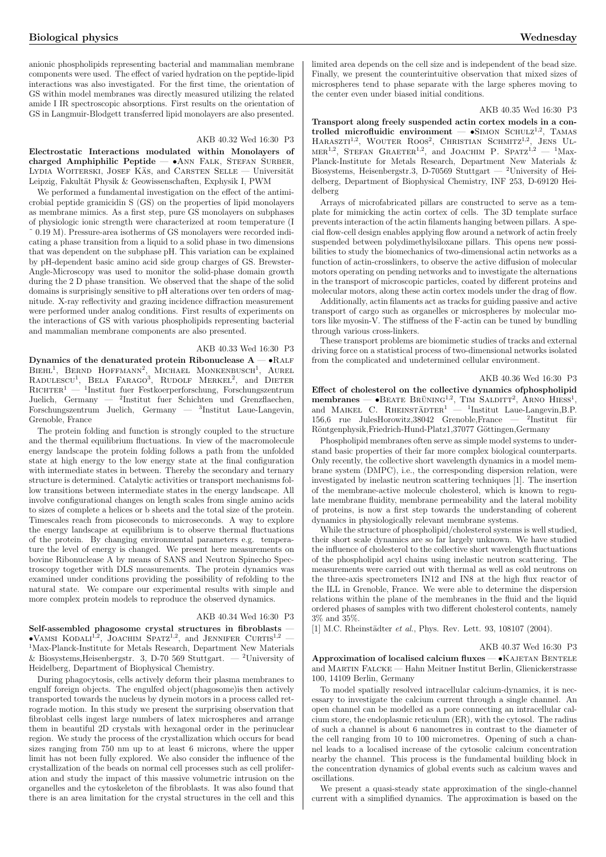anionic phospholipids representing bacterial and mammalian membrane components were used. The effect of varied hydration on the peptide-lipid interactions was also investigated. For the first time, the orientation of GS within model membranes was directly measured utilizing the related amide I IR spectroscopic absorptions. First results on the orientation of GS in Langmuir-Blodgett transferred lipid monolayers are also presented.

### AKB 40.32 Wed 16:30 P3

Electrostatic Interactions modulated within Monolayers of charged Amphiphilic Peptide  $- \bullet$ ANN FALK, STEFAN SURBER, LYDIA WOITERSKI, JOSEF KAS, and CARSTEN SELLE — Universität Leipzig, Fakultät Physik & Geowissenschaften, Exphysik I, PWM

We performed a fundamental investigation on the effect of the antimicrobial peptide gramicidin S (GS) on the properties of lipid monolayers as membrane mimics. As a first step, pure GS monolayers on subphases of physiologic ionic strength were characterized at room temperature (I ˜ 0.19 M). Pressure-area isotherms of GS monolayers were recorded indicating a phase transition from a liquid to a solid phase in two dimensions that was dependent on the subphase pH. This variation can be explained by pH-dependent basic amino acid side group charges of GS. Brewster-Angle-Microscopy was used to monitor the solid-phase domain growth during the 2 D phase transition. We observed that the shape of the solid domains is surprisingly sensitive to pH alterations over ten orders of magnitude. X-ray reflectivity and grazing incidence diffraction measurement were performed under analog conditions. First results of experiments on the interactions of GS with various phospholipids representing bacterial and mammalian membrane components are also presented.

### AKB 40.33 Wed 16:30 P3

Dynamics of the denaturated protein Ribonuclease  $A - \bullet R$ ALF  $B$ IEHL<sup>1</sup>, BERND HOFFMANN<sup>2</sup>, MICHAEL MONKENBUSCH<sup>1</sup>, AUREL BIERL, BERND HOFFMANN, MICHAEL MONKENBOSCH, AOKEL RADULESCU<sup>1</sup>, BELA FARAGO<sup>3</sup>, RUDOLF MERKEL<sup>2</sup>, and DIETER  $\mathrm{RicH}$ rentrum Festkoerperforschung, Forschungszentrum Juelich, Germany — <sup>2</sup> Institut fuer Schichten und Grenzflaechen, Forschungszentrum Juelich, Germany — <sup>3</sup> Institut Laue-Langevin, Grenoble, France

The protein folding and function is strongly coupled to the structure and the thermal equilibrium fluctuations. In view of the macromolecule energy landscape the protein folding follows a path from the unfolded state at high energy to the low energy state at the final configuration with intermediate states in between. Thereby the secondary and ternary structure is determined. Catalytic activities or transport mechanisms follow transitions between intermediate states in the energy landscape. All involve configurational changes on length scales from single amino acids to sizes of complete a helices or b sheets and the total size of the protein. Timescales reach from picoseconds to microseconds. A way to explore the energy landscape at equilibrium is to observe thermal fluctuations of the protein. By changing environmental parameters e.g. temperature the level of energy is changed. We present here measurements on bovine Ribonuclease A by means of SANS and Neutron Spinecho Spectroscopy together with DLS measurements. The protein dynamics was examined under conditions providing the possibility of refolding to the natural state. We compare our experimental results with simple and more complex protein models to reproduce the observed dynamics.

### AKB 40.34 Wed 16:30 P3

Self-assembled phagosome crystal structures in fibroblasts —  $\bullet$ Vamsi Kodali<sup>1,2</sup>, Joachim Spatz<sup>1,2</sup>, and Jennifer Curtis<sup>1,2</sup> — <sup>1</sup>Max-Planck-Institute for Metals Research, Department New Materials & Biosystems, Heisenbergstr. 3, D-70 569 Stuttgart.  $-$  <sup>2</sup>University of Heidelberg, Department of Biophysical Chemistry.

During phagocytosis, cells actively deform their plasma membranes to engulf foreign objects. The engulfed object(phagosome)is then actively transported towards the nucleus by dynein motors in a process called retrograde motion. In this study we present the surprising observation that fibroblast cells ingest large numbers of latex microspheres and arrange them in beautiful 2D crystals with hexagonal order in the perinuclear region. We study the process of the crystallization which occurs for bead sizes ranging from 750 nm up to at least 6 microns, where the upper limit has not been fully explored. We also consider the influence of the crystallization of the beads on normal cell processes such as cell proliferation and study the impact of this massive volumetric intrusion on the organelles and the cytoskeleton of the fibroblasts. It was also found that there is an area limitation for the crystal structures in the cell and this limited area depends on the cell size and is independent of the bead size. Finally, we present the counterintuitive observation that mixed sizes of microspheres tend to phase separate with the large spheres moving to the center even under biased initial conditions.

#### AKB 40.35 Wed 16:30 P3

Transport along freely suspended actin cortex models in a controlled microfluidic environment  $-$  •SIMON SCHULZ<sup>1,2</sup>, TAMAS HARASZTI<sup>1,2</sup>, WOUTER ROOS<sup>2</sup>, CHRISTIAN SCHMITZ<sup>1,2</sup>, JENS UL- $MRR<sup>1,2</sup>$ , Stefan Graeter<sup>1,2</sup>, and JOACHIM P. SPATZ<sup>1,2</sup> — <sup>1</sup>Max-<br> $MRR<sup>1,2</sup>$ , Stefan Graeter<sup>1,2</sup>, and JOACHIM P. SPATZ<sup>1,2</sup> — <sup>1</sup>Max-Planck-Institute for Metals Research, Department New Materials & Biosystems, Heisenbergstr.3, D-70569 Stuttgart — <sup>2</sup>University of Heidelberg, Department of Biophysical Chemistry, INF 253, D-69120 Heidelberg

Arrays of microfabricated pillars are constructed to serve as a template for mimicking the actin cortex of cells. The 3D template surface prevents interaction of the actin filaments hanging between pillars. A special flow-cell design enables applying flow around a network of actin freely suspended between polydimethylsiloxane pillars. This opens new possibilities to study the biomechanics of two-dimensional actin networks as a function of actin-crosslinkers, to observe the active diffusion of molecular motors operating on pending networks and to investigate the alternations in the transport of microscopic particles, coated by different proteins and molecular motors, along these actin cortex models under the drag of flow.

Additionally, actin filaments act as tracks for guiding passive and active transport of cargo such as organelles or microspheres by molecular motors like myosin-V. The stiffness of the F-actin can be tuned by bundling through various cross-linkers.

These transport problems are biomimetic studies of tracks and external driving force on a statistical process of two-dimensional networks isolated from the complicated and undetermined cellular environment.

### AKB 40.36 Wed 16:30 P3

Effect of cholesterol on the collective dynamics ofphospholipid  $m_{\text{embranes}}$  — •Beate Brüning<sup>1,2</sup>, Tim Salditta<sup>2</sup>, Arno Hiess<sup>1</sup>, and Maikel C. Rheinstadter<sup>1</sup> — <sup>1</sup>Institut Laue-Langevin,B.P. 156,6 rue Jules<br>Horowitz,38042 Grenoble,<br/>France  $\,$   $\,$   $\,$  2In<br/>stitut $\,$  für Röntgenphysik,Friedrich-Hund-Platz1,37077 Göttingen,Germany

Phospholipid membranes often serve as simple model systems to understand basic properties of their far more complex biological counterparts. Only recently, the collective short wavelength dynamics in a model membrane system (DMPC), i.e., the corresponding dispersion relation, were investigated by inelastic neutron scattering techniques [1]. The insertion of the membrane-active molecule cholesterol, which is known to regulate membrane fluidity, membrane permeability and the lateral mobility of proteins, is now a first step towards the understanding of coherent dynamics in physiologically relevant membrane systems.

While the structure of phospholipid/cholesterol systems is well studied, their short scale dynamics are so far largely unknown. We have studied the influence of cholesterol to the collective short wavelength fluctuations of the phospholipid acyl chains using inelastic neutron scattering. The measurements were carried out with thermal as well as cold neutrons on the three-axis spectrometers IN12 and IN8 at the high flux reactor of the ILL in Grenoble, France. We were able to determine the dispersion relations within the plane of the membranes in the fluid and the liquid ordered phases of samples with two different cholesterol contents, namely 3% and 35%.

[1] M.C. Rheinstädter et al., Phys. Rev. Lett. 93, 108107 (2004).

#### AKB 40.37 Wed 16:30 P3

Approximation of localised calcium fluxes - • KAJETAN BENTELE and Martin Falcke — Hahn Meitner Institut Berlin, Glienickerstrasse 100, 14109 Berlin, Germany

To model spatially resolved intracellular calcium-dynamics, it is necessary to investigate the calcium current through a single channel. An open channel can be modelled as a pore connecting an intracellular calcium store, the endoplasmic reticulum (ER), with the cytosol. The radius of such a channel is about 6 nanometres in contrast to the diameter of the cell ranging from 10 to 100 micrometres. Opening of such a channel leads to a localised increase of the cytosolic calcium concentration nearby the channel. This process is the fundamental building block in the concentration dynamics of global events such as calcium waves and oscillations.

We present a quasi-steady state approximation of the single-channel current with a simplified dynamics. The approximation is based on the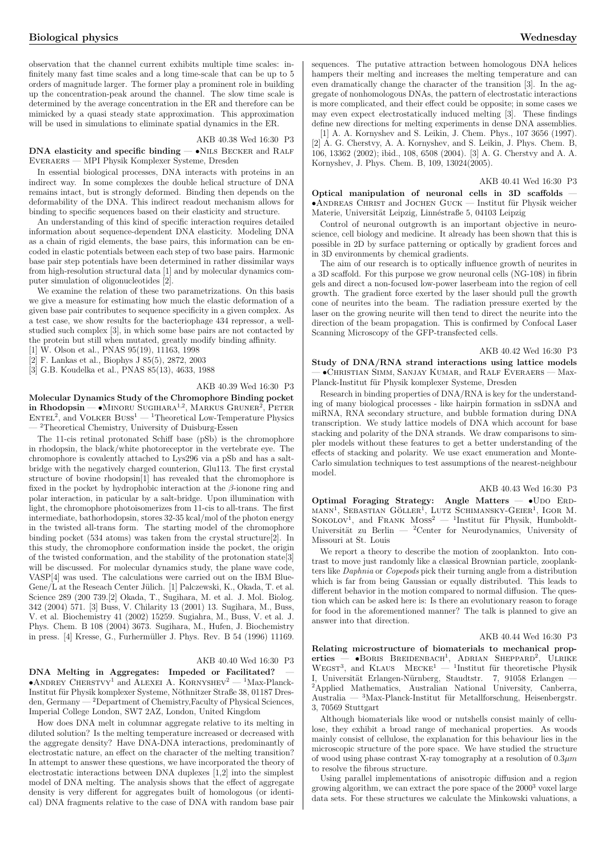observation that the channel current exhibits multiple time scales: infinitely many fast time scales and a long time-scale that can be up to 5 orders of magnitude larger. The former play a prominent role in building up the concentration-peak around the channel. The slow time scale is determined by the average concentration in the ER and therefore can be mimicked by a quasi steady state approximation. This approximation will be used in simulations to eliminate spatial dynamics in the ER.

AKB 40.38 Wed 16:30 P3

### DNA elasticity and specific binding —  $\bullet$ NILS BECKER and RALF Everaers — MPI Physik Komplexer Systeme, Dresden

In essential biological processes, DNA interacts with proteins in an indirect way. In some complexes the double helical structure of DNA remains intact, but is strongly deformed. Binding then depends on the deformability of the DNA. This indirect readout mechanism allows for binding to specific sequences based on their elasticity and structure.

An understanding of this kind of specific interaction requires detailed information about sequence-dependent DNA elasticity. Modeling DNA as a chain of rigid elements, the base pairs, this information can be encoded in elastic potentials between each step of two base pairs. Harmonic base pair step potentials have been determined in rather dissimilar ways from high-resolution structural data [1] and by molecular dynamics computer simulation of oligonucleotides [2].

We examine the relation of these two parametrizations. On this basis we give a measure for estimating how much the elastic deformation of a given base pair contributes to sequence specificity in a given complex. As a test case, we show results for the bacteriophage 434 repressor, a wellstudied such complex [3], in which some base pairs are not contacted by the protein but still when mutated, greatly modify binding affinity.

[1] W. Olson et al., PNAS 95(19), 11163, 1998

[2] F. Lankas et al., Biophys J 85(5), 2872, 2003

[3] G.B. Koudelka et al., PNAS 85(13), 4633, 1988

### AKB 40.39 Wed 16:30 P3

Molecular Dynamics Study of the Chromophore Binding pocket in Rhodopsin — •MINORU SUGIHARA<sup>1,2</sup>, MARKUS GRUNER<sup>2</sup>, PETER  $\text{ENTER}^2$ , and VOLKER BUSS<sup>1</sup> — <sup>1</sup>Theoretical Low-Temperature Physics <sup>2</sup>Theoretical Chemistry, University of Duisburg-Essen

The 11-cis retinal protonated Schiff base (pSb) is the chromophore in rhodopsin, the black/white photoreceptor in the vertebrate eye. The chromophore is covalently attached to Lys296 via a pSb and has a saltbridge with the negatively charged counterion, Glu113. The first crystal structure of bovine rhodopsin[1] has revealed that the chromophore is fixed in the pocket by hydrophobic interaction at the  $\beta$ -ionone ring and polar interaction, in paticular by a salt-bridge. Upon illumination with light, the chromophore photoisomerizes from 11-cis to all-trans. The first intermediate, bathorhodopsin, stores 32-35 kcal/mol of the photon energy in the twisted all-trans form. The starting model of the chromophore binding pocket (534 atoms) was taken from the crystal structure[2]. In this study, the chromophore conformation inside the pocket, the origin of the twisted conformation, and the stability of the protonation state[3] will be discussed. For molecular dynamics study, the plane wave code, VASP[4] was used. The calculations were carried out on the IBM Blue-Gene/L at the Reseach Center Jülich. [1] Palczewski, K., Okada, T. et al. Science 289 (200 739.[2] Okada, T., Sugihara, M. et al. J. Mol. Biolog. 342 (2004) 571. [3] Buss, V. Chilarity 13 (2001) 13. Sugihara, M., Buss, V. et al. Biochemistry 41 (2002) 15259. Sugiahra, M., Buss, V. et al. J. Phys. Chem. B 108 (2004) 3673. Sugihara, M., Hufen, J. Biochemistry in press. [4] Kresse, G., Furhermüller J. Phys. Rev. B 54 (1996) 11169.

### AKB 40.40 Wed 16:30 P3

DNA Melting in Aggregates: Impeded or Facilitated? •ANDREY CHERSTVY<sup>1</sup> and ALEXEI A. KORNYSHEV<sup>2</sup> — <sup>1</sup>Max-Planck-Institut für Physik komplexer Systeme, Nöthnitzer Straße 38, 01187 Dresden, Germany — <sup>2</sup>Department of Chemistry,Faculty of Physical Sciences, Imperial College London, SW7 2AZ, London, United Kingdom

How does DNA melt in columnar aggregate relative to its melting in diluted solution? Is the melting temperature increased or decreased with the aggregate density? Have DNA-DNA interactions, predominantly of electrostatic nature, an effect on the character of the melting transition? In attempt to answer these questions, we have incorporated the theory of electrostatic interactions between DNA duplexes [1,2] into the simplest model of DNA melting. The analysis shows that the effect of aggregate density is very different for aggregates built of homologous (or identical) DNA fragments relative to the case of DNA with random base pair sequences. The putative attraction between homologous DNA helices hampers their melting and increases the melting temperature and can even dramatically change the character of the transition [3]. In the aggregate of nonhomologous DNAs, the pattern of electrostatic interactions is more complicated, and their effect could be opposite; in some cases we may even expect electrostatically induced melting [3]. These findings define new directions for melting experiments in dense DNA assemblies.

[1] A. A. Kornyshev and S. Leikin, J. Chem. Phys., 107 3656 (1997). [2] A. G. Cherstvy, A. A. Kornyshev, and S. Leikin, J. Phys. Chem. B, 106, 13362 (2002); ibid., 108, 6508 (2004). [3] A. G. Cherstvy and A. A. Kornyshev, J. Phys. Chem. B, 109, 13024(2005).

### AKB 40.41 Wed 16:30 P3

Optical manipulation of neuronal cells in 3D scaffolds —  $\bullet$ ANDREAS CHRIST and JOCHEN GUCK — Institut für Physik weicher Materie, Universität Leipzig, Linnéstraße 5, 04103 Leipzig

Control of neuronal outgrowth is an important objective in neuroscience, cell biology and medicine. It already has been shown that this is possible in 2D by surface patterning or optically by gradient forces and in 3D environments by chemical gradients.

The aim of our research is to optically influence growth of neurites in a 3D scaffold. For this purpose we grow neuronal cells (NG-108) in fibrin gels and direct a non-focused low-power laserbeam into the region of cell growth. The gradient force exerted by the laser should pull the growth cone of neurites into the beam. The radiation pressure exerted by the laser on the growing neurite will then tend to direct the neurite into the direction of the beam propagation. This is confirmed by Confocal Laser Scanning Microscopy of the GFP-transfected cells.

### AKB 40.42 Wed 16:30 P3

Study of DNA/RNA strand interactions using lattice models — •Christian Simm, Sanjay Kumar, and Ralf Everaers — Max-Planck-Institut für Physik komplexer Systeme, Dresden

Research in binding properties of DNA/RNA is key for the understanding of many biological processes - like hairpin formation in ssDNA and miRNA, RNA secondary structure, and bubble formation during DNA transcription. We study lattice models of DNA which account for base stacking and polarity of the DNA strands. We draw comparisons to simpler models without these features to get a better understanding of the effects of stacking and polarity. We use exact enumeration and Monte-Carlo simulation techniques to test assumptions of the nearest-neighbour model.

### AKB 40.43 Wed 16:30 P3

Optimal Foraging Strategy: Angle Matters  $\bullet$ UDO ERD- $MANN<sup>1</sup>$ , SEBASTIAN GÖLLER<sup>1</sup>, LUTZ SCHIMANSKY-GEIER<sup>1</sup>, IGOR M. MANN, SEBASTIAN GOLLER, LOTZ SCHIMANSKT-GEIER, HON M.<br>SOKOLOV<sup>1</sup>, and FRANK  $Moss^2$  — <sup>1</sup>Institut für Physik, Humboldt-Universität zu Berlin —  ${}^{2}$ Center for Neurodynamics, University of Missouri at St. Louis

We report a theory to describe the motion of zooplankton. Into contrast to move just randomly like a classical Brownian particle, zooplankters like Daphnia or Copepods pick their turning angle from a distribution which is far from being Gaussian or equally distributed. This leads to different behavior in the motion compared to normal diffusion. The question which can be asked here is: Is there an evolutionary reason to forage for food in the aforementioned manner? The talk is planned to give an answer into that direction.

#### AKB 40.44 Wed 16:30 P3

Relating microstructure of biomaterials to mechanical prop-**Example Increase of District Trans** to mechanical properties — •BORIS BREIDENBACH<sup>1</sup>, ADRIAN SHEPPARD<sup>2</sup>, ULRIKE WEGST<sup>3</sup>, and KLAUS MECKE<sup>1</sup> — <sup>1</sup>Institut für theoretische Physik I, Universität Erlangen-Nürnberg, Staudtstr. 7, 91058 Erlangen <sup>2</sup>Applied Mathematics, Australian National University, Canberra, Australia —  ${}^{3}$ Max-Planck-Institut für Metallforschung, Heisenbergstr. 3, 70569 Stuttgart

Although biomaterials like wood or nutshells consist mainly of cellulose, they exhibit a broad range of mechanical properties. As woods mainly consist of cellulose, the explanation for this behaviour lies in the microscopic structure of the pore space. We have studied the structure of wood using phase contrast X-ray tomography at a resolution of  $0.3\mu m$ to resolve the fibrous structure.

Using parallel implementations of anisotropic diffusion and a region growing algorithm, we can extract the pore space of the  $2000<sup>3</sup>$  voxel large data sets. For these structures we calculate the Minkowski valuations, a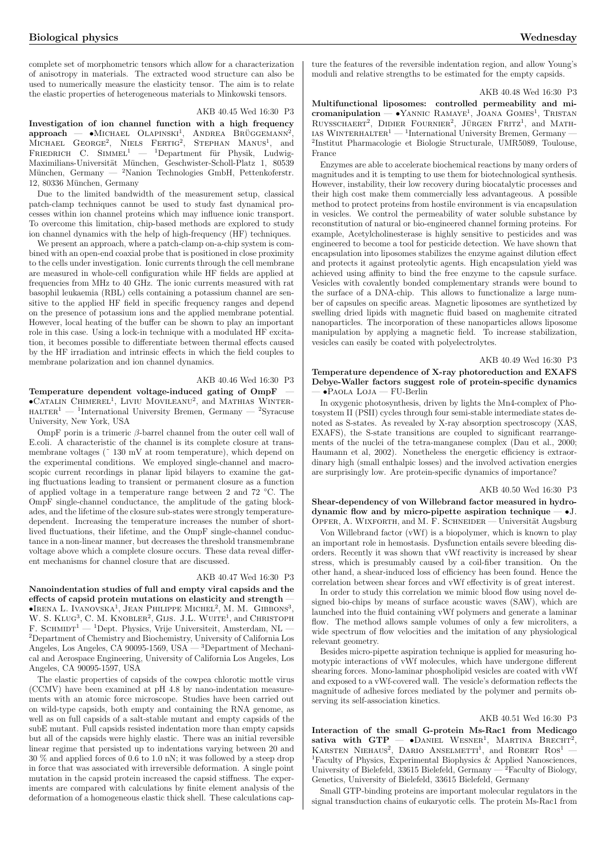complete set of morphometric tensors which allow for a characterization of anisotropy in materials. The extracted wood structure can also be used to numerically measure the elasticity tensor. The aim is to relate the elastic properties of heterogeneous materials to Minkowski tensors.

### AKB 40.45 Wed 16:30 P3

Investigation of ion channel function with a high frequency  $A$  investigation of for channel function with a high nequency<br>  $A$  approach  $-$  •Michael Olapinski<sup>1</sup>, Andrea Brüggemann<sup>2</sup>,<br>  $A$  Michael George<sup>2</sup>, Niels Fertig<sup>2</sup>, Stephan Manus<sup>1</sup>, and FRIEDRICH C. SIMMEL<sup>1</sup> — <sup>1</sup>Department für Physik, Ludwig-Maximilians-Universität München, Geschwister-Scholl-Platz 1, 80539 München, Germany —  $^2$ Nanion Technologies GmbH, Pettenkoferstr. 12, 80336 München, Germany

Due to the limited bandwidth of the measurement setup, classical patch-clamp techniques cannot be used to study fast dynamical processes within ion channel proteins which may influence ionic transport. To overcome this limitation, chip-based methods are explored to study ion channel dynamics with the help of high-frequency (HF) techniques.

We present an approach, where a patch-clamp on-a-chip system is combined with an open-end coaxial probe that is positioned in close proximity to the cells under investigation. Ionic currents through the cell membrane are measured in whole-cell configuration while HF fields are applied at frequencies from MHz to 40 GHz. The ionic currents measured with rat basophil leukaemia (RBL) cells containing a potassium channel are sensitive to the applied HF field in specific frequency ranges and depend on the presence of potassium ions and the applied membrane potential. However, local heating of the buffer can be shown to play an important role in this case. Using a lock-in technique with a modulated HF excitation, it becomes possible to differentiate between thermal effects caused by the HF irradiation and intrinsic effects in which the field couples to membrane polarization and ion channel dynamics.

### AKB 40.46 Wed 16:30 P3

Temperature dependent voltage-induced gating of OmpF emperature dependent voltage-mudded gating of Ompression-<br>CATALIN CHIMEREL<sup>1</sup>, LIVIU MOVILEANU<sup>2</sup>, and MATHIAS WINTER- $HALTER<sup>1</sup>$  — <sup>1</sup>International University Bremen, Germany  $-$  <sup>2</sup>Syracuse University, New York, USA

OmpF porin is a trimeric  $\beta$ -barrel channel from the outer cell wall of E.coli. A characteristic of the channel is its complete closure at transmembrane voltages ( $\degree$  130 mV at room temperature), which depend on the experimental conditions. We employed single-channel and macroscopic current recordings in planar lipid bilayers to examine the gating fluctuations leading to transient or permanent closure as a function of applied voltage in a temperature range between 2 and 72 ◦C. The OmpF single-channel conductance, the amplitude of the gating blockades, and the lifetime of the closure sub-states were strongly temperaturedependent. Increasing the temperature increases the number of shortlived fluctuations, their lifetime, and the OmpF single-channel conductance in a non-linear manner, but decreases the threshold transmembrane voltage above which a complete closure occurs. These data reveal different mechanisms for channel closure that are discussed.

### AKB 40.47 Wed 16:30 P3

Nanoindentation studies of full and empty viral capsids and the effects of capsid protein mutations on elasticity and strength — FIRENA L. IVANOVSKA<sup>1</sup>, JEAN PHILIPPE MICHEL<sup>2</sup>, M. M. GIBBONS<sup>3</sup>, W. S. KLUG<sup>3</sup>. C. M. KNOBLER<sup>2</sup>. GLIS. J.L. WUITE<sup>1</sup>. and CHRISTOPH  $, C. M. KNOBLEM$ <sup>2</sup>, GIJS. J.L. WUITE<sup>1</sup>, and CHRISTOPH F. SCHMIDT<sup>1</sup> — <sup>1</sup>Dept. Physics, Vrije Universiteit, Amsterdam, NL – <sup>2</sup>Department of Chemistry and Biochemistry, University of California Los Angeles, Los Angeles, CA 90095-1569, USA — <sup>3</sup>Department of Mechanical and Aerospace Engineering, University of California Los Angeles, Los Angeles, CA 90095-1597, USA

The elastic properties of capsids of the cowpea chlorotic mottle virus (CCMV) have been examined at pH 4.8 by nano-indentation measurements with an atomic force microscope. Studies have been carried out on wild-type capsids, both empty and containing the RNA genome, as well as on full capsids of a salt-stable mutant and empty capsids of the subE mutant. Full capsids resisted indentation more than empty capsids but all of the capsids were highly elastic. There was an initial reversible linear regime that persisted up to indentations varying between 20 and 30 % and applied forces of 0.6 to 1.0 nN; it was followed by a steep drop in force that was associated with irreversible deformation. A single point mutation in the capsid protein increased the capsid stiffness. The experiments are compared with calculations by finite element analysis of the deformation of a homogeneous elastic thick shell. These calculations capture the features of the reversible indentation region, and allow Young's moduli and relative strengths to be estimated for the empty capsids.

### AKB 40.48 Wed 16:30 P3

Multifunctional liposomes: controlled permeability and micromanipulation — •Yannic Ramaye<sup>1</sup> , Joana Gomes<sup>1</sup> , Tristan RUYSSCHAERT<sup>2</sup>, DIDIER FOURNIER<sup>2</sup>, JÜRGEN FRITZ<sup>1</sup>, and MATH-IN ISSUEL TO THE TOURNER, JUNGER PRIZE, and MATH-<br>IAS WINTERHALTER<sup>1</sup> — <sup>1</sup>International University Bremen, Germany — 2 Institut Pharmacologie et Biologie Structurale, UMR5089, Toulouse, France

Enzymes are able to accelerate biochemical reactions by many orders of magnitudes and it is tempting to use them for biotechnological synthesis. However, instability, their low recovery during biocatalytic processes and their high cost make them commercially less advantageous. A possible method to protect proteins from hostile environment is via encapsulation in vesicles. We control the permeability of water soluble substance by reconstitution of natural or bio-engineered channel forming proteins. For example, Acetylcholinesterase is highly sensitive to pesticides and was engineered to become a tool for pesticide detection. We have shown that encapsulation into liposomes stabilizes the enzyme against dilution effect and protects it against proteolytic agents. High encapsulation yield was achieved using affinity to bind the free enzyme to the capsule surface. Vesicles with covalently bonded complementary strands were bound to the surface of a DNA-chip. This allows to functionalize a large number of capsules on specific areas. Magnetic liposomes are synthetized by swelling dried lipids with magnetic fluid based on maghemite citrated nanoparticles. The incorporation of these nanoparticles allows liposome manipulation by applying a magnetic field. To increase stabilization, vesicles can easily be coated with polyelectrolytes.

### AKB 40.49 Wed 16:30 P3

### Temperature dependence of X-ray photoreduction and EXAFS Debye-Waller factors suggest role of protein-specific dynamics — •Paola Loja — FU-Berlin

In oxygenic photosynthesis, driven by lights the Mn4-complex of Photosystem II (PSII) cycles through four semi-stable intermediate states denoted as S-states. As revealed by X-ray absorption spectroscopy (XAS, EXAFS), the S-state transitions are coupled to significant rearrangements of the nuclei of the tetra-manganese complex (Dau et al., 2000; Haumann et al, 2002). Nonetheless the energetic efficiency is extraordinary high (small enthalpic losses) and the involved activation energies are surprisingly low. Are protein-specific dynamics of importance?

### AKB 40.50 Wed 16:30 P3

Shear-dependency of von Willebrand factor measured in hydrodynamic flow and by micro-pipette aspiration technique  $-$  •J. OPFER, A. WIXFORTH, and M. F. SCHNEIDER — Universität Augsburg

Von Willebrand factor (vWf) is a biopolymer, which is known to play an important role in hemostasis. Dysfunction entails severe bleeding disorders. Recently it was shown that vWf reactivity is increased by shear stress, which is presumably caused by a coil-fiber transition. On the other hand, a shear-induced loss of efficiency has been found. Hence the correlation between shear forces and vWf effectivity is of great interest.

In order to study this correlation we mimic blood flow using novel designed bio-chips by means of surface acoustic waves (SAW), which are launched into the fluid containing vWf polymers and generate a laminar flow. The method allows sample volumes of only a few microliters, a wide spectrum of flow velocities and the imitation of any physiological relevant geometry.

Besides micro-pipette aspiration technique is applied for measuring homotypic interactions of vWf molecules, which have undergone different shearing forces. Mono-laminar phospholipid vesicles are coated with vWf and exposed to a vWf-covered wall. The vesicle's deformation reflects the magnitude of adhesive forces mediated by the polymer and permits observing its self-association kinetics.

### AKB 40.51 Wed 16:30 P3

Interaction of the small G-protein Ms-Rac1 from Medicago sativa with GTP  $\rightarrow$  DANIEL WESNER<sup>1</sup>, MARTINA BRECHT<sup>2</sup>, SALIVA WILL GIT  $-$  CDANIEL WESNER, MARTINA DRECHT,<br>KARSTEN NIEHAUS<sup>2</sup>, DARIO ANSELMETTI<sup>1</sup>, and ROBERT ROS<sup>1</sup> — <sup>1</sup>Faculty of Physics, Experimental Biophysics & Applied Nanosciences, University of Bielefeld, 33615 Bielefeld, Germany  $-\hat{2}$  Faculty of Biology, Genetics, University of Bielefeld, 33615 Bielefeld, Germany

Small GTP-binding proteins are important molecular regulators in the signal transduction chains of eukaryotic cells. The protein Ms-Rac1 from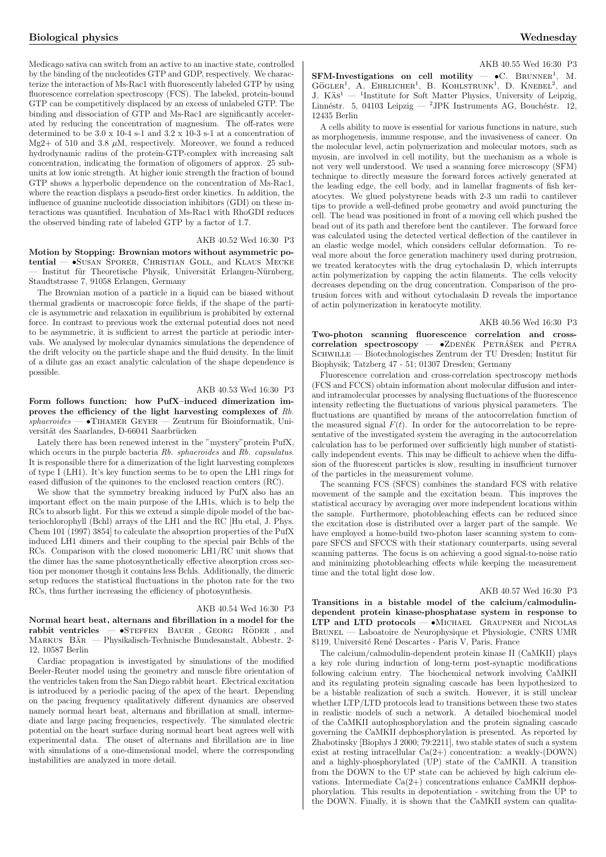Medicago sativa can switch from an active to an inactive state, controlled by the binding of the nucleotides GTP and GDP, respectively. We characterize the interaction of Ms-Rac1 with fluorescently labeled GTP by using fluorescence correlation spectroscopy (FCS). The labeled, protein-bound GTP can be competitively displaced by an excess of unlabeled GTP. The binding and dissociation of GTP and Ms-Rac1 are significantly accelerated by reducing the concentration of magnesium. The off-rates were determined to be 3.0 x 10-4 s-1 and 3.2 x 10-3 s-1 at a concentration of Mg2+ of 510 and 3.8  $\mu$ M, respectively. Moreover, we found a reduced hydrodynamic radius of the protein-GTP-complex with increasing salt concentration, indicating the formation of oligomers of approx. 25 subunits at low ionic strength. At higher ionic strength the fraction of bound GTP shows a hyperbolic dependence on the concentration of Ms-Rac1, where the reaction displays a pseudo-first order kinetics. In addition, the influence of guanine nucleotide dissociation inhibitors (GDI) on these interactions was quantified. Incubation of Ms-Rac1 with RhoGDI reduces

#### AKB 40.52 Wed 16:30 P3

Motion by Stopping: Brownian motors without asymmetric potential — •Susan Sporer, Christian Goll, and Klaus Mecke Institut für Theoretische Physik, Universität Erlangen-Nürnberg, Staudtstrasse 7, 91058 Erlangen, Germany

the observed binding rate of labeled GTP by a factor of 1.7.

The Brownian motion of a particle in a liquid can be biased without thermal gradients or macroscopic force fields, if the shape of the particle is asymmetric and relaxation in equilibrium is prohibited by external force. In contrast to previous work the external potential does not need to be asymmetric, it is sufficient to arrest the particle at periodic intervals. We analysed by molecular dynamics simulations the dependence of the drift velocity on the particle shape and the fluid density. In the limit of a dilute gas an exact analytic calculation of the shape dependence is possible.

### AKB 40.53 Wed 16:30 P3

Form follows function: how PufX–induced dimerization improves the efficiency of the light harvesting complexes of Rb.  $sphaeroides$  — •TIHAMER GEYER — Zentrum für Bioinformatik, Universität des Saarlandes, D-66041 Saarbrücken

Lately there has been renewed interest in the "mystery"protein PufX, which occurs in the purple bacteria Rb. sphaeroides and Rb. capsulatus. It is responsible there for a dimerization of the light harvesting complexes of type I (LH1). It's key function seems to be to open the LH1 rings for eased diffusion of the quinones to the enclosed reaction centers (RC).

We show that the symmetry breaking induced by PufX also has an important effect on the main purpose of the LH1s, which is to help the RCs to absorb light. For this we extend a simple dipole model of the bacteriochlorophyll (Bchl) arrays of the LH1 and the RC [Hu etal, J. Phys. Chem 101 (1997) 3854] to calculate the absoprtion properties of the PufX induced LH1 dimers and their coupling to the special pair Bchls of the RCs. Comparison with the closed monomeric LH1/RC unit shows that the dimer has the same photosynthetically effective absorption cross section per monomer though it contains less Bchls. Additionally, the dimeric setup reduces the statistical fluctuations in the photon rate for the two RCs, thus further increasing the efficiency of photosynthesis.

### AKB 40.54 Wed 16:30 P3

Normal heart beat, alternans and fibrillation in a model for the rabbit ventricles  $-$  •STEFFEN BAUER, GEORG RÖDER, and  $-$  •STEFFEN BAUER, GEORG RÖDER, and MARKUS BÄR — Physikalisch-Technische Bundesanstalt, Abbestr. 2-12, 10587 Berlin

Cardiac propagation is investigated by simulations of the modified Beeler-Reuter model using the geometry and muscle fibre orientation of the ventricles taken from the San Diego rabbit heart. Electrical excitation is introduced by a periodic pacing of the apex of the heart. Depending on the pacing frequency qualitatively different dynamics are observed namely normal heart beat, alternans and fibrillation at small, intermediate and large pacing frequencies, respectively. The simulated electric potential on the heart surface during normal heart beat agrees well with experimental data. The onset of alternans and fibrillation are in line with simulations of a one-dimensional model, where the corresponding instabilities are analyzed in more detail.

#### AKB 40.55 Wed 16:30 P3

SFM-Investigations on cell motility  $\qquad \bullet \mathbb{C}$ . BRUNNER<sup>1</sup>, M.  $G\ddot{\text{GGE}}$  A. EHRLICHER<sup>1</sup>, B. KOHLSTRUNK<sup>1</sup>, D. KNEBEL<sup>2</sup>, and  $J. K\ddot{a}s<sup>1</sup>$  — <sup>1</sup>Institute for Soft Matter Physics, University of Leipzig, Linnéstr. 5, 04103 Leipzig — <sup>2</sup>JPK Instruments AG, Bouchéstr. 12, 12435 Berlin

A cells ability to move is essential for various functions in nature, such as morphogenesis, immune response, and the invasiveness of cancer. On the molecular level, actin polymerization and molecular motors, such as myosin, are involved in cell motility, but the mechanism as a whole is not very well understood. We used a scanning force microscopy (SFM) technique to directly measure the forward forces actively generated at the leading edge, the cell body, and in lamellar fragments of fish keratocytes. We glued polystyrene beads with 2-3 um radii to cantilever tips to provide a well-defined probe geometry and avoid puncturing the cell. The bead was positioned in front of a moving cell which pushed the bead out of its path and therefore bent the cantilever. The forward force was calculated using the detected vertical deflection of the cantilever in an elastic wedge model, which considers cellular deformation. To reveal more about the force generation machinery used during protrusion, we treated keratocytes with the drug cytochalasin D, which interrupts actin polymerization by capping the actin filaments. The cells velocity decreases depending on the drug concentration. Comparison of the protrusion forces with and without cytochalasin D reveals the importance of actin polymerization in keratocyte motility.

#### AKB 40.56 Wed 16:30 P3

Two-photon scanning fluorescence correlation and cross $correlation$  spectroscopy  $\bullet$ ZDENĚK PETRÁŠEK and PETRA SCHWILLE — Biotechnologisches Zentrum der TU Dresden; Institut für Biophysik; Tatzberg 47 - 51; 01307 Dresden; Germany

Fluorescence correlation and cross-correlation spectroscopy methods (FCS and FCCS) obtain information about molecular diffusion and interand intramolecular processes by analysing fluctuations of the fluorescence intensity reflecting the fluctuations of various physical parameters. The fluctuations are quantified by means of the autocorrelation function of the measured signal  $F(t)$ . In order for the autocorrelation to be representative of the investigated system the averaging in the autocorrelation calculation has to be performed over sufficiently high number of statistically independent events. This may be difficult to achieve when the diffusion of the fluorescent particles is slow, resulting in insufficient turnover of the particles in the measurement volume.

The scanning FCS (SFCS) combines the standard FCS with relative movement of the sample and the excitation beam. This improves the statistical accuracy by averaging over more independent locations within the sample. Furthermore, photobleaching effects can be reduced since the excitation dose is distributed over a larger part of the sample. We have employed a home-build two-photon laser scanning system to compare SFCS and SFCCS with their stationary counterparts, using several scanning patterns. The focus is on achieving a good signal-to-noise ratio and minimizing photobleaching effects while keeping the measurement time and the total light dose low.

### AKB 40.57 Wed 16:30 P3

Transitions in a bistable model of the calcium/calmodulindependent protein kinase-phosphatase system in response to LTP and LTD protocols — •Michael Graupner and Nicolas Brunel — Laboatoire de Neurophysique et Physiologie, CNRS UMR 8119, Université René Descartes - Paris V, Paris, France

The calcium/calmodulin-dependent protein kinase II (CaMKII) plays a key role during induction of long-term post-synaptic modifications following calcium entry. The biochemical network involving CaMKII and its regulating protein signaling cascade has been hypothesized to be a bistable realization of such a switch. However, it is still unclear whether LTP/LTD protocols lead to transitions between these two states in realistic models of such a network. A detailed biochemical model of the CaMKII autophosphorylation and the protein signaling cascade governing the CaMKII dephosphorylation is presented. As reported by Zhabotinsky [Biophys J 2000; 79:2211], two stable states of such a system exist at resting intracellular  $Ca(2+)$  concentration: a weakly-(DOWN) and a highly-phosphorylated (UP) state of the CaMKII. A transition from the DOWN to the UP state can be achieved by high calcium elevations. Intermediate  $Ca(2+)$  concentrations enhance CaMKII dephosphorylation. This results in depotentiation - switching from the UP to the DOWN. Finally, it is shown that the CaMKII system can qualita-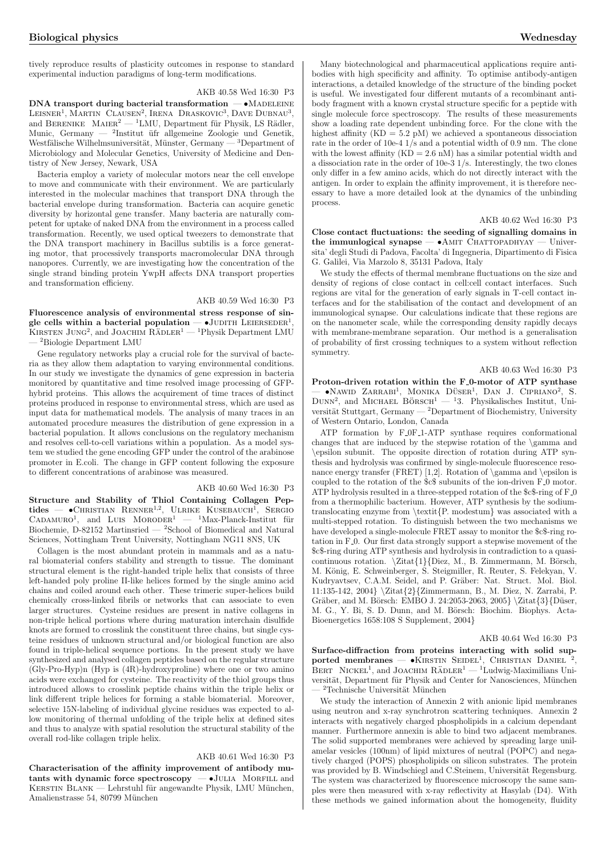tively reproduce results of plasticity outcomes in response to standard experimental induction paradigms of long-term modifications.

### AKB 40.58 Wed 16:30 P3

 $DNA transport during bacterial transformation  $-\bullet$  *MADELEINE*$ LEISNER<sup>1</sup>, MARTIN CLAUSEN<sup>2</sup>, IRENA DRASKOVIC<sup>3</sup>, DAVE DUBNAU<sup>3</sup>, and BERENIKE MAIER<sup>2</sup> — <sup>1</sup>LMU, Department für Physik, LS Rädler, Munic, Germany — <sup>2</sup>Institut üfr allgemeine Zoologie und Genetik, Westfälische Wilhelmsuniversität, Münster, Germany — <sup>3</sup>Department of Microbiology and Molecular Genetics, University of Medicine and Dentistry of New Jersey, Newark, USA

Bacteria employ a variety of molecular motors near the cell envelope to move and communicate with their environment. We are particularly interested in the molecular machines that transport DNA through the bacterial envelope during transformation. Bacteria can acquire genetic diversity by horizontal gene transfer. Many bacteria are naturally competent for uptake of naked DNA from the environment in a process called transformation. Recently, we used optical tweezers to demonstrate that the DNA transport machinery in Bacillus subtilis is a force generating motor, that processively transports macromolecular DNA through nanopores. Currently, we are investigating how the concentration of the single strand binding protein YwpH affects DNA transport properties and transformation efficieny.

### AKB 40.59 Wed 16:30 P3

Fluorescence analysis of environmental stress response of sinr not essence analysis of environmental stress response of single cells within a bacterial population  $-$  •JUDITH LEIERSEDER<sup>1</sup>,  $g$ ie cens within a bacterial population  $\sim$  5000111 Extensible  $g$ ,<br>KIRSTEN JUNG<sup>2</sup>, and JOACHIM RÄDLER<sup>1</sup> — <sup>1</sup>Physik Department LMU — <sup>2</sup>Biologie Department LMU

Gene regulatory networks play a crucial role for the survival of bacteria as they allow them adaptation to varying environmental conditions. In our study we investigate the dynamics of gene expression in bacteria monitored by quantitative and time resolved image processing of GFPhybrid proteins. This allows the acquirement of time traces of distinct proteins produced in response to environmental stress, which are used as input data for mathematical models. The analysis of many traces in an automated procedure measures the distribution of gene expression in a bacterial population. It allows conclusions on the regulatory mechanism and resolves cell-to-cell variations within a population. As a model system we studied the gene encoding GFP under the control of the arabinose promoter in E.coli. The change in GFP content following the exposure to different concentrations of arabinose was measured.

### AKB 40.60 Wed 16:30 P3

Structure and Stability of Thiol Containing Collagen Pepstructure and stability of Thior Containing Conagen Fep-<br>tides —  $\bullet$ CHRISTIAN RENNER<sup>1,2</sup>, ULRIKE KUSEBAUCH<sup>1</sup>, SERGIO  $CADAMURO<sup>1</sup>$ , and LUIS  $MORODER<sup>1</sup>$  $\rm ^1Max\text{-}Planck\text{-}Institut$  für Biochemie, D-82152 Martinsried — <sup>2</sup>School of Biomedical and Natural Sciences, Nottingham Trent University, Nottingham NG11 8NS, UK

Collagen is the most abundant protein in mammals and as a natural biomaterial confers stability and strength to tissue. The dominant structural element is the right-handed triple helix that consists of three left-handed poly proline II-like helices formed by the single amino acid chains and coiled around each other. These trimeric super-helices build chemically cross-linked fibrils or networks that can associate to even larger structures. Cysteine residues are present in native collagens in non-triple helical portions where during maturation interchain disulfide knots are formed to crosslink the constituent three chains, but single cysteine residues of unknown structural and/or biological function are also found in triple-helical sequence portions. In the present study we have synthesized and analysed collagen peptides based on the regular structure (Gly-Pro-Hyp)n (Hyp is (4R)-hydroxyproline) where one or two amino acids were exchanged for cysteine. The reactivity of the thiol groups thus introduced allows to crosslink peptide chains within the triple helix or link different triple helices for forming a stable biomaterial. Moreover, selective 15N-labeling of individual glycine residues was expected to allow monitoring of thermal unfolding of the triple helix at defined sites and thus to analyze with spatial resolution the structural stability of the overall rod-like collagen triple helix.

### AKB 40.61 Wed 16:30 P3

Characterisation of the affinity improvement of antibody mutants with dynamic force spectroscopy  $-\bullet$  JULIA MORFILL and KERSTIN BLANK — Lehrstuhl für angewandte Physik, LMU München, Amalienstrasse 54, 80799 München

Many biotechnological and pharmaceutical applications require antibodies with high specificity and affinity. To optimise antibody-antigen interactions, a detailed knowledge of the structure of the binding pocket is useful. We investigated four different mutants of a recombinant antibody fragment with a known crystal structure specific for a peptide with single molecule force spectroscopy. The results of these measurements show a loading rate dependent unbinding force. For the clone with the highest affinity  $(KD = 5.2 \text{ pM})$  we achieved a spontaneous dissociation rate in the order of 10e-4 1/s and a potential width of 0.9 nm. The clone with the lowest affinity  $(KD = 2.6$  nM) has a similar potential width and a dissociation rate in the order of 10e-3 1/s. Interestingly, the two clones only differ in a few amino acids, which do not directly interact with the antigen. In order to explain the affinity improvement, it is therefore necessary to have a more detailed look at the dynamics of the unbinding process.

### AKB 40.62 Wed 16:30 P3

Close contact fluctuations: the seeding of signalling domains in the immunlogical synapse  $- \bullet$  AMIT CHATTOPADHYAY  $-$  Universita' degli Studi di Padova, Facolta' di Ingegneria, Dipartimento di Fisica G. Galilei, Via Marzolo 8, 35131 Padova, Italy

We study the effects of thermal membrane fluctuations on the size and density of regions of close contact in cell:cell contact interfaces. Such regions are vital for the generation of early signals in T-cell contact interfaces and for the stabilisation of the contact and development of an immunological synapse. Our calculations indicate that these regions are on the nanometer scale, while the corresponding density rapidly decays with membrane-membrane separation. Our method is a generalisation of probability of first crossing techniques to a system without reflection symmetry.

### AKB 40.63 Wed 16:30 P3

Proton-driven rotation within the F<sub>-0</sub>-motor of ATP synthase  $\sim$  •Nawid Zarrabi<sup>1</sup>, Monika Düser<sup>1</sup>, Dan J. Cipriano<sup>2</sup>, S.  $\sim$  VNAWID ZAKKABI, MONIKA DOSER, DAN J. CIFRIANO, S.<br>DUNN<sup>2</sup>, and MICHAEL BÖRSCH<sup>1</sup> — <sup>1</sup>3. Physikalisches Institut, Universität Stuttgart, Germany —  $^2$ Department of Biochemistry, University of Western Ontario, London, Canada

ATP formation by F 0F 1-ATP synthase requires conformational changes that are induced by the stepwise rotation of the \gamma and \epsilon subunit. The opposite direction of rotation during ATP synthesis and hydrolysis was confirmed by single-molecule fluorescence resonance energy transfer (FRET) [1,2]. Rotation of \gamma and \epsilon is coupled to the rotation of the \$c\$ subunits of the ion-driven F<sub>-0</sub> motor. ATP hydrolysis resulted in a three-stepped rotation of the  $E$ -ring of  $F_0$ from a thermophilic bacterium. However, ATP synthesis by the sodiumtranslocating enzyme from \textit{P. modestum} was associated with a multi-stepped rotation. To distinguish between the two mechanisms we have developed a single-molecule FRET assay to monitor the \$c\$-ring rotation in F<sub>-0</sub>. Our first data strongly support a stepwise movement of the \$c\$-ring during ATP synthesis and hydrolysis in contradiction to a quasicontinuous rotation.  $\Zita{1}$  [Diez, M., B. Zimmermann, M. Börsch, M. König, E. Schweinberger, S. Steigmiller, R. Reuter, S. Felekyan, V. Kudryavtsev, C.A.M. Seidel, and P. Gräber: Nat. Struct. Mol. Biol. 11:135-142, 2004} \Zitat{2}{Zimmermann, B., M. Diez, N. Zarrabi, P. Gräber, and M. Börsch: EMBO J. 24:2053-2063, 2005} \Zitat{3}{Düser, M. G., Y. Bi, S. D. Dunn, and M. Börsch: Biochim. Biophys. Acta-Bioenergetics 1658:108 S Supplement, 2004}

### AKB 40.64 Wed 16:30 P3

Surface-diffraction from proteins interacting with solid supported membranes  $-$  •KIRSTIN SEIDEL<sup>1</sup>, CHRISTIAN DANIEL<sup>2</sup>,  $BERT$  NICKEL<sup>1</sup>, and JOACHIM  $RADLER<sup>1</sup> - <sup>1</sup>Ludwig-Maximilians Uni$ versität, Department für Physik and Center for Nanosciences, München  $\,{}^{2}\text{Technische Universität München}$ 

We study the interaction of Annexin 2 with anionic lipid membranes using neutron and x-ray synchrotron scattering techniques. Annexin 2 interacts with negatively charged phospholipids in a calcium dependant manner. Furthermore annexin is able to bind two adjacent membranes. The solid supported membranes were achieved by spreading large unilamelar vesicles (100nm) of lipid mixtures of neutral (POPC) and negatively charged (POPS) phospholipids on silicon substrates. The protein was provided by B. Windschiegl and C.Steinem, Universität Regensburg. The system was characterized by fluorescence microscopy the same samples were then measured with x-ray reflectivity at Hasylab (D4). With these methods we gained information about the homogeneity, fluidity